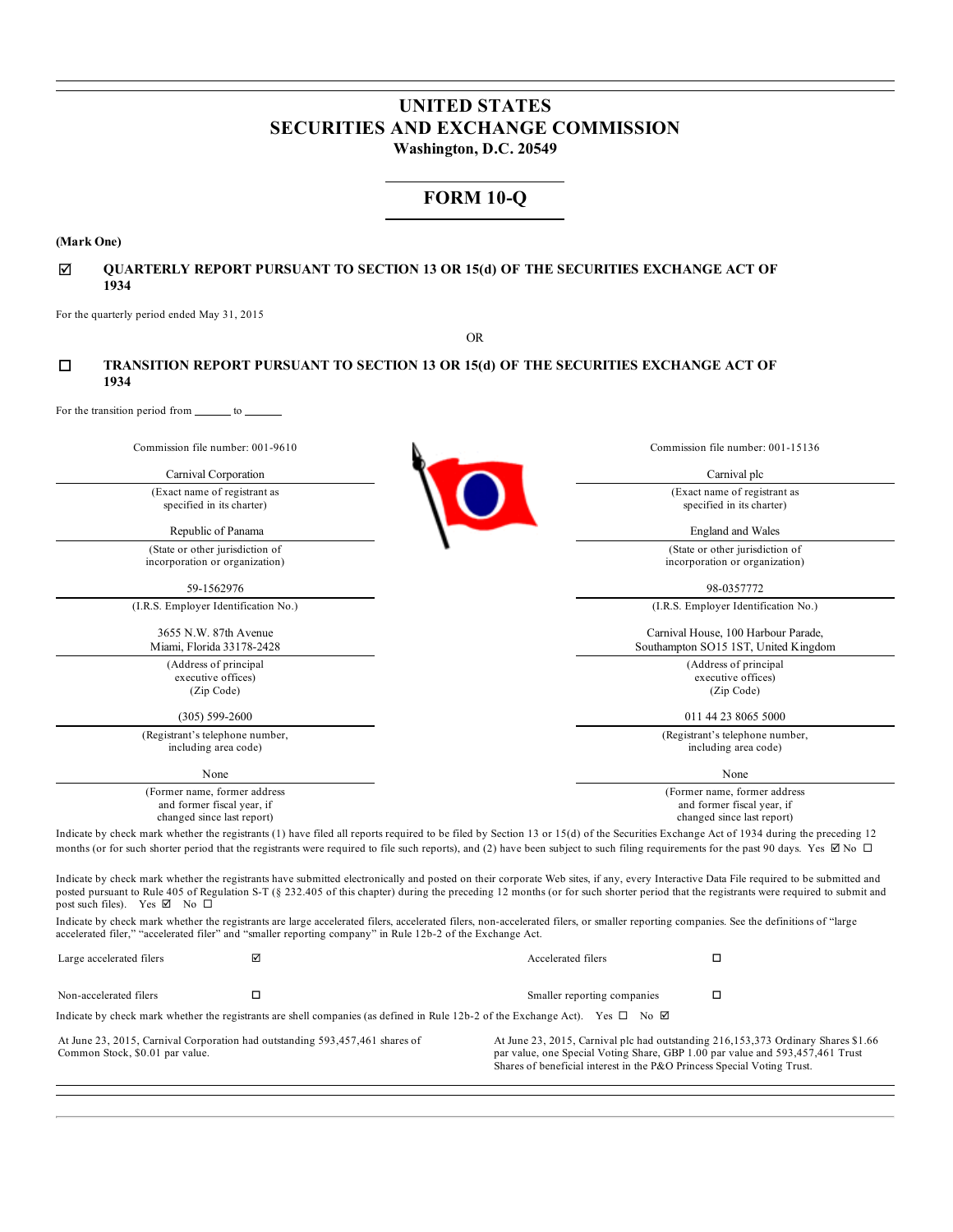# **UNITED STATES SECURITIES AND EXCHANGE COMMISSION Washington, D.C. 20549**

# **FORM 10-Q**

**(Mark One)**

# þ **QUARTERLY REPORT PURSUANT TO SECTION 13 OR 15(d) OF THE SECURITIES EXCHANGE ACT OF 1934**

For the quarterly period ended May 31, 2015

OR

# o **TRANSITION REPORT PURSUANT TO SECTION 13 OR 15(d) OF THE SECURITIES EXCHANGE ACT OF 1934**

For the transition period from \_\_\_\_\_\_\_ to \_\_\_\_\_\_\_

| Carnival plc<br>(Exact name of registrant as<br>specified in its charter)<br><b>England and Wales</b><br>(State or other jurisdiction of<br>incorporation or organization)                                                                                                                                                                                                      |
|---------------------------------------------------------------------------------------------------------------------------------------------------------------------------------------------------------------------------------------------------------------------------------------------------------------------------------------------------------------------------------|
|                                                                                                                                                                                                                                                                                                                                                                                 |
|                                                                                                                                                                                                                                                                                                                                                                                 |
|                                                                                                                                                                                                                                                                                                                                                                                 |
|                                                                                                                                                                                                                                                                                                                                                                                 |
|                                                                                                                                                                                                                                                                                                                                                                                 |
|                                                                                                                                                                                                                                                                                                                                                                                 |
| 98-0357772                                                                                                                                                                                                                                                                                                                                                                      |
| (I.R.S. Employer Identification No.)                                                                                                                                                                                                                                                                                                                                            |
| Carnival House, 100 Harbour Parade,                                                                                                                                                                                                                                                                                                                                             |
| Southampton SO15 1ST, United Kingdom                                                                                                                                                                                                                                                                                                                                            |
|                                                                                                                                                                                                                                                                                                                                                                                 |
| (Address of principal                                                                                                                                                                                                                                                                                                                                                           |
| executive offices)                                                                                                                                                                                                                                                                                                                                                              |
| (Zip Code)                                                                                                                                                                                                                                                                                                                                                                      |
| 011 44 23 8065 5000                                                                                                                                                                                                                                                                                                                                                             |
| (Registrant's telephone number,                                                                                                                                                                                                                                                                                                                                                 |
| including area code)                                                                                                                                                                                                                                                                                                                                                            |
| None                                                                                                                                                                                                                                                                                                                                                                            |
| (Former name, former address                                                                                                                                                                                                                                                                                                                                                    |
| and former fiscal year, if                                                                                                                                                                                                                                                                                                                                                      |
| changed since last report)                                                                                                                                                                                                                                                                                                                                                      |
| Indicate by check mark whether the registrants (1) have filed all reports required to be filed by Section 13 or 15(d) of the Securities Exchange Act of 1934 during the preceding 12                                                                                                                                                                                            |
| months (or for such shorter period that the registrants were required to file such reports), and (2) have been subject to such filing requirements for the past 90 days. Yes $\boxtimes$ No $\Box$                                                                                                                                                                              |
| Indicate by check mark whether the registrants have submitted electronically and posted on their corporate Web sites, if any, every Interactive Data File required to be submitted and<br>posted pursuant to Rule 405 of Regulation S-T (§ 232.405 of this chapter) during the preceding 12 months (or for such shorter period that the registrants were required to submit and |
| Indicate by check mark whether the registrants are large accelerated filers, accelerated filers, non-accelerated filers, or smaller reporting companies. See the definitions of "large<br>accelerated filer," "accelerated filer" and "smaller reporting company" in Rule 12b-2 of the Exchange Act.                                                                            |
| Accelerated filers<br>$\Box$                                                                                                                                                                                                                                                                                                                                                    |
| П<br>Smaller reporting companies                                                                                                                                                                                                                                                                                                                                                |
| Indicate by check mark whether the registrants are shell companies (as defined in Rule 12b-2 of the Exchange Act). Yes $\Box$ No $\Box$                                                                                                                                                                                                                                         |
| At June 23, 2015, Carnival plc had outstanding 216, 153, 373 Ordinary Shares \$1.66<br>par value, one Special Voting Share, GBP 1.00 par value and 593,457,461 Trust<br>Shares of beneficial interest in the P&O Princess Special Voting Trust.                                                                                                                                 |
|                                                                                                                                                                                                                                                                                                                                                                                 |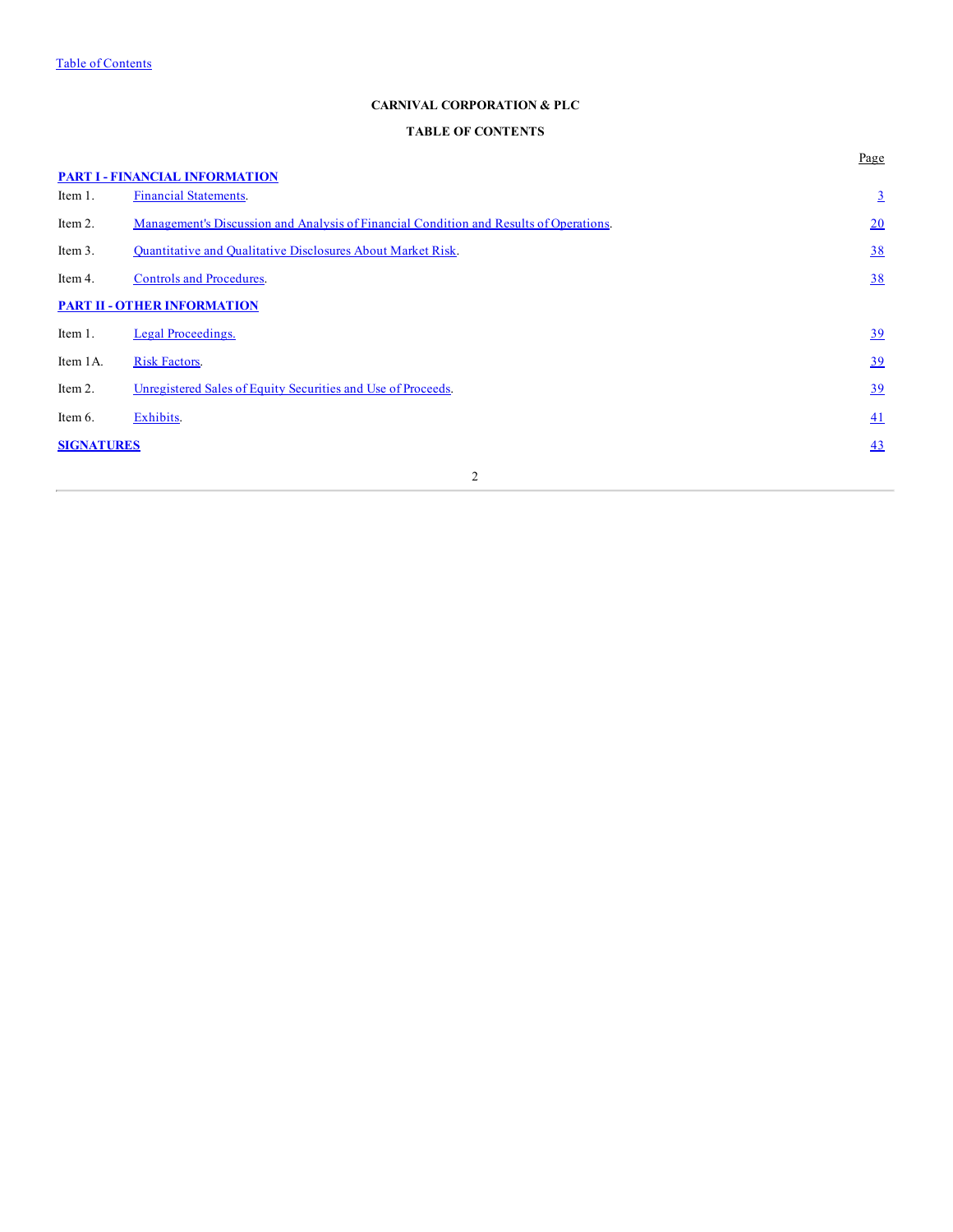# **CARNIVAL CORPORATION & PLC**

# **TABLE OF CONTENTS**

<span id="page-1-0"></span>

|                   |                                                                                        | Page           |
|-------------------|----------------------------------------------------------------------------------------|----------------|
|                   | <b>PART I - FINANCIAL INFORMATION</b>                                                  |                |
| Item 1.           | <b>Financial Statements</b>                                                            | $\overline{3}$ |
| Item 2.           | Management's Discussion and Analysis of Financial Condition and Results of Operations. | 20             |
| Item 3.           | <b>Quantitative and Qualitative Disclosures About Market Risk.</b>                     | 38             |
| Item 4.           | <b>Controls and Procedures.</b>                                                        | 38             |
|                   | <b>PART II - OTHER INFORMATION</b>                                                     |                |
| Item 1.           | <b>Legal Proceedings.</b>                                                              | <u>39</u>      |
| Item 1A.          | <b>Risk Factors</b>                                                                    | 39             |
| Item 2.           | Unregistered Sales of Equity Securities and Use of Proceeds.                           | 39             |
| Item 6.           | Exhibits.                                                                              | 41             |
| <b>SIGNATURES</b> |                                                                                        | 43             |
|                   | 2                                                                                      |                |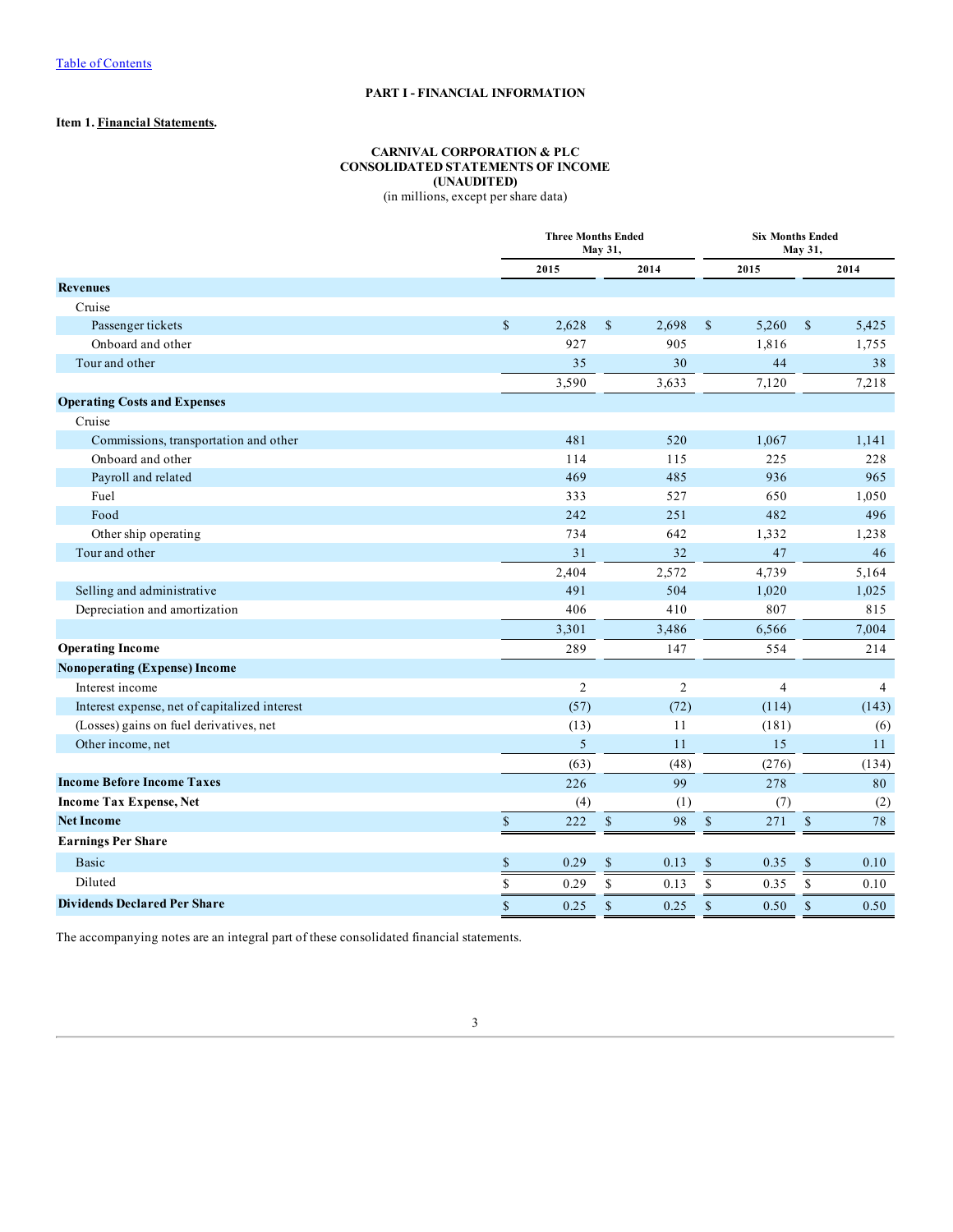# **PART I - FINANCIAL INFORMATION**

# **Item 1. Financial Statements.**

# **CARNIVAL CORPORATION & PLC CONSOLIDATED STATEMENTS OF INCOME (UNAUDITED)**

(in millions, except per share data)

|                                               |              | <b>Three Months Ended</b> | May 31,       |                |              | <b>Six Months Ended</b> | May 31,       |                |      |
|-----------------------------------------------|--------------|---------------------------|---------------|----------------|--------------|-------------------------|---------------|----------------|------|
|                                               |              | 2015<br>2014<br>2015      |               |                |              |                         |               |                | 2014 |
| <b>Revenues</b>                               |              |                           |               |                |              |                         |               |                |      |
| Cruise                                        |              |                           |               |                |              |                         |               |                |      |
| Passenger tickets                             | $\mathbb{S}$ | 2,628                     | $\mathbb{S}$  | 2,698          | $\mathbb{S}$ | 5,260                   | $\mathbb{S}$  | 5,425          |      |
| Onboard and other                             |              | 927                       |               | 905            |              | 1,816                   |               | 1,755          |      |
| Tour and other                                |              | 35                        |               | 30             |              | 44                      |               | 38             |      |
|                                               |              | 3,590                     |               | 3,633          |              | 7,120                   |               | 7,218          |      |
| <b>Operating Costs and Expenses</b>           |              |                           |               |                |              |                         |               |                |      |
| Cruise                                        |              |                           |               |                |              |                         |               |                |      |
| Commissions, transportation and other         |              | 481                       |               | 520            |              | 1,067                   |               | 1,141          |      |
| Onboard and other                             |              | 114                       |               | 115            |              | 225                     |               | 228            |      |
| Payroll and related                           |              | 469                       |               | 485            |              | 936                     |               | 965            |      |
| Fuel                                          |              | 333                       |               | 527            |              | 650                     |               | 1,050          |      |
| Food                                          |              | 242                       |               | 251            |              | 482                     |               | 496            |      |
| Other ship operating                          |              | 734                       |               | 642            |              | 1,332                   |               | 1,238          |      |
| Tour and other                                |              | 31                        |               | 32             |              | 47                      |               | 46             |      |
|                                               |              | 2,404                     |               | 2,572          |              | 4,739                   |               | 5,164          |      |
| Selling and administrative                    |              | 491                       |               | 504            |              | 1,020                   |               | 1,025          |      |
| Depreciation and amortization                 |              | 406                       |               | 410            |              | 807                     |               | 815            |      |
|                                               |              | 3,301                     |               | 3,486          |              | 6,566                   |               | 7,004          |      |
| <b>Operating Income</b>                       |              | 289                       |               | 147            |              | 554                     |               | 214            |      |
| <b>Nonoperating (Expense) Income</b>          |              |                           |               |                |              |                         |               |                |      |
| Interest income                               |              | $\overline{2}$            |               | $\overline{2}$ |              | 4                       |               | $\overline{4}$ |      |
| Interest expense, net of capitalized interest |              | (57)                      |               | (72)           |              | (114)                   |               | (143)          |      |
| (Losses) gains on fuel derivatives, net       |              | (13)                      |               | 11             |              | (181)                   |               | (6)            |      |
| Other income, net                             |              | $\sqrt{5}$                |               | 11             |              | 15                      |               | 11             |      |
|                                               |              | (63)                      |               | (48)           |              | (276)                   |               | (134)          |      |
| <b>Income Before Income Taxes</b>             |              | 226                       |               | 99             |              | 278                     |               | 80             |      |
| <b>Income Tax Expense, Net</b>                |              | (4)                       |               | (1)            |              | (7)                     |               | (2)            |      |
| <b>Net Income</b>                             | $\mathbb{S}$ | 222                       | $\mathbb{S}$  | 98             | $\mathbb S$  | 271                     | $\mathcal{S}$ | 78             |      |
| <b>Earnings Per Share</b>                     |              |                           |               |                |              |                         |               |                |      |
| <b>Basic</b>                                  | $\mathbb S$  | 0.29                      | $\mathcal{S}$ | 0.13           | $\mathbb{S}$ | 0.35                    | $\mathcal{S}$ | 0.10           |      |
| Diluted                                       | \$           | 0.29                      | \$            | 0.13           | \$           | 0.35                    | \$            | 0.10           |      |
| <b>Dividends Declared Per Share</b>           | $\mathbb{S}$ | 0.25                      | $\mathbb{S}$  | 0.25           | $\mathbb{S}$ | 0.50                    | $\mathbb{S}$  | 0.50           |      |

The accompanying notes are an integral part of these consolidated financial statements.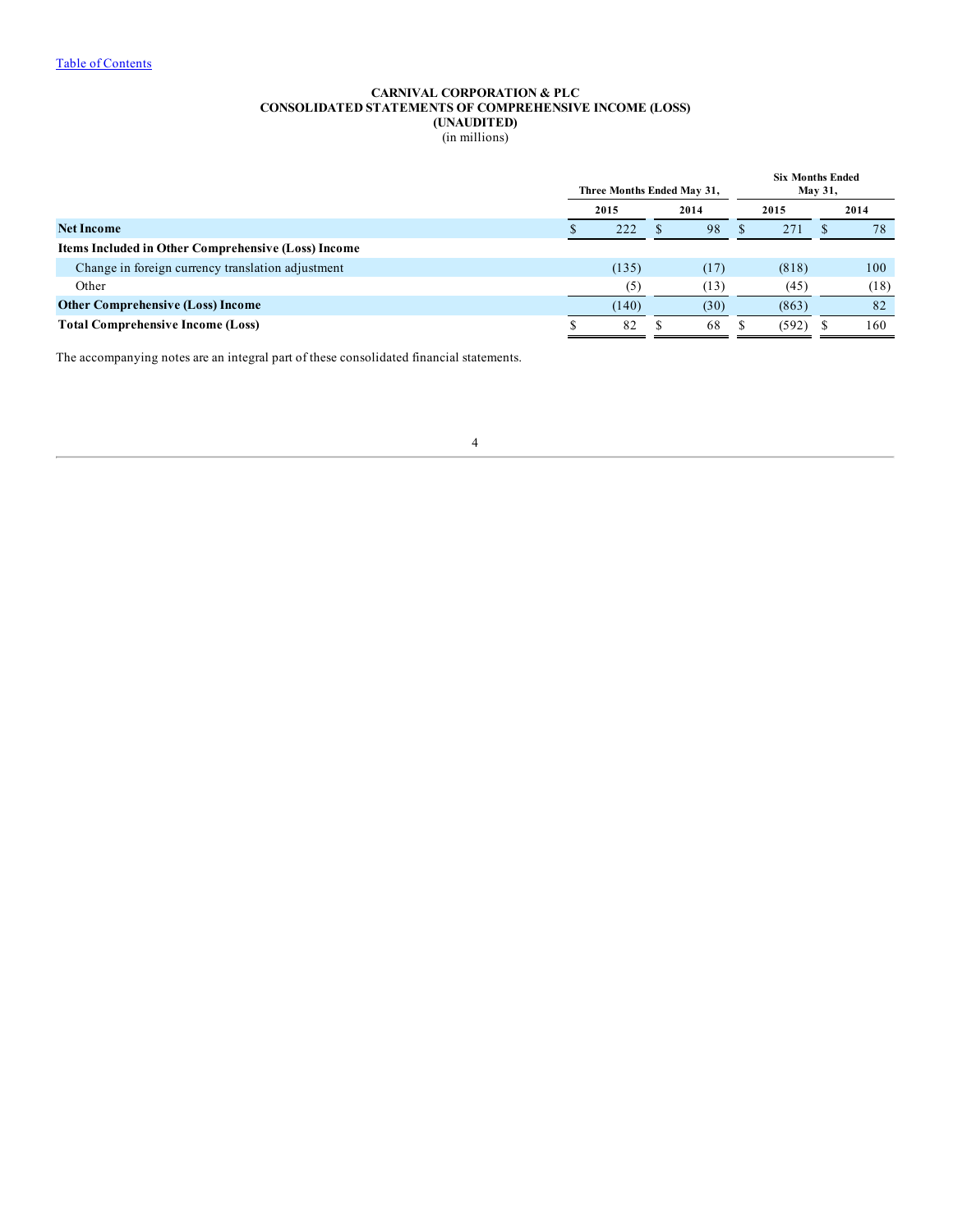## **CARNIVAL CORPORATION & PLC CONSOLIDATED STATEMENTS OF COMPREHENSIVE INCOME (LOSS) (UNAUDITED)** (in millions)

|                                                     | Three Months Ended May 31, |      |      |  | <b>Six Months Ended</b> | May 31, |      |
|-----------------------------------------------------|----------------------------|------|------|--|-------------------------|---------|------|
|                                                     | 2015                       | 2014 |      |  | 2015                    |         | 2014 |
| <b>Net Income</b>                                   | 222                        |      | 98   |  | 271                     |         | 78   |
| Items Included in Other Comprehensive (Loss) Income |                            |      |      |  |                         |         |      |
| Change in foreign currency translation adjustment   | (135)                      |      | (17) |  | (818)                   |         | 100  |
| Other                                               | (5)                        |      | (13) |  | (45)                    |         | (18) |
| <b>Other Comprehensive (Loss) Income</b>            | (140)                      |      | (30) |  | (863)                   |         | 82   |
| <b>Total Comprehensive Income (Loss)</b>            | 82                         |      | 68   |  | (592)                   |         | 160  |

The accompanying notes are an integral part of these consolidated financial statements.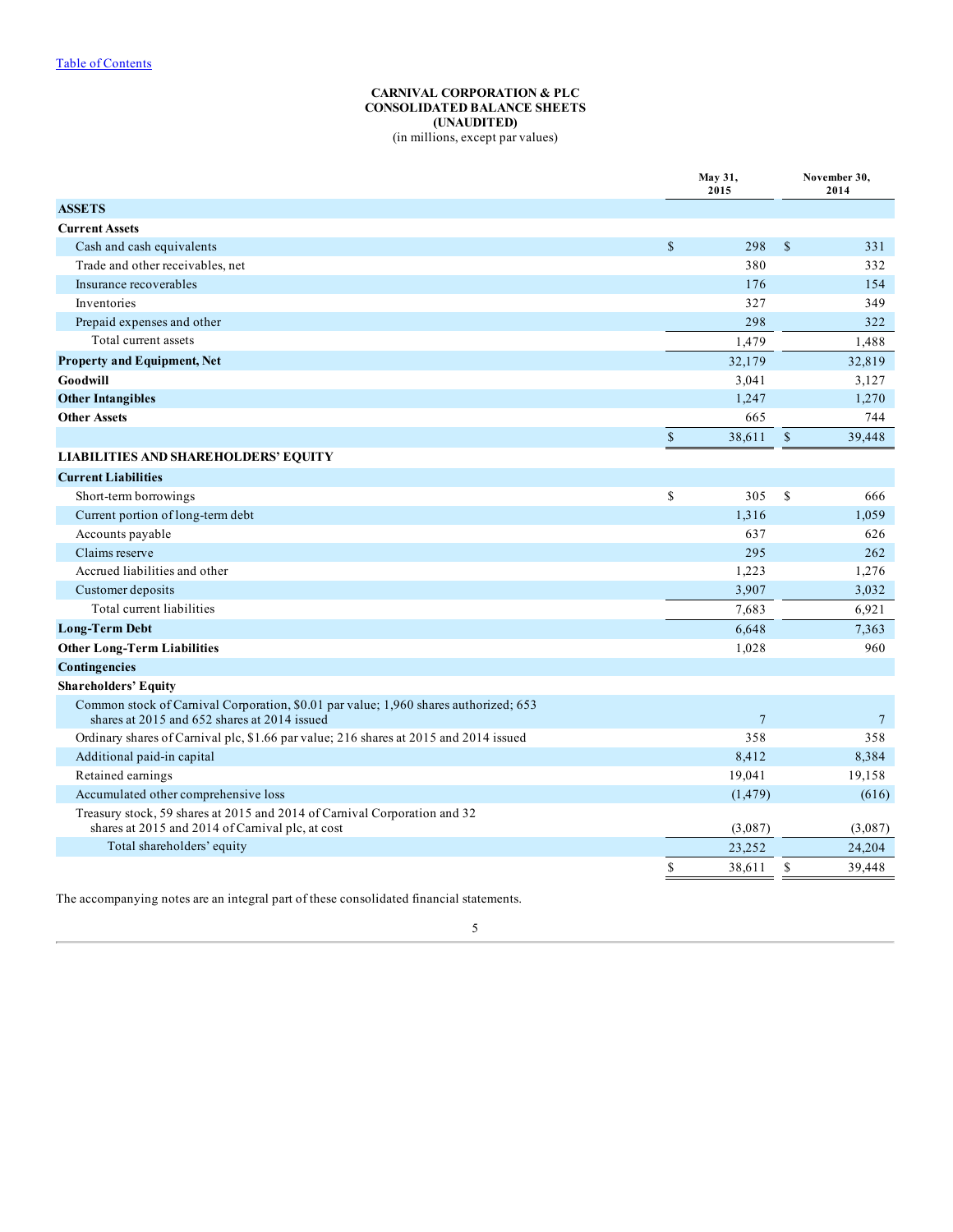## **CARNIVAL CORPORATION & PLC CONSOLIDATED BALANCE SHEETS (UNAUDITED)** (in millions, except par values)

| <b>ASSETS</b><br><b>Current Assets</b><br>$\mathbb{S}$<br>298<br>$\mathcal{S}$<br>Cash and cash equivalents<br>331<br>Trade and other receivables, net<br>380<br>332<br>Insurance recoverables<br>176<br>154<br>Inventories<br>327<br>349<br>Prepaid expenses and other<br>298<br>322<br>Total current assets<br>1,479<br>1.488<br><b>Property and Equipment, Net</b><br>32,179<br>32,819<br>Goodwill<br>3,041<br>3,127<br><b>Other Intangibles</b><br>1,247<br>1,270<br><b>Other Assets</b><br>665<br>744<br>$\mathbb{S}$<br>38,611<br>$\mathcal{S}$<br>39,448<br><b>LIABILITIES AND SHAREHOLDERS' EQUITY</b><br><b>Current Liabilities</b><br>\$<br>305<br><sup>\$</sup><br>666<br>Short-term borrowings<br>Current portion of long-term debt<br>1,316<br>1,059<br>637<br>Accounts payable<br>626<br>Claims reserve<br>295<br>262<br>Accrued liabilities and other<br>1,223<br>1,276<br>Customer deposits<br>3,907<br>3,032<br>Total current liabilities<br>7,683<br>6,921<br><b>Long-Term Debt</b><br>6,648<br>7,363<br><b>Other Long-Term Liabilities</b><br>960<br>1,028<br>Contingencies<br><b>Shareholders' Equity</b><br>Common stock of Carnival Corporation, \$0.01 par value; 1,960 shares authorized; 653<br>shares at 2015 and 652 shares at 2014 issued<br>$\overline{7}$<br>$7\phantom{.0}$<br>358<br>358<br>Ordinary shares of Carnival plc, \$1.66 par value; 216 shares at 2015 and 2014 issued<br>Additional paid-in capital<br>8,412<br>8,384<br>Retained earnings<br>19,041<br>19,158<br>Accumulated other comprehensive loss<br>(1, 479)<br>(616)<br>Treasury stock, 59 shares at 2015 and 2014 of Carnival Corporation and 32<br>shares at 2015 and 2014 of Carnival plc, at cost<br>(3,087)<br>(3,087) |  | May 31,<br>2015 | November 30,<br>2014 |
|--------------------------------------------------------------------------------------------------------------------------------------------------------------------------------------------------------------------------------------------------------------------------------------------------------------------------------------------------------------------------------------------------------------------------------------------------------------------------------------------------------------------------------------------------------------------------------------------------------------------------------------------------------------------------------------------------------------------------------------------------------------------------------------------------------------------------------------------------------------------------------------------------------------------------------------------------------------------------------------------------------------------------------------------------------------------------------------------------------------------------------------------------------------------------------------------------------------------------------------------------------------------------------------------------------------------------------------------------------------------------------------------------------------------------------------------------------------------------------------------------------------------------------------------------------------------------------------------------------------------------------------------------------------------------------------------------------------------------------|--|-----------------|----------------------|
|                                                                                                                                                                                                                                                                                                                                                                                                                                                                                                                                                                                                                                                                                                                                                                                                                                                                                                                                                                                                                                                                                                                                                                                                                                                                                                                                                                                                                                                                                                                                                                                                                                                                                                                                |  |                 |                      |
|                                                                                                                                                                                                                                                                                                                                                                                                                                                                                                                                                                                                                                                                                                                                                                                                                                                                                                                                                                                                                                                                                                                                                                                                                                                                                                                                                                                                                                                                                                                                                                                                                                                                                                                                |  |                 |                      |
|                                                                                                                                                                                                                                                                                                                                                                                                                                                                                                                                                                                                                                                                                                                                                                                                                                                                                                                                                                                                                                                                                                                                                                                                                                                                                                                                                                                                                                                                                                                                                                                                                                                                                                                                |  |                 |                      |
|                                                                                                                                                                                                                                                                                                                                                                                                                                                                                                                                                                                                                                                                                                                                                                                                                                                                                                                                                                                                                                                                                                                                                                                                                                                                                                                                                                                                                                                                                                                                                                                                                                                                                                                                |  |                 |                      |
|                                                                                                                                                                                                                                                                                                                                                                                                                                                                                                                                                                                                                                                                                                                                                                                                                                                                                                                                                                                                                                                                                                                                                                                                                                                                                                                                                                                                                                                                                                                                                                                                                                                                                                                                |  |                 |                      |
|                                                                                                                                                                                                                                                                                                                                                                                                                                                                                                                                                                                                                                                                                                                                                                                                                                                                                                                                                                                                                                                                                                                                                                                                                                                                                                                                                                                                                                                                                                                                                                                                                                                                                                                                |  |                 |                      |
|                                                                                                                                                                                                                                                                                                                                                                                                                                                                                                                                                                                                                                                                                                                                                                                                                                                                                                                                                                                                                                                                                                                                                                                                                                                                                                                                                                                                                                                                                                                                                                                                                                                                                                                                |  |                 |                      |
|                                                                                                                                                                                                                                                                                                                                                                                                                                                                                                                                                                                                                                                                                                                                                                                                                                                                                                                                                                                                                                                                                                                                                                                                                                                                                                                                                                                                                                                                                                                                                                                                                                                                                                                                |  |                 |                      |
|                                                                                                                                                                                                                                                                                                                                                                                                                                                                                                                                                                                                                                                                                                                                                                                                                                                                                                                                                                                                                                                                                                                                                                                                                                                                                                                                                                                                                                                                                                                                                                                                                                                                                                                                |  |                 |                      |
|                                                                                                                                                                                                                                                                                                                                                                                                                                                                                                                                                                                                                                                                                                                                                                                                                                                                                                                                                                                                                                                                                                                                                                                                                                                                                                                                                                                                                                                                                                                                                                                                                                                                                                                                |  |                 |                      |
|                                                                                                                                                                                                                                                                                                                                                                                                                                                                                                                                                                                                                                                                                                                                                                                                                                                                                                                                                                                                                                                                                                                                                                                                                                                                                                                                                                                                                                                                                                                                                                                                                                                                                                                                |  |                 |                      |
|                                                                                                                                                                                                                                                                                                                                                                                                                                                                                                                                                                                                                                                                                                                                                                                                                                                                                                                                                                                                                                                                                                                                                                                                                                                                                                                                                                                                                                                                                                                                                                                                                                                                                                                                |  |                 |                      |
|                                                                                                                                                                                                                                                                                                                                                                                                                                                                                                                                                                                                                                                                                                                                                                                                                                                                                                                                                                                                                                                                                                                                                                                                                                                                                                                                                                                                                                                                                                                                                                                                                                                                                                                                |  |                 |                      |
|                                                                                                                                                                                                                                                                                                                                                                                                                                                                                                                                                                                                                                                                                                                                                                                                                                                                                                                                                                                                                                                                                                                                                                                                                                                                                                                                                                                                                                                                                                                                                                                                                                                                                                                                |  |                 |                      |
|                                                                                                                                                                                                                                                                                                                                                                                                                                                                                                                                                                                                                                                                                                                                                                                                                                                                                                                                                                                                                                                                                                                                                                                                                                                                                                                                                                                                                                                                                                                                                                                                                                                                                                                                |  |                 |                      |
|                                                                                                                                                                                                                                                                                                                                                                                                                                                                                                                                                                                                                                                                                                                                                                                                                                                                                                                                                                                                                                                                                                                                                                                                                                                                                                                                                                                                                                                                                                                                                                                                                                                                                                                                |  |                 |                      |
|                                                                                                                                                                                                                                                                                                                                                                                                                                                                                                                                                                                                                                                                                                                                                                                                                                                                                                                                                                                                                                                                                                                                                                                                                                                                                                                                                                                                                                                                                                                                                                                                                                                                                                                                |  |                 |                      |
|                                                                                                                                                                                                                                                                                                                                                                                                                                                                                                                                                                                                                                                                                                                                                                                                                                                                                                                                                                                                                                                                                                                                                                                                                                                                                                                                                                                                                                                                                                                                                                                                                                                                                                                                |  |                 |                      |
|                                                                                                                                                                                                                                                                                                                                                                                                                                                                                                                                                                                                                                                                                                                                                                                                                                                                                                                                                                                                                                                                                                                                                                                                                                                                                                                                                                                                                                                                                                                                                                                                                                                                                                                                |  |                 |                      |
|                                                                                                                                                                                                                                                                                                                                                                                                                                                                                                                                                                                                                                                                                                                                                                                                                                                                                                                                                                                                                                                                                                                                                                                                                                                                                                                                                                                                                                                                                                                                                                                                                                                                                                                                |  |                 |                      |
|                                                                                                                                                                                                                                                                                                                                                                                                                                                                                                                                                                                                                                                                                                                                                                                                                                                                                                                                                                                                                                                                                                                                                                                                                                                                                                                                                                                                                                                                                                                                                                                                                                                                                                                                |  |                 |                      |
|                                                                                                                                                                                                                                                                                                                                                                                                                                                                                                                                                                                                                                                                                                                                                                                                                                                                                                                                                                                                                                                                                                                                                                                                                                                                                                                                                                                                                                                                                                                                                                                                                                                                                                                                |  |                 |                      |
|                                                                                                                                                                                                                                                                                                                                                                                                                                                                                                                                                                                                                                                                                                                                                                                                                                                                                                                                                                                                                                                                                                                                                                                                                                                                                                                                                                                                                                                                                                                                                                                                                                                                                                                                |  |                 |                      |
|                                                                                                                                                                                                                                                                                                                                                                                                                                                                                                                                                                                                                                                                                                                                                                                                                                                                                                                                                                                                                                                                                                                                                                                                                                                                                                                                                                                                                                                                                                                                                                                                                                                                                                                                |  |                 |                      |
|                                                                                                                                                                                                                                                                                                                                                                                                                                                                                                                                                                                                                                                                                                                                                                                                                                                                                                                                                                                                                                                                                                                                                                                                                                                                                                                                                                                                                                                                                                                                                                                                                                                                                                                                |  |                 |                      |
|                                                                                                                                                                                                                                                                                                                                                                                                                                                                                                                                                                                                                                                                                                                                                                                                                                                                                                                                                                                                                                                                                                                                                                                                                                                                                                                                                                                                                                                                                                                                                                                                                                                                                                                                |  |                 |                      |
|                                                                                                                                                                                                                                                                                                                                                                                                                                                                                                                                                                                                                                                                                                                                                                                                                                                                                                                                                                                                                                                                                                                                                                                                                                                                                                                                                                                                                                                                                                                                                                                                                                                                                                                                |  |                 |                      |
|                                                                                                                                                                                                                                                                                                                                                                                                                                                                                                                                                                                                                                                                                                                                                                                                                                                                                                                                                                                                                                                                                                                                                                                                                                                                                                                                                                                                                                                                                                                                                                                                                                                                                                                                |  |                 |                      |
|                                                                                                                                                                                                                                                                                                                                                                                                                                                                                                                                                                                                                                                                                                                                                                                                                                                                                                                                                                                                                                                                                                                                                                                                                                                                                                                                                                                                                                                                                                                                                                                                                                                                                                                                |  |                 |                      |
|                                                                                                                                                                                                                                                                                                                                                                                                                                                                                                                                                                                                                                                                                                                                                                                                                                                                                                                                                                                                                                                                                                                                                                                                                                                                                                                                                                                                                                                                                                                                                                                                                                                                                                                                |  |                 |                      |
|                                                                                                                                                                                                                                                                                                                                                                                                                                                                                                                                                                                                                                                                                                                                                                                                                                                                                                                                                                                                                                                                                                                                                                                                                                                                                                                                                                                                                                                                                                                                                                                                                                                                                                                                |  |                 |                      |
|                                                                                                                                                                                                                                                                                                                                                                                                                                                                                                                                                                                                                                                                                                                                                                                                                                                                                                                                                                                                                                                                                                                                                                                                                                                                                                                                                                                                                                                                                                                                                                                                                                                                                                                                |  |                 |                      |
| Total shareholders' equity<br>23,252<br>24,204                                                                                                                                                                                                                                                                                                                                                                                                                                                                                                                                                                                                                                                                                                                                                                                                                                                                                                                                                                                                                                                                                                                                                                                                                                                                                                                                                                                                                                                                                                                                                                                                                                                                                 |  |                 |                      |
| \$<br><sup>\$</sup><br>38,611<br>39.448                                                                                                                                                                                                                                                                                                                                                                                                                                                                                                                                                                                                                                                                                                                                                                                                                                                                                                                                                                                                                                                                                                                                                                                                                                                                                                                                                                                                                                                                                                                                                                                                                                                                                        |  |                 |                      |

The accompanying notes are an integral part of these consolidated financial statements.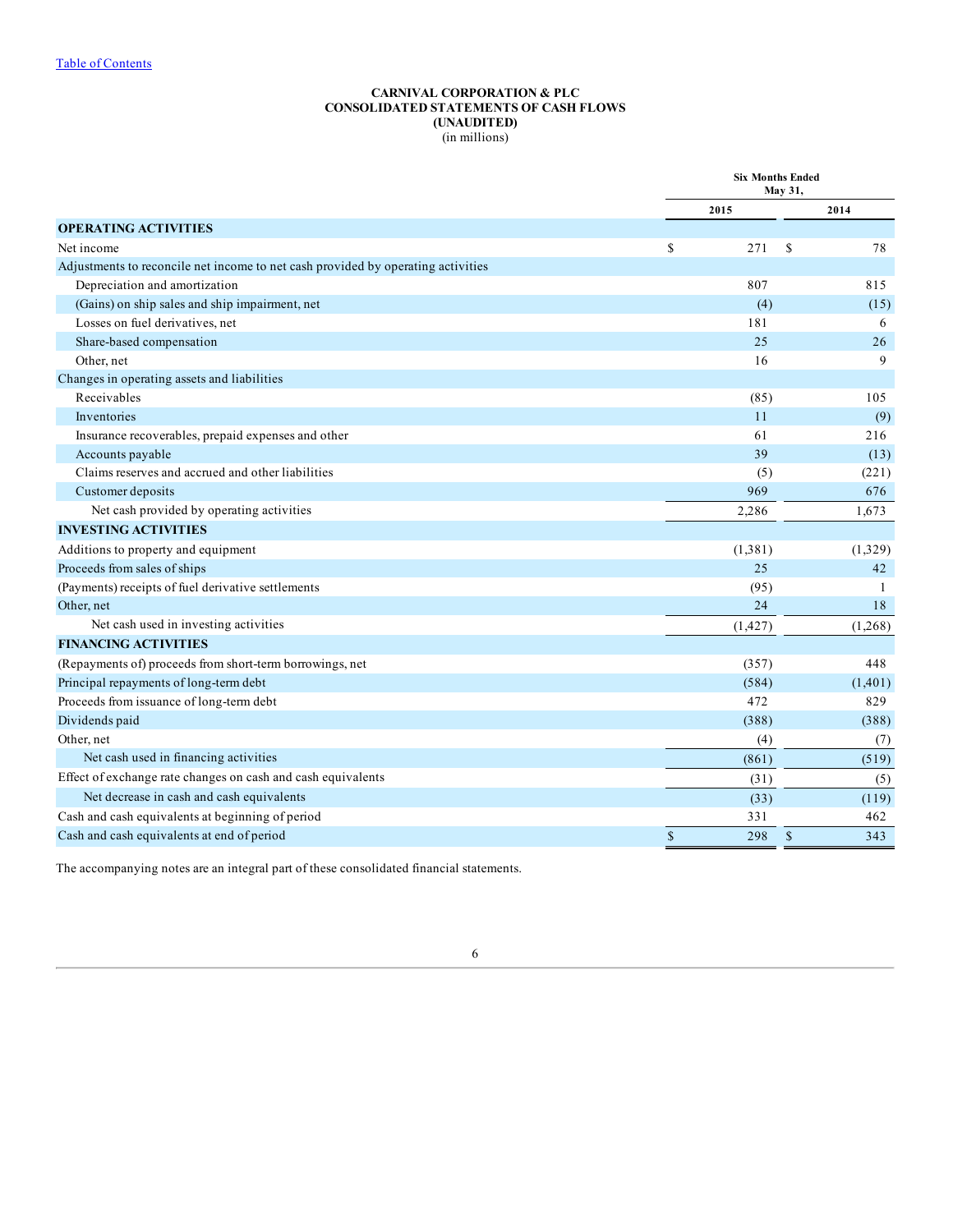## **CARNIVAL CORPORATION & PLC CONSOLIDATED STATEMENTS OF CASH FLOWS (UNAUDITED)** (in millions)

|                                                                                  | <b>Six Months Ended</b><br>May 31, |                      |  |  |  |  |  |
|----------------------------------------------------------------------------------|------------------------------------|----------------------|--|--|--|--|--|
|                                                                                  | 2015                               | 2014                 |  |  |  |  |  |
| <b>OPERATING ACTIVITIES</b>                                                      |                                    |                      |  |  |  |  |  |
| Net income                                                                       | \$<br>271                          | \$<br>78             |  |  |  |  |  |
| Adjustments to reconcile net income to net cash provided by operating activities |                                    |                      |  |  |  |  |  |
| Depreciation and amortization                                                    | 807                                | 815                  |  |  |  |  |  |
| (Gains) on ship sales and ship impairment, net                                   | (4)                                | (15)                 |  |  |  |  |  |
| Losses on fuel derivatives, net                                                  | 181                                | 6                    |  |  |  |  |  |
| Share-based compensation                                                         | 25                                 | 26                   |  |  |  |  |  |
| Other, net                                                                       | 16                                 | 9                    |  |  |  |  |  |
| Changes in operating assets and liabilities                                      |                                    |                      |  |  |  |  |  |
| Receivables                                                                      | (85)                               | 105                  |  |  |  |  |  |
| Inventories                                                                      | 11                                 | (9)                  |  |  |  |  |  |
| Insurance recoverables, prepaid expenses and other                               | 61                                 | 216                  |  |  |  |  |  |
| Accounts payable                                                                 | 39                                 | (13)                 |  |  |  |  |  |
| Claims reserves and accrued and other liabilities                                | (5)                                | (221)                |  |  |  |  |  |
| Customer deposits                                                                | 969                                | 676                  |  |  |  |  |  |
| Net cash provided by operating activities                                        | 2,286                              | 1.673                |  |  |  |  |  |
| <b>INVESTING ACTIVITIES</b>                                                      |                                    |                      |  |  |  |  |  |
| Additions to property and equipment                                              | (1, 381)                           | (1,329)              |  |  |  |  |  |
| Proceeds from sales of ships                                                     | 25                                 | 42                   |  |  |  |  |  |
| (Payments) receipts of fuel derivative settlements                               | (95)                               | -1                   |  |  |  |  |  |
| Other, net                                                                       | 24                                 | 18                   |  |  |  |  |  |
| Net cash used in investing activities                                            | (1, 427)                           | (1,268)              |  |  |  |  |  |
| <b>FINANCING ACTIVITIES</b>                                                      |                                    |                      |  |  |  |  |  |
| (Repayments of) proceeds from short-term borrowings, net                         | (357)                              | 448                  |  |  |  |  |  |
| Principal repayments of long-term debt                                           | (584)                              | (1,401)              |  |  |  |  |  |
| Proceeds from issuance of long-term debt                                         | 472                                | 829                  |  |  |  |  |  |
| Dividends paid                                                                   | (388)                              | (388)                |  |  |  |  |  |
| Other, net                                                                       | (4)                                | (7)                  |  |  |  |  |  |
| Net cash used in financing activities                                            | (861)                              | (519)                |  |  |  |  |  |
| Effect of exchange rate changes on cash and cash equivalents                     | (31)                               | (5)                  |  |  |  |  |  |
| Net decrease in cash and cash equivalents                                        | (33)                               | (119)                |  |  |  |  |  |
| Cash and cash equivalents at beginning of period                                 | 331                                | 462                  |  |  |  |  |  |
| Cash and cash equivalents at end of period                                       | $\mathcal{S}$<br>298               | $\mathcal{S}$<br>343 |  |  |  |  |  |

The accompanying notes are an integral part of these consolidated financial statements.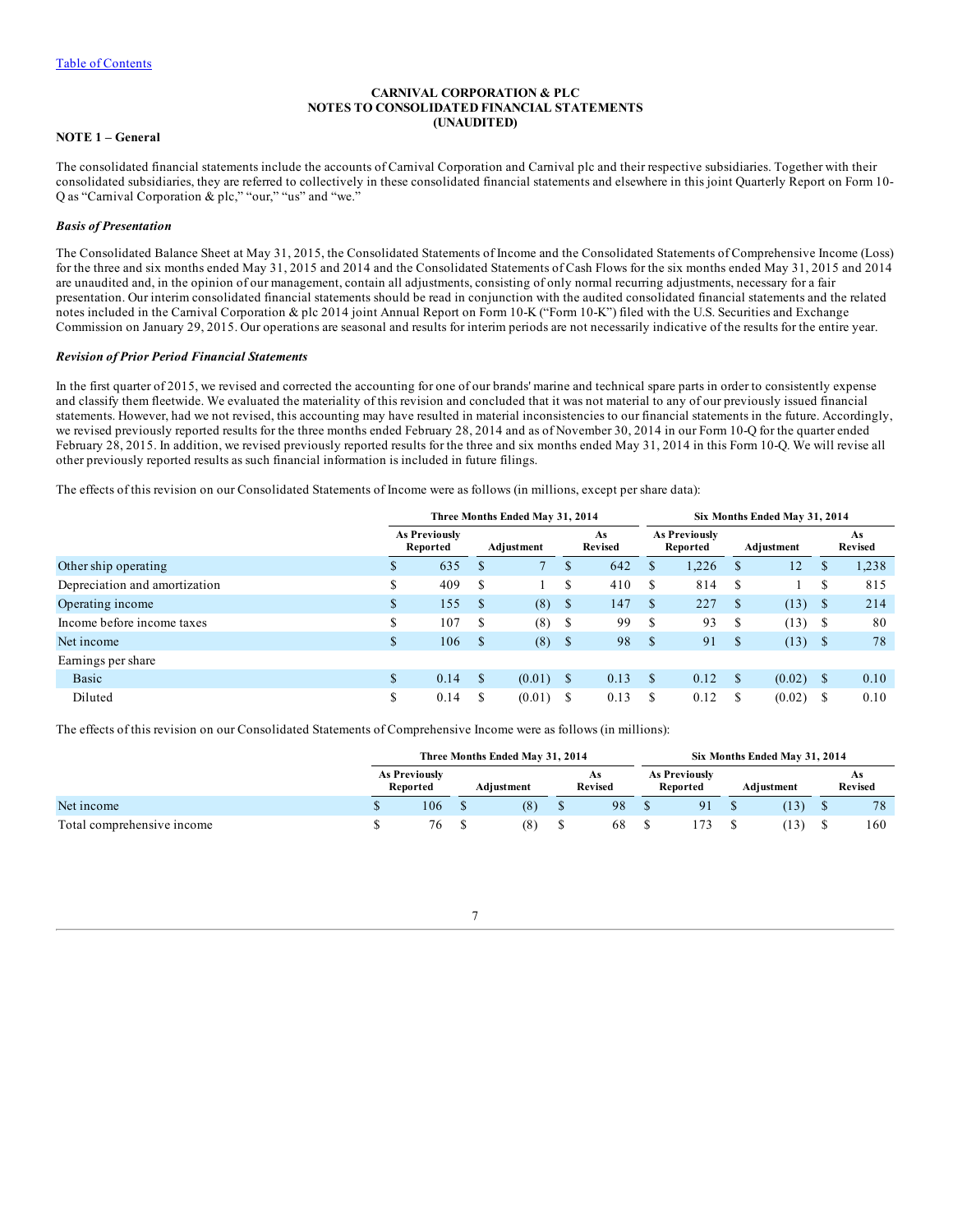## **CARNIVAL CORPORATION & PLC NOTES TO CONSOLIDATED FINANCIAL STATEMENTS (UNAUDITED)**

#### **NOTE 1 – General**

The consolidated financial statements include the accounts of Carnival Corporation and Carnival plc and their respective subsidiaries. Together with their consolidated subsidiaries, they are referred to collectively in these consolidated financial statements and elsewhere in this joint Quarterly Report on Form 10- Q as "Carnival Corporation & plc," "our," "us" and "we."

## *Basis of Presentation*

The Consolidated Balance Sheet at May 31, 2015, the Consolidated Statements of Income and the Consolidated Statements of Comprehensive Income (Loss) for the three and six months ended May 31, 2015 and 2014 and the Consolidated Statements of Cash Flows for the six months ended May 31, 2015 and 2014 are unaudited and, in the opinion of our management, contain all adjustments, consisting of only normal recurring adjustments, necessary for a fair presentation. Our interim consolidated financial statements should be read in conjunction with the audited consolidated financial statements and the related notes included in the Carnival Corporation & plc 2014 joint Annual Report on Form 10-K ("Form 10-K") filed with the U.S. Securities and Exchange Commission on January 29, 2015. Our operations are seasonal and results for interim periods are not necessarily indicative of the results for the entire year.

#### *Revision of Prior Period Financial Statements*

In the first quarter of 2015, we revised and corrected the accounting for one of our brands' marine and technical spare parts in order to consistently expense and classify them fleetwide. We evaluated the materiality of this revision and concluded that it was not material to any of our previously issued financial statements. However, had we not revised, this accounting may have resulted in material inconsistencies to our financial statements in the future. Accordingly, we revised previously reported results for the three months ended February 28, 2014 and as of November 30, 2014 in our Form 10-Q for the quarter ended February 28, 2015. In addition, we revised previously reported results for the three and six months ended May 31, 2014 in this Form 10-Q. We will revise all other previously reported results as such financial information is included in future filings.

The effects of this revision on our Consolidated Statements of Income were as follows (in millions, except per share data):

|                               |                                  |      |               | Three Months Ended May 31, 2014 |      |                      |               |                                  | Six Months Ended May 31, 2014 |            |      |                      |
|-------------------------------|----------------------------------|------|---------------|---------------------------------|------|----------------------|---------------|----------------------------------|-------------------------------|------------|------|----------------------|
|                               | <b>As Previously</b><br>Reported |      | Adjustment    |                                 |      | As<br><b>Revised</b> |               | <b>As Previously</b><br>Reported |                               | Adjustment |      | As<br><b>Revised</b> |
| Other ship operating          | ъ                                | 635  | \$            |                                 | \$   | 642                  | \$            | .226                             | -S                            | 12         | S    | 1,238                |
| Depreciation and amortization | D                                | 409  | S             |                                 | S    | 410                  | S             | 814                              | S                             |            | S    | 815                  |
| Operating income              | \$                               | 155  | <sup>\$</sup> | (8)                             | - \$ | 147                  | \$            | 227                              | -S                            | (13)       | -S   | 214                  |
| Income before income taxes    | ъ                                | 107  | <sup>\$</sup> | (8)                             | -S   | 99                   | S             | 93                               | S                             | (13)       | -S   | 80                   |
| Net income                    | \$                               | 106  | -S            | (8)                             | -\$  | 98                   | <sup>\$</sup> | 91                               | <sup>\$</sup>                 | (13)       | - \$ | 78                   |
| Earnings per share            |                                  |      |               |                                 |      |                      |               |                                  |                               |            |      |                      |
| <b>Basic</b>                  | \$                               | 0.14 | \$.           | (0.01)                          | - \$ | 0.13                 | S             | 0.12                             | <sup>\$</sup>                 | (0.02)     | S    | 0.10                 |
| Diluted                       | \$                               | 0.14 | \$.           | (0.01)                          | -S   | 0.13                 | S             | 0.12                             |                               | (0.02)     | -S   | 0.10                 |

The effects of this revision on our Consolidated Statements of Comprehensive Income were as follows (in millions):

|                            |                                  |     |  | Three Months Ended May 31, 2014 |  |    |  |  |  | Six Months Ended May 31, 2014 |  |                      |  |                                  |            |  |                      |  |
|----------------------------|----------------------------------|-----|--|---------------------------------|--|----|--|--|--|-------------------------------|--|----------------------|--|----------------------------------|------------|--|----------------------|--|
|                            | <b>As Previously</b><br>Reported |     |  | Adiustment                      |  |    |  |  |  |                               |  | As<br><b>Revised</b> |  | <b>As Previously</b><br>Reported | Adiustment |  | As<br><b>Revised</b> |  |
| Net income                 |                                  | 106 |  | (8)                             |  | 98 |  |  |  | (13)                          |  | 78                   |  |                                  |            |  |                      |  |
| Total comprehensive income |                                  | 76  |  | (8)                             |  | 68 |  |  |  | (13)                          |  | 160                  |  |                                  |            |  |                      |  |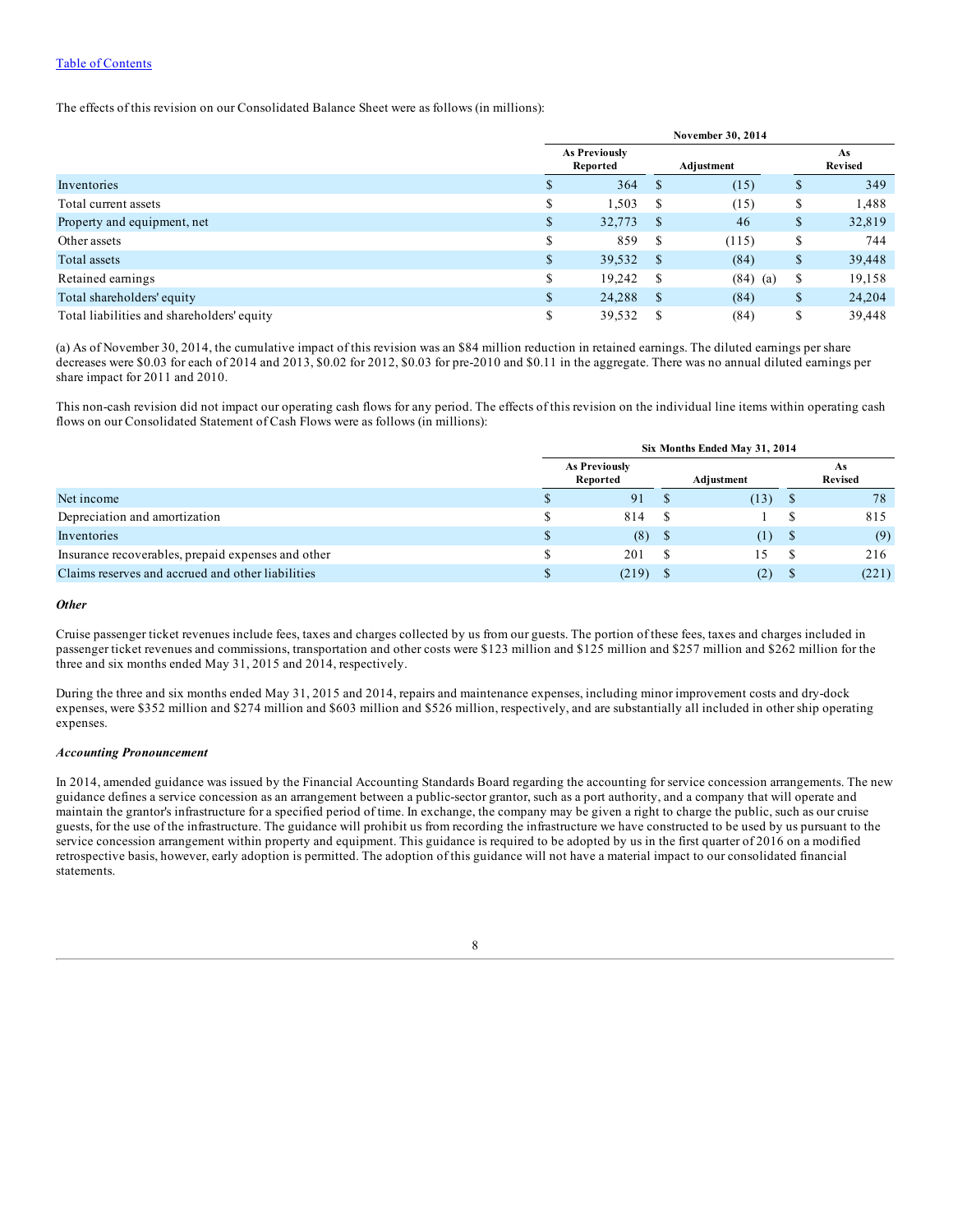The effects of this revision on our Consolidated Balance Sheet were as follows (in millions):

|                                            | November 30, 2014                |      |             |    |                      |  |  |  |  |  |  |
|--------------------------------------------|----------------------------------|------|-------------|----|----------------------|--|--|--|--|--|--|
|                                            | <b>As Previously</b><br>Reported |      | Adjustment  |    | As<br><b>Revised</b> |  |  |  |  |  |  |
| Inventories                                | 364                              | -S   | (15)        | S  | 349                  |  |  |  |  |  |  |
| Total current assets                       | \$<br>1,503                      | -S   | (15)        | \$ | 1,488                |  |  |  |  |  |  |
| Property and equipment, net                | \$<br>32,773                     | - \$ | 46          | \$ | 32,819               |  |  |  |  |  |  |
| Other assets                               | \$<br>859                        | - S  | (115)       | \$ | 744                  |  |  |  |  |  |  |
| Total assets                               | \$<br>39,532                     | - \$ | (84)        | \$ | 39,448               |  |  |  |  |  |  |
| Retained earnings                          | \$<br>19,242                     | - S  | (84)<br>(a) | \$ | 19,158               |  |  |  |  |  |  |
| Total shareholders' equity                 | \$<br>24,288                     | - \$ | (84)        | \$ | 24,204               |  |  |  |  |  |  |
| Total liabilities and shareholders' equity | 39,532                           | - \$ | (84)        | S. | 39,448               |  |  |  |  |  |  |

(a) As of November 30, 2014, the cumulative impact of this revision was an \$84 million reduction in retained earnings. The diluted earnings per share decreases were \$0.03 for each of 2014 and 2013, \$0.02 for 2012, \$0.03 for pre-2010 and \$0.11 in the aggregate. There was no annual diluted earnings per share impact for 2011 and 2010.

This non-cash revision did not impact our operating cash flows for any period. The effects of this revision on the individual line items within operating cash flows on our Consolidated Statement of Cash Flows were as follows (in millions):

|                                                    |                                  |      | Six Months Ended May 31, 2014 |      |                      |
|----------------------------------------------------|----------------------------------|------|-------------------------------|------|----------------------|
|                                                    | <b>As Previously</b><br>Reported |      | Adiustment                    |      | As<br><b>Revised</b> |
| Net income                                         | 91                               |      | (13)                          |      | 78                   |
| Depreciation and amortization                      | 814                              | -8   |                               |      | 815                  |
| Inventories                                        | (8)                              | - 55 | T)                            | - 55 | (9)                  |
| Insurance recoverables, prepaid expenses and other | 201                              | -8   |                               |      | 216                  |
| Claims reserves and accrued and other liabilities  | (219)                            |      | (2)                           | Ъ.   | (221)                |

#### *Other*

Cruise passenger ticket revenues include fees, taxes and charges collected by us from our guests. The portion of these fees, taxes and charges included in passenger ticket revenues and commissions, transportation and other costs were \$123 million and \$125 million and \$257 million and \$262 million for the three and six months ended May 31, 2015 and 2014, respectively.

During the three and six months ended May 31, 2015 and 2014, repairs and maintenance expenses, including minor improvement costs and dry-dock expenses, were \$352 million and \$274 million and \$603 million and \$526 million, respectively, and are substantially all included in other ship operating expenses.

#### *Accounting Pronouncement*

In 2014, amended guidance was issued by the Financial Accounting Standards Board regarding the accounting for service concession arrangements. The new guidance defines a service concession as an arrangement between a public-sector grantor, such as a port authority, and a company that will operate and maintain the grantor's infrastructure for a specified period of time. In exchange, the company may be given a right to charge the public, such as our cruise guests, for the use of the infrastructure. The guidance will prohibit us from recording the infrastructure we have constructed to be used by us pursuant to the service concession arrangement within property and equipment. This guidance is required to be adopted by us in the first quarter of 2016 on a modified retrospective basis, however, early adoption is permitted. The adoption of this guidance will not have a material impact to our consolidated financial statements.

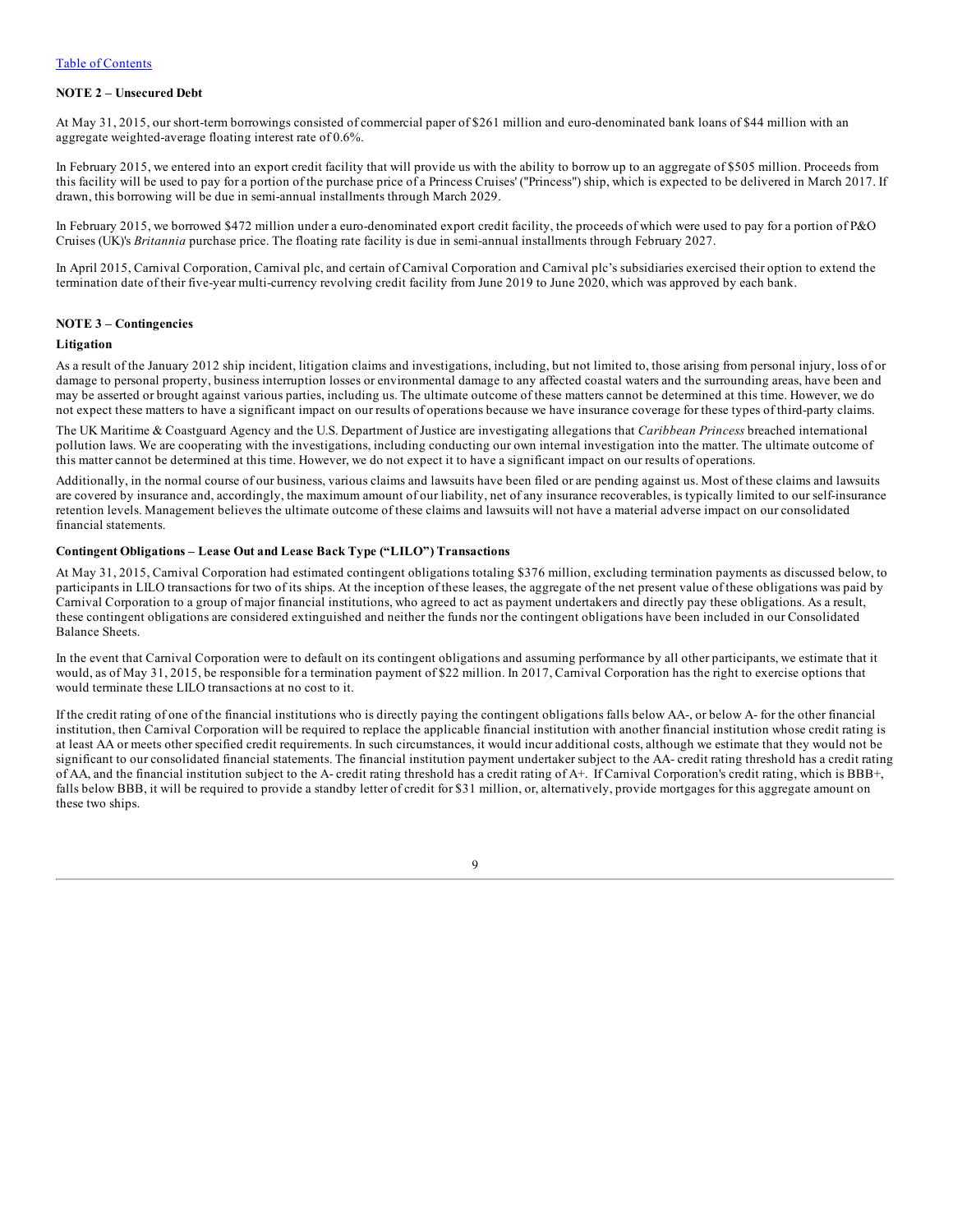#### **NOTE 2 – Unsecured Debt**

At May 31, 2015, our short-term borrowings consisted of commercial paper of \$261 million and euro-denominated bank loans of \$44 million with an aggregate weighted-average floating interest rate of 0.6%.

In February 2015, we entered into an export credit facility that will provide us with the ability to borrow up to an aggregate of \$505 million. Proceeds from this facility will be used to pay for a portion of the purchase price of a Princess Cruises' ("Princess") ship, which is expected to be delivered in March 2017. If drawn, this borrowing will be due in semi-annual installments through March 2029.

In February 2015, we borrowed \$472 million under a euro-denominated export credit facility, the proceeds of which were used to pay for a portion of P&O Cruises (UK)'s *Britannia* purchase price. The floating rate facility is due in semi-annual installments through February 2027.

In April 2015, Carnival Corporation, Carnival plc, and certain of Carnival Corporation and Carnival plc's subsidiaries exercised their option to extend the termination date of their five-year multi-currency revolving credit facility from June 2019 to June 2020, which was approved by each bank.

## **NOTE 3 – Contingencies**

#### **Litigation**

As a result of the January 2012 ship incident, litigation claims and investigations, including, but not limited to, those arising from personal injury, loss of or damage to personal property, business interruption losses or environmental damage to any affected coastal waters and the surrounding areas, have been and may be asserted or brought against various parties, including us. The ultimate outcome of these matters cannot be determined at this time. However, we do not expect these matters to have a significant impact on our results of operations because we have insurance coverage for these types of third-party claims.

The UK Maritime & Coastguard Agency and the U.S. Department of Justice are investigating allegations that *Caribbean Princess* breached international pollution laws. We are cooperating with the investigations, including conducting our own internal investigation into the matter. The ultimate outcome of this matter cannot be determined at this time. However, we do not expect it to have a significant impact on our results of operations.

Additionally, in the normal course of our business, various claims and lawsuits have been filed or are pending against us. Most of these claims and lawsuits are covered by insurance and, accordingly, the maximum amount of our liability, net of any insurance recoverables, is typically limited to our self-insurance retention levels. Management believes the ultimate outcome of these claims and lawsuits will not have a material adverse impact on our consolidated financial statements.

## **Contingent Obligations – Lease Out and Lease Back Type ("LILO") Transactions**

At May 31, 2015, Carnival Corporation had estimated contingent obligations totaling \$376 million, excluding termination payments as discussed below, to participants in LILO transactions for two of its ships. At the inception of these leases, the aggregate of the net present value of these obligations was paid by Carnival Corporation to a group of major financial institutions, who agreed to act as payment undertakers and directly pay these obligations. As a result, these contingent obligations are considered extinguished and neither the funds nor the contingent obligations have been included in our Consolidated Balance Sheets.

In the event that Carnival Corporation were to default on its contingent obligations and assuming performance by all other participants, we estimate that it would, as of May 31, 2015, be responsible for a termination payment of \$22 million. In 2017, Carnival Corporation has the right to exercise options that would terminate these LILO transactions at no cost to it.

If the credit rating of one of the financial institutions who is directly paying the contingent obligations falls below AA-, or below A- for the other financial institution, then Carnival Corporation will be required to replace the applicable financial institution with another financial institution whose credit rating is at least AA or meets other specified credit requirements. In such circumstances, it would incur additional costs, although we estimate that they would not be significant to our consolidated financial statements. The financial institution payment undertaker subject to the AA- credit rating threshold has a credit rating of AA, and the financial institution subject to the A- credit rating threshold has a credit rating of A+. If Carnival Corporation's credit rating, which is BBB+, falls below BBB, it will be required to provide a standby letter of credit for \$31 million, or, alternatively, provide mortgages for this aggregate amount on these two ships.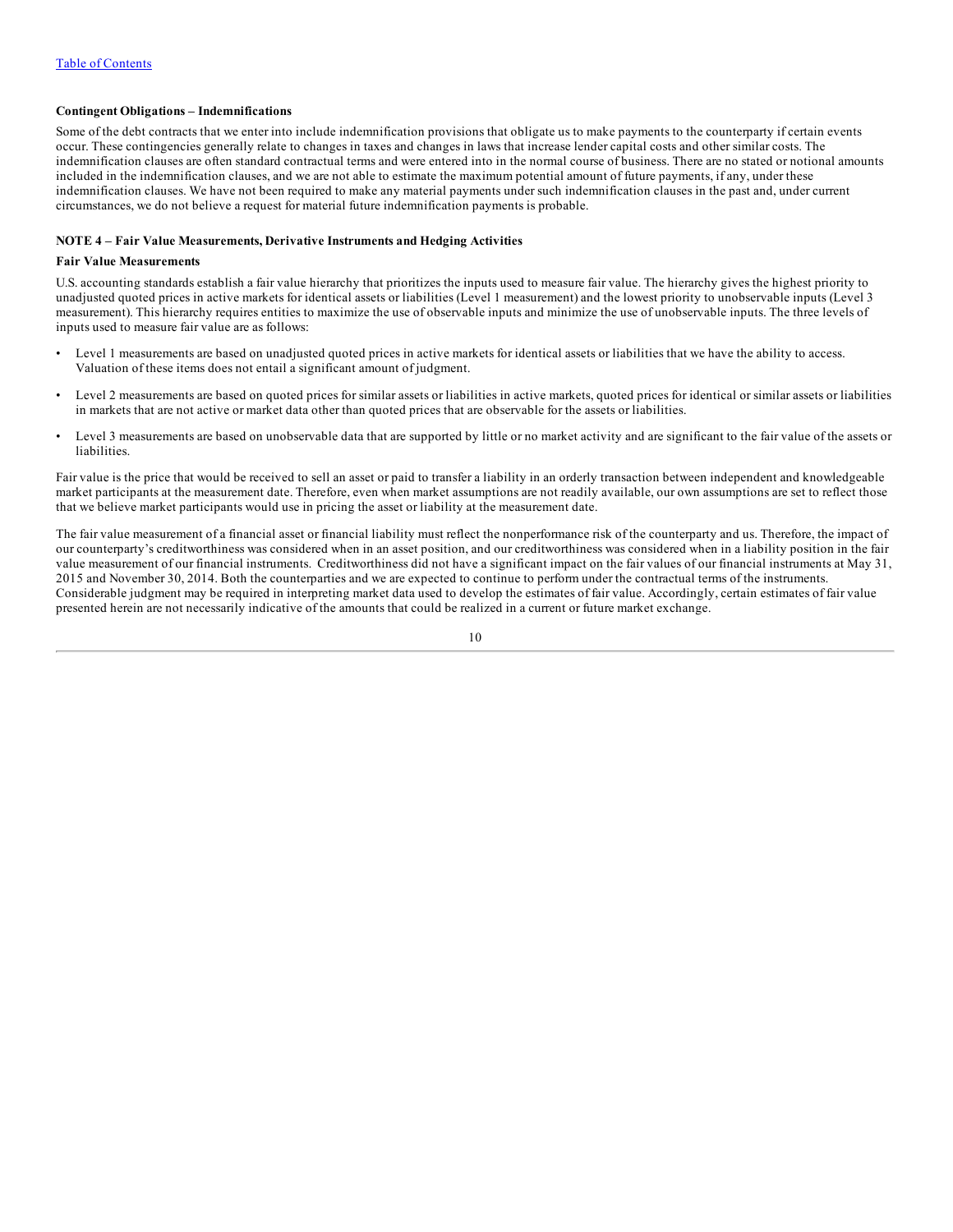## **Contingent Obligations – Indemnifications**

Some of the debt contracts that we enter into include indemnification provisions that obligate us to make payments to the counterparty if certain events occur. These contingencies generally relate to changes in taxes and changes in laws that increase lender capital costs and other similar costs. The indemnification clauses are often standard contractual terms and were entered into in the normal course of business. There are no stated or notional amounts included in the indemnification clauses, and we are not able to estimate the maximum potential amount of future payments, if any, under these indemnification clauses. We have not been required to make any material payments under such indemnification clauses in the past and, under current circumstances, we do not believe a request for material future indemnification payments is probable.

## **NOTE 4 – Fair Value Measurements, Derivative Instruments and Hedging Activities**

#### **Fair Value Measurements**

U.S. accounting standards establish a fair value hierarchy that prioritizes the inputs used to measure fair value. The hierarchy gives the highest priority to unadjusted quoted prices in active markets for identical assets or liabilities (Level 1 measurement) and the lowest priority to unobservable inputs (Level 3 measurement). This hierarchy requires entities to maximize the use of observable inputs and minimize the use of unobservable inputs. The three levels of inputs used to measure fair value are as follows:

- Level 1 measurements are based on unadjusted quoted prices in active markets for identical assets or liabilities that we have the ability to access. Valuation of these items does not entail a significant amount of judgment.
- Level 2 measurements are based on quoted prices for similar assets or liabilities in active markets, quoted prices for identical or similar assets or liabilities in markets that are not active or market data other than quoted prices that are observable for the assets or liabilities.
- Level 3 measurements are based on unobservable data that are supported by little or no market activity and are significant to the fair value of the assets or liabilities.

Fair value is the price that would be received to sell an asset or paid to transfer a liability in an orderly transaction between independent and knowledgeable market participants at the measurement date. Therefore, even when market assumptions are not readily available, our own assumptions are set to reflect those that we believe market participants would use in pricing the asset or liability at the measurement date.

The fair value measurement of a financial asset or financial liability must reflect the nonperformance risk of the counterparty and us. Therefore, the impact of our counterparty's creditworthiness was considered when in an asset position, and our creditworthiness was considered when in a liability position in the fair value measurement of our financial instruments. Creditworthiness did not have a significant impact on the fair values of our financial instruments at May 31, 2015 and November 30, 2014. Both the counterparties and we are expected to continue to perform under the contractual terms of the instruments. Considerable judgment may be required in interpreting market data used to develop the estimates of fair value. Accordingly, certain estimates of fair value presented herein are not necessarily indicative of the amounts that could be realized in a current or future market exchange.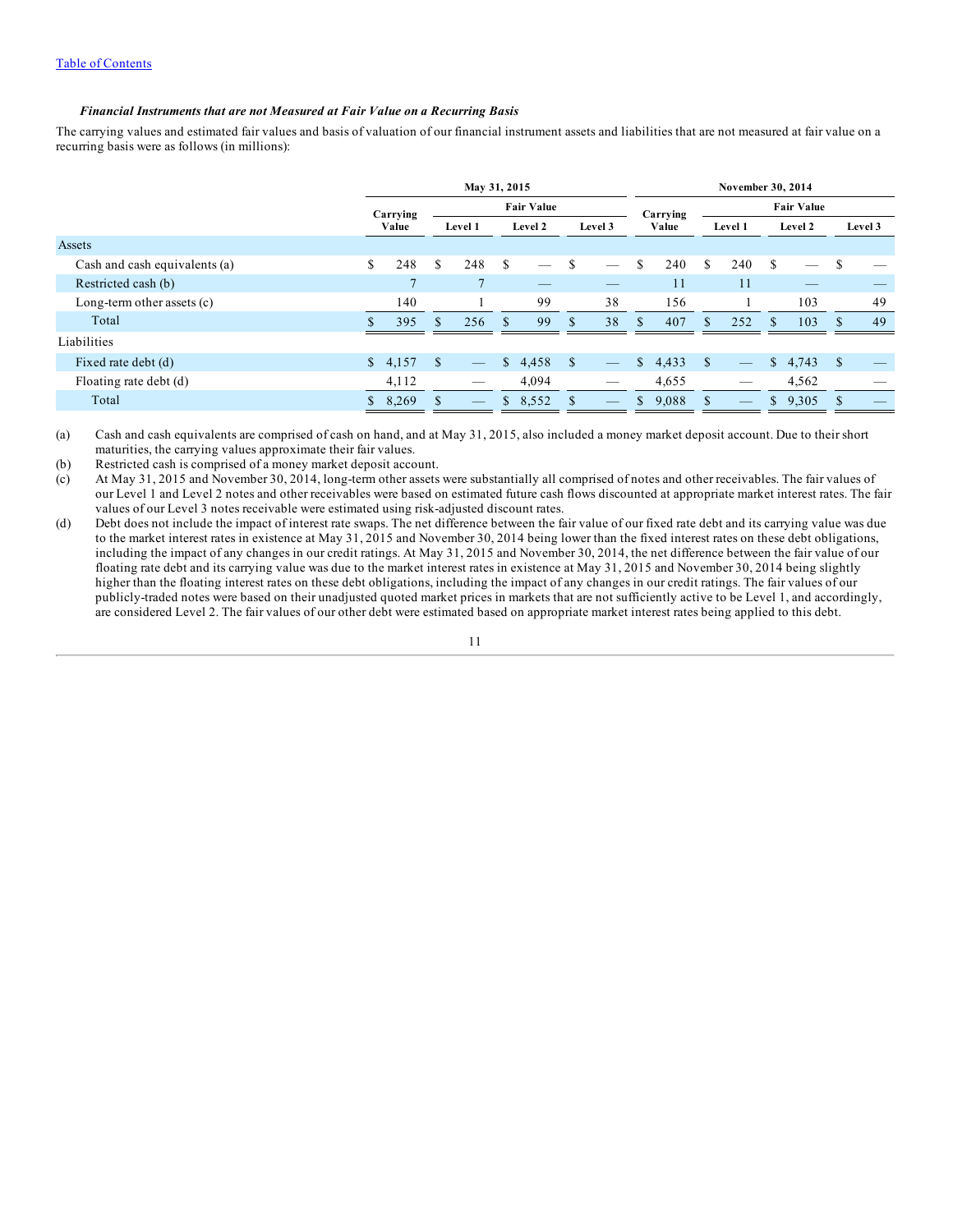# *Financial Instruments that are not Measured at Fair Value on a Recurring Basis*

The carrying values and estimated fair values and basis of valuation of our financial instrument assets and liabilities that are not measured at fair value on a recurring basis were as follows (in millions):

| May 31, 2015                  |                                                |               |       |               |    |              |       | November 30, 2014          |     |              |       |              |         |  |  |  |  |
|-------------------------------|------------------------------------------------|---------------|-------|---------------|----|--------------|-------|----------------------------|-----|--------------|-------|--------------|---------|--|--|--|--|
| <b>Fair Value</b><br>Carrying |                                                |               |       |               |    |              |       | <b>Fair Value</b>          |     |              |       |              |         |  |  |  |  |
|                               |                                                | Level 2       |       | Level 3       |    | Value        |       | Level 1                    |     | Level 2      |       |              | Level 3 |  |  |  |  |
|                               |                                                |               |       |               |    |              |       |                            |     |              |       |              |         |  |  |  |  |
| \$                            | 248                                            | S             |       |               |    | S            | 240   | \$                         | 240 | \$           |       | - \$         |         |  |  |  |  |
|                               | 7                                              |               |       |               |    |              | 11    |                            | 11  |              |       |              |         |  |  |  |  |
|                               |                                                |               | 99    |               | 38 |              | 156   |                            |     |              | 103   |              | 49      |  |  |  |  |
| \$.                           | 256                                            | $\mathcal{S}$ | 99    | \$.           | 38 | \$.          | 407   | \$                         | 252 | S.           | 103   |              | 49      |  |  |  |  |
|                               |                                                |               |       |               |    |              |       |                            |     |              |       |              |         |  |  |  |  |
| \$                            | $\overline{\phantom{a}}$                       | $\mathbb{S}$  |       | <sup>\$</sup> |    | $\mathbb{S}$ |       | S                          |     | $\mathbb{S}$ |       | $\mathbb{S}$ |         |  |  |  |  |
|                               | $\sim$                                         |               | 4,094 |               |    |              | 4,655 |                            |     |              | 4,562 |              |         |  |  |  |  |
|                               |                                                | \$.           | 8,552 |               |    | \$.          |       |                            |     | \$.          | 9,305 |              |         |  |  |  |  |
|                               | 248<br>140<br>395<br>\$4,157<br>4,112<br>8,269 | Level 1       |       | 4,458         |    |              |       | Carrying<br>4,433<br>9,088 |     |              |       | 4,743        |         |  |  |  |  |

(a) Cash and cash equivalents are comprised of cash on hand, and at May 31, 2015, also included a money market deposit account. Due to their short maturities, the carrying values approximate their fair values.

(b) Restricted cash is comprised of a money market deposit account.

(c) At May 31, 2015 and November 30, 2014, long-term other assets were substantially all comprised of notes and other receivables. The fair values of our Level 1 and Level 2 notes and other receivables were based on estimated future cash flows discounted at appropriate market interest rates. The fair values of our Level 3 notes receivable were estimated using risk-adjusted discount rates.

(d) Debt does not include the impact of interest rate swaps. The net difference between the fair value of our fixed rate debt and its carrying value was due to the market interest rates in existence at May 31, 2015 and November 30, 2014 being lower than the fixed interest rates on these debt obligations, including the impact of any changes in our credit ratings. At May 31, 2015 and November 30, 2014, the net difference between the fair value of our floating rate debt and its carrying value was due to the market interest rates in existence at May 31, 2015 and November 30, 2014 being slightly higher than the floating interest rates on these debt obligations, including the impact of any changes in our credit ratings. The fair values of our publicly-traded notes were based on their unadjusted quoted market prices in markets that are not sufficiently active to be Level 1, and accordingly, are considered Level 2. The fair values of our other debt were estimated based on appropriate market interest rates being applied to this debt.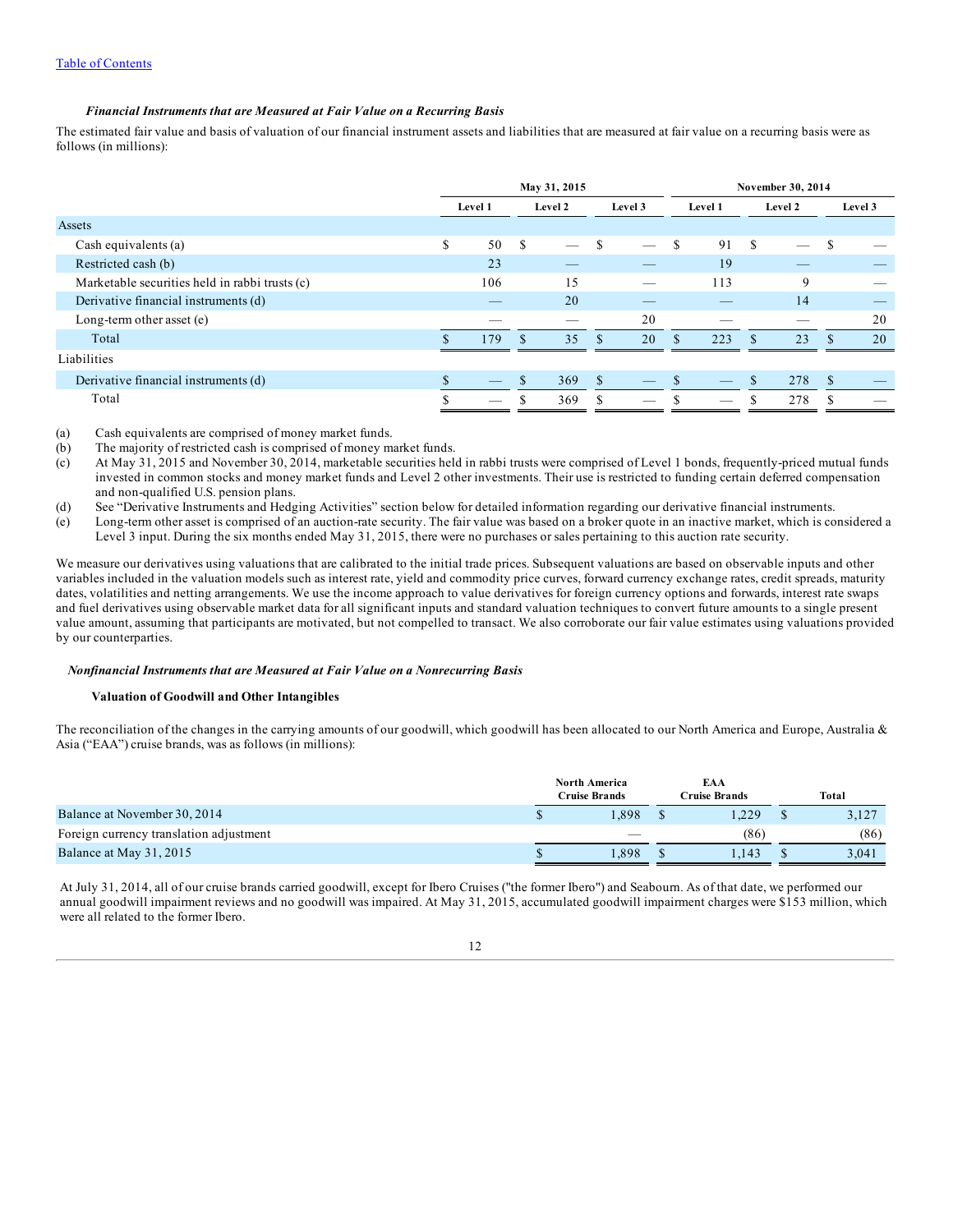## *Financial Instruments that are Measured at Fair Value on a Recurring Basis*

The estimated fair value and basis of valuation of our financial instrument assets and liabilities that are measured at fair value on a recurring basis were as follows (in millions):

|                                                |         |     |               | May 31, 2015 |              | <b>November 30, 2014</b> |               |     |               |                          |     |         |
|------------------------------------------------|---------|-----|---------------|--------------|--------------|--------------------------|---------------|-----|---------------|--------------------------|-----|---------|
|                                                | Level 1 |     |               | Level 2      | Level 3      |                          | Level 1       |     | Level 2       |                          |     | Level 3 |
| Assets                                         |         |     |               |              |              |                          |               |     |               |                          |     |         |
| Cash equivalents (a)                           | S       | 50  | <sup>\$</sup> |              | \$.          |                          | \$            | 91  | <sup>\$</sup> | $\overline{\phantom{a}}$ |     |         |
| Restricted cash (b)                            |         | 23  |               |              |              |                          |               | 19  |               |                          |     |         |
| Marketable securities held in rabbi trusts (c) |         | 106 |               | 15           |              |                          |               | 113 |               | 9                        |     |         |
| Derivative financial instruments (d)           |         |     |               | 20           |              |                          |               |     |               | 14                       |     |         |
| Long-term other asset (e)                      |         |     |               |              |              | 20                       |               |     |               |                          |     | 20      |
| Total                                          |         | 179 | S             | 35           |              | 20                       | $\mathcal{S}$ | 223 | £.            | 23                       | £.  | 20      |
| Liabilities                                    |         |     |               |              |              |                          |               |     |               |                          |     |         |
| Derivative financial instruments (d)           |         |     |               | 369          | $\mathbb{S}$ |                          |               |     | \$            | 278                      | \$. |         |
| Total                                          |         |     |               | 369          |              |                          |               | __  |               | 278                      |     |         |

(a) Cash equivalents are comprised of money market funds.

(b) The majority of restricted cash is comprised of money market funds.

(c) At May 31, 2015 and November 30, 2014, marketable securities held in rabbi trusts were comprised of Level 1 bonds, frequently-priced mutual funds invested in common stocks and money market funds and Level 2 other investments. Their use is restricted to funding certain deferred compensation and non-qualified U.S. pension plans.

(d) See "Derivative Instruments and Hedging Activities" section below for detailed information regarding our derivative financial instruments.

(e) Long-term other asset is comprised of an auction-rate security. The fair value was based on a broker quote in an inactive market, which is considered a Level 3 input. During the six months ended May 31, 2015, there were no purchases or sales pertaining to this auction rate security.

We measure our derivatives using valuations that are calibrated to the initial trade prices. Subsequent valuations are based on observable inputs and other variables included in the valuation models such as interest rate, yield and commodity price curves, forward currency exchange rates, credit spreads, maturity dates, volatilities and netting arrangements. We use the income approach to value derivatives for foreign currency options and forwards, interest rate swaps and fuel derivatives using observable market data for all significant inputs and standard valuation techniques to convert future amounts to a single present value amount, assuming that participants are motivated, but not compelled to transact. We also corroborate our fair value estimates using valuations provided by our counterparties.

#### *Nonfinancial Instruments that are Measured at Fair Value on a Nonrecurring Basis*

#### **Valuation of Goodwill and Other Intangibles**

The reconciliation of the changes in the carrying amounts of our goodwill, which goodwill has been allocated to our North America and Europe, Australia  $\&$ Asia ("EAA") cruise brands, was as follows (in millions):

|                                         | <b>North America</b><br>Cruise Brands | EAA<br><b>Cruise Brands</b> | Total |
|-----------------------------------------|---------------------------------------|-----------------------------|-------|
| Balance at November 30, 2014            | 1.898                                 | .229                        | 3,127 |
| Foreign currency translation adjustment |                                       | (86)                        | (86)  |
| Balance at May 31, 2015                 | .898                                  | 143.                        | 3,041 |

At July 31, 2014, all of our cruise brands carried goodwill, except for Ibero Cruises ("the former Ibero") and Seabourn. As of that date, we performed our annual goodwill impairment reviews and no goodwill was impaired. At May 31, 2015, accumulated goodwill impairment charges were \$153 million, which were all related to the former Ibero.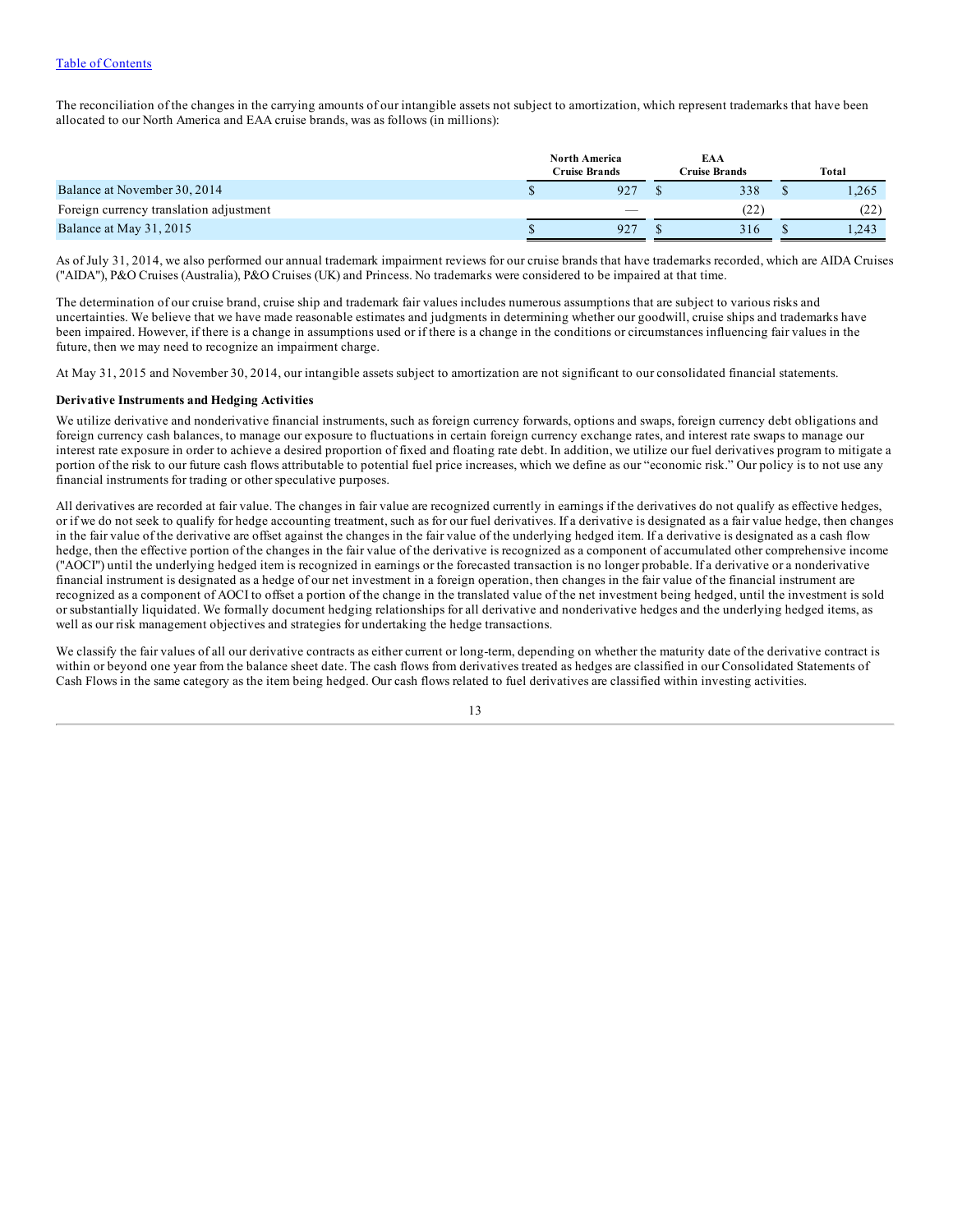The reconciliation of the changes in the carrying amounts of our intangible assets not subject to amortization, which represent trademarks that have been allocated to our North America and EAA cruise brands, was as follows (in millions):

|                                         | <b>North America</b><br><b>Cruise Brands</b> | EAA<br><b>Cruise Brands</b> | Total |
|-----------------------------------------|----------------------------------------------|-----------------------------|-------|
| Balance at November 30, 2014            | 927                                          | 338                         | 1.265 |
| Foreign currency translation adjustment |                                              | (22)                        | (22)  |
| Balance at May 31, 2015                 | 927                                          | 316                         | 1,243 |

As of July 31, 2014, we also performed our annual trademark impairment reviews for our cruise brands that have trademarks recorded, which are AIDA Cruises ("AIDA"), P&O Cruises (Australia), P&O Cruises (UK) and Princess. No trademarks were considered to be impaired at that time.

The determination of our cruise brand, cruise ship and trademark fair values includes numerous assumptions that are subject to various risks and uncertainties. We believe that we have made reasonable estimates and judgments in determining whether our goodwill, cruise ships and trademarks have been impaired. However, if there is a change in assumptions used or if there is a change in the conditions or circumstances influencing fair values in the future, then we may need to recognize an impairment charge.

At May 31, 2015 and November 30, 2014, our intangible assets subject to amortization are not significant to our consolidated financial statements.

## **Derivative Instruments and Hedging Activities**

We utilize derivative and nonderivative financial instruments, such as foreign currency forwards, options and swaps, foreign currency debt obligations and foreign currency cash balances, to manage our exposure to fluctuations in certain foreign currency exchange rates, and interest rate swaps to manage our interest rate exposure in order to achieve a desired proportion of fixed and floating rate debt. In addition, we utilize our fuel derivatives program to mitigate a portion of the risk to our future cash flows attributable to potential fuel price increases, which we define as our "economic risk." Our policy is to not use any financial instruments for trading or other speculative purposes.

All derivatives are recorded at fair value. The changes in fair value are recognized currently in earnings if the derivatives do not qualify as effective hedges, or if we do not seek to qualify for hedge accounting treatment, such as for our fuel derivatives. If a derivative is designated as a fair value hedge, then changes in the fair value of the derivative are offset against the changes in the fair value of the underlying hedged item. If a derivative is designated as a cash flow hedge, then the effective portion of the changes in the fair value of the derivative is recognized as a component of accumulated other comprehensive income ("AOCI") until the underlying hedged item is recognized in earnings or the forecasted transaction is no longer probable. If a derivative or a nonderivative financial instrument is designated as a hedge of our net investment in a foreign operation, then changes in the fair value of the financial instrument are recognized as a component of AOCI to offset a portion of the change in the translated value of the net investment being hedged, until the investment is sold or substantially liquidated. We formally document hedging relationships for all derivative and nonderivative hedges and the underlying hedged items, as well as our risk management objectives and strategies for undertaking the hedge transactions.

We classify the fair values of all our derivative contracts as either current or long-term, depending on whether the maturity date of the derivative contract is within or beyond one year from the balance sheet date. The cash flows from derivatives treated as hedges are classified in our Consolidated Statements of Cash Flows in the same category as the item being hedged. Our cash flows related to fuel derivatives are classified within investing activities.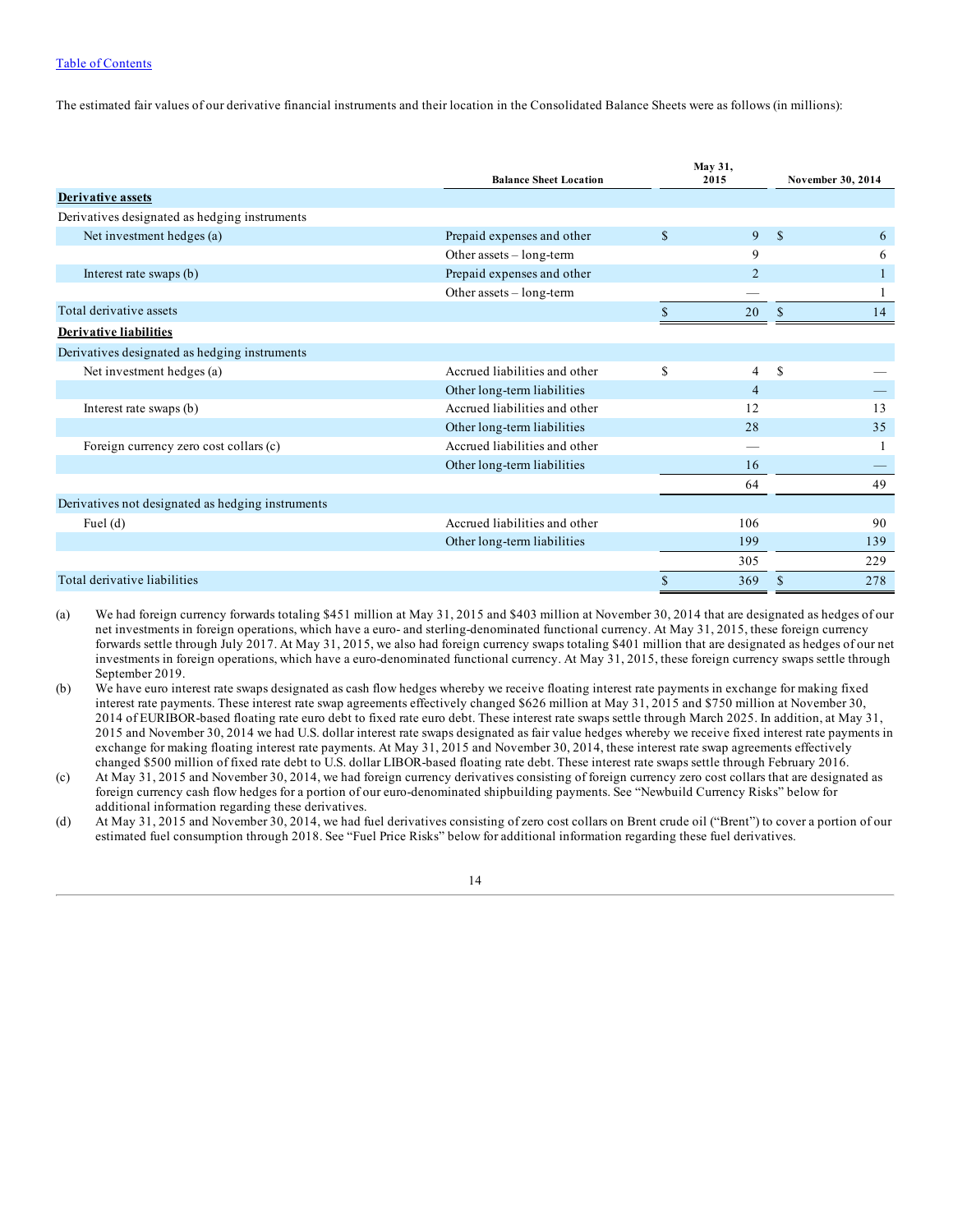The estimated fair values of our derivative financial instruments and their location in the Consolidated Balance Sheets were as follows (in millions):

|                                                   | <b>Balance Sheet Location</b> |              | May 31,<br>2015 |               | November 30, 2014 |
|---------------------------------------------------|-------------------------------|--------------|-----------------|---------------|-------------------|
| <b>Derivative assets</b>                          |                               |              |                 |               |                   |
| Derivatives designated as hedging instruments     |                               |              |                 |               |                   |
| Net investment hedges (a)                         | Prepaid expenses and other    | $\mathbb{S}$ | 9               | $\mathbf S$   | 6                 |
|                                                   | Other assets $-$ long-term    |              | 9               |               | 6                 |
| Interest rate swaps (b)                           | Prepaid expenses and other    |              | $\overline{2}$  |               |                   |
|                                                   | Other assets $-$ long-term    |              |                 |               |                   |
| Total derivative assets                           |                               | $\mathbb{S}$ | 20              | $\mathcal{S}$ | 14                |
| <b>Derivative liabilities</b>                     |                               |              |                 |               |                   |
| Derivatives designated as hedging instruments     |                               |              |                 |               |                   |
| Net investment hedges (a)                         | Accrued liabilities and other | \$           | 4               | <sup>\$</sup> |                   |
|                                                   | Other long-term liabilities   |              | $\overline{4}$  |               |                   |
| Interest rate swaps (b)                           | Accrued liabilities and other |              | 12              |               | 13                |
|                                                   | Other long-term liabilities   |              | 28              |               | 35                |
| Foreign currency zero cost collars (c)            | Accrued liabilities and other |              |                 |               |                   |
|                                                   | Other long-term liabilities   |              | 16              |               |                   |
|                                                   |                               |              | 64              |               | 49                |
| Derivatives not designated as hedging instruments |                               |              |                 |               |                   |
| Fuel $(d)$                                        | Accrued liabilities and other |              | 106             |               | 90                |
|                                                   | Other long-term liabilities   |              | 199             |               | 139               |
|                                                   |                               |              | 305             |               | 229               |
| Total derivative liabilities                      |                               | \$           | 369             | S             | 278               |

- (a) We had foreign currency forwards totaling \$451 million at May 31, 2015 and \$403 million at November 30, 2014 that are designated as hedges of our net investments in foreign operations, which have a euro- and sterling-denominated functional currency. At May 31, 2015, these foreign currency forwards settle through July 2017. At May 31, 2015, we also had foreign currency swaps totaling \$401 million that are designated as hedges of our net investments in foreign operations, which have a euro-denominated functional currency. At May 31, 2015, these foreign currency swaps settle through September 2019.
- (b) We have euro interest rate swaps designated as cash flow hedges whereby we receive floating interest rate payments in exchange for making fixed interest rate payments. These interest rate swap agreements effectively changed \$626 million at May 31, 2015 and \$750 million at November 30, 2014 of EURIBOR-based floating rate euro debt to fixed rate euro debt. These interest rate swaps settle through March 2025. In addition, at May 31, 2015 and November 30, 2014 we had U.S. dollar interest rate swaps designated as fair value hedges whereby we receive fixed interest rate payments in exchange for making floating interest rate payments. At May 31, 2015 and November 30, 2014, these interest rate swap agreements effectively changed \$500 million of fixed rate debt to U.S. dollar LIBOR-based floating rate debt. These interest rate swaps settle through February 2016.
- (c) At May 31, 2015 and November 30, 2014, we had foreign currency derivatives consisting of foreign currency zero cost collars that are designated as foreign currency cash flow hedges for a portion of our euro-denominated shipbuilding payments. See "Newbuild Currency Risks" below for additional information regarding these derivatives.
- (d) At May 31, 2015 and November 30, 2014, we had fuel derivatives consisting of zero cost collars on Brent crude oil ("Brent") to cover a portion of our estimated fuel consumption through 2018. See "Fuel Price Risks" below for additional information regarding these fuel derivatives.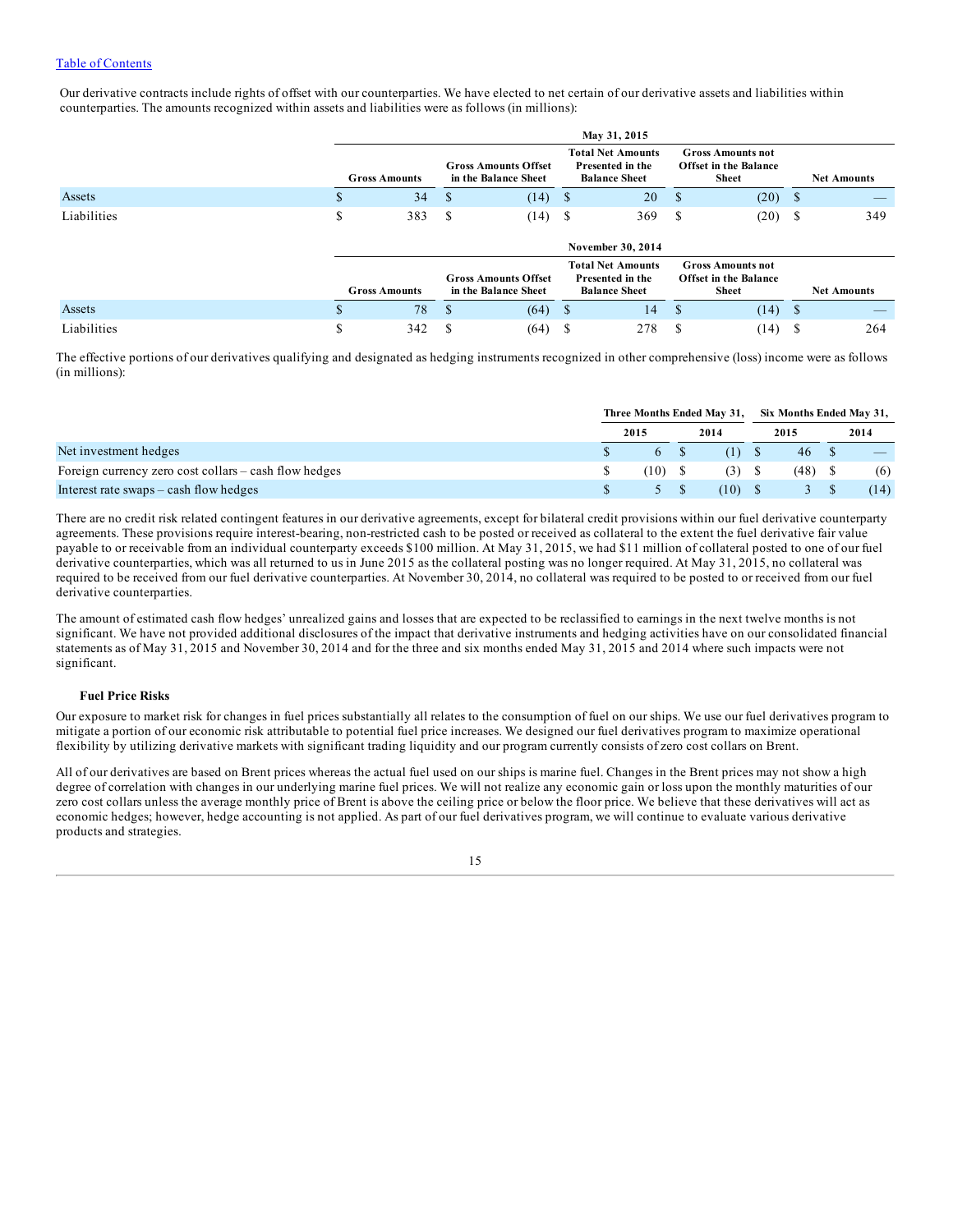Our derivative contracts include rights of offset with our counterparties. We have elected to net certain of our derivative assets and liabilities within counterparties. The amounts recognized within assets and liabilities were as follows (in millions):

|             |                      |     |    |                                                     |    | May 31, 2015                                                         |   |                                                                          |      |                    |
|-------------|----------------------|-----|----|-----------------------------------------------------|----|----------------------------------------------------------------------|---|--------------------------------------------------------------------------|------|--------------------|
|             | <b>Gross Amounts</b> |     |    | <b>Gross Amounts Offset</b><br>in the Balance Sheet |    | <b>Total Net Amounts</b><br>Presented in the<br><b>Balance Sheet</b> |   | <b>Gross Amounts not</b><br>Offset in the Balance<br><b>Sheet</b>        |      | <b>Net Amounts</b> |
| Assets      | аĐ.                  | 34  | -S | (14)                                                | -S | 20                                                                   | S | (20)                                                                     | - \$ | __                 |
| Liabilities | ъ                    | 383 | S  | (14)                                                | -S | 369                                                                  | S | (20)                                                                     | - \$ | 349                |
|             |                      |     |    |                                                     |    | <b>November 30, 2014</b>                                             |   |                                                                          |      |                    |
|             | <b>Gross Amounts</b> |     |    | <b>Gross Amounts Offset</b><br>in the Balance Sheet |    | <b>Total Net Amounts</b><br>Presented in the<br><b>Balance Sheet</b> |   | <b>Gross Amounts not</b><br><b>Offset in the Balance</b><br><b>Sheet</b> |      | <b>Net Amounts</b> |
| Assets      |                      | 78  |    | (64)                                                |    | $\overline{14}$                                                      |   | (14)                                                                     |      |                    |

The effective portions of our derivatives qualifying and designated as hedging instruments recognized in other comprehensive (loss) income were as follows (in millions):

Liabilities \$ 342 \$ (64) \$ 278 \$ (14) \$ 264

|                                                       | Three Months Ended May 31, |          | Six Months Ended May 31, |  |                          |  |  |
|-------------------------------------------------------|----------------------------|----------|--------------------------|--|--------------------------|--|--|
|                                                       | 2015                       | 2014     | 2015                     |  | 2014                     |  |  |
| Net investment hedges                                 | 6 \$                       | $(1)$ \$ | 46S                      |  | $\overline{\phantom{a}}$ |  |  |
| Foreign currency zero cost collars – cash flow hedges | $(10)$ S                   | $(3)$ S  | $(48)$ \$                |  | (6)                      |  |  |
| Interest rate swaps – cash flow hedges                | 5 S                        |          | $(10)$ \$ 3 \$           |  | (14)                     |  |  |

There are no credit risk related contingent features in our derivative agreements, except for bilateral credit provisions within our fuel derivative counterparty agreements. These provisions require interest-bearing, non-restricted cash to be posted or received as collateral to the extent the fuel derivative fair value payable to or receivable from an individual counterparty exceeds \$100 million. At May 31, 2015, we had \$11 million of collateral posted to one of our fuel derivative counterparties, which was all returned to us in June 2015 as the collateral posting was no longer required. At May 31, 2015, no collateral was required to be received from our fuel derivative counterparties. At November 30, 2014, no collateral was required to be posted to or received from our fuel derivative counterparties.

The amount of estimated cash flow hedges' unrealized gains and losses that are expected to be reclassified to earnings in the next twelve months is not significant. We have not provided additional disclosures of the impact that derivative instruments and hedging activities have on our consolidated financial statements as of May 31, 2015 and November 30, 2014 and for the three and six months ended May 31, 2015 and 2014 where such impacts were not significant.

## **Fuel Price Risks**

Our exposure to market risk for changes in fuel prices substantially all relates to the consumption of fuel on our ships. We use our fuel derivatives program to mitigate a portion of our economic risk attributable to potential fuel price increases. We designed our fuel derivatives program to maximize operational flexibility by utilizing derivative markets with significant trading liquidity and our program currently consists of zero cost collars on Brent.

All of our derivatives are based on Brent prices whereas the actual fuel used on our ships is marine fuel. Changes in the Brent prices may not show a high degree of correlation with changes in our underlying marine fuel prices. We will not realize any economic gain or loss upon the monthly maturities of our zero cost collars unless the average monthly price of Brent is above the ceiling price or below the floor price. We believe that these derivatives will act as economic hedges; however, hedge accounting is not applied. As part of our fuel derivatives program, we will continue to evaluate various derivative products and strategies.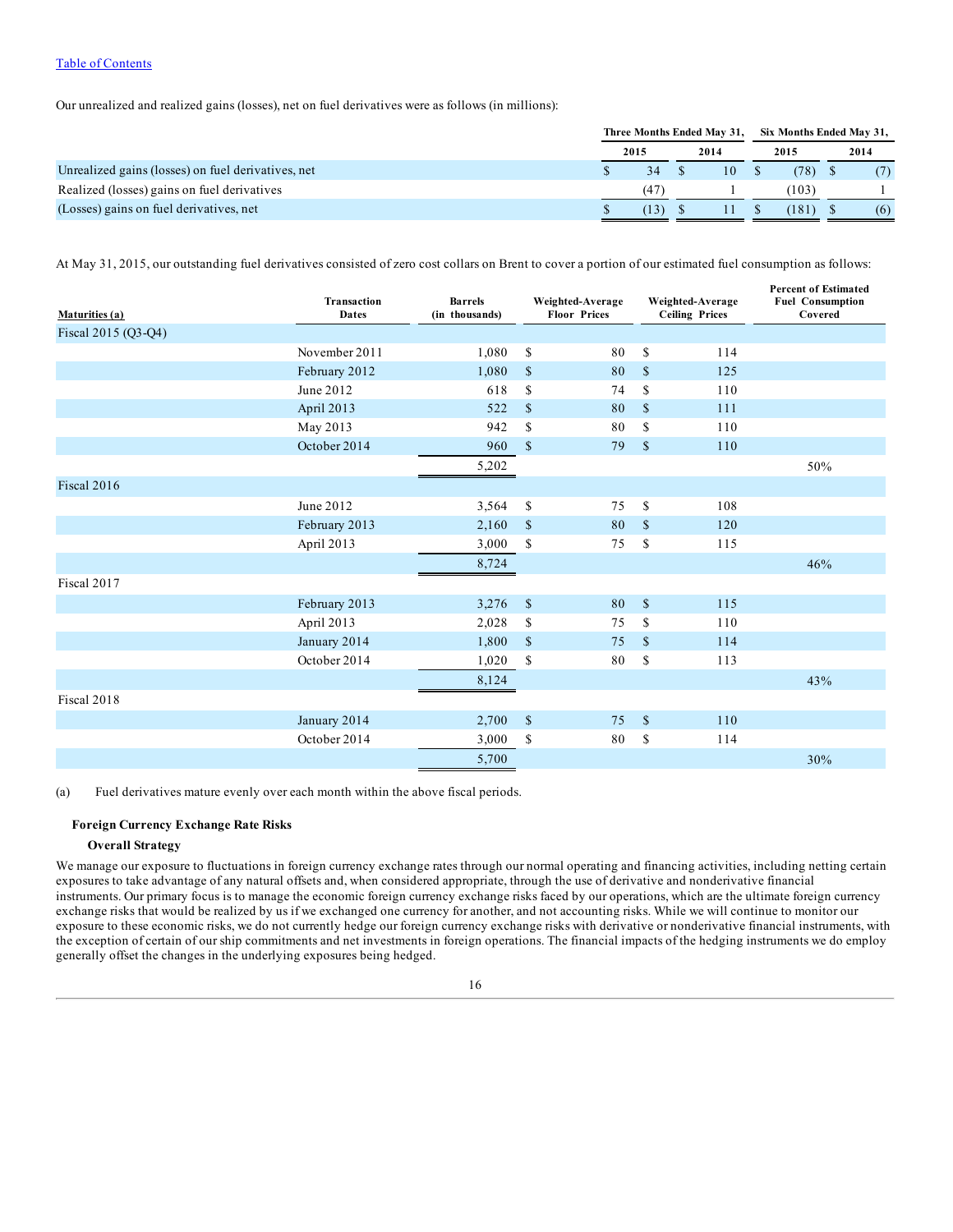Our unrealized and realized gains (losses), net on fuel derivatives were as follows (in millions):

|                                                    |  |      |  | Three Months Ended May 31, |  | Six Months Ended May 31, |  |      |  |      |
|----------------------------------------------------|--|------|--|----------------------------|--|--------------------------|--|------|--|------|
|                                                    |  | 2015 |  |                            |  | 2014                     |  | 2015 |  | 2014 |
| Unrealized gains (losses) on fuel derivatives, net |  | 34   |  | 10                         |  | (78)                     |  | (7)  |  |      |
| Realized (losses) gains on fuel derivatives        |  | (47  |  |                            |  | (103)                    |  |      |  |      |
| (Losses) gains on fuel derivatives, net            |  |      |  |                            |  | (181)                    |  | (6)  |  |      |

At May 31, 2015, our outstanding fuel derivatives consisted of zero cost collars on Brent to cover a portion of our estimated fuel consumption as follows:

| Maturities (a)      | Transaction<br><b>Dates</b> | <b>Barrels</b><br>(in thousands) | Weighted-Average<br><b>Floor Prices</b> |    |                                                                       | Weighted-Average<br><b>Ceiling Prices</b> | <b>Percent of Estimated</b><br><b>Fuel Consumption</b><br>Covered |
|---------------------|-----------------------------|----------------------------------|-----------------------------------------|----|-----------------------------------------------------------------------|-------------------------------------------|-------------------------------------------------------------------|
| Fiscal 2015 (Q3-Q4) |                             |                                  |                                         |    |                                                                       |                                           |                                                                   |
|                     | November 2011               | 1,080                            | \$                                      | 80 | \$                                                                    | 114                                       |                                                                   |
|                     | February 2012               | 1,080                            | \$                                      | 80 | $\mathbb{S}$                                                          | 125                                       |                                                                   |
|                     | June 2012                   | 618                              | \$                                      | 74 | $\mathbb{S}$                                                          | 110                                       |                                                                   |
|                     | April 2013                  | 522                              | $\mathcal{S}$                           | 80 | $\mathcal{S}$                                                         | 111                                       |                                                                   |
|                     | May 2013                    | 942                              | $\mathbb{S}$                            | 80 | $\mathbb{S}$                                                          | 110                                       |                                                                   |
|                     | October 2014                | 960                              | $\mathcal{S}$                           | 79 | $\mathbb{S}$                                                          | 110                                       |                                                                   |
|                     |                             | 5,202                            |                                         |    |                                                                       |                                           | 50%                                                               |
| Fiscal 2016         |                             |                                  |                                         |    |                                                                       |                                           |                                                                   |
|                     | June 2012                   | 3,564                            | \$                                      | 75 | $\mathbb{S}% _{t}\left( t\right) \equiv\mathbb{S}_{t}\left( t\right)$ | 108                                       |                                                                   |
|                     | February 2013               | 2,160                            | $\mathbb{S}$                            | 80 | $\mathbb{S}$                                                          | 120                                       |                                                                   |
|                     | April 2013                  | 3,000                            | \$                                      | 75 | $\mathbb{S}% _{t}\left( t\right) \equiv\mathbb{S}_{t}\left( t\right)$ | 115                                       |                                                                   |
|                     |                             | 8,724                            |                                         |    |                                                                       |                                           | 46%                                                               |
| Fiscal 2017         |                             |                                  |                                         |    |                                                                       |                                           |                                                                   |
|                     | February 2013               | 3,276                            | $\mathcal{S}$                           | 80 | $\mathbb{S}$                                                          | 115                                       |                                                                   |
|                     | April 2013                  | 2,028                            | \$                                      | 75 | $\mathbb{S}$                                                          | 110                                       |                                                                   |
|                     | January 2014                | 1,800                            | $\mathcal{S}$                           | 75 | $\mathbb{S}$                                                          | 114                                       |                                                                   |
|                     | October 2014                | 1,020                            | S                                       | 80 | \$                                                                    | 113                                       |                                                                   |
|                     |                             | 8,124                            |                                         |    |                                                                       |                                           | 43%                                                               |
| Fiscal 2018         |                             |                                  |                                         |    |                                                                       |                                           |                                                                   |
|                     | January 2014                | 2,700                            | $\mathcal{S}$                           | 75 | $\mathbb{S}$                                                          | 110                                       |                                                                   |
|                     | October 2014                | 3,000                            | \$                                      | 80 | $\mathbb{S}% _{t}\left( t\right) \equiv\mathbb{S}_{t}\left( t\right)$ | 114                                       |                                                                   |
|                     |                             | 5,700                            |                                         |    |                                                                       |                                           | 30%                                                               |

(a) Fuel derivatives mature evenly over each month within the above fiscal periods.

## **Foreign Currency Exchange Rate Risks**

### **Overall Strategy**

We manage our exposure to fluctuations in foreign currency exchange rates through our normal operating and financing activities, including netting certain exposures to take advantage of any natural offsets and, when considered appropriate, through the use of derivative and nonderivative financial instruments. Our primary focus is to manage the economic foreign currency exchange risks faced by our operations, which are the ultimate foreign currency exchange risks that would be realized by us if we exchanged one currency for another, and not accounting risks. While we will continue to monitor our exposure to these economic risks, we do not currently hedge our foreign currency exchange risks with derivative or nonderivative financial instruments, with the exception of certain of our ship commitments and net investments in foreign operations. The financial impacts of the hedging instruments we do employ generally offset the changes in the underlying exposures being hedged.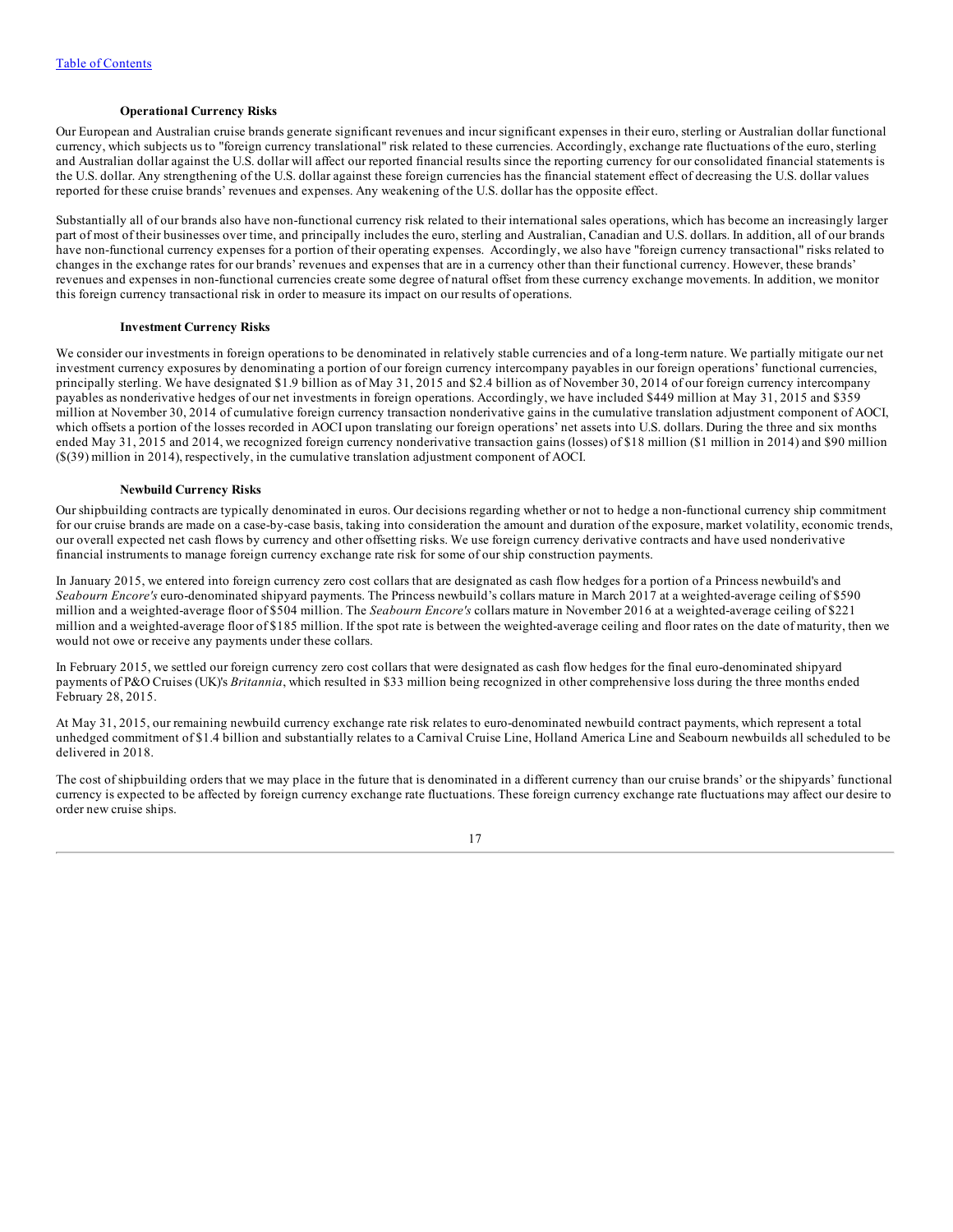#### **Operational Currency Risks**

Our European and Australian cruise brands generate significant revenues and incur significant expenses in their euro, sterling or Australian dollar functional currency, which subjects us to "foreign currency translational" risk related to these currencies. Accordingly, exchange rate fluctuations of the euro, sterling and Australian dollar against the U.S. dollar will affect our reported financial results since the reporting currency for our consolidated financial statements is the U.S. dollar. Any strengthening of the U.S. dollar against these foreign currencies has the financial statement effect of decreasing the U.S. dollar values reported for these cruise brands' revenues and expenses. Any weakening of the U.S. dollar has the opposite effect.

Substantially all of our brands also have non-functional currency risk related to their international sales operations, which has become an increasingly larger part of most of their businesses over time, and principally includes the euro, sterling and Australian, Canadian and U.S. dollars. In addition, all of our brands have non-functional currency expenses for a portion of their operating expenses. Accordingly, we also have "foreign currency transactional" risks related to changes in the exchange rates for our brands' revenues and expenses that are in a currency other than their functional currency. However, these brands' revenues and expenses in non-functional currencies create some degree of natural offset from these currency exchange movements. In addition, we monitor this foreign currency transactional risk in order to measure its impact on our results of operations.

#### **Investment Currency Risks**

We consider our investments in foreign operations to be denominated in relatively stable currencies and of a long-term nature. We partially mitigate our net investment currency exposures by denominating a portion of our foreign currency intercompany payables in our foreign operations' functional currencies, principally sterling. We have designated \$1.9 billion as of May 31, 2015 and \$2.4 billion as of November 30, 2014 of our foreign currency intercompany payables as nonderivative hedges of our net investments in foreign operations. Accordingly, we have included \$449 million at May 31, 2015 and \$359 million at November 30, 2014 of cumulative foreign currency transaction nonderivative gains in the cumulative translation adjustment component of AOCI, which offsets a portion of the losses recorded in AOCI upon translating our foreign operations' net assets into U.S. dollars. During the three and six months ended May 31, 2015 and 2014, we recognized foreign currency nonderivative transaction gains (losses) of \$18 million (\$1 million in 2014) and \$90 million (\$(39) million in 2014), respectively, in the cumulative translation adjustment component of AOCI.

#### **Newbuild Currency Risks**

Our shipbuilding contracts are typically denominated in euros. Our decisions regarding whether or not to hedge a non-functional currency ship commitment for our cruise brands are made on a case-by-case basis, taking into consideration the amount and duration of the exposure, market volatility, economic trends, our overall expected net cash flows by currency and other offsetting risks. We use foreign currency derivative contracts and have used nonderivative financial instruments to manage foreign currency exchange rate risk for some of our ship construction payments.

In January 2015, we entered into foreign currency zero cost collars that are designated as cash flow hedges for a portion of a Princess newbuild's and *Seabourn Encore's* euro-denominated shipyard payments. The Princess newbuild's collars mature in March 2017 at a weighted-average ceiling of \$590 million and a weighted-average floor of \$504 million. The *Seabourn Encore's* collars mature in November 2016 at a weighted-average ceiling of \$221 million and a weighted-average floor of \$185 million. If the spot rate is between the weighted-average ceiling and floor rates on the date of maturity, then we would not owe or receive any payments under these collars.

In February 2015, we settled our foreign currency zero cost collars that were designated as cash flow hedges for the final euro-denominated shipyard payments of P&O Cruises (UK)'s *Britannia*, which resulted in \$33 million being recognized in other comprehensive loss during the three months ended February 28, 2015.

At May 31, 2015, our remaining newbuild currency exchange rate risk relates to euro-denominated newbuild contract payments, which represent a total unhedged commitment of \$1.4 billion and substantially relates to a Carnival Cruise Line, Holland America Line and Seabourn newbuilds all scheduled to be delivered in 2018.

The cost of shipbuilding orders that we may place in the future that is denominated in a different currency than our cruise brands' or the shipyards' functional currency is expected to be affected by foreign currency exchange rate fluctuations. These foreign currency exchange rate fluctuations may affect our desire to order new cruise ships.

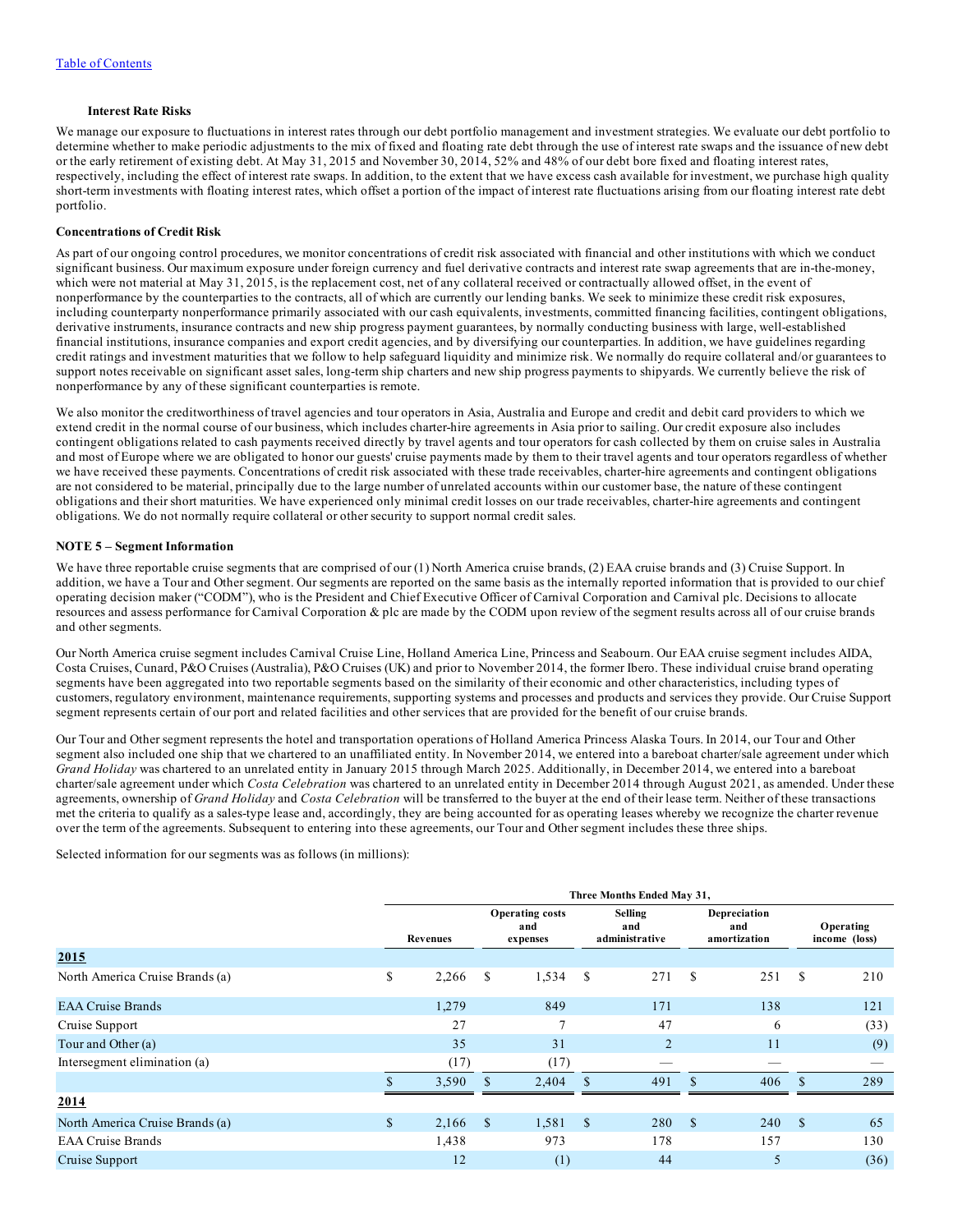#### **Interest Rate Risks**

We manage our exposure to fluctuations in interest rates through our debt portfolio management and investment strategies. We evaluate our debt portfolio to determine whether to make periodic adjustments to the mix of fixed and floating rate debt through the use of interest rate swaps and the issuance of new debt or the early retirement of existing debt. At May 31, 2015 and November 30, 2014, 52% and 48% of our debt bore fixed and floating interest rates, respectively, including the effect of interest rate swaps. In addition, to the extent that we have excess cash available for investment, we purchase high quality short-term investments with floating interest rates, which offset a portion of the impact of interest rate fluctuations arising from our floating interest rate debt portfolio.

#### **Concentrations of Credit Risk**

As part of our ongoing control procedures, we monitor concentrations of credit risk associated with financial and other institutions with which we conduct significant business. Our maximum exposure under foreign currency and fuel derivative contracts and interest rate swap agreements that are in-the-money, which were not material at May 31, 2015, is the replacement cost, net of any collateral received or contractually allowed offset, in the event of nonperformance by the counterparties to the contracts, all of which are currently our lending banks. We seek to minimize these credit risk exposures, including counterparty nonperformance primarily associated with our cash equivalents, investments, committed financing facilities, contingent obligations, derivative instruments, insurance contracts and new ship progress payment guarantees, by normally conducting business with large, well-established financial institutions, insurance companies and export credit agencies, and by diversifying our counterparties. In addition, we have guidelines regarding credit ratings and investment maturities that we follow to help safeguard liquidity and minimize risk. We normally do require collateral and/or guarantees to support notes receivable on significant asset sales, long-term ship charters and new ship progress payments to shipyards. We currently believe the risk of nonperformance by any of these significant counterparties is remote.

We also monitor the creditworthiness of travel agencies and tour operators in Asia, Australia and Europe and credit and debit card providers to which we extend credit in the normal course of our business, which includes charter-hire agreements in Asia prior to sailing. Our credit exposure also includes contingent obligations related to cash payments received directly by travel agents and tour operators for cash collected by them on cruise sales in Australia and most of Europe where we are obligated to honor our guests' cruise payments made by them to their travel agents and tour operators regardless of whether we have received these payments. Concentrations of credit risk associated with these trade receivables, charter-hire agreements and contingent obligations are not considered to be material, principally due to the large number of unrelated accounts within our customer base, the nature of these contingent obligations and their short maturities. We have experienced only minimal credit losses on our trade receivables, charter-hire agreements and contingent obligations. We do not normally require collateral or other security to support normal credit sales.

#### **NOTE 5 – Segment Information**

We have three reportable cruise segments that are comprised of our (1) North America cruise brands, (2) EAA cruise brands and (3) Cruise Support. In addition, we have a Tour and Other segment. Our segments are reported on the same basis as the internally reported information that is provided to our chief operating decision maker ("CODM"), who is the President and Chief Executive Officer of Carnival Corporation and Carnival plc. Decisions to allocate resources and assess performance for Carnival Corporation & plc are made by the CODM upon review of the segment results across all of our cruise brands and other segments.

Our North America cruise segment includes Carnival Cruise Line, Holland America Line, Princess and Seabourn. Our EAA cruise segment includes AIDA, Costa Cruises, Cunard, P&O Cruises (Australia), P&O Cruises (UK) and prior to November 2014, the former Ibero. These individual cruise brand operating segments have been aggregated into two reportable segments based on the similarity of their economic and other characteristics, including types of customers, regulatory environment, maintenance requirements, supporting systems and processes and products and services they provide. Our Cruise Support segment represents certain of our port and related facilities and other services that are provided for the benefit of our cruise brands.

Our Tour and Other segment represents the hotel and transportation operations of Holland America Princess Alaska Tours. In 2014, our Tour and Other segment also included one ship that we chartered to an unaffiliated entity. In November 2014, we entered into a bareboat charter/sale agreement under which *Grand Holiday* was chartered to an unrelated entity in January 2015 through March 2025. Additionally, in December 2014, we entered into a bareboat charter/sale agreement under which *Costa Celebration* was chartered to an unrelated entity in December 2014 through August 2021, as amended. Under these agreements, ownership of *Grand Holiday* and *Costa Celebration* will be transferred to the buyer at the end of their lease term. Neither of these transactions met the criteria to qualify as a sales-type lease and, accordingly, they are being accounted for as operating leases whereby we recognize the charter revenue over the term of the agreements. Subsequent to entering into these agreements, our Tour and Other segment includes these three ships.

Selected information for our segments was as follows (in millions):

|                                 | Three Months Ended May 31, |                 |              |                                           |              |                                         |                    |                                     |               |                            |
|---------------------------------|----------------------------|-----------------|--------------|-------------------------------------------|--------------|-----------------------------------------|--------------------|-------------------------------------|---------------|----------------------------|
|                                 |                            | <b>Revenues</b> |              | <b>Operating costs</b><br>and<br>expenses |              | <b>Selling</b><br>and<br>administrative |                    | Depreciation<br>and<br>amortization |               | Operating<br>income (loss) |
| 2015                            |                            |                 |              |                                           |              |                                         |                    |                                     |               |                            |
| North America Cruise Brands (a) | \$                         | 2,266           | S            | 1,534                                     | \$           | 271                                     | \$                 | 251                                 | <sup>\$</sup> | 210                        |
| <b>EAA Cruise Brands</b>        |                            | 1,279           |              | 849                                       |              | 171                                     |                    | 138                                 |               | 121                        |
| Cruise Support                  |                            | 27              |              | $\overline{7}$                            |              | 47                                      |                    | 6                                   |               | (33)                       |
| Tour and Other (a)              |                            | 35              |              | 31                                        |              | 2                                       |                    | 11                                  |               | (9)                        |
| Intersegment elimination (a)    |                            | (17)            |              | (17)                                      |              |                                         |                    |                                     |               |                            |
|                                 |                            | 3,590           | $\mathbf{s}$ | 2,404                                     | \$           | 491                                     | $\mathbf{\hat{S}}$ | 406                                 |               | 289                        |
| 2014                            |                            |                 |              |                                           |              |                                         |                    |                                     |               |                            |
| North America Cruise Brands (a) | $\mathbb{S}$               | 2,166           | $\mathbb{S}$ | 1,581                                     | $\mathbf{s}$ | 280                                     | $\mathbb{S}$       | 240                                 | $\mathcal{S}$ | 65                         |
| <b>EAA Cruise Brands</b>        |                            | 1,438           |              | 973                                       |              | 178                                     |                    | 157                                 |               | 130                        |
| Cruise Support                  |                            | 12              |              | (1)                                       |              | 44                                      |                    | 5                                   |               | (36)                       |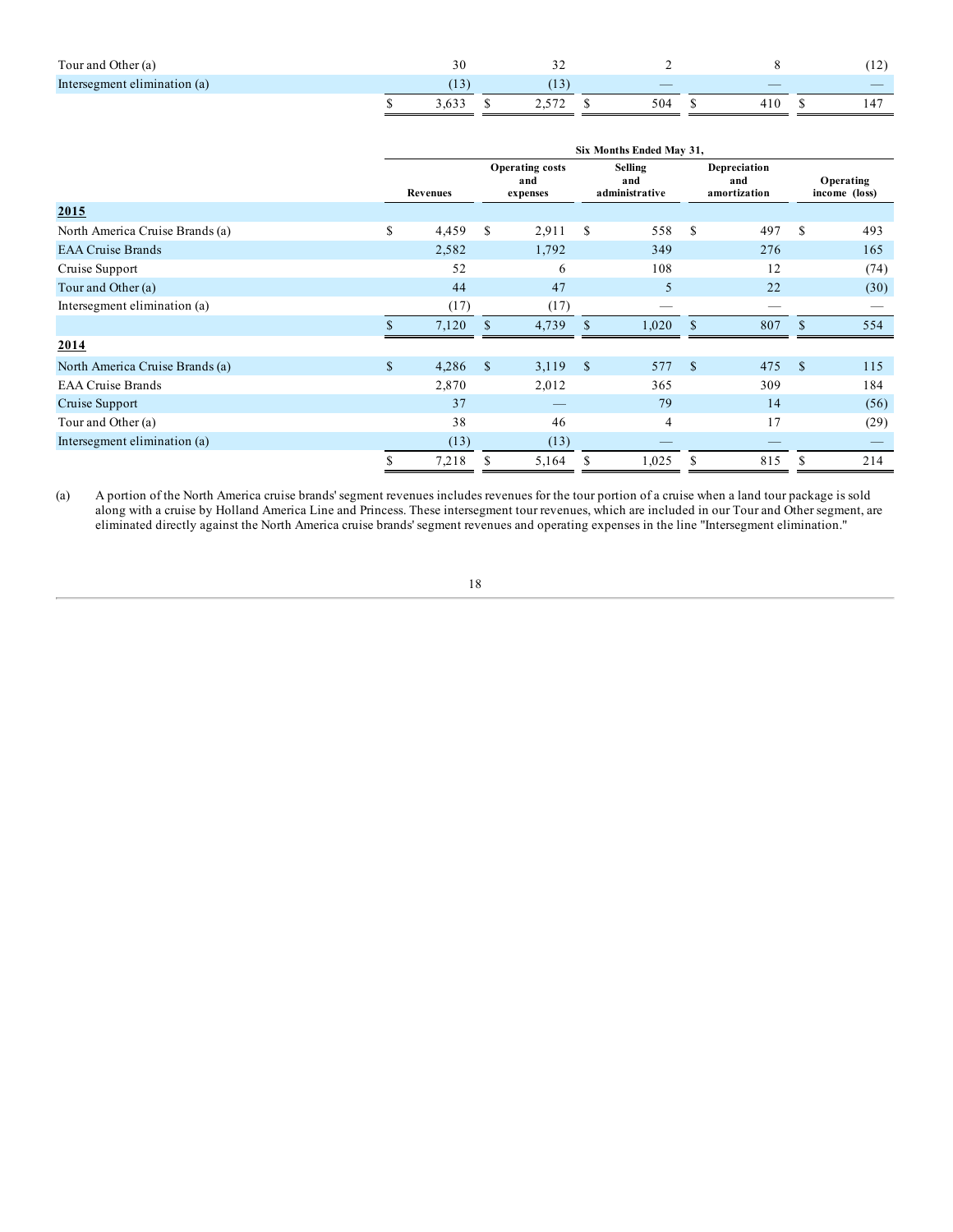| Tour and Other (a)           | υc    | - -        |                          |     | (10)<br>$\perp$ |
|------------------------------|-------|------------|--------------------------|-----|-----------------|
| Intersegment elimination (a) |       | <b>I</b> J | $\overline{\phantom{m}}$ |     |                 |
|                              | 3.033 | ہے رہے۔    | 504                      | 410 |                 |

|                                 |              | Six Months Ended May 31, |              |                                           |                                         |                |                                     |     |               |                            |
|---------------------------------|--------------|--------------------------|--------------|-------------------------------------------|-----------------------------------------|----------------|-------------------------------------|-----|---------------|----------------------------|
|                                 |              | <b>Revenues</b>          |              | <b>Operating costs</b><br>and<br>expenses | <b>Selling</b><br>and<br>administrative |                | Depreciation<br>and<br>amortization |     |               | Operating<br>income (loss) |
| 2015                            |              |                          |              |                                           |                                         |                |                                     |     |               |                            |
| North America Cruise Brands (a) | \$           | 4,459                    | S            | 2,911                                     | \$                                      | 558            | \$                                  | 497 | \$            | 493                        |
| <b>EAA Cruise Brands</b>        |              | 2,582                    |              | 1,792                                     |                                         | 349            |                                     | 276 |               | 165                        |
| Cruise Support                  |              | 52                       |              | 6                                         |                                         | 108            |                                     | 12  |               | (74)                       |
| Tour and Other (a)              |              | 44                       |              | 47                                        |                                         | 5              |                                     | 22  |               | (30)                       |
| Intersegment elimination (a)    |              | (17)                     |              | (17)                                      |                                         |                |                                     |     |               |                            |
|                                 |              | 7,120                    | S            | 4,739                                     | <sup>\$</sup>                           | 1,020          | <sup>S</sup>                        | 807 | <sup>\$</sup> | 554                        |
| 2014                            |              |                          |              |                                           |                                         |                |                                     |     |               |                            |
| North America Cruise Brands (a) | $\mathbb{S}$ | 4,286                    | $\mathbf{s}$ | 3,119                                     | \$                                      | 577            | $\mathbb{S}$                        | 475 | $\mathbb{S}$  | 115                        |
| <b>EAA Cruise Brands</b>        |              | 2,870                    |              | 2,012                                     |                                         | 365            |                                     | 309 |               | 184                        |
| Cruise Support                  |              | 37                       |              |                                           |                                         | 79             |                                     | 14  |               | (56)                       |
| Tour and Other (a)              |              | 38                       |              | 46                                        |                                         | $\overline{4}$ |                                     | 17  |               | (29)                       |
| Intersegment elimination (a)    |              | (13)                     |              | (13)                                      |                                         |                |                                     |     |               |                            |
|                                 | \$           | 7,218                    | S            | 5,164                                     | \$                                      | 1,025          | \$                                  | 815 | S             | 214                        |

(a) A portion of the North America cruise brands' segment revenues includes revenues for the tour portion of a cruise when a land tour package is sold along with a cruise by Holland America Line and Princess. These intersegment tour revenues, which are included in our Tour and Other segment, are eliminated directly against the North America cruise brands' segment revenues and operating expenses in the line "Intersegment elimination."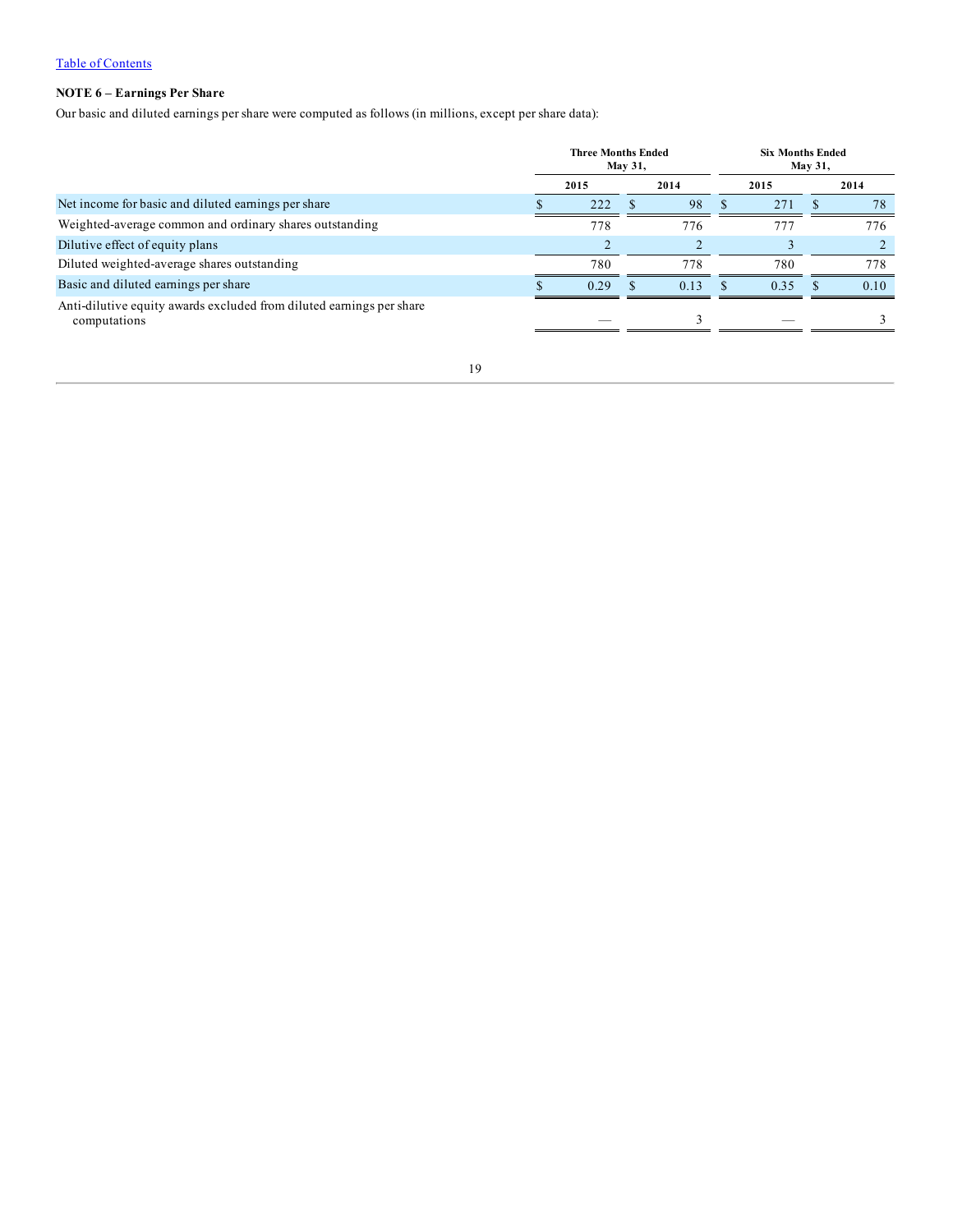# <span id="page-19-0"></span>**NOTE 6 – Earnings Per Share**

Our basic and diluted earnings per share were computed as follows (in millions, except per share data):

|                                                                                      |              | <b>Three Months Ended</b> | May 31, |      | <b>Six Months Ended</b> | May 31, |      |  |
|--------------------------------------------------------------------------------------|--------------|---------------------------|---------|------|-------------------------|---------|------|--|
|                                                                                      | 2014<br>2015 |                           | 2015    |      | 2014                    |         |      |  |
| Net income for basic and diluted earnings per share                                  |              | 222                       |         | 98   | 271                     |         | 78   |  |
| Weighted-average common and ordinary shares outstanding                              |              | 778                       |         | 776  | 777                     |         | 776  |  |
| Dilutive effect of equity plans                                                      |              |                           |         |      |                         |         |      |  |
| Diluted weighted-average shares outstanding                                          |              | 780                       |         | 778  | 780                     |         | 778  |  |
| Basic and diluted earnings per share                                                 |              | 0.29                      |         | 0.13 | 0.35                    |         | 0.10 |  |
| Anti-dilutive equity awards excluded from diluted earnings per share<br>computations |              |                           |         |      |                         |         |      |  |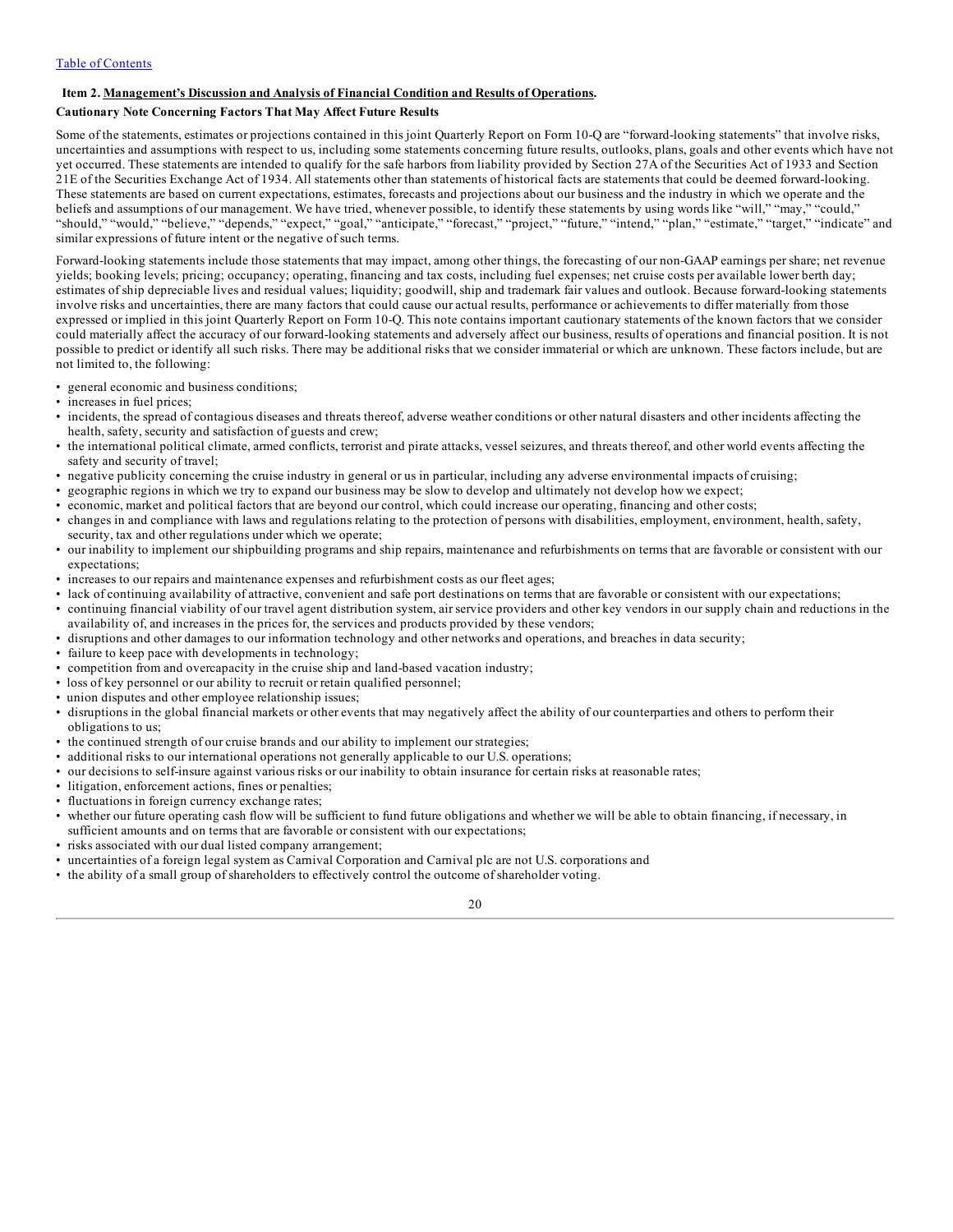## **Item 2. Management's Discussion and Analysis of Financial Condition and Results of Operations.**

## **Cautionary Note Concerning Factors That May Affect Future Results**

Some of the statements, estimates or projections contained in this joint Quarterly Report on Form 10-Q are "forward-looking statements" that involve risks, uncertainties and assumptions with respect to us, including some statements concerning future results, outlooks, plans, goals and other events which have not yet occurred. These statements are intended to qualify for the safe harbors from liability provided by Section 27A of the Securities Act of 1933 and Section 21E of the Securities Exchange Act of 1934. All statements other than statements of historical facts are statements that could be deemed forward-looking. These statements are based on current expectations, estimates, forecasts and projections about our business and the industry in which we operate and the beliefs and assumptions of our management. We have tried, whenever possible, to identify these statements by using words like "will," "may," "could," "should," "would," "believe," "depends," "expect," "goal," "anticipate," "forecast," "project," "future," "intend," "plan," "estimate," "target," "indicate" and similar expressions of future intent or the negative of such terms.

Forward-looking statements include those statements that may impact, among other things, the forecasting of our non-GAAP earnings per share; net revenue yields; booking levels; pricing; occupancy; operating, financing and tax costs, including fuel expenses; net cruise costs per available lower berth day; estimates of ship depreciable lives and residual values; liquidity; goodwill, ship and trademark fair values and outlook. Because forward-looking statements involve risks and uncertainties, there are many factors that could cause our actual results, performance or achievements to differ materially from those expressed or implied in this joint Quarterly Report on Form 10-Q. This note contains important cautionary statements of the known factors that we consider could materially affect the accuracy of our forward-looking statements and adversely affect our business, results of operations and financial position. It is not possible to predict or identify all such risks. There may be additional risks that we consider immaterial or which are unknown. These factors include, but are not limited to, the following:

- general economic and business conditions;
- increases in fuel prices;
- incidents, the spread of contagious diseases and threats thereof, adverse weather conditions or other natural disasters and other incidents affecting the health, safety, security and satisfaction of guests and crew;
- the international political climate, armed conflicts, terrorist and pirate attacks, vessel seizures, and threats thereof, and other world events affecting the safety and security of travel;
- negative publicity concerning the cruise industry in general or us in particular, including any adverse environmental impacts of cruising;
- geographic regions in which we try to expand our business may be slow to develop and ultimately not develop how we expect;
- economic, market and political factors that are beyond our control, which could increase our operating, financing and other costs;
- changes in and compliance with laws and regulations relating to the protection of persons with disabilities, employment, environment, health, safety, security, tax and other regulations under which we operate;
- our inability to implement our shipbuilding programs and ship repairs, maintenance and refurbishments on terms that are favorable or consistent with our expectations;
- increases to our repairs and maintenance expenses and refurbishment costs as our fleet ages;
- lack of continuing availability of attractive, convenient and safe port destinations on terms that are favorable or consistent with our expectations;
- continuing financial viability of our travel agent distribution system, air service providers and other key vendors in our supply chain and reductions in the availability of, and increases in the prices for, the services and products provided by these vendors;
- disruptions and other damages to our information technology and other networks and operations, and breaches in data security;
- failure to keep pace with developments in technology;
- competition from and overcapacity in the cruise ship and land-based vacation industry;
- loss of key personnel or our ability to recruit or retain qualified personnel;
- union disputes and other employee relationship issues;
- disruptions in the global financial markets or other events that may negatively affect the ability of our counterparties and others to perform their obligations to us;
- the continued strength of our cruise brands and our ability to implement our strategies;
- additional risks to our international operations not generally applicable to our U.S. operations;
- our decisions to self-insure against various risks or our inability to obtain insurance for certain risks at reasonable rates;
- litigation, enforcement actions, fines or penalties;
- fluctuations in foreign currency exchange rates;
- whether our future operating cash flow will be sufficient to fund future obligations and whether we will be able to obtain financing, if necessary, in sufficient amounts and on terms that are favorable or consistent with our expectations;
- risks associated with our dual listed company arrangement;
- uncertainties of a foreign legal system as Carnival Corporation and Carnival plc are not U.S. corporations and
- the ability of a small group of shareholders to effectively control the outcome of shareholder voting.

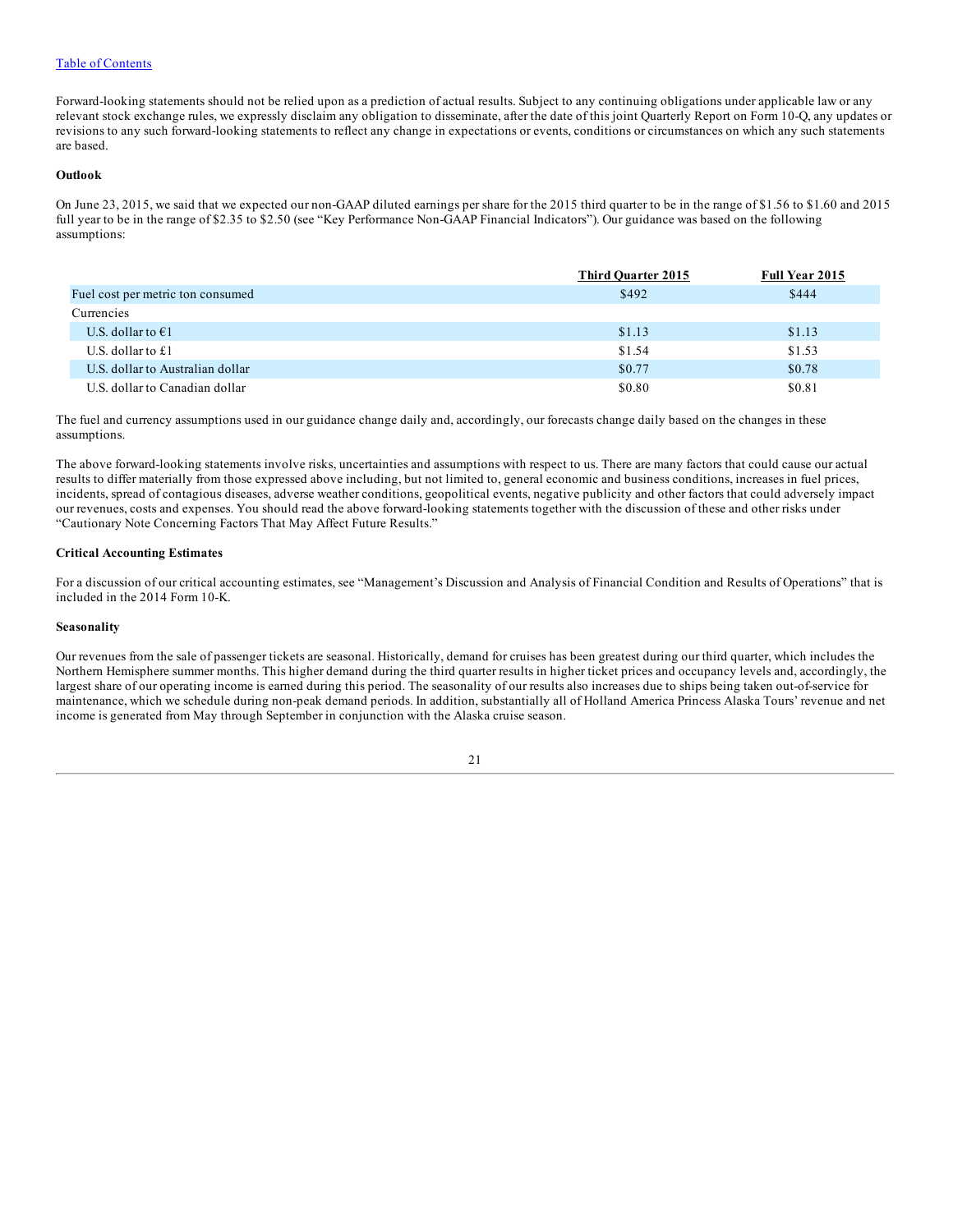Forward-looking statements should not be relied upon as a prediction of actual results. Subject to any continuing obligations under applicable law or any relevant stock exchange rules, we expressly disclaim any obligation to disseminate, after the date of this joint Quarterly Report on Form 10-Q, any updates or revisions to any such forward-looking statements to reflect any change in expectations or events, conditions or circumstances on which any such statements are based.

#### **Outlook**

On June 23, 2015, we said that we expected our non-GAAP diluted earnings per share for the 2015 third quarter to be in the range of \$1.56 to \$1.60 and 2015 full year to be in the range of \$2.35 to \$2.50 (see "Key Performance Non-GAAP Financial Indicators"). Our guidance was based on the following assumptions:

|                                   | Third Quarter 2015 | Full Year 2015 |
|-----------------------------------|--------------------|----------------|
| Fuel cost per metric ton consumed | \$492              | \$444          |
| Currencies                        |                    |                |
| U.S. dollar to $\epsilon$ 1       | \$1.13             | \$1.13         |
| U.S. dollar to $£1$               | \$1.54             | \$1.53         |
| U.S. dollar to Australian dollar  | \$0.77             | \$0.78         |
| U.S. dollar to Canadian dollar    | \$0.80             | \$0.81         |

The fuel and currency assumptions used in our guidance change daily and, accordingly, our forecasts change daily based on the changes in these assumptions.

The above forward-looking statements involve risks, uncertainties and assumptions with respect to us. There are many factors that could cause our actual results to differ materially from those expressed above including, but not limited to, general economic and business conditions, increases in fuel prices, incidents, spread of contagious diseases, adverse weather conditions, geopolitical events, negative publicity and other factors that could adversely impact our revenues, costs and expenses. You should read the above forward-looking statements together with the discussion of these and other risks under "Cautionary Note Concerning Factors That May Affect Future Results."

#### **Critical Accounting Estimates**

For a discussion of our critical accounting estimates, see "Management's Discussion and Analysis of Financial Condition and Results of Operations" that is included in the 2014 Form 10-K.

#### **Seasonality**

Our revenues from the sale of passenger tickets are seasonal. Historically, demand for cruises has been greatest during our third quarter, which includes the Northern Hemisphere summer months. This higher demand during the third quarter results in higher ticket prices and occupancy levels and, accordingly, the largest share of our operating income is earned during this period. The seasonality of our results also increases due to ships being taken out-of-service for maintenance, which we schedule during non-peak demand periods. In addition, substantially all of Holland America Princess Alaska Tours' revenue and net income is generated from May through September in conjunction with the Alaska cruise season.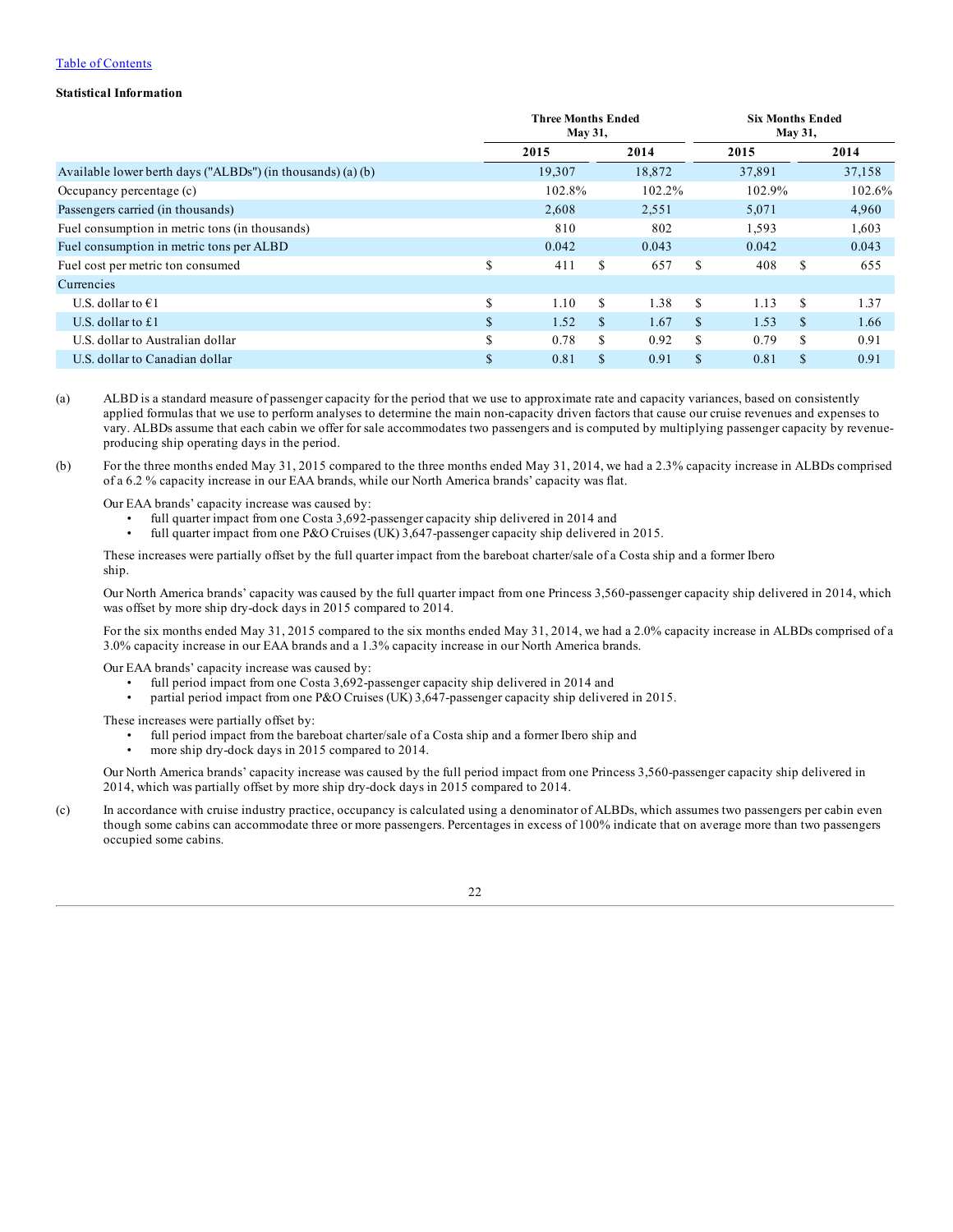## **Statistical Information**

|                                                             |    | <b>Three Months Ended</b><br><b>May 31,</b> |               |        |     | <b>Six Months Ended</b><br><b>May 31,</b> |               |        |
|-------------------------------------------------------------|----|---------------------------------------------|---------------|--------|-----|-------------------------------------------|---------------|--------|
|                                                             |    | 2015                                        |               | 2014   |     | 2015                                      |               | 2014   |
| Available lower berth days ("ALBDs") (in thousands) (a) (b) |    | 19.307                                      |               | 18,872 |     | 37.891                                    |               | 37,158 |
| Occupancy percentage (c)                                    |    | 102.8%                                      |               | 102.2% |     | 102.9%                                    |               | 102.6% |
| Passengers carried (in thousands)                           |    | 2,608                                       |               | 2,551  |     | 5,071                                     |               | 4,960  |
| Fuel consumption in metric tons (in thousands)              |    | 810                                         |               | 802    |     | 1,593                                     |               | 1,603  |
| Fuel consumption in metric tons per ALBD                    |    | 0.042                                       |               | 0.043  |     | 0.042                                     |               | 0.043  |
| Fuel cost per metric ton consumed                           | \$ | 411                                         | S             | 657    | S   | 408                                       | S             | 655    |
| Currencies                                                  |    |                                             |               |        |     |                                           |               |        |
| U.S. dollar to $\epsilon$ 1                                 | S  | 1.10                                        | \$.           | 1.38   | \$. | 1.13                                      | <b>S</b>      | 1.37   |
| U.S. dollar to $£1$                                         | \$ | 1.52                                        | $\mathcal{S}$ | 1.67   | \$. | 1.53                                      | <sup>\$</sup> | 1.66   |
| U.S. dollar to Australian dollar                            | \$ | 0.78                                        | \$.           | 0.92   | S   | 0.79                                      | \$.           | 0.91   |
| U.S. dollar to Canadian dollar                              | \$ | 0.81                                        | \$            | 0.91   |     | 0.81                                      | \$            | 0.91   |

(a) ALBD is a standard measure of passenger capacity for the period that we use to approximate rate and capacity variances, based on consistently applied formulas that we use to perform analyses to determine the main non-capacity driven factors that cause our cruise revenues and expenses to vary. ALBDs assume that each cabin we offer for sale accommodates two passengers and is computed by multiplying passenger capacity by revenueproducing ship operating days in the period.

(b) For the three months ended May 31, 2015 compared to the three months ended May 31, 2014, we had a 2.3% capacity increase in ALBDs comprised of a 6.2 % capacity increase in our EAA brands, while our North America brands' capacity was flat.

Our EAA brands' capacity increase was caused by:

- full quarter impact from one Costa 3,692-passenger capacity ship delivered in 2014 and
- full quarter impact from one P&O Cruises (UK) 3,647-passenger capacity ship delivered in 2015.

These increases were partially offset by the full quarter impact from the bareboat charter/sale of a Costa ship and a former Ibero ship.

Our North America brands' capacity was caused by the full quarter impact from one Princess 3,560-passenger capacity ship delivered in 2014, which was offset by more ship dry-dock days in 2015 compared to 2014.

For the six months ended May 31, 2015 compared to the six months ended May 31, 2014, we had a 2.0% capacity increase in ALBDs comprised of a 3.0% capacity increase in our EAA brands and a 1.3% capacity increase in our North America brands.

Our EAA brands' capacity increase was caused by:

- full period impact from one Costa 3,692-passenger capacity ship delivered in 2014 and
- partial period impact from one P&O Cruises (UK) 3,647-passenger capacity ship delivered in 2015.

These increases were partially offset by:

- full period impact from the bareboat charter/sale of a Costa ship and a former Ibero ship and
- more ship dry-dock days in 2015 compared to 2014.

Our North America brands' capacity increase was caused by the full period impact from one Princess 3,560-passenger capacity ship delivered in 2014, which was partially offset by more ship dry-dock days in 2015 compared to 2014.

(c) In accordance with cruise industry practice, occupancy is calculated using a denominator of ALBDs, which assumes two passengers per cabin even though some cabins can accommodate three or more passengers. Percentages in excess of 100% indicate that on average more than two passengers occupied some cabins.

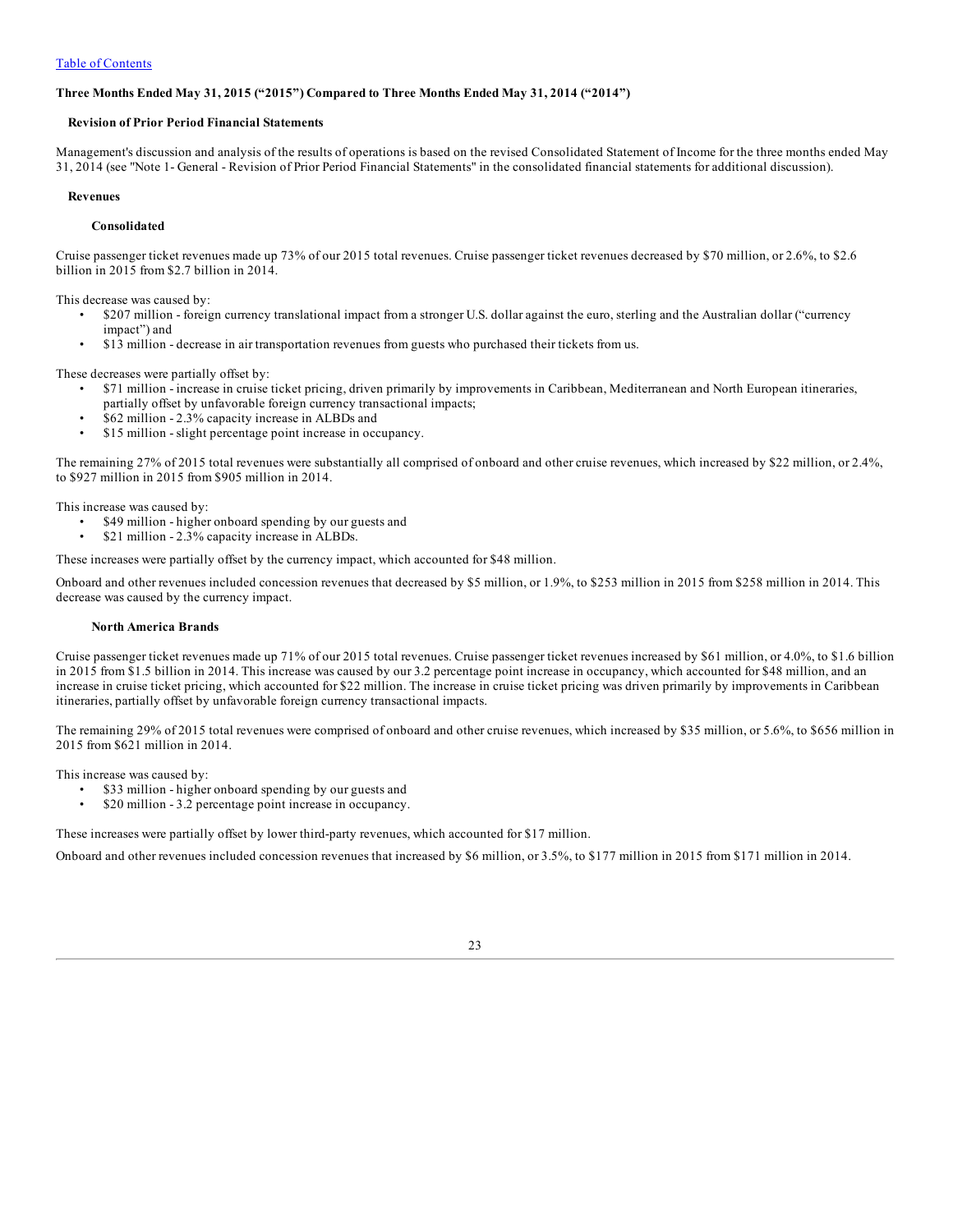#### **Three Months Ended May 31, 2015 ("2015") Compared to Three Months Ended May 31, 2014 ("2014")**

#### **Revision of Prior Period Financial Statements**

Management's discussion and analysis of the results of operations is based on the revised Consolidated Statement of Income for the three months ended May 31, 2014 (see "Note 1- General - Revision of Prior Period Financial Statements" in the consolidated financial statements for additional discussion).

#### **Revenues**

#### **Consolidated**

Cruise passenger ticket revenues made up 73% of our 2015 total revenues. Cruise passenger ticket revenues decreased by \$70 million, or 2.6%, to \$2.6 billion in 2015 from \$2.7 billion in 2014.

This decrease was caused by:

- \$207 million foreign currency translational impact from a stronger U.S. dollar against the euro, sterling and the Australian dollar ("currency impact") and
- \$13 million decrease in air transportation revenues from guests who purchased their tickets from us.

These decreases were partially offset by:

- \$71 million increase in cruise ticket pricing, driven primarily by improvements in Caribbean, Mediterranean and North European itineraries, partially offset by unfavorable foreign currency transactional impacts;
- \$62 million 2.3% capacity increase in ALBDs and
- \$15 million slight percentage point increase in occupancy.

The remaining 27% of 2015 total revenues were substantially all comprised of onboard and other cruise revenues, which increased by \$22 million, or 2.4%, to \$927 million in 2015 from \$905 million in 2014.

This increase was caused by:

- \$49 million higher onboard spending by our guests and
- \$21 million 2.3% capacity increase in ALBDs.

These increases were partially offset by the currency impact, which accounted for \$48 million.

Onboard and other revenues included concession revenues that decreased by \$5 million, or 1.9%, to \$253 million in 2015 from \$258 million in 2014. This decrease was caused by the currency impact.

#### **North America Brands**

Cruise passenger ticket revenues made up 71% of our 2015 total revenues. Cruise passenger ticket revenues increased by \$61 million, or 4.0%, to \$1.6 billion in 2015 from \$1.5 billion in 2014. This increase was caused by our 3.2 percentage point increase in occupancy, which accounted for \$48 million, and an increase in cruise ticket pricing, which accounted for \$22 million. The increase in cruise ticket pricing was driven primarily by improvements in Caribbean itineraries, partially offset by unfavorable foreign currency transactional impacts.

The remaining 29% of 2015 total revenues were comprised of onboard and other cruise revenues, which increased by \$35 million, or 5.6%, to \$656 million in 2015 from \$621 million in 2014.

This increase was caused by:

- \$33 million higher onboard spending by our guests and
- \$20 million 3.2 percentage point increase in occupancy.

These increases were partially offset by lower third-party revenues, which accounted for \$17 million.

Onboard and other revenues included concession revenues that increased by \$6 million, or 3.5%, to \$177 million in 2015 from \$171 million in 2014.

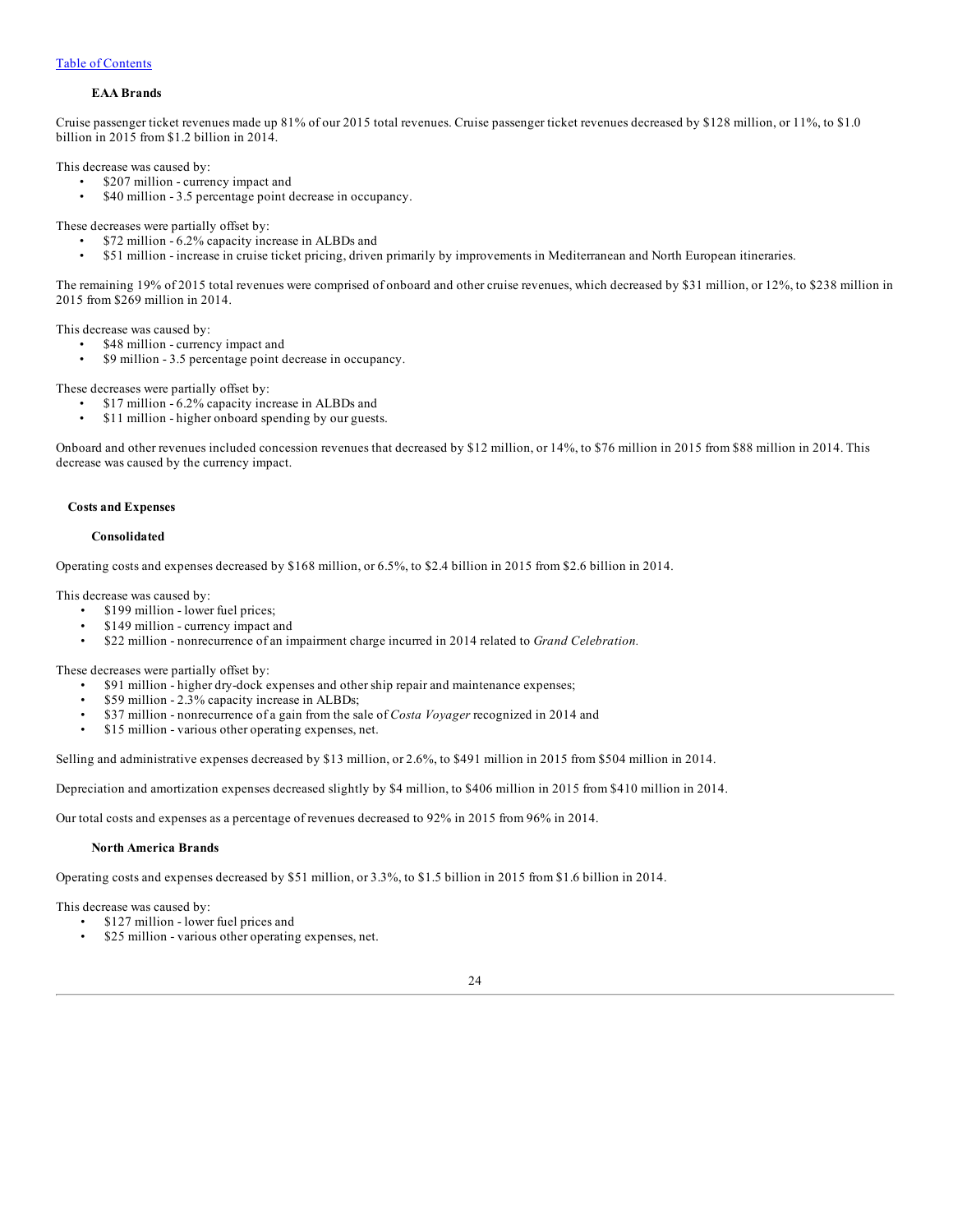## **EAA Brands**

Cruise passenger ticket revenues made up 81% of our 2015 total revenues. Cruise passenger ticket revenues decreased by \$128 million, or 11%, to \$1.0 billion in 2015 from \$1.2 billion in 2014.

This decrease was caused by:

- \$207 million currency impact and
- \$40 million 3.5 percentage point decrease in occupancy.

These decreases were partially offset by:

- \$72 million 6.2% capacity increase in ALBDs and
- \$51 million increase in cruise ticket pricing, driven primarily by improvements in Mediterranean and North European itineraries.

The remaining 19% of 2015 total revenues were comprised of onboard and other cruise revenues, which decreased by \$31 million, or 12%, to \$238 million in 2015 from \$269 million in 2014.

This decrease was caused by:

- \$48 million currency impact and
- \$9 million 3.5 percentage point decrease in occupancy.

These decreases were partially offset by:

- \$17 million 6.2% capacity increase in ALBDs and
- \$11 million higher onboard spending by our guests.

Onboard and other revenues included concession revenues that decreased by \$12 million, or 14%, to \$76 million in 2015 from \$88 million in 2014. This decrease was caused by the currency impact.

## **Costs and Expenses**

#### **Consolidated**

Operating costs and expenses decreased by \$168 million, or 6.5%, to \$2.4 billion in 2015 from \$2.6 billion in 2014.

This decrease was caused by:

- $$199$  million lower fuel prices;<br>•  $$149$  million currency impact a
- \$149 million currency impact and
- \$22 million nonrecurrence of an impairment charge incurred in 2014 related to *Grand Celebration.*

These decreases were partially offset by:

- \$91 million higher dry-dock expenses and other ship repair and maintenance expenses;
- \$59 million 2.3% capacity increase in ALBDs;
- \$37 million nonrecurrence of a gain from the sale of *Costa Voyager* recognized in 2014 and
- \$15 million various other operating expenses, net.

Selling and administrative expenses decreased by \$13 million, or 2.6%, to \$491 million in 2015 from \$504 million in 2014.

Depreciation and amortization expenses decreased slightly by \$4 million, to \$406 million in 2015 from \$410 million in 2014.

Our total costs and expenses as a percentage of revenues decreased to 92% in 2015 from 96% in 2014.

#### **North America Brands**

Operating costs and expenses decreased by \$51 million, or 3.3%, to \$1.5 billion in 2015 from \$1.6 billion in 2014.

This decrease was caused by:

- \$127 million lower fuel prices and
- \$25 million various other operating expenses, net.

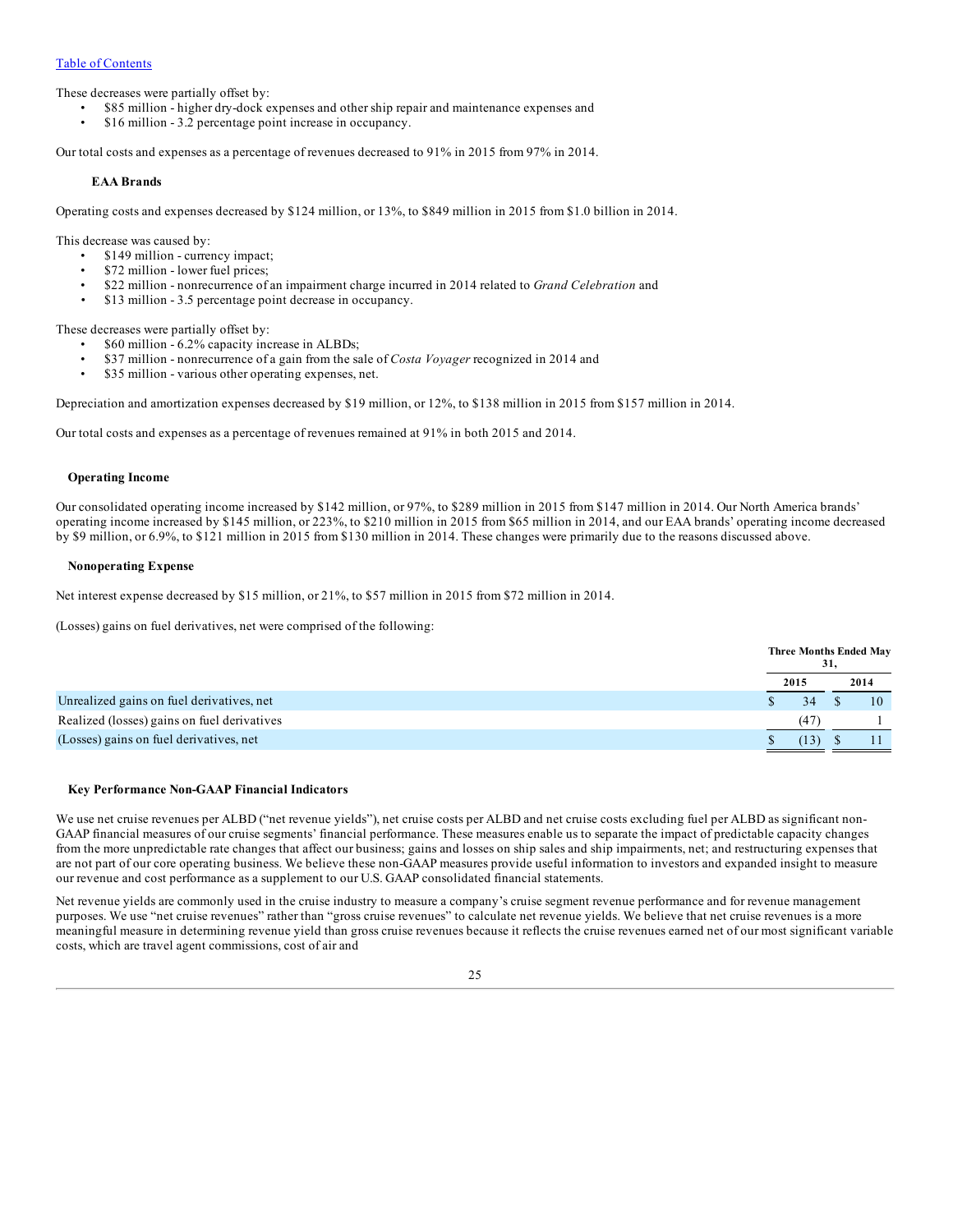These decreases were partially offset by:

- \$85 million higher dry-dock expenses and other ship repair and maintenance expenses and
- \$16 million 3.2 percentage point increase in occupancy.

Our total costs and expenses as a percentage of revenues decreased to 91% in 2015 from 97% in 2014.

## **EAA Brands**

Operating costs and expenses decreased by \$124 million, or 13%, to \$849 million in 2015 from \$1.0 billion in 2014.

This decrease was caused by:

- \$149 million currency impact;
- \$72 million lower fuel prices;
- \$22 million nonrecurrence of an impairment charge incurred in 2014 related to *Grand Celebration* and
- *•* \$13 million 3.5 percentage point decrease in occupancy.

These decreases were partially offset by:

- \$60 million 6.2% capacity increase in ALBDs;
- \$37 million nonrecurrence of a gain from the sale of *Costa Voyager* recognized in 2014 and
- \$35 million various other operating expenses, net.

Depreciation and amortization expenses decreased by \$19 million, or 12%, to \$138 million in 2015 from \$157 million in 2014.

Our total costs and expenses as a percentage of revenues remained at 91% in both 2015 and 2014.

## **Operating Income**

Our consolidated operating income increased by \$142 million, or 97%, to \$289 million in 2015 from \$147 million in 2014. Our North America brands' operating income increased by \$145 million, or 223%, to \$210 million in 2015 from \$65 million in 2014, and our EAA brands' operating income decreased by \$9 million, or 6.9%, to \$121 million in 2015 from \$130 million in 2014. These changes were primarily due to the reasons discussed above.

## **Nonoperating Expense**

Net interest expense decreased by \$15 million, or 21%, to \$57 million in 2015 from \$72 million in 2014.

(Losses) gains on fuel derivatives, net were comprised of the following:

|                                             |      | 31, | <b>Three Months Ended May</b> |
|---------------------------------------------|------|-----|-------------------------------|
|                                             | 2015 |     | 2014                          |
| Unrealized gains on fuel derivatives, net   | 34   |     | 10                            |
| Realized (losses) gains on fuel derivatives | (47) |     |                               |
| (Losses) gains on fuel derivatives, net     |      |     |                               |

## **Key Performance Non-GAAP Financial Indicators**

We use net cruise revenues per ALBD ("net revenue yields"), net cruise costs per ALBD and net cruise costs excluding fuel per ALBD as significant non-GAAP financial measures of our cruise segments' financial performance. These measures enable us to separate the impact of predictable capacity changes from the more unpredictable rate changes that affect our business; gains and losses on ship sales and ship impairments, net; and restructuring expenses that are not part of our core operating business. We believe these non-GAAP measures provide useful information to investors and expanded insight to measure our revenue and cost performance as a supplement to our U.S. GAAP consolidated financial statements.

Net revenue yields are commonly used in the cruise industry to measure a company's cruise segment revenue performance and for revenue management purposes. We use "net cruise revenues" rather than "gross cruise revenues" to calculate net revenue yields. We believe that net cruise revenues is a more meaningful measure in determining revenue yield than gross cruise revenues because it reflects the cruise revenues earned net of our most significant variable costs, which are travel agent commissions, cost of air and

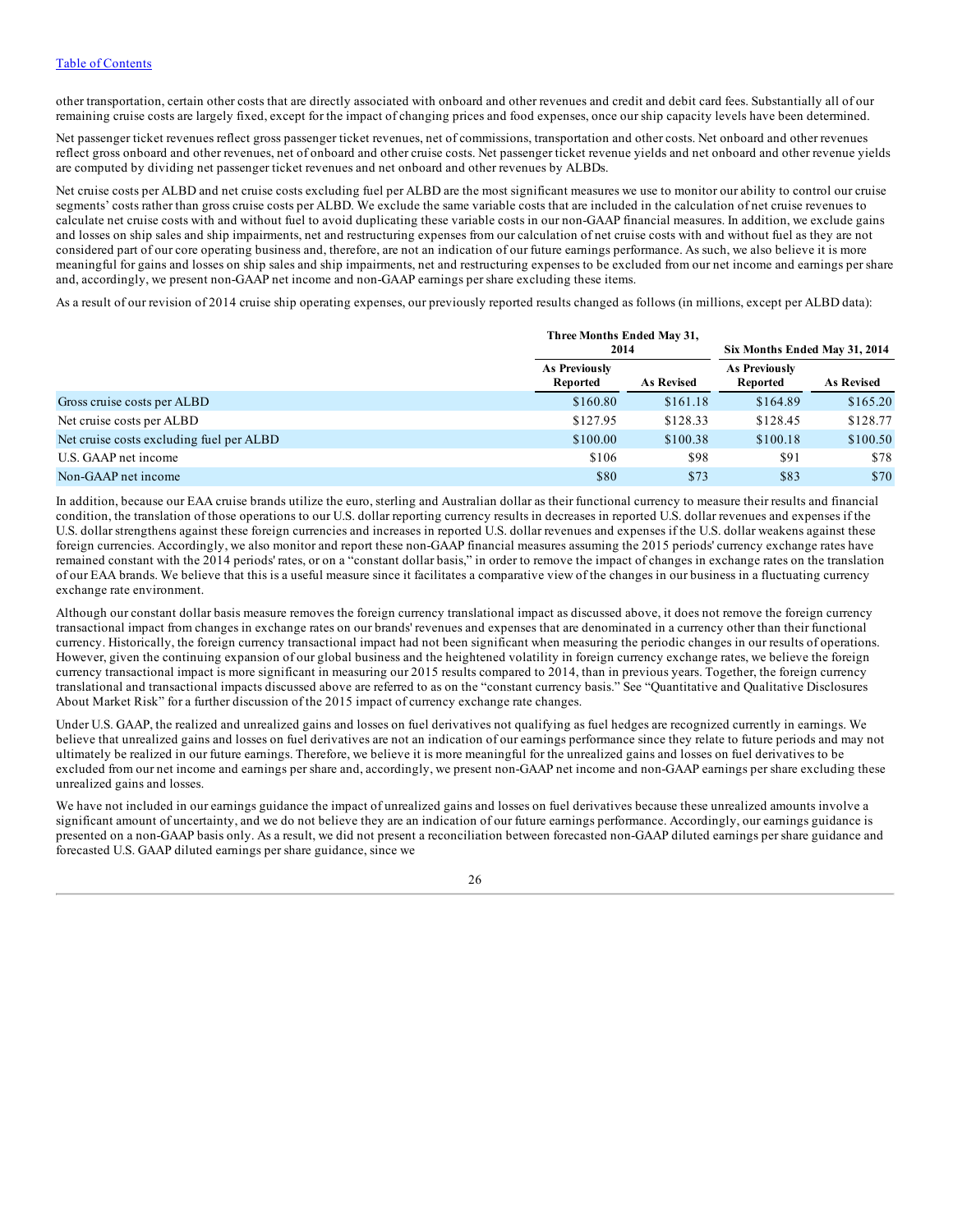other transportation, certain other costs that are directly associated with onboard and other revenues and credit and debit card fees. Substantially all of our remaining cruise costs are largely fixed, except for the impact of changing prices and food expenses, once our ship capacity levels have been determined.

Net passenger ticket revenues reflect gross passenger ticket revenues, net of commissions, transportation and other costs. Net onboard and other revenues reflect gross onboard and other revenues, net of onboard and other cruise costs. Net passenger ticket revenue yields and net onboard and other revenue yields are computed by dividing net passenger ticket revenues and net onboard and other revenues by ALBDs.

Net cruise costs per ALBD and net cruise costs excluding fuel per ALBD are the most significant measures we use to monitor our ability to control our cruise segments' costs rather than gross cruise costs per ALBD. We exclude the same variable costs that are included in the calculation of net cruise revenues to calculate net cruise costs with and without fuel to avoid duplicating these variable costs in our non-GAAP financial measures. In addition, we exclude gains and losses on ship sales and ship impairments, net and restructuring expenses from our calculation of net cruise costs with and without fuel as they are not considered part of our core operating business and, therefore, are not an indication of our future earnings performance. As such, we also believe it is more meaningful for gains and losses on ship sales and ship impairments, net and restructuring expenses to be excluded from our net income and earnings per share and, accordingly, we present non-GAAP net income and non-GAAP earnings per share excluding these items.

As a result of our revision of 2014 cruise ship operating expenses, our previously reported results changed as follows (in millions, except per ALBD data):

|                                          | Three Months Ended May 31,       |                   |                                  |                   |  |  |
|------------------------------------------|----------------------------------|-------------------|----------------------------------|-------------------|--|--|
|                                          | 2014                             |                   | Six Months Ended May 31, 2014    |                   |  |  |
|                                          | <b>As Previously</b><br>Reported | <b>As Revised</b> | <b>As Previously</b><br>Reported | <b>As Revised</b> |  |  |
| Gross cruise costs per ALBD              | \$160.80                         | \$161.18          | \$164.89                         | \$165.20          |  |  |
| Net cruise costs per ALBD                | \$127.95                         | \$128.33          | \$128.45                         | \$128.77          |  |  |
| Net cruise costs excluding fuel per ALBD | \$100.00                         | \$100.38          | \$100.18                         | \$100.50          |  |  |
| U.S. GAAP net income                     | \$106                            | \$98              | \$91                             | \$78              |  |  |
| Non-GAAP net income                      | \$80                             | \$73              | \$83                             | \$70              |  |  |

In addition, because our EAA cruise brands utilize the euro, sterling and Australian dollar as their functional currency to measure their results and financial condition, the translation of those operations to our U.S. dollar reporting currency results in decreases in reported U.S. dollar revenues and expenses if the U.S. dollar strengthens against these foreign currencies and increases in reported U.S. dollar revenues and expenses if the U.S. dollar weakens against these foreign currencies. Accordingly, we also monitor and report these non-GAAP financial measures assuming the 2015 periods' currency exchange rates have remained constant with the 2014 periods' rates, or on a "constant dollar basis," in order to remove the impact of changes in exchange rates on the translation of our EAA brands. We believe that this is a useful measure since it facilitates a comparative view of the changes in our business in a fluctuating currency exchange rate environment.

Although our constant dollar basis measure removes the foreign currency translational impact as discussed above, it does not remove the foreign currency transactional impact from changes in exchange rates on our brands' revenues and expenses that are denominated in a currency other than their functional currency. Historically, the foreign currency transactional impact had not been significant when measuring the periodic changes in our results of operations. However, given the continuing expansion of our global business and the heightened volatility in foreign currency exchange rates, we believe the foreign currency transactional impact is more significant in measuring our 2015 results compared to 2014, than in previous years. Together, the foreign currency translational and transactional impacts discussed above are referred to as on the "constant currency basis." See "Quantitative and Qualitative Disclosures About Market Risk" for a further discussion of the 2015 impact of currency exchange rate changes.

Under U.S. GAAP, the realized and unrealized gains and losses on fuel derivatives not qualifying as fuel hedges are recognized currently in earnings. We believe that unrealized gains and losses on fuel derivatives are not an indication of our earnings performance since they relate to future periods and may not ultimately be realized in our future earnings. Therefore, we believe it is more meaningful for the unrealized gains and losses on fuel derivatives to be excluded from our net income and earnings per share and, accordingly, we present non-GAAP net income and non-GAAP earnings per share excluding these unrealized gains and losses.

We have not included in our earnings guidance the impact of unrealized gains and losses on fuel derivatives because these unrealized amounts involve a significant amount of uncertainty, and we do not believe they are an indication of our future earnings performance. Accordingly, our earnings guidance is presented on a non-GAAP basis only. As a result, we did not present a reconciliation between forecasted non-GAAP diluted earnings per share guidance and forecasted U.S. GAAP diluted earnings per share guidance, since we

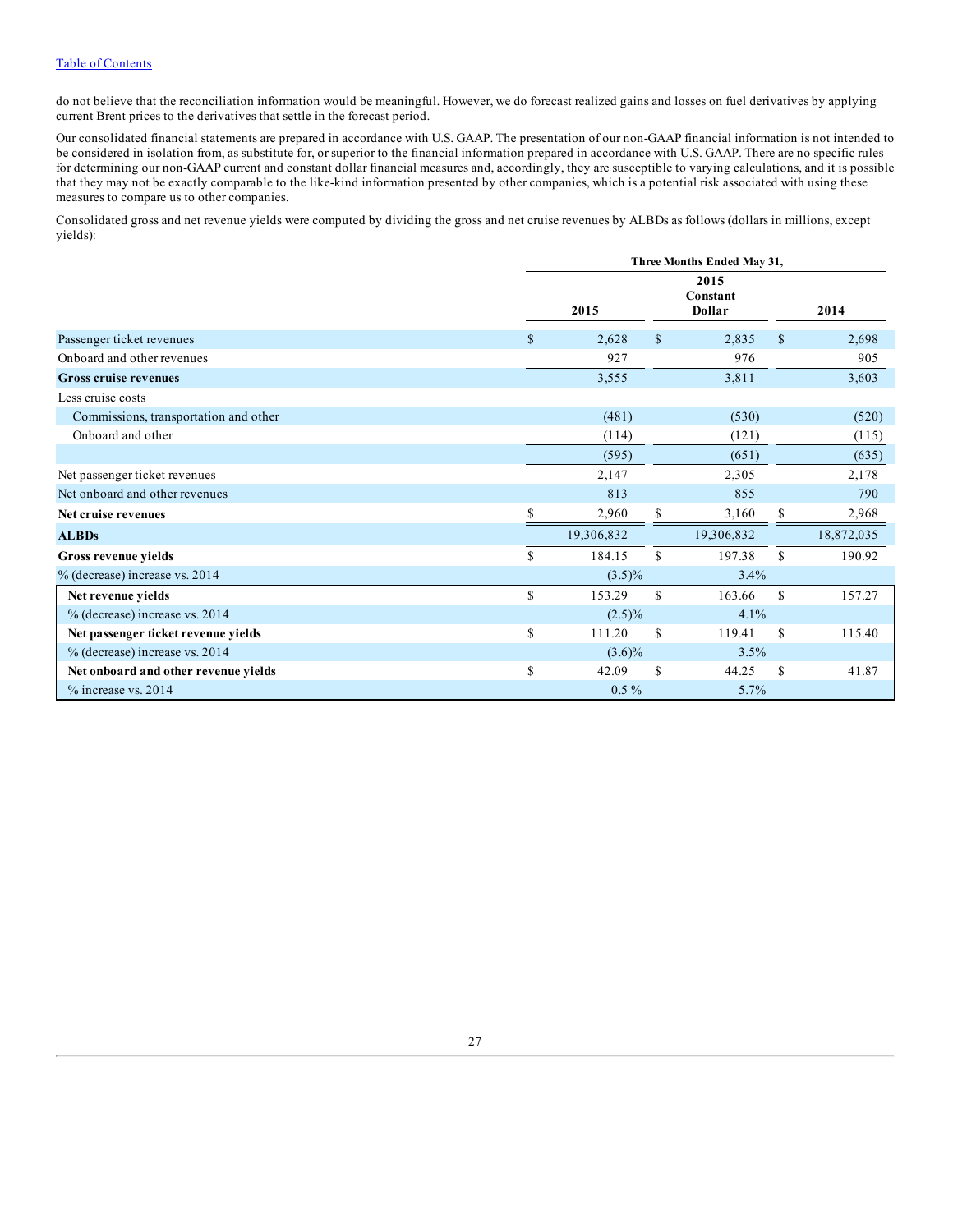do not believe that the reconciliation information would be meaningful. However, we do forecast realized gains and losses on fuel derivatives by applying current Brent prices to the derivatives that settle in the forecast period.

Our consolidated financial statements are prepared in accordance with U.S. GAAP. The presentation of our non-GAAP financial information is not intended to be considered in isolation from, as substitute for, or superior to the financial information prepared in accordance with U.S. GAAP. There are no specific rules for determining our non-GAAP current and constant dollar financial measures and, accordingly, they are susceptible to varying calculations, and it is possible that they may not be exactly comparable to the like-kind information presented by other companies, which is a potential risk associated with using these measures to compare us to other companies.

Consolidated gross and net revenue yields were computed by dividing the gross and net cruise revenues by ALBDs as follows (dollars in millions, except yields):

|                                       |              | Three Months Ended May 31, |               |                                   |               |            |  |  |  |
|---------------------------------------|--------------|----------------------------|---------------|-----------------------------------|---------------|------------|--|--|--|
|                                       | 2015         |                            |               | 2015<br>Constant<br><b>Dollar</b> |               | 2014       |  |  |  |
| Passenger ticket revenues             | $\mathbb{S}$ | 2,628                      | $\mathbf S$   | 2,835                             | $\mathbb{S}$  | 2,698      |  |  |  |
| Onboard and other revenues            |              | 927                        |               | 976                               |               | 905        |  |  |  |
| <b>Gross cruise revenues</b>          |              | 3,555                      |               | 3,811                             |               | 3,603      |  |  |  |
| Less cruise costs                     |              |                            |               |                                   |               |            |  |  |  |
| Commissions, transportation and other |              | (481)                      |               | (530)                             |               | (520)      |  |  |  |
| Onboard and other                     |              | (114)                      |               | (121)                             |               | (115)      |  |  |  |
|                                       |              | (595)                      |               | (651)                             |               | (635)      |  |  |  |
| Net passenger ticket revenues         |              | 2,147                      |               | 2,305                             |               | 2,178      |  |  |  |
| Net onboard and other revenues        |              | 813                        |               | 855                               |               | 790        |  |  |  |
| Net cruise revenues                   |              | 2,960                      | \$            | 3,160                             |               | 2,968      |  |  |  |
| <b>ALBDs</b>                          |              | 19,306,832                 |               | 19,306,832                        |               | 18,872,035 |  |  |  |
| Gross revenue yields                  | \$           | 184.15                     | $\mathcal{S}$ | 197.38                            | \$            | 190.92     |  |  |  |
| % (decrease) increase vs. 2014        |              | $(3.5)\%$                  |               | 3.4%                              |               |            |  |  |  |
| Net revenue yields                    | \$           | 153.29                     | <sup>\$</sup> | 163.66                            | S             | 157.27     |  |  |  |
| % (decrease) increase vs. 2014        |              | $(2.5)\%$                  |               | 4.1%                              |               |            |  |  |  |
| Net passenger ticket revenue yields   | \$           | 111.20                     | <sup>\$</sup> | 119.41                            | <sup>\$</sup> | 115.40     |  |  |  |
| % (decrease) increase vs. 2014        |              | $(3.6)\%$                  |               | 3.5%                              |               |            |  |  |  |
| Net onboard and other revenue yields  | \$           | 42.09                      | <sup>\$</sup> | 44.25                             | <sup>\$</sup> | 41.87      |  |  |  |
| $%$ increase vs. 2014                 |              | $0.5\%$                    |               | 5.7%                              |               |            |  |  |  |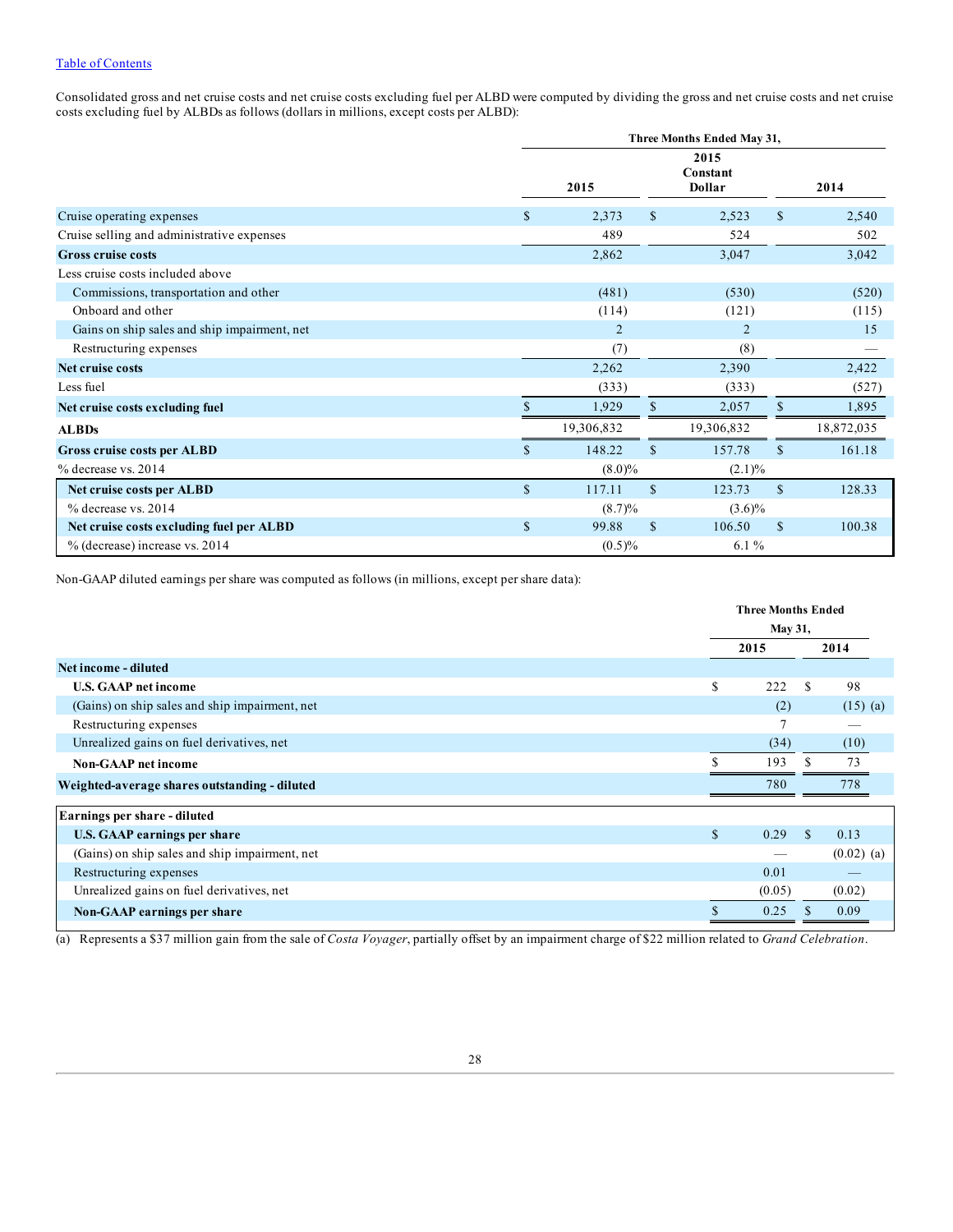Consolidated gross and net cruise costs and net cruise costs excluding fuel per ALBD were computed by dividing the gross and net cruise costs and net cruise costs excluding fuel by ALBDs as follows (dollars in millions, except costs per ALBD):

|                                              |              | Three Months Ended May 31, |              |                                   |              |            |  |  |  |  |
|----------------------------------------------|--------------|----------------------------|--------------|-----------------------------------|--------------|------------|--|--|--|--|
|                                              |              | 2015                       |              | 2015<br>Constant<br><b>Dollar</b> |              | 2014       |  |  |  |  |
| Cruise operating expenses                    | $\mathbb{S}$ | 2,373                      | \$           | 2,523                             | \$           | 2,540      |  |  |  |  |
| Cruise selling and administrative expenses   |              | 489                        |              | 524                               |              | 502        |  |  |  |  |
| <b>Gross cruise costs</b>                    |              | 2,862                      |              | 3,047                             |              | 3,042      |  |  |  |  |
| Less cruise costs included above             |              |                            |              |                                   |              |            |  |  |  |  |
| Commissions, transportation and other        |              | (481)                      |              | (530)                             |              | (520)      |  |  |  |  |
| Onboard and other                            |              | (114)                      | (121)        |                                   |              | (115)      |  |  |  |  |
| Gains on ship sales and ship impairment, net |              | $\overline{2}$             |              | $\overline{2}$                    |              | 15         |  |  |  |  |
| Restructuring expenses                       |              | (7)                        |              | (8)                               |              |            |  |  |  |  |
| <b>Net cruise costs</b>                      |              | 2,262                      |              | 2,390                             |              | 2,422      |  |  |  |  |
| Less fuel                                    |              | (333)                      |              | (333)                             |              | (527)      |  |  |  |  |
| Net cruise costs excluding fuel              | $\mathbb{S}$ | 1,929                      | \$           | 2,057                             | \$           | 1,895      |  |  |  |  |
| <b>ALBDs</b>                                 |              | 19,306,832                 |              | 19,306,832                        |              | 18,872,035 |  |  |  |  |
| Gross cruise costs per ALBD                  | $\mathbb{S}$ | 148.22                     | $\mathbb{S}$ | 157.78                            | $\mathbb{S}$ | 161.18     |  |  |  |  |
| % decrease vs. 2014                          |              | $(8.0)\%$                  |              | $(2.1)\%$                         |              |            |  |  |  |  |
| Net cruise costs per ALBD                    | $\mathbb{S}$ | 117.11                     | \$           | 123.73                            | $\mathbb{S}$ | 128.33     |  |  |  |  |
| % decrease vs. 2014                          |              | $(8.7)\%$                  |              | $(3.6)\%$                         |              |            |  |  |  |  |
| Net cruise costs excluding fuel per ALBD     | $\mathbb{S}$ | 99.88                      | $\mathbf S$  | 106.50                            | $\mathbb{S}$ | 100.38     |  |  |  |  |
| % (decrease) increase vs. 2014               |              | $(0.5)\%$                  |              | $6.1\%$                           |              |            |  |  |  |  |

Non-GAAP diluted earnings per share was computed as follows (in millions, except per share data):

|                                                | <b>Three Months Ended</b><br><b>May 31,</b> |        |     |              |
|------------------------------------------------|---------------------------------------------|--------|-----|--------------|
|                                                |                                             | 2015   |     | 2014         |
| Net income - diluted                           |                                             |        |     |              |
| <b>U.S. GAAP net income</b>                    | \$                                          | 222    | S   | 98           |
| (Gains) on ship sales and ship impairment, net |                                             | (2)    |     | $(15)$ (a)   |
| Restructuring expenses                         |                                             |        |     |              |
| Unrealized gains on fuel derivatives, net      |                                             | (34)   |     | (10)         |
| <b>Non-GAAP</b> net income                     |                                             | 193    |     | 73           |
| Weighted-average shares outstanding - diluted  |                                             | 780    |     | 778          |
| Earnings per share - diluted                   |                                             |        |     |              |
| U.S. GAAP earnings per share                   | $\mathbb{S}$                                | 0.29   | \$. | 0.13         |
| (Gains) on ship sales and ship impairment, net |                                             |        |     | $(0.02)$ (a) |
| Restructuring expenses                         |                                             | 0.01   |     |              |
| Unrealized gains on fuel derivatives, net      |                                             | (0.05) |     | (0.02)       |
| Non-GAAP earnings per share                    |                                             | 0.25   |     | 0.09         |

(a) Represents a \$37 million gain from the sale of *Costa Voyager*, partially offset by an impairment charge of \$22 million related to *Grand Celebration*.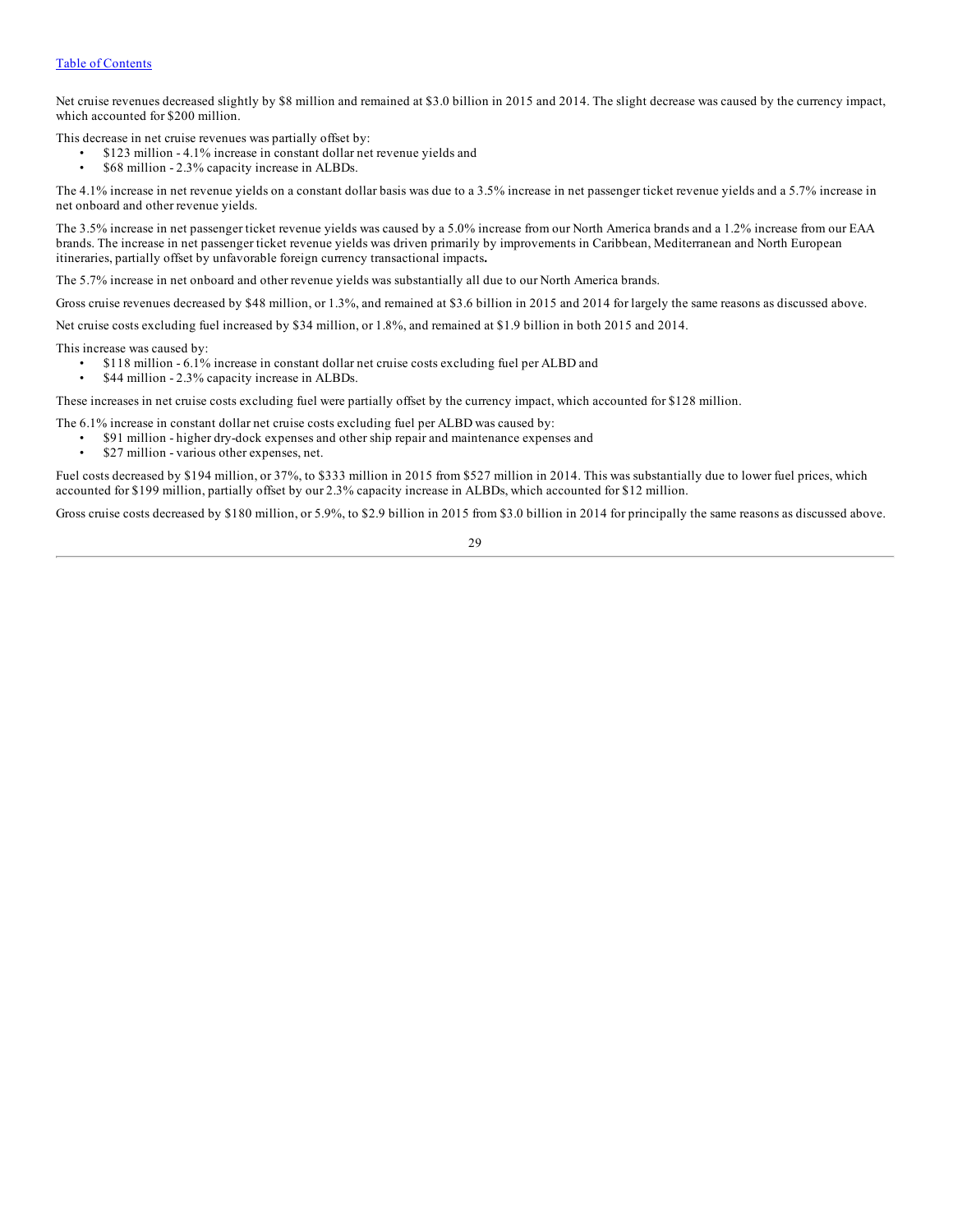Net cruise revenues decreased slightly by \$8 million and remained at \$3.0 billion in 2015 and 2014. The slight decrease was caused by the currency impact, which accounted for \$200 million.

This decrease in net cruise revenues was partially offset by:

- \$123 million 4.1% increase in constant dollar net revenue yields and
- \$68 million 2.3% capacity increase in ALBDs.

The 4.1% increase in net revenue yields on a constant dollar basis was due to a 3.5% increase in net passenger ticket revenue yields and a 5.7% increase in net onboard and other revenue yields.

The 3.5% increase in net passenger ticket revenue yields was caused by a 5.0% increase from our North America brands and a 1.2% increase from our EAA brands. The increase in net passenger ticket revenue yields was driven primarily by improvements in Caribbean, Mediterranean and North European itineraries, partially offset by unfavorable foreign currency transactional impacts**.**

The 5.7% increase in net onboard and other revenue yields was substantially all due to our North America brands.

Gross cruise revenues decreased by \$48 million, or 1.3%, and remained at \$3.6 billion in 2015 and 2014 for largely the same reasons as discussed above.

Net cruise costs excluding fuel increased by \$34 million, or 1.8%, and remained at \$1.9 billion in both 2015 and 2014.

This increase was caused by:

- \$118 million 6.1% increase in constant dollar net cruise costs excluding fuel per ALBD and
- \$44 million 2.3% capacity increase in ALBDs.

These increases in net cruise costs excluding fuel were partially offset by the currency impact, which accounted for \$128 million.

The 6.1% increase in constant dollar net cruise costs excluding fuel per ALBD was caused by:

- \$91 million higher dry-dock expenses and other ship repair and maintenance expenses and<br>• \$27 million various other expenses net
- \$27 million various other expenses, net.

Fuel costs decreased by \$194 million, or 37%, to \$333 million in 2015 from \$527 million in 2014. This was substantially due to lower fuel prices, which accounted for \$199 million, partially offset by our 2.3% capacity increase in ALBDs, which accounted for \$12 million.

Gross cruise costs decreased by \$180 million, or 5.9%, to \$2.9 billion in 2015 from \$3.0 billion in 2014 for principally the same reasons as discussed above.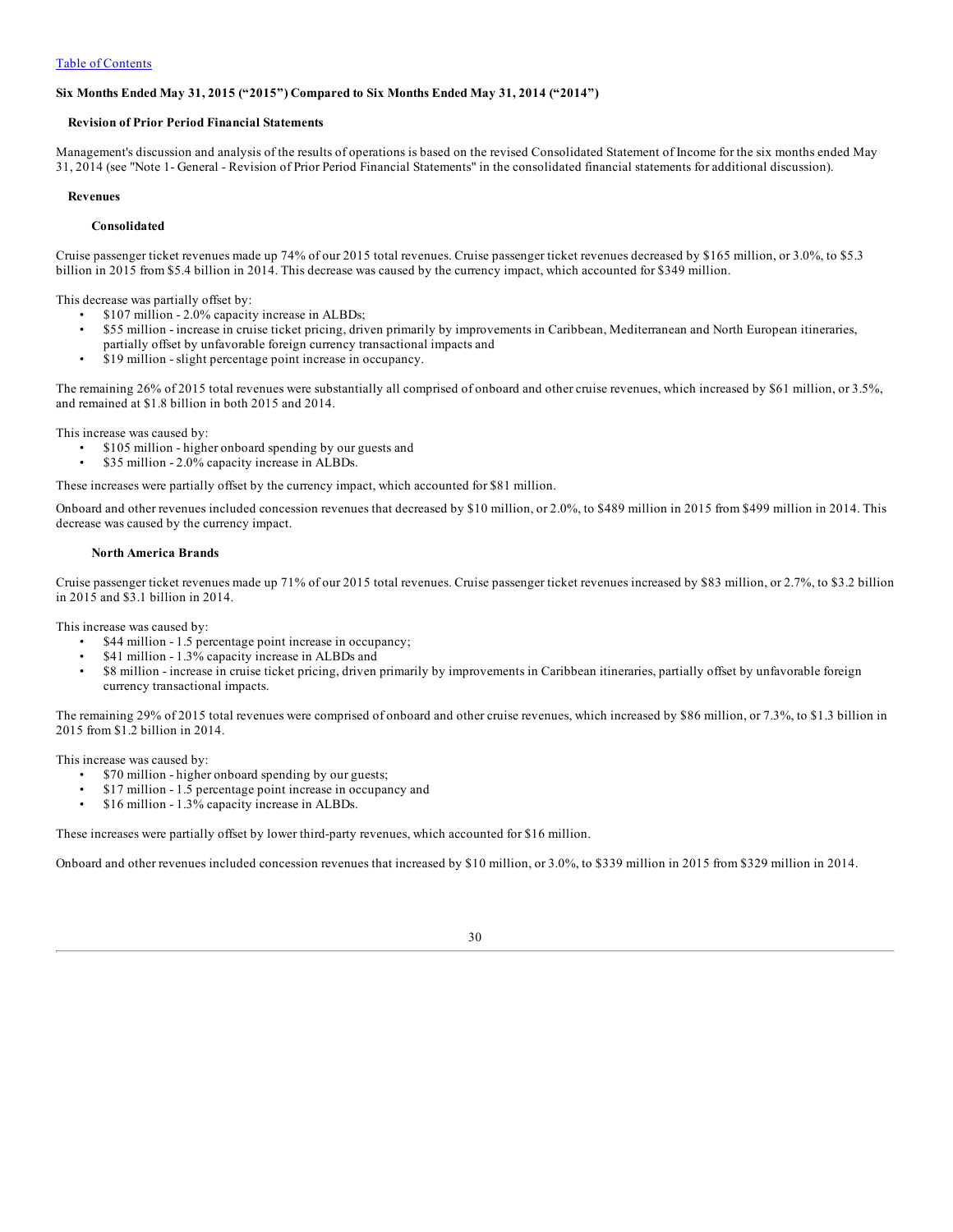## **Six Months Ended May 31, 2015 ("2015") Compared to Six Months Ended May 31, 2014 ("2014")**

#### **Revision of Prior Period Financial Statements**

Management's discussion and analysis of the results of operations is based on the revised Consolidated Statement of Income for the six months ended May 31, 2014 (see "Note 1- General - Revision of Prior Period Financial Statements" in the consolidated financial statements for additional discussion).

#### **Revenues**

#### **Consolidated**

Cruise passenger ticket revenues made up 74% of our 2015 total revenues. Cruise passenger ticket revenues decreased by \$165 million, or 3.0%, to \$5.3 billion in 2015 from \$5.4 billion in 2014. This decrease was caused by the currency impact, which accounted for \$349 million.

This decrease was partially offset by:

- \$107 million 2.0% capacity increase in ALBDs;
- \$55 million increase in cruise ticket pricing, driven primarily by improvements in Caribbean, Mediterranean and North European itineraries, partially offset by unfavorable foreign currency transactional impacts and
- \$19 million slight percentage point increase in occupancy.

The remaining 26% of 2015 total revenues were substantially all comprised of onboard and other cruise revenues, which increased by \$61 million, or 3.5%, and remained at \$1.8 billion in both 2015 and 2014.

This increase was caused by:

- \$105 million higher onboard spending by our guests and
- \$35 million 2.0% capacity increase in ALBDs.

These increases were partially offset by the currency impact, which accounted for \$81 million.

Onboard and other revenues included concession revenues that decreased by \$10 million, or 2.0%, to \$489 million in 2015 from \$499 million in 2014. This decrease was caused by the currency impact.

## **North America Brands**

Cruise passenger ticket revenues made up 71% of our 2015 total revenues. Cruise passenger ticket revenues increased by \$83 million, or 2.7%, to \$3.2 billion in 2015 and \$3.1 billion in 2014.

This increase was caused by:

- \$44 million 1.5 percentage point increase in occupancy;
- \$41 million 1.3% capacity increase in ALBDs and
- \$8 million increase in cruise ticket pricing, driven primarily by improvements in Caribbean itineraries, partially offset by unfavorable foreign currency transactional impacts.

The remaining 29% of 2015 total revenues were comprised of onboard and other cruise revenues, which increased by \$86 million, or 7.3%, to \$1.3 billion in 2015 from \$1.2 billion in 2014.

This increase was caused by:

- \$70 million higher onboard spending by our guests;
- \$17 million 1.5 percentage point increase in occupancy and
- \$16 million 1.3% capacity increase in ALBDs.

These increases were partially offset by lower third-party revenues, which accounted for \$16 million.

Onboard and other revenues included concession revenues that increased by \$10 million, or 3.0%, to \$339 million in 2015 from \$329 million in 2014.

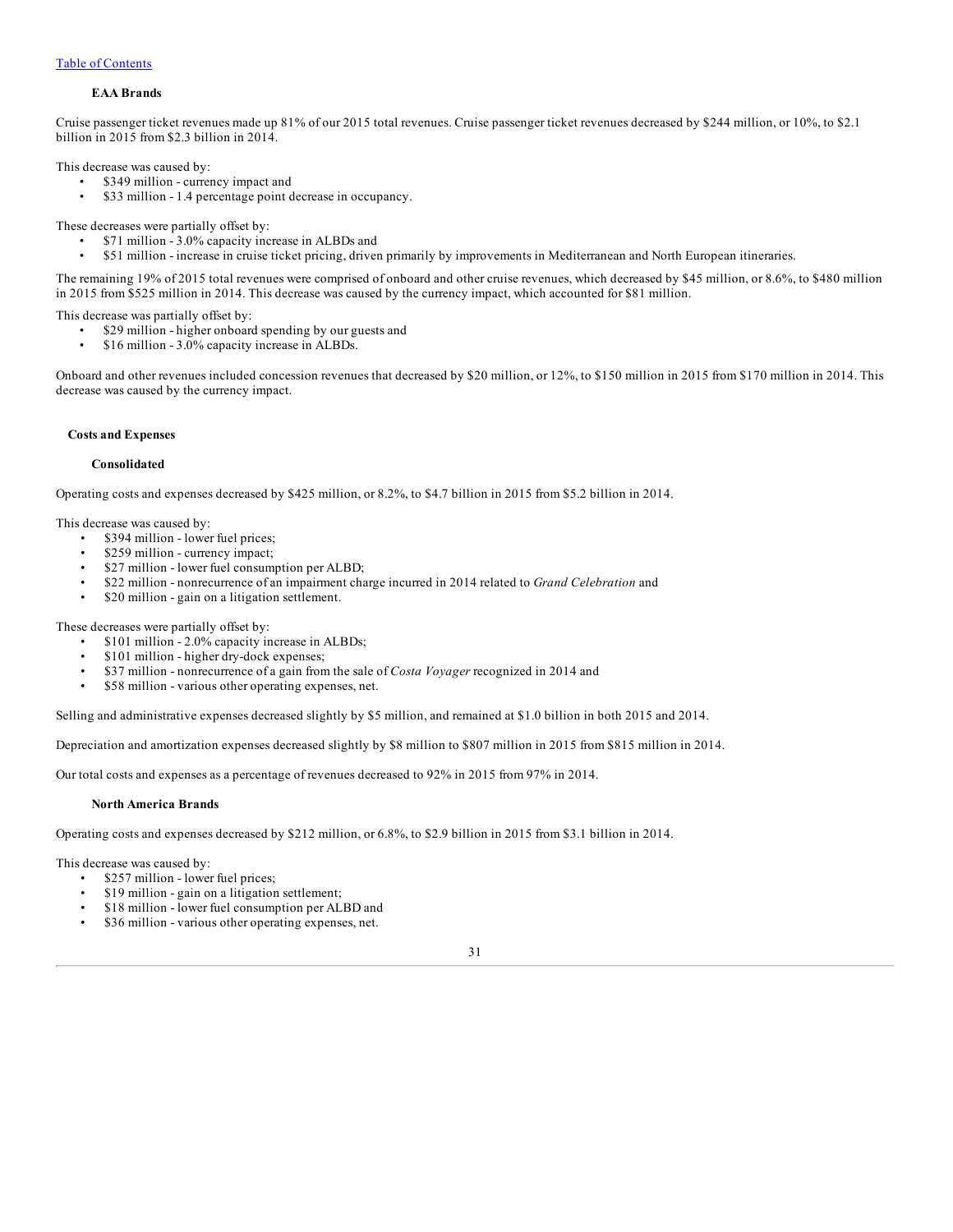## **EAA Brands**

Cruise passenger ticket revenues made up 81% of our 2015 total revenues. Cruise passenger ticket revenues decreased by \$244 million, or 10%, to \$2.1 billion in 2015 from \$2.3 billion in 2014.

This decrease was caused by:

- \$349 million currency impact and
- \$33 million 1.4 percentage point decrease in occupancy.

These decreases were partially offset by:

- \$71 million 3.0% capacity increase in ALBDs and
- \$51 million increase in cruise ticket pricing, driven primarily by improvements in Mediterranean and North European itineraries.

The remaining 19% of 2015 total revenues were comprised of onboard and other cruise revenues, which decreased by \$45 million, or 8.6%, to \$480 million in 2015 from \$525 million in 2014. This decrease was caused by the currency impact, which accounted for \$81 million.

This decrease was partially offset by:

- \$29 million higher onboard spending by our guests and
- \$16 million 3.0% capacity increase in ALBDs.

Onboard and other revenues included concession revenues that decreased by \$20 million, or 12%, to \$150 million in 2015 from \$170 million in 2014. This decrease was caused by the currency impact.

## **Costs and Expenses**

## **Consolidated**

Operating costs and expenses decreased by \$425 million, or 8.2%, to \$4.7 billion in 2015 from \$5.2 billion in 2014.

This decrease was caused by:

- \$394 million lower fuel prices;
- \$259 million currency impact;
- \$27 million lower fuel consumption per ALBD;
- \$22 million nonrecurrence of an impairment charge incurred in 2014 related to *Grand Celebration* and
- \$20 million gain on a litigation settlement.

These decreases were partially offset by:

- \$101 million 2.0% capacity increase in ALBDs;
- \$101 million higher dry-dock expenses;
- \$37 million nonrecurrence of a gain from the sale of *Costa Voyager* recognized in 2014 and
- \$58 million various other operating expenses, net.

Selling and administrative expenses decreased slightly by \$5 million, and remained at \$1.0 billion in both 2015 and 2014.

Depreciation and amortization expenses decreased slightly by \$8 million to \$807 million in 2015 from \$815 million in 2014.

Our total costs and expenses as a percentage of revenues decreased to 92% in 2015 from 97% in 2014.

## **North America Brands**

Operating costs and expenses decreased by \$212 million, or 6.8%, to \$2.9 billion in 2015 from \$3.1 billion in 2014.

This decrease was caused by:

- \$257 million lower fuel prices;
- \$19 million gain on a litigation settlement;
- \$18 million lower fuel consumption per ALBD and
- \$36 million various other operating expenses, net.

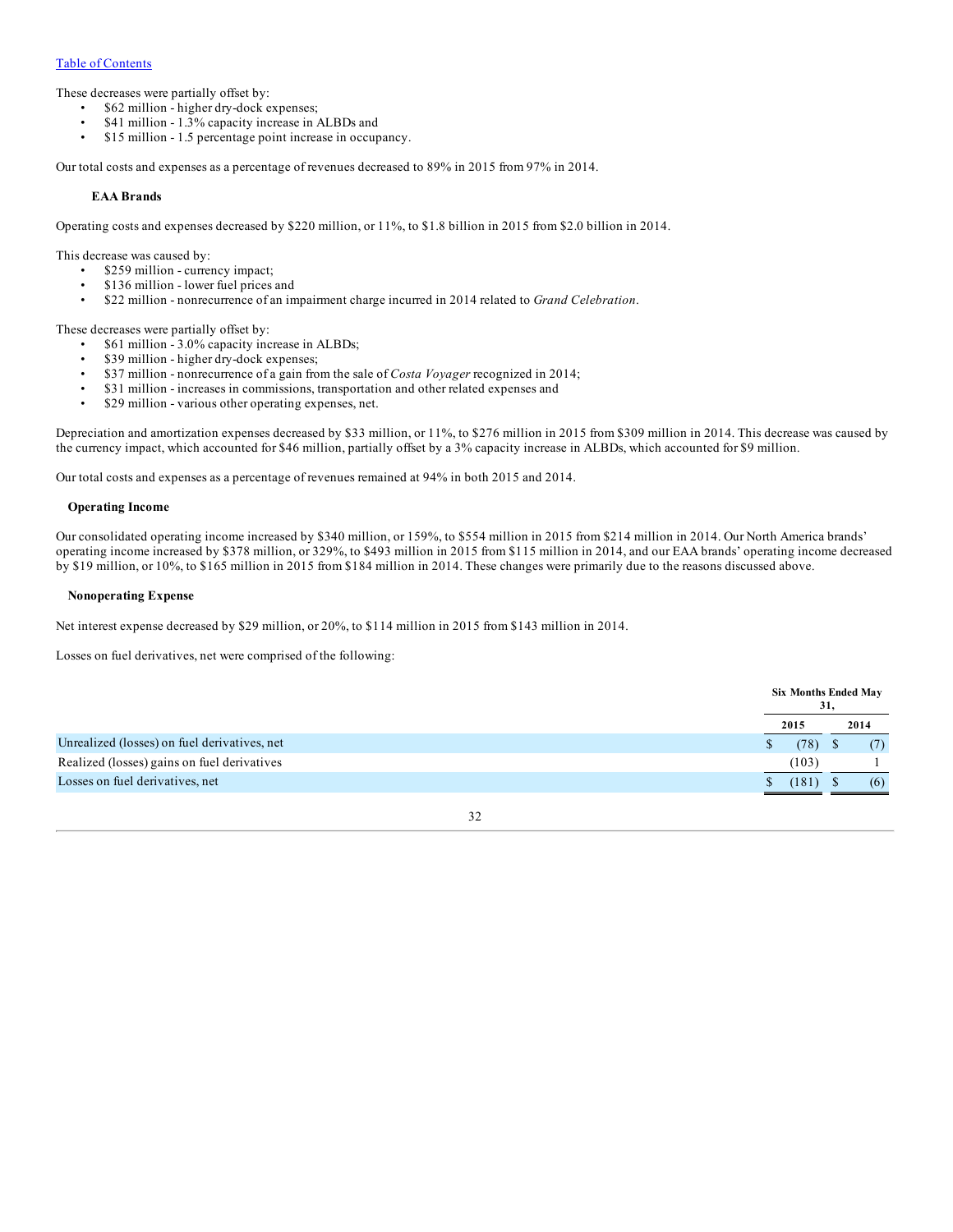These decreases were partially offset by:

- \$62 million higher dry-dock expenses;
- \$41 million 1.3% capacity increase in ALBDs and
- \$15 million 1.5 percentage point increase in occupancy.

Our total costs and expenses as a percentage of revenues decreased to 89% in 2015 from 97% in 2014.

## **EAA Brands**

Operating costs and expenses decreased by \$220 million, or 11%, to \$1.8 billion in 2015 from \$2.0 billion in 2014.

This decrease was caused by:

- \$259 million currency impact;
- \$136 million lower fuel prices and
- \$22 million nonrecurrence of an impairment charge incurred in 2014 related to *Grand Celebration*.

These decreases were partially offset by:

- \$61 million 3.0% capacity increase in ALBDs;
- \$39 million higher dry-dock expenses;
- \$37 million nonrecurrence of a gain from the sale of *Costa Voyager* recognized in 2014;
- \$31 million increases in commissions, transportation and other related expenses and
- \$29 million various other operating expenses, net.

Depreciation and amortization expenses decreased by \$33 million, or 11%, to \$276 million in 2015 from \$309 million in 2014. This decrease was caused by the currency impact, which accounted for \$46 million, partially offset by a 3% capacity increase in ALBDs, which accounted for \$9 million.

Our total costs and expenses as a percentage of revenues remained at 94% in both 2015 and 2014.

#### **Operating Income**

Our consolidated operating income increased by \$340 million, or 159%, to \$554 million in 2015 from \$214 million in 2014. Our North America brands' operating income increased by \$378 million, or 329%, to \$493 million in 2015 from \$115 million in 2014, and our EAA brands' operating income decreased by \$19 million, or 10%, to \$165 million in 2015 from \$184 million in 2014. These changes were primarily due to the reasons discussed above.

## **Nonoperating Expense**

Net interest expense decreased by \$29 million, or 20%, to \$114 million in 2015 from \$143 million in 2014.

Losses on fuel derivatives, net were comprised of the following:

|                                              |      | <b>Six Months Ended May</b> | 31, |      |
|----------------------------------------------|------|-----------------------------|-----|------|
|                                              | 2015 |                             |     | 2014 |
| Unrealized (losses) on fuel derivatives, net |      | (78)                        |     | (7)  |
| Realized (losses) gains on fuel derivatives  |      | (103)                       |     |      |
| Losses on fuel derivatives, net              |      | (181)                       |     | (6)  |

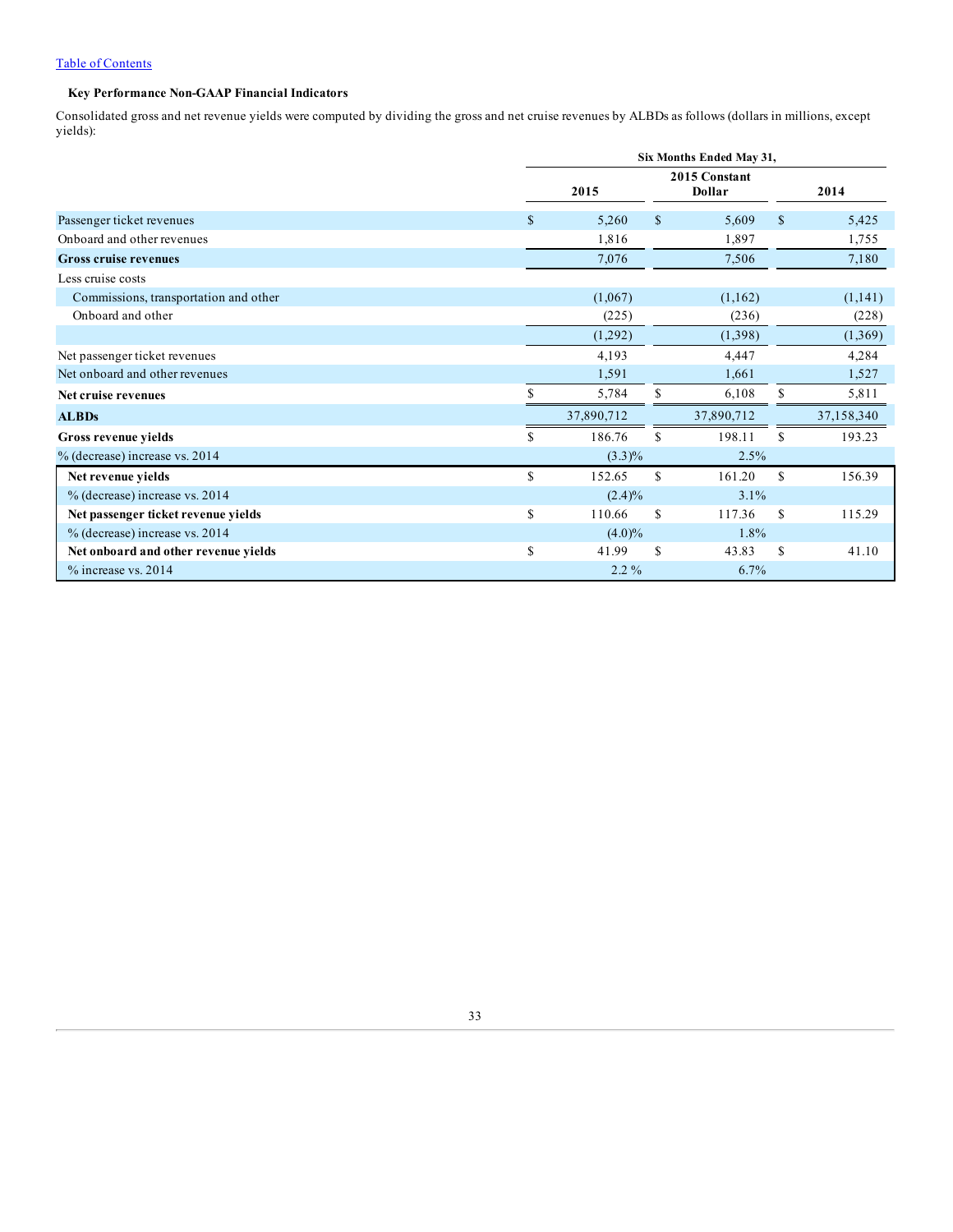# **Key Performance Non-GAAP Financial Indicators**

Consolidated gross and net revenue yields were computed by dividing the gross and net cruise revenues by ALBDs as follows (dollars in millions, except yields):

|                                       |     | Six Months Ended May 31, |            |                                |            |               |            |  |
|---------------------------------------|-----|--------------------------|------------|--------------------------------|------------|---------------|------------|--|
|                                       |     | 2015                     |            | 2015 Constant<br><b>Dollar</b> |            |               | 2014       |  |
| Passenger ticket revenues             | \$  |                          | 5,260      | $\mathbb{S}$                   | 5,609      | $\mathbf{s}$  | 5,425      |  |
| Onboard and other revenues            |     |                          | 1,816      |                                | 1,897      |               | 1,755      |  |
| <b>Gross cruise revenues</b>          |     |                          | 7,076      |                                | 7,506      |               | 7,180      |  |
| Less cruise costs                     |     |                          |            |                                |            |               |            |  |
| Commissions, transportation and other |     |                          | (1,067)    |                                | (1,162)    |               | (1,141)    |  |
| Onboard and other                     |     |                          | (225)      |                                | (236)      |               | (228)      |  |
|                                       |     |                          | (1,292)    |                                | (1, 398)   |               | (1,369)    |  |
| Net passenger ticket revenues         |     |                          | 4,193      |                                | 4,447      |               | 4,284      |  |
| Net onboard and other revenues        |     |                          | 1,591      |                                | 1,661      |               | 1,527      |  |
| Net cruise revenues                   | \$. |                          | 5,784      | \$                             | 6,108      | \$.           | 5,811      |  |
| <b>ALBDs</b>                          |     |                          | 37,890,712 |                                | 37,890,712 |               | 37,158,340 |  |
| Gross revenue yields                  | \$  |                          | 186.76     | \$.                            | 198.11     | $\mathcal{S}$ | 193.23     |  |
| % (decrease) increase vs. 2014        |     |                          | $(3.3)\%$  |                                | 2.5%       |               |            |  |
| Net revenue yields                    | \$  |                          | 152.65     | $\mathbf S$                    | 161.20     | $\mathbb{S}$  | 156.39     |  |
| % (decrease) increase vs. 2014        |     |                          | $(2.4)\%$  |                                | 3.1%       |               |            |  |
| Net passenger ticket revenue yields   | \$  |                          | 110.66     | S.                             | 117.36     | \$            | 115.29     |  |
| % (decrease) increase vs. 2014        |     |                          | $(4.0)\%$  |                                | 1.8%       |               |            |  |
| Net onboard and other revenue yields  | \$  |                          | 41.99      | \$                             | 43.83      | <sup>\$</sup> | 41.10      |  |
| $%$ increase vs. 2014                 |     |                          | $2.2\%$    |                                | 6.7%       |               |            |  |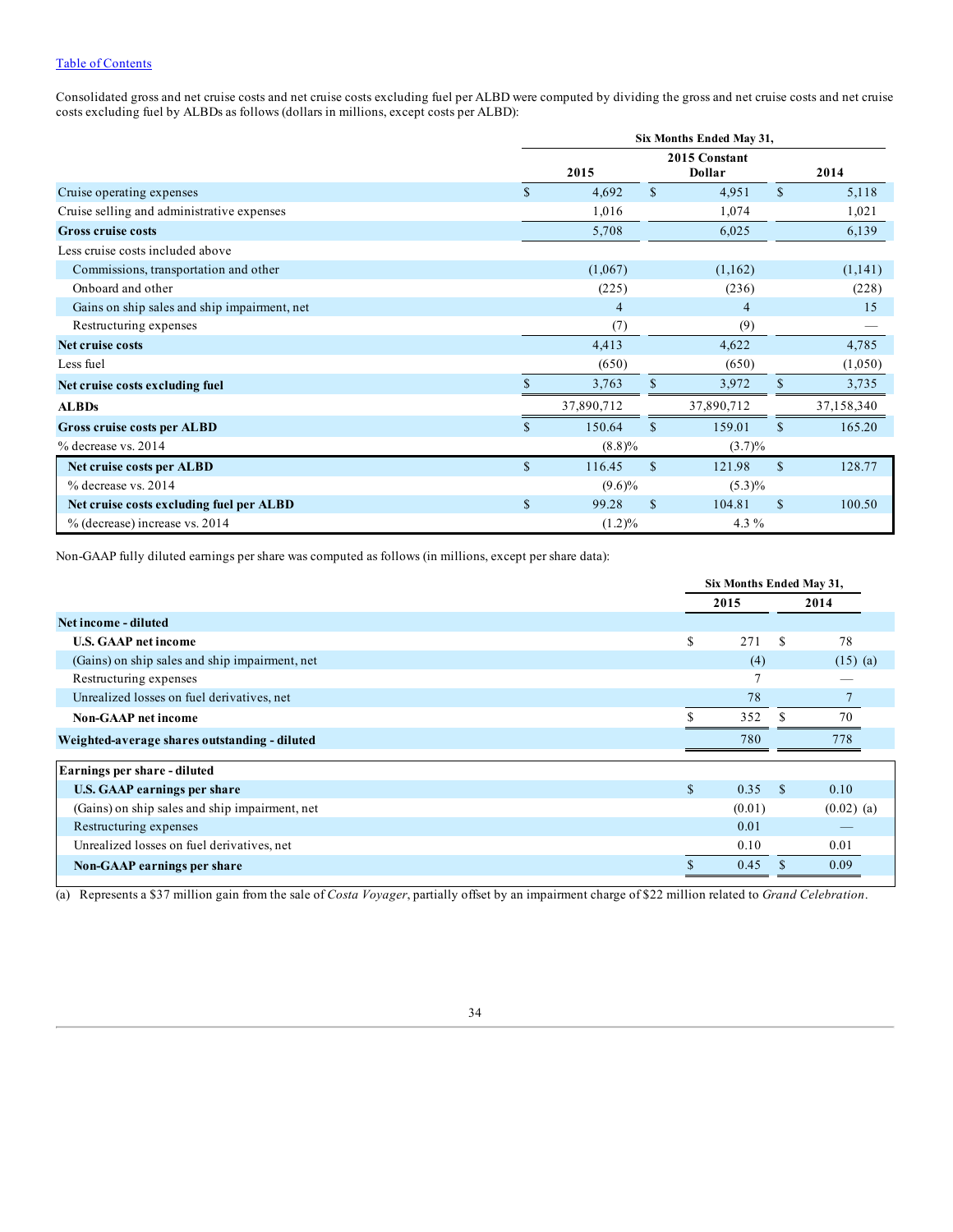Consolidated gross and net cruise costs and net cruise costs excluding fuel per ALBD were computed by dividing the gross and net cruise costs and net cruise costs excluding fuel by ALBDs as follows (dollars in millions, except costs per ALBD):

|                                              |              | Six Months Ended May 31, |               |                                |               |            |  |  |
|----------------------------------------------|--------------|--------------------------|---------------|--------------------------------|---------------|------------|--|--|
|                                              |              | 2015                     |               | 2015 Constant<br><b>Dollar</b> |               | 2014       |  |  |
| Cruise operating expenses                    | $\mathbb{S}$ | 4,692                    | \$            | 4,951                          | $\mathbb{S}$  | 5,118      |  |  |
| Cruise selling and administrative expenses   |              | 1,016                    |               | 1,074                          |               | 1,021      |  |  |
| <b>Gross cruise costs</b>                    |              | 5,708                    |               | 6,025                          |               | 6,139      |  |  |
| Less cruise costs included above             |              |                          |               |                                |               |            |  |  |
| Commissions, transportation and other        |              | (1,067)                  |               | (1,162)                        |               | (1,141)    |  |  |
| Onboard and other                            |              | (225)                    |               | (236)                          |               | (228)      |  |  |
| Gains on ship sales and ship impairment, net |              | $\overline{4}$           |               | 4                              |               | 15         |  |  |
| Restructuring expenses                       |              | (7)                      |               | (9)                            |               |            |  |  |
| <b>Net cruise costs</b>                      |              | 4,413                    |               | 4,622                          |               | 4,785      |  |  |
| Less fuel                                    |              | (650)                    |               | (650)                          |               | (1,050)    |  |  |
| Net cruise costs excluding fuel              | $\mathbf{s}$ | 3,763                    | $\mathbb{S}$  | 3,972                          | $\mathcal{S}$ | 3,735      |  |  |
| <b>ALBDs</b>                                 |              | 37,890,712               |               | 37,890,712                     |               | 37,158,340 |  |  |
| Gross cruise costs per ALBD                  | \$           | 150.64                   | $\mathcal{S}$ | 159.01                         | <sup>\$</sup> | 165.20     |  |  |
| $%$ decrease vs. 2014                        |              | $(8.8)\%$                |               | $(3.7)\%$                      |               |            |  |  |
| Net cruise costs per ALBD                    | $\mathbb{S}$ | 116.45                   | $\mathcal{S}$ | 121.98                         | $\mathcal{S}$ | 128.77     |  |  |
| $%$ decrease vs. 2014                        |              | $(9.6)\%$                |               | $(5.3)\%$                      |               |            |  |  |
| Net cruise costs excluding fuel per ALBD     | \$           | 99.28                    | $\mathbb{S}$  | 104.81                         | <sup>\$</sup> | 100.50     |  |  |
| % (decrease) increase vs. 2014               |              | $(1.2)\%$                |               | 4.3 $%$                        |               |            |  |  |

Non-GAAP fully diluted earnings per share was computed as follows (in millions, except per share data):

|                                                | Six Months Ended May 31, |        |     |              |
|------------------------------------------------|--------------------------|--------|-----|--------------|
|                                                | 2015                     |        |     | 2014         |
| Net income - diluted                           |                          |        |     |              |
| <b>U.S. GAAP net income</b>                    | \$                       | 271    | \$. | 78           |
| (Gains) on ship sales and ship impairment, net |                          | (4)    |     | $(15)$ (a)   |
| Restructuring expenses                         |                          | 7      |     |              |
| Unrealized losses on fuel derivatives, net     |                          | 78     |     |              |
| <b>Non-GAAP</b> net income                     |                          | 352    |     | 70           |
| Weighted-average shares outstanding - diluted  |                          | 780    |     | 778          |
| Earnings per share - diluted                   |                          |        |     |              |
| <b>U.S. GAAP earnings per share</b>            | $\mathbf{s}$             | 0.35   | -S  | 0.10         |
| (Gains) on ship sales and ship impairment, net |                          | (0.01) |     | $(0.02)$ (a) |
| Restructuring expenses                         |                          | 0.01   |     |              |
| Unrealized losses on fuel derivatives, net     |                          | 0.10   |     | 0.01         |
| Non-GAAP earnings per share                    |                          | 0.45   |     | 0.09         |

(a) Represents a \$37 million gain from the sale of *Costa Voyager*, partially offset by an impairment charge of \$22 million related to *Grand Celebration*.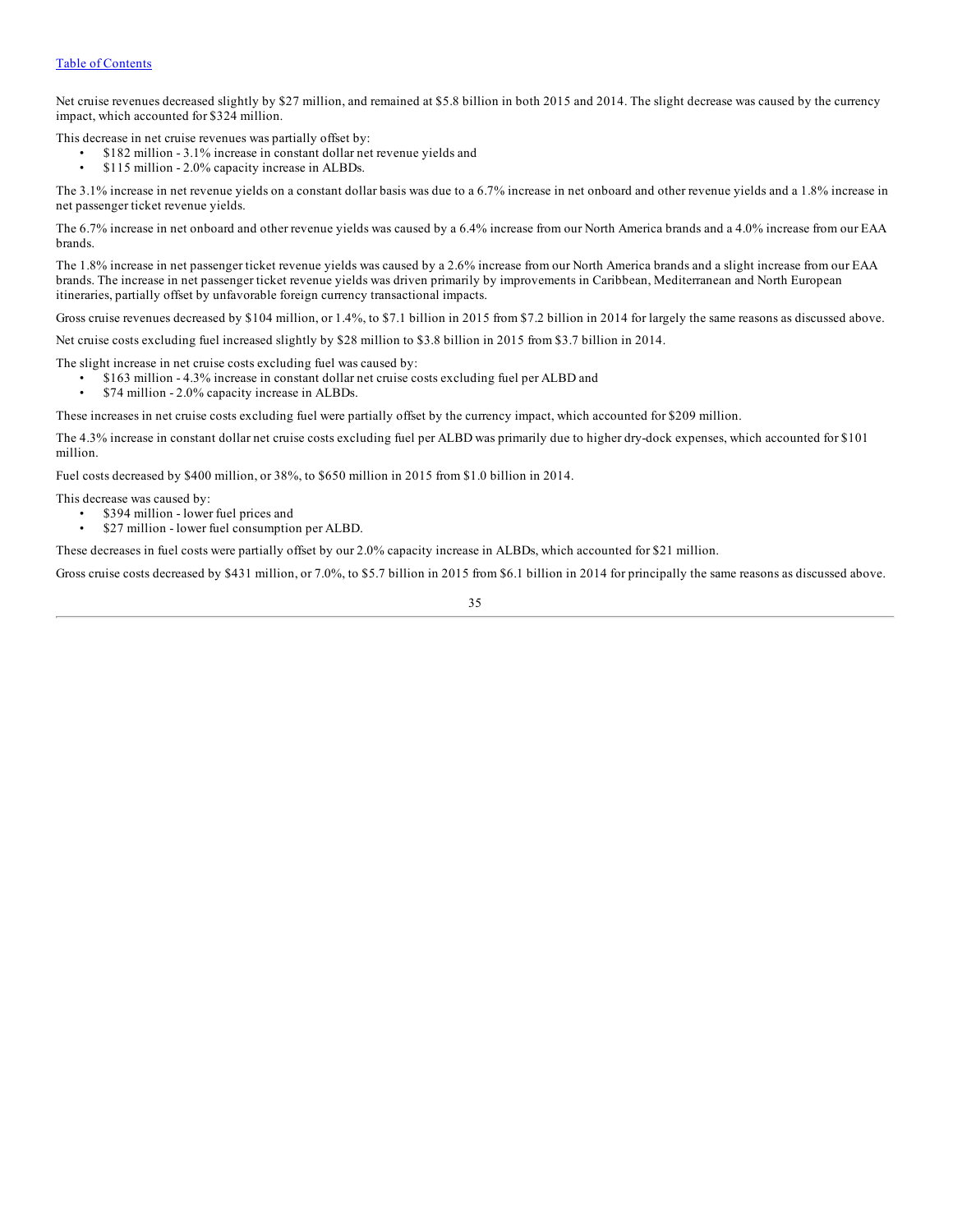Net cruise revenues decreased slightly by \$27 million, and remained at \$5.8 billion in both 2015 and 2014. The slight decrease was caused by the currency impact, which accounted for \$324 million.

This decrease in net cruise revenues was partially offset by:

- \$182 million 3.1% increase in constant dollar net revenue yields and
- \$115 million 2.0% capacity increase in ALBDs.

The 3.1% increase in net revenue yields on a constant dollar basis was due to a 6.7% increase in net onboard and other revenue yields and a 1.8% increase in net passenger ticket revenue yields.

The 6.7% increase in net onboard and other revenue yields was caused by a 6.4% increase from our North America brands and a 4.0% increase from our EAA brands.

The 1.8% increase in net passenger ticket revenue yields was caused by a 2.6% increase from our North America brands and a slight increase from our EAA brands. The increase in net passenger ticket revenue yields was driven primarily by improvements in Caribbean, Mediterranean and North European itineraries, partially offset by unfavorable foreign currency transactional impacts.

Gross cruise revenues decreased by \$104 million, or 1.4%, to \$7.1 billion in 2015 from \$7.2 billion in 2014 for largely the same reasons as discussed above.

Net cruise costs excluding fuel increased slightly by \$28 million to \$3.8 billion in 2015 from \$3.7 billion in 2014.

The slight increase in net cruise costs excluding fuel was caused by:

- \$163 million 4.3% increase in constant dollar net cruise costs excluding fuel per ALBD and
- \$74 million 2.0% capacity increase in ALBDs.

These increases in net cruise costs excluding fuel were partially offset by the currency impact, which accounted for \$209 million.

The 4.3% increase in constant dollar net cruise costs excluding fuel per ALBD was primarily due to higher dry-dock expenses, which accounted for \$101 million.

Fuel costs decreased by \$400 million, or 38%, to \$650 million in 2015 from \$1.0 billion in 2014.

This decrease was caused by:

- \$394 million lower fuel prices and
- \$27 million lower fuel consumption per ALBD.

These decreases in fuel costs were partially offset by our 2.0% capacity increase in ALBDs, which accounted for \$21 million.

Gross cruise costs decreased by \$431 million, or 7.0%, to \$5.7 billion in 2015 from \$6.1 billion in 2014 for principally the same reasons as discussed above.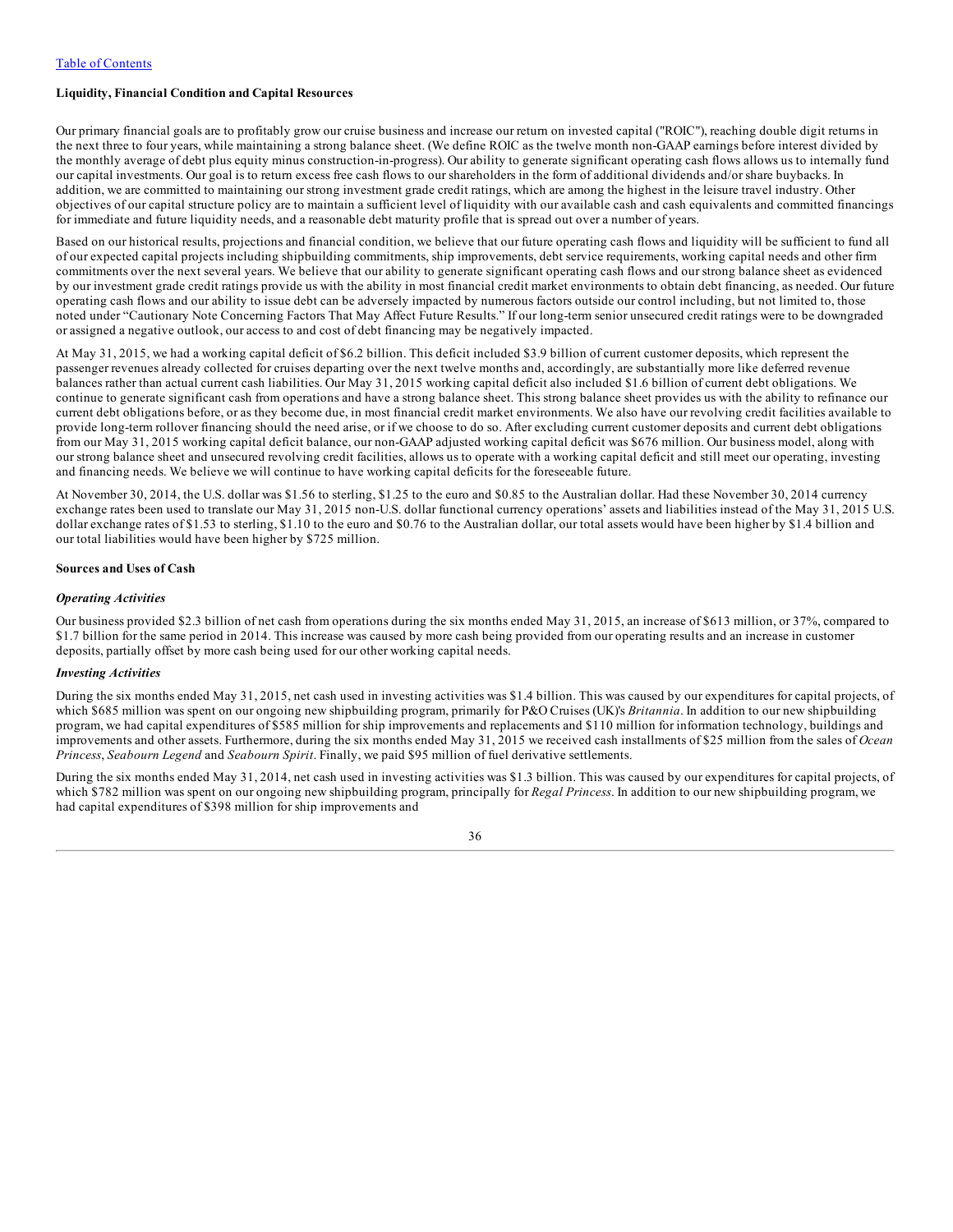#### **Liquidity, Financial Condition and Capital Resources**

Our primary financial goals are to profitably grow our cruise business and increase our return on invested capital ("ROIC"), reaching double digit returns in the next three to four years, while maintaining a strong balance sheet. (We define ROIC as the twelve month non-GAAP earnings before interest divided by the monthly average of debt plus equity minus construction-in-progress). Our ability to generate significant operating cash flows allows us to internally fund our capital investments. Our goal is to return excess free cash flows to our shareholders in the form of additional dividends and/or share buybacks. In addition, we are committed to maintaining our strong investment grade credit ratings, which are among the highest in the leisure travel industry. Other objectives of our capital structure policy are to maintain a sufficient level of liquidity with our available cash and cash equivalents and committed financings for immediate and future liquidity needs, and a reasonable debt maturity profile that is spread out over a number of years.

Based on our historical results, projections and financial condition, we believe that our future operating cash flows and liquidity will be sufficient to fund all of our expected capital projects including shipbuilding commitments, ship improvements, debt service requirements, working capital needs and other firm commitments over the next several years. We believe that our ability to generate significant operating cash flows and our strong balance sheet as evidenced by our investment grade credit ratings provide us with the ability in most financial credit market environments to obtain debt financing, as needed. Our future operating cash flows and our ability to issue debt can be adversely impacted by numerous factors outside our control including, but not limited to, those noted under "Cautionary Note Concerning Factors That May Affect Future Results." If our long-term senior unsecured credit ratings were to be downgraded or assigned a negative outlook, our access to and cost of debt financing may be negatively impacted.

At May 31, 2015, we had a working capital deficit of \$6.2 billion. This deficit included \$3.9 billion of current customer deposits, which represent the passenger revenues already collected for cruises departing over the next twelve months and, accordingly, are substantially more like deferred revenue balances rather than actual current cash liabilities. Our May 31, 2015 working capital deficit also included \$1.6 billion of current debt obligations. We continue to generate significant cash from operations and have a strong balance sheet. This strong balance sheet provides us with the ability to refinance our current debt obligations before, or as they become due, in most financial credit market environments. We also have our revolving credit facilities available to provide long-term rollover financing should the need arise, or if we choose to do so. After excluding current customer deposits and current debt obligations from our May 31, 2015 working capital deficit balance, our non-GAAP adjusted working capital deficit was \$676 million. Our business model, along with our strong balance sheet and unsecured revolving credit facilities, allows us to operate with a working capital deficit and still meet our operating, investing and financing needs. We believe we will continue to have working capital deficits for the foreseeable future.

At November 30, 2014, the U.S. dollar was \$1.56 to sterling, \$1.25 to the euro and \$0.85 to the Australian dollar. Had these November 30, 2014 currency exchange rates been used to translate our May 31, 2015 non-U.S. dollar functional currency operations' assets and liabilities instead of the May 31, 2015 U.S. dollar exchange rates of \$1.53 to sterling, \$1.10 to the euro and \$0.76 to the Australian dollar, our total assets would have been higher by \$1.4 billion and our total liabilities would have been higher by \$725 million.

#### **Sources and Uses of Cash**

#### *Operating Activities*

Our business provided \$2.3 billion of net cash from operations during the six months ended May 31, 2015, an increase of \$613 million, or 37%, compared to \$1.7 billion for the same period in 2014. This increase was caused by more cash being provided from our operating results and an increase in customer deposits, partially offset by more cash being used for our other working capital needs.

#### *Investing Activities*

During the six months ended May 31, 2015, net cash used in investing activities was \$1.4 billion. This was caused by our expenditures for capital projects, of which \$685 million was spent on our ongoing new shipbuilding program, primarily for P&O Cruises (UK)'s *Britannia*. In addition to our new shipbuilding program, we had capital expenditures of \$585 million for ship improvements and replacements and \$110 million for information technology, buildings and improvements and other assets. Furthermore, during the six months ended May 31, 2015 we received cash installments of \$25 million from the sales of *Ocean Princess*, *Seabourn Legend* and *Seabourn Spirit*. Finally, we paid \$95 million of fuel derivative settlements.

During the six months ended May 31, 2014, net cash used in investing activities was \$1.3 billion. This was caused by our expenditures for capital projects, of which \$782 million was spent on our ongoing new shipbuilding program, principally for *Regal Princess*. In addition to our new shipbuilding program, we had capital expenditures of \$398 million for ship improvements and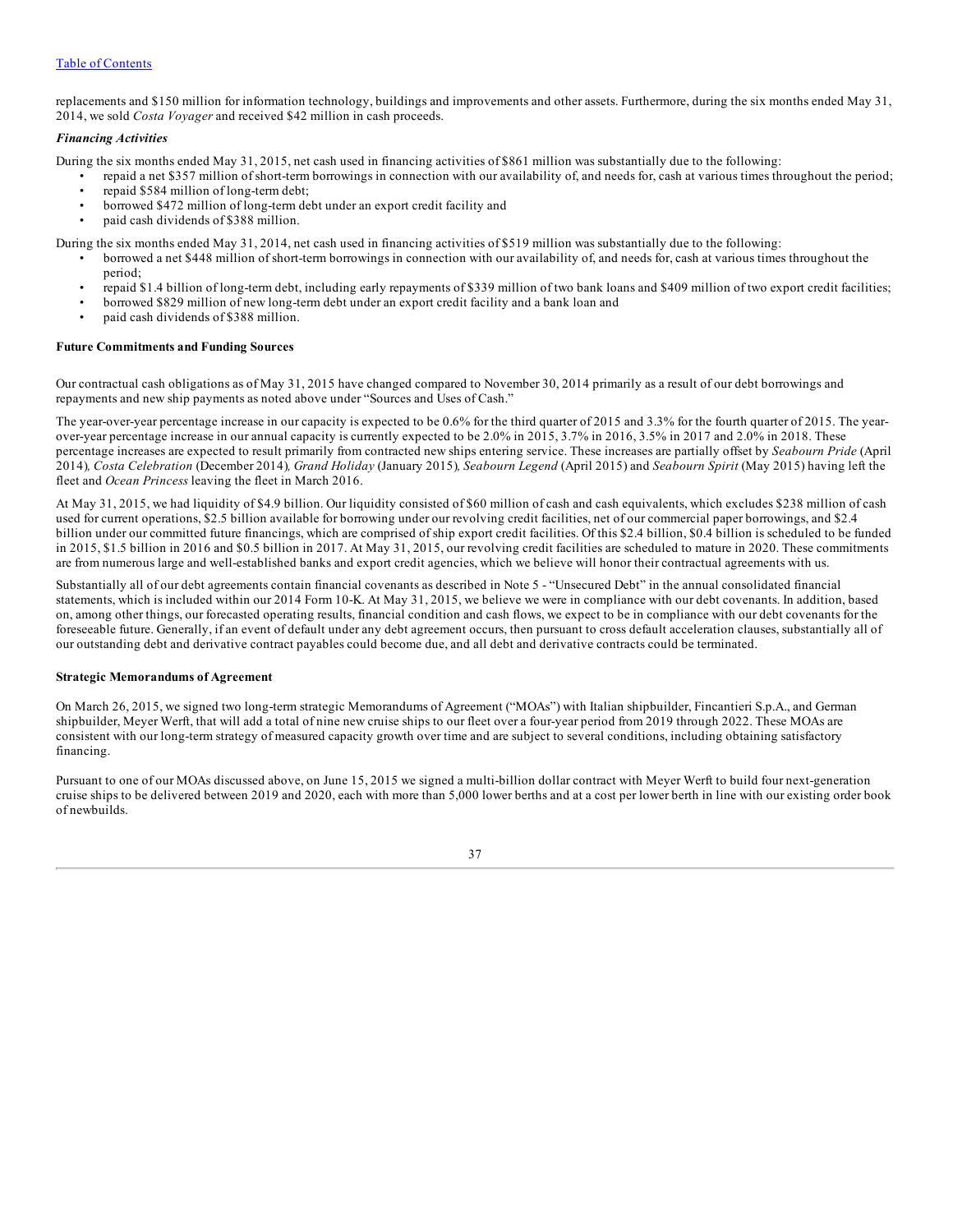replacements and \$150 million for information technology, buildings and improvements and other assets. Furthermore, during the six months ended May 31, 2014, we sold *Costa Voyager* and received \$42 million in cash proceeds.

### *Financing Activities*

During the six months ended May 31, 2015, net cash used in financing activities of \$861 million was substantially due to the following:

- repaid a net \$357 million of short-term borrowings in connection with our availability of, and needs for, cash at various times throughout the period; • repaid \$584 million of long-term debt;
- borrowed \$472 million of long-term debt under an export credit facility and
- paid cash dividends of \$388 million.

During the six months ended May 31, 2014, net cash used in financing activities of \$519 million was substantially due to the following:

- borrowed a net \$448 million of short-term borrowings in connection with our availability of, and needs for, cash at various times throughout the period;
- repaid \$1.4 billion of long-term debt, including early repayments of \$339 million of two bank loans and \$409 million of two export credit facilities;
- borrowed \$829 million of new long-term debt under an export credit facility and a bank loan and
- paid cash dividends of \$388 million.

#### **Future Commitments and Funding Sources**

Our contractual cash obligations as of May 31, 2015 have changed compared to November 30, 2014 primarily as a result of our debt borrowings and repayments and new ship payments as noted above under "Sources and Uses of Cash."

The year-over-year percentage increase in our capacity is expected to be 0.6% for the third quarter of 2015 and 3.3% for the fourth quarter of 2015. The yearover-year percentage increase in our annual capacity is currently expected to be 2.0% in 2015, 3.7% in 2016, 3.5% in 2017 and 2.0% in 2018. These percentage increases are expected to result primarily from contracted new ships entering service. These increases are partially offset by *Seabourn Pride* (April 2014)*, Costa Celebration* (December 2014)*, Grand Holiday* (January 2015)*, Seabourn Legend* (April 2015) and *Seabourn Spirit* (May 2015) having left the fleet and *Ocean Princess* leaving the fleet in March 2016.

At May 31, 2015, we had liquidity of \$4.9 billion. Our liquidity consisted of \$60 million of cash and cash equivalents, which excludes \$238 million of cash used for current operations, \$2.5 billion available for borrowing under our revolving credit facilities, net of our commercial paper borrowings, and \$2.4 billion under our committed future financings, which are comprised of ship export credit facilities. Of this \$2.4 billion, \$0.4 billion is scheduled to be funded in 2015, \$1.5 billion in 2016 and \$0.5 billion in 2017. At May 31, 2015, our revolving credit facilities are scheduled to mature in 2020. These commitments are from numerous large and well-established banks and export credit agencies, which we believe will honor their contractual agreements with us.

Substantially all of our debt agreements contain financial covenants as described in Note 5 - "Unsecured Debt" in the annual consolidated financial statements, which is included within our 2014 Form 10-K. At May 31, 2015, we believe we were in compliance with our debt covenants. In addition, based on, among other things, our forecasted operating results, financial condition and cash flows, we expect to be in compliance with our debt covenants for the foreseeable future. Generally, if an event of default under any debt agreement occurs, then pursuant to cross default acceleration clauses, substantially all of our outstanding debt and derivative contract payables could become due, and all debt and derivative contracts could be terminated.

#### **Strategic Memorandums of Agreement**

On March 26, 2015, we signed two long-term strategic Memorandums of Agreement ("MOAs") with Italian shipbuilder, Fincantieri S.p.A., and German shipbuilder, Meyer Werft, that will add a total of nine new cruise ships to our fleet over a four-year period from 2019 through 2022. These MOAs are consistent with our long-term strategy of measured capacity growth over time and are subject to several conditions, including obtaining satisfactory financing.

Pursuant to one of our MOAs discussed above, on June 15, 2015 we signed a multi-billion dollar contract with Meyer Werft to build four next-generation cruise ships to be delivered between 2019 and 2020, each with more than 5,000 lower berths and at a cost per lower berth in line with our existing order book of newbuilds.

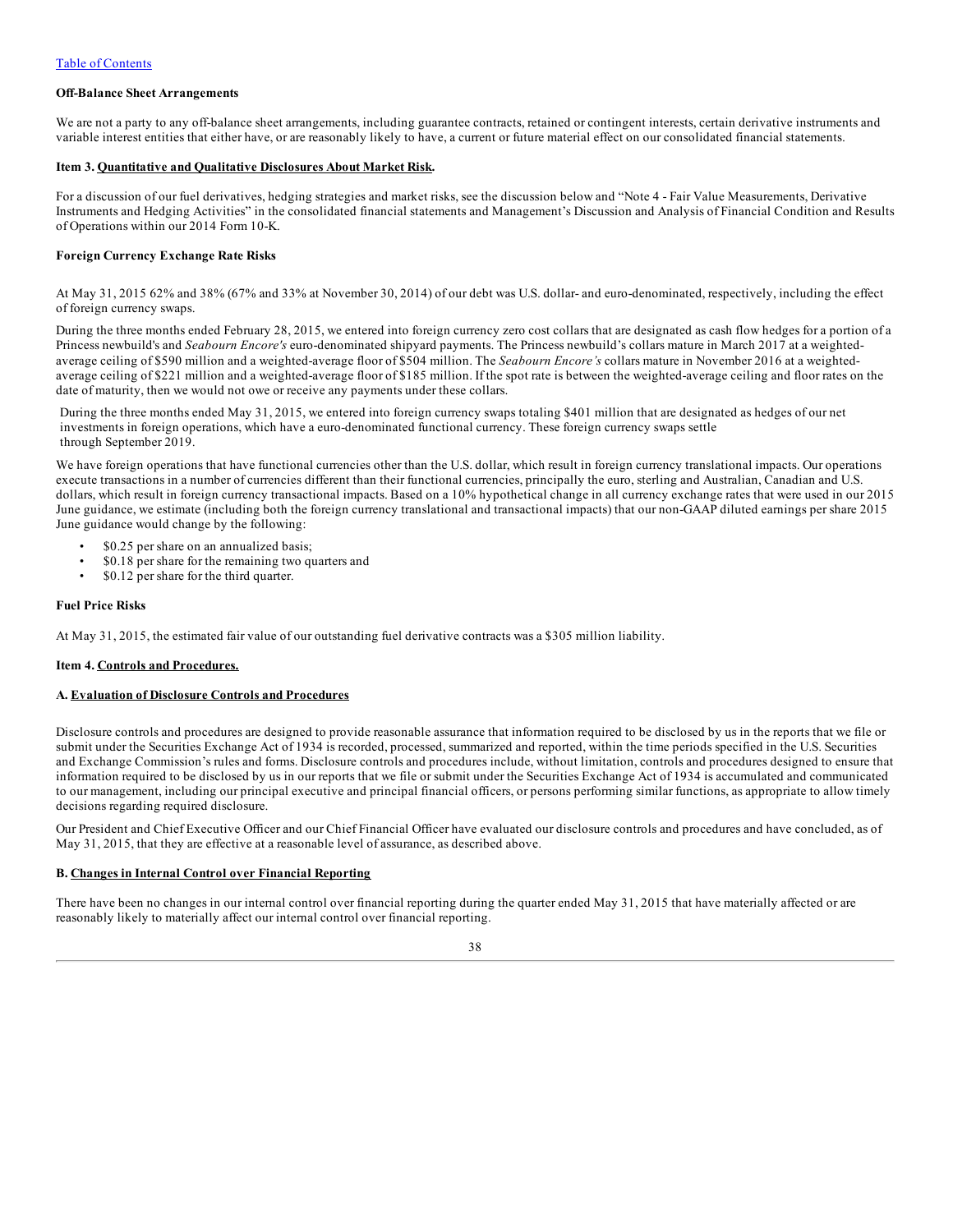#### <span id="page-38-0"></span>**Off-Balance Sheet Arrangements**

We are not a party to any off-balance sheet arrangements, including guarantee contracts, retained or contingent interests, certain derivative instruments and variable interest entities that either have, or are reasonably likely to have, a current or future material effect on our consolidated financial statements.

#### **Item 3. Quantitative and Qualitative Disclosures About Market Risk.**

For a discussion of our fuel derivatives, hedging strategies and market risks, see the discussion below and "Note 4 - Fair Value Measurements, Derivative Instruments and Hedging Activities" in the consolidated financial statements and Management's Discussion and Analysis of Financial Condition and Results of Operations within our 2014 Form 10-K.

#### **Foreign Currency Exchange Rate Risks**

At May 31, 2015 62% and 38% (67% and 33% at November 30, 2014) of our debt was U.S. dollar- and euro-denominated, respectively, including the effect of foreign currency swaps.

During the three months ended February 28, 2015, we entered into foreign currency zero cost collars that are designated as cash flow hedges for a portion of a Princess newbuild's and *Seabourn Encore's* euro-denominated shipyard payments. The Princess newbuild's collars mature in March 2017 at a weightedaverage ceiling of \$590 million and a weighted-average floor of \$504 million. The *Seabourn Encore's* collars mature in November 2016 at a weightedaverage ceiling of \$221 million and a weighted-average floor of \$185 million. If the spot rate is between the weighted-average ceiling and floor rates on the date of maturity, then we would not owe or receive any payments under these collars.

During the three months ended May 31, 2015, we entered into foreign currency swaps totaling \$401 million that are designated as hedges of our net investments in foreign operations, which have a euro-denominated functional currency. These foreign currency swaps settle through September 2019.

We have foreign operations that have functional currencies other than the U.S. dollar, which result in foreign currency translational impacts. Our operations execute transactions in a number of currencies different than their functional currencies, principally the euro, sterling and Australian, Canadian and U.S. dollars, which result in foreign currency transactional impacts. Based on a 10% hypothetical change in all currency exchange rates that were used in our 2015 June guidance, we estimate (including both the foreign currency translational and transactional impacts) that our non-GAAP diluted earnings per share 2015 June guidance would change by the following:

- \$0.25 per share on an annualized basis;
- \$0.18 per share for the remaining two quarters and
- \$0.12 per share for the third quarter.

#### **Fuel Price Risks**

At May 31, 2015, the estimated fair value of our outstanding fuel derivative contracts was a \$305 million liability.

#### **Item 4. Controls and Procedures.**

#### **A. Evaluation of Disclosure Controls and Procedures**

Disclosure controls and procedures are designed to provide reasonable assurance that information required to be disclosed by us in the reports that we file or submit under the Securities Exchange Act of 1934 is recorded, processed, summarized and reported, within the time periods specified in the U.S. Securities and Exchange Commission's rules and forms. Disclosure controls and procedures include, without limitation, controls and procedures designed to ensure that information required to be disclosed by us in our reports that we file or submit under the Securities Exchange Act of 1934 is accumulated and communicated to our management, including our principal executive and principal financial officers, or persons performing similar functions, as appropriate to allow timely decisions regarding required disclosure.

Our President and Chief Executive Officer and our Chief Financial Officer have evaluated our disclosure controls and procedures and have concluded, as of May 31, 2015, that they are effective at a reasonable level of assurance, as described above.

#### **B. Changes in Internal Control over Financial Reporting**

There have been no changes in our internal control over financial reporting during the quarter ended May 31, 2015 that have materially affected or are reasonably likely to materially affect our internal control over financial reporting.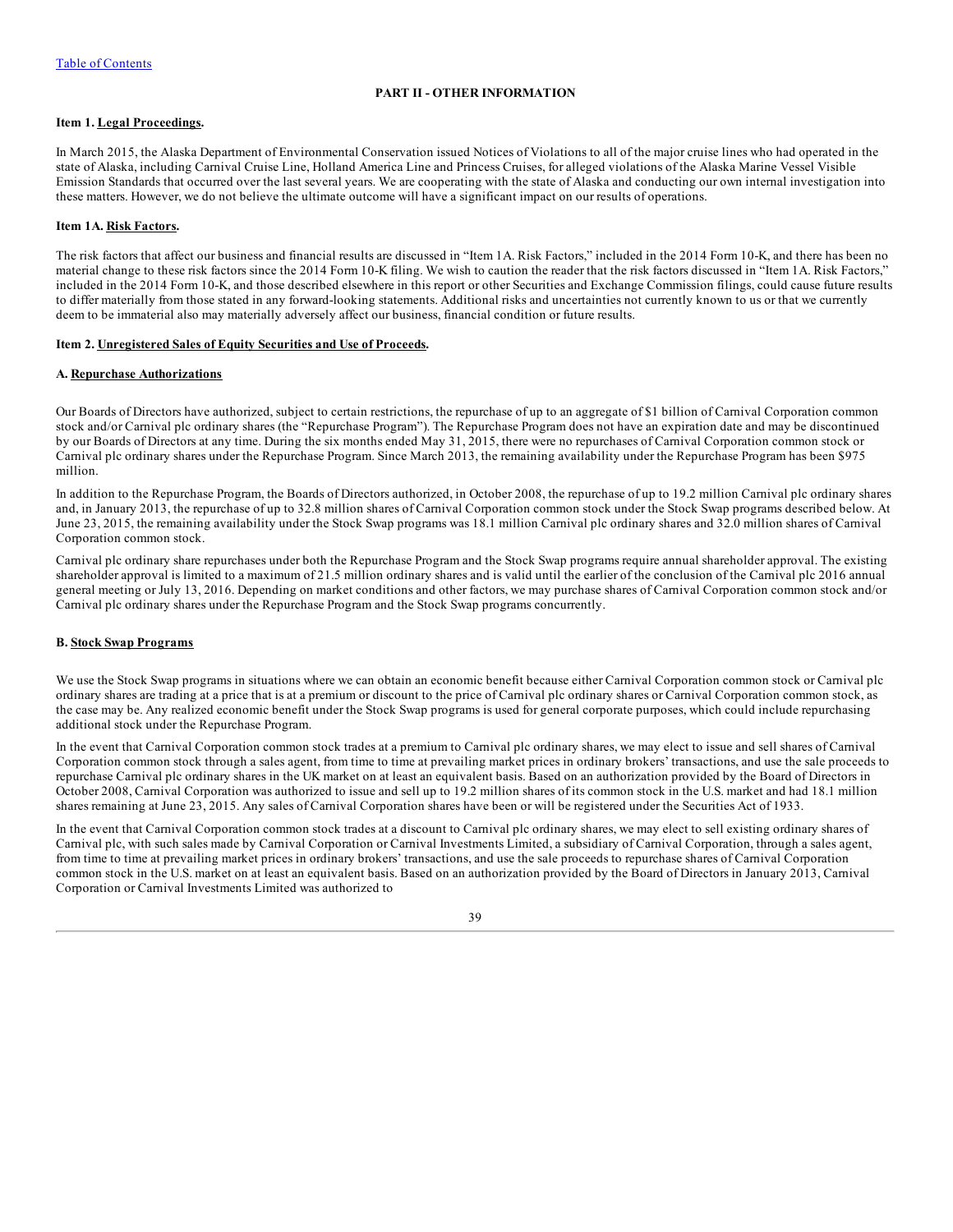## **PART II - OTHER INFORMATION**

## <span id="page-39-0"></span>**Item 1. Legal Proceedings.**

In March 2015, the Alaska Department of Environmental Conservation issued Notices of Violations to all of the major cruise lines who had operated in the state of Alaska, including Carnival Cruise Line, Holland America Line and Princess Cruises, for alleged violations of the Alaska Marine Vessel Visible Emission Standards that occurred over the last several years. We are cooperating with the state of Alaska and conducting our own internal investigation into these matters. However, we do not believe the ultimate outcome will have a significant impact on our results of operations.

#### **Item 1A. Risk Factors.**

The risk factors that affect our business and financial results are discussed in "Item 1A. Risk Factors," included in the 2014 Form 10-K, and there has been no material change to these risk factors since the 2014 Form 10-K filing. We wish to caution the reader that the risk factors discussed in "Item 1A. Risk Factors," included in the 2014 Form 10-K, and those described elsewhere in this report or other Securities and Exchange Commission filings, could cause future results to differ materially from those stated in any forward-looking statements. Additional risks and uncertainties not currently known to us or that we currently deem to be immaterial also may materially adversely affect our business, financial condition or future results.

#### **Item 2. Unregistered Sales of Equity Securities and Use of Proceeds.**

#### **A. Repurchase Authorizations**

Our Boards of Directors have authorized, subject to certain restrictions, the repurchase of up to an aggregate of \$1 billion of Carnival Corporation common stock and/or Carnival plc ordinary shares (the "Repurchase Program"). The Repurchase Program does not have an expiration date and may be discontinued by our Boards of Directors at any time. During the six months ended May 31, 2015, there were no repurchases of Carnival Corporation common stock or Carnival plc ordinary shares under the Repurchase Program. Since March 2013, the remaining availability under the Repurchase Program has been \$975 million.

In addition to the Repurchase Program, the Boards of Directors authorized, in October 2008, the repurchase of up to 19.2 million Carnival plc ordinary shares and, in January 2013, the repurchase of up to 32.8 million shares of Carnival Corporation common stock under the Stock Swap programs described below. At June 23, 2015, the remaining availability under the Stock Swap programs was 18.1 million Carnival plc ordinary shares and 32.0 million shares of Carnival Corporation common stock.

Carnival plc ordinary share repurchases under both the Repurchase Program and the Stock Swap programs require annual shareholder approval. The existing shareholder approval is limited to a maximum of 21.5 million ordinary shares and is valid until the earlier of the conclusion of the Carnival plc 2016 annual general meeting or July 13, 2016. Depending on market conditions and other factors, we may purchase shares of Carnival Corporation common stock and/or Carnival plc ordinary shares under the Repurchase Program and the Stock Swap programs concurrently.

#### **B. Stock Swap Programs**

We use the Stock Swap programs in situations where we can obtain an economic benefit because either Carnival Corporation common stock or Carnival plc ordinary shares are trading at a price that is at a premium or discount to the price of Carnival plc ordinary shares or Carnival Corporation common stock, as the case may be. Any realized economic benefit under the Stock Swap programs is used for general corporate purposes, which could include repurchasing additional stock under the Repurchase Program.

In the event that Carnival Corporation common stock trades at a premium to Carnival plc ordinary shares, we may elect to issue and sell shares of Carnival Corporation common stock through a sales agent, from time to time at prevailing market prices in ordinary brokers' transactions, and use the sale proceeds to repurchase Carnival plc ordinary shares in the UK market on at least an equivalent basis. Based on an authorization provided by the Board of Directors in October 2008, Carnival Corporation was authorized to issue and sell up to 19.2 million shares of its common stock in the U.S. market and had 18.1 million shares remaining at June 23, 2015. Any sales of Carnival Corporation shares have been or will be registered under the Securities Act of 1933.

In the event that Carnival Corporation common stock trades at a discount to Carnival plc ordinary shares, we may elect to sell existing ordinary shares of Carnival plc, with such sales made by Carnival Corporation or Carnival Investments Limited, a subsidiary of Carnival Corporation, through a sales agent, from time to time at prevailing market prices in ordinary brokers' transactions, and use the sale proceeds to repurchase shares of Carnival Corporation common stock in the U.S. market on at least an equivalent basis. Based on an authorization provided by the Board of Directors in January 2013, Carnival Corporation or Carnival Investments Limited was authorized to

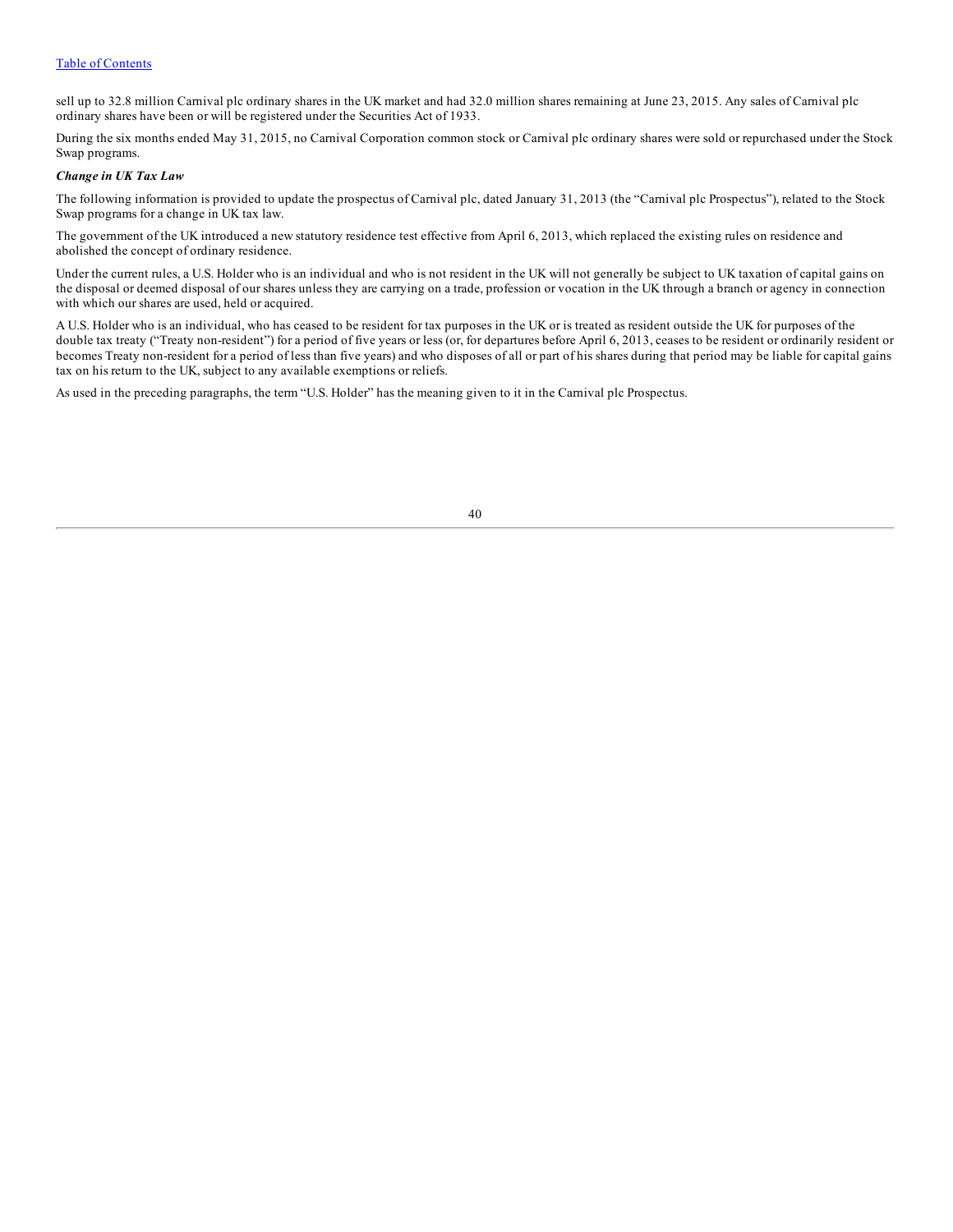## <span id="page-40-0"></span>Table of [Contents](#page-1-0)

sell up to 32.8 million Carnival plc ordinary shares in the UK market and had 32.0 million shares remaining at June 23, 2015. Any sales of Carnival plc ordinary shares have been or will be registered under the Securities Act of 1933.

During the six months ended May 31, 2015, no Carnival Corporation common stock or Carnival plc ordinary shares were sold or repurchased under the Stock Swap programs.

### *Change in UK Tax Law*

The following information is provided to update the prospectus of Carnival plc, dated January 31, 2013 (the "Carnival plc Prospectus"), related to the Stock Swap programs for a change in UK tax law.

The government of the UK introduced a new statutory residence test effective from April 6, 2013, which replaced the existing rules on residence and abolished the concept of ordinary residence.

Under the current rules, a U.S. Holder who is an individual and who is not resident in the UK will not generally be subject to UK taxation of capital gains on the disposal or deemed disposal of our shares unless they are carrying on a trade, profession or vocation in the UK through a branch or agency in connection with which our shares are used, held or acquired.

A U.S. Holder who is an individual, who has ceased to be resident for tax purposes in the UK or is treated as resident outside the UK for purposes of the double tax treaty ("Treaty non-resident") for a period of five years or less (or, for departures before April 6, 2013, ceases to be resident or ordinarily resident or becomes Treaty non-resident for a period of less than five years) and who disposes of all or part of his shares during that period may be liable for capital gains tax on his return to the UK, subject to any available exemptions or reliefs.

As used in the preceding paragraphs, the term "U.S. Holder" has the meaning given to it in the Carnival plc Prospectus.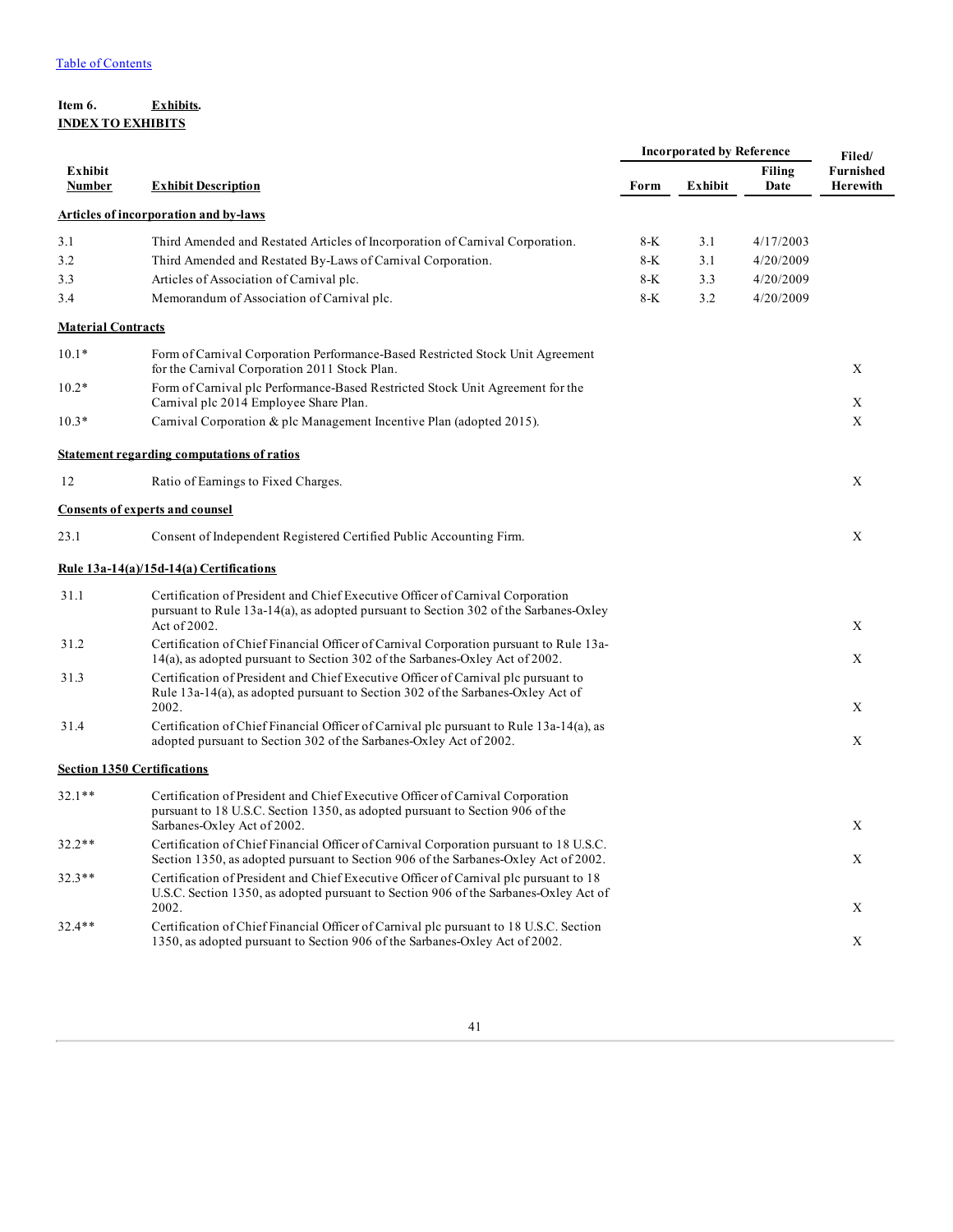# **Item 6. Exhibits. INDEX TO EXHIBITS**

|                                    |                                                                                                                                                                                                              | <b>Incorporated by Reference</b> |         |                | Filed/                              |
|------------------------------------|--------------------------------------------------------------------------------------------------------------------------------------------------------------------------------------------------------------|----------------------------------|---------|----------------|-------------------------------------|
| <b>Exhibit</b><br><b>Number</b>    | <b>Exhibit Description</b>                                                                                                                                                                                   | Form                             | Exhibit | Filing<br>Date | <b>Furnished</b><br><b>Herewith</b> |
|                                    | Articles of incorporation and by-laws                                                                                                                                                                        |                                  |         |                |                                     |
| 3.1                                | Third Amended and Restated Articles of Incorporation of Carnival Corporation.                                                                                                                                | 8-K                              | 3.1     | 4/17/2003      |                                     |
| 3.2                                | Third Amended and Restated By-Laws of Carnival Corporation.                                                                                                                                                  | $8-K$                            | 3.1     | 4/20/2009      |                                     |
| 3.3                                | Articles of Association of Carnival plc.                                                                                                                                                                     | $8-K$                            | 3.3     | 4/20/2009      |                                     |
| 3.4                                | Memorandum of Association of Carnival plc.                                                                                                                                                                   | $8-K$                            | 3.2     | 4/20/2009      |                                     |
| <b>Material Contracts</b>          |                                                                                                                                                                                                              |                                  |         |                |                                     |
| $10.1*$                            | Form of Carnival Corporation Performance-Based Restricted Stock Unit Agreement<br>for the Carnival Corporation 2011 Stock Plan.                                                                              |                                  |         |                | X                                   |
| $10.2*$                            | Form of Carnival plc Performance-Based Restricted Stock Unit Agreement for the<br>Carnival plc 2014 Employee Share Plan.                                                                                     |                                  |         |                | X                                   |
| $10.3*$                            | Carnival Corporation & plc Management Incentive Plan (adopted 2015).                                                                                                                                         |                                  |         |                | $\mathbf X$                         |
|                                    | Statement regarding computations of ratios                                                                                                                                                                   |                                  |         |                |                                     |
| 12                                 | Ratio of Earnings to Fixed Charges.                                                                                                                                                                          |                                  |         |                | $\mathbf X$                         |
|                                    | Consents of experts and counsel                                                                                                                                                                              |                                  |         |                |                                     |
| 23.1                               | Consent of Independent Registered Certified Public Accounting Firm.                                                                                                                                          |                                  |         |                | X                                   |
|                                    | Rule 13a-14(a)/15d-14(a) Certifications                                                                                                                                                                      |                                  |         |                |                                     |
| 31.1                               | Certification of President and Chief Executive Officer of Carnival Corporation<br>pursuant to Rule 13a-14(a), as adopted pursuant to Section 302 of the Sarbanes-Oxley<br>Act of 2002.                       |                                  |         |                | X                                   |
| 31.2                               | Certification of Chief Financial Officer of Carnival Corporation pursuant to Rule 13a-<br>14(a), as adopted pursuant to Section 302 of the Sarbanes-Oxley Act of 2002.                                       |                                  |         |                | X                                   |
| 31.3                               | Certification of President and Chief Executive Officer of Carnival plc pursuant to<br>Rule 13a-14(a), as adopted pursuant to Section 302 of the Sarbanes-Oxley Act of<br>2002.                               |                                  |         |                | X                                   |
| 31.4                               | Certification of Chief Financial Officer of Carnival plc pursuant to Rule 13a-14(a), as<br>adopted pursuant to Section 302 of the Sarbanes-Oxley Act of 2002.                                                |                                  |         |                | X                                   |
| <b>Section 1350 Certifications</b> |                                                                                                                                                                                                              |                                  |         |                |                                     |
| $32.1**$                           | Certification of President and Chief Executive Officer of Carnival Corporation<br>pursuant to 18 U.S.C. Section 1350, as adopted pursuant to Section 906 of the                                              |                                  |         |                | X                                   |
| 32.2**                             | Sarbanes-Oxley Act of 2002.<br>Certification of Chief Financial Officer of Carnival Corporation pursuant to 18 U.S.C.<br>Section 1350, as adopted pursuant to Section 906 of the Sarbanes-Oxley Act of 2002. |                                  |         |                | X                                   |
| $32.3**$                           | Certification of President and Chief Executive Officer of Carnival plc pursuant to 18<br>U.S.C. Section 1350, as adopted pursuant to Section 906 of the Sarbanes-Oxley Act of<br>2002.                       |                                  |         |                | X                                   |
| $32.4**$                           | Certification of Chief Financial Officer of Carnival plc pursuant to 18 U.S.C. Section<br>1350, as adopted pursuant to Section 906 of the Sarbanes-Oxley Act of 2002.                                        |                                  |         |                | X                                   |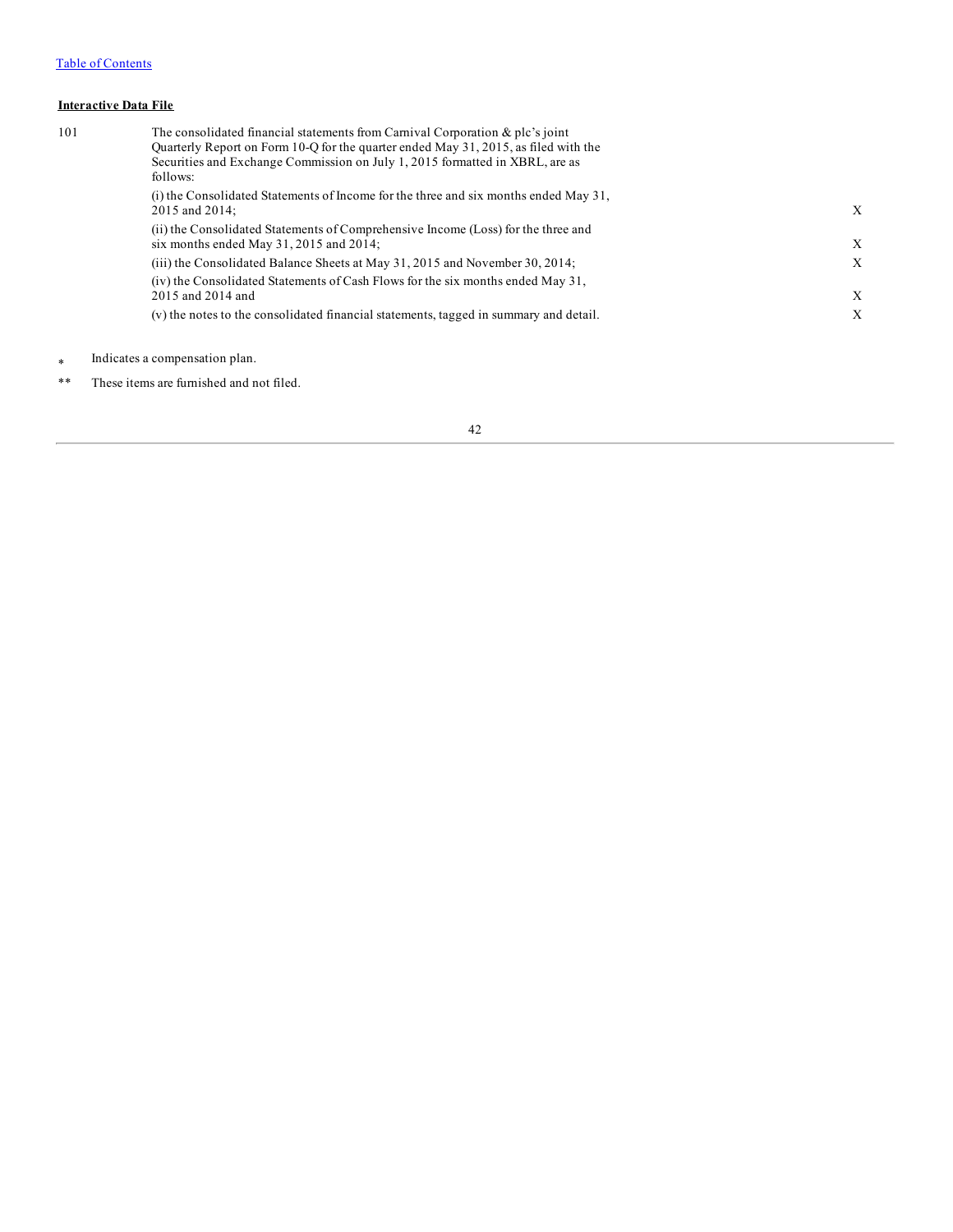# <span id="page-42-0"></span>**Interactive Data File**

| 101 | The consolidated financial statements from Carnival Corporation & plc's joint<br>Quarterly Report on Form 10-Q for the quarter ended May 31, 2015, as filed with the<br>Securities and Exchange Commission on July 1, 2015 formatted in XBRL, are as<br>follows: |   |
|-----|------------------------------------------------------------------------------------------------------------------------------------------------------------------------------------------------------------------------------------------------------------------|---|
|     | (i) the Consolidated Statements of Income for the three and six months ended May 31,<br>2015 and 2014;                                                                                                                                                           | X |
|     | (ii) the Consolidated Statements of Comprehensive Income (Loss) for the three and<br>six months ended May $31, 2015$ and $2014$ ;                                                                                                                                | X |
|     | (iii) the Consolidated Balance Sheets at May 31, 2015 and November 30, 2014;                                                                                                                                                                                     | X |
|     | (iv) the Consolidated Statements of Cash Flows for the six months ended May 31,<br>2015 and 2014 and                                                                                                                                                             | X |
|     | (v) the notes to the consolidated financial statements, tagged in summary and detail.                                                                                                                                                                            | X |

- \* Indicates a compensation plan.
- \*\* These items are furnished and not filed.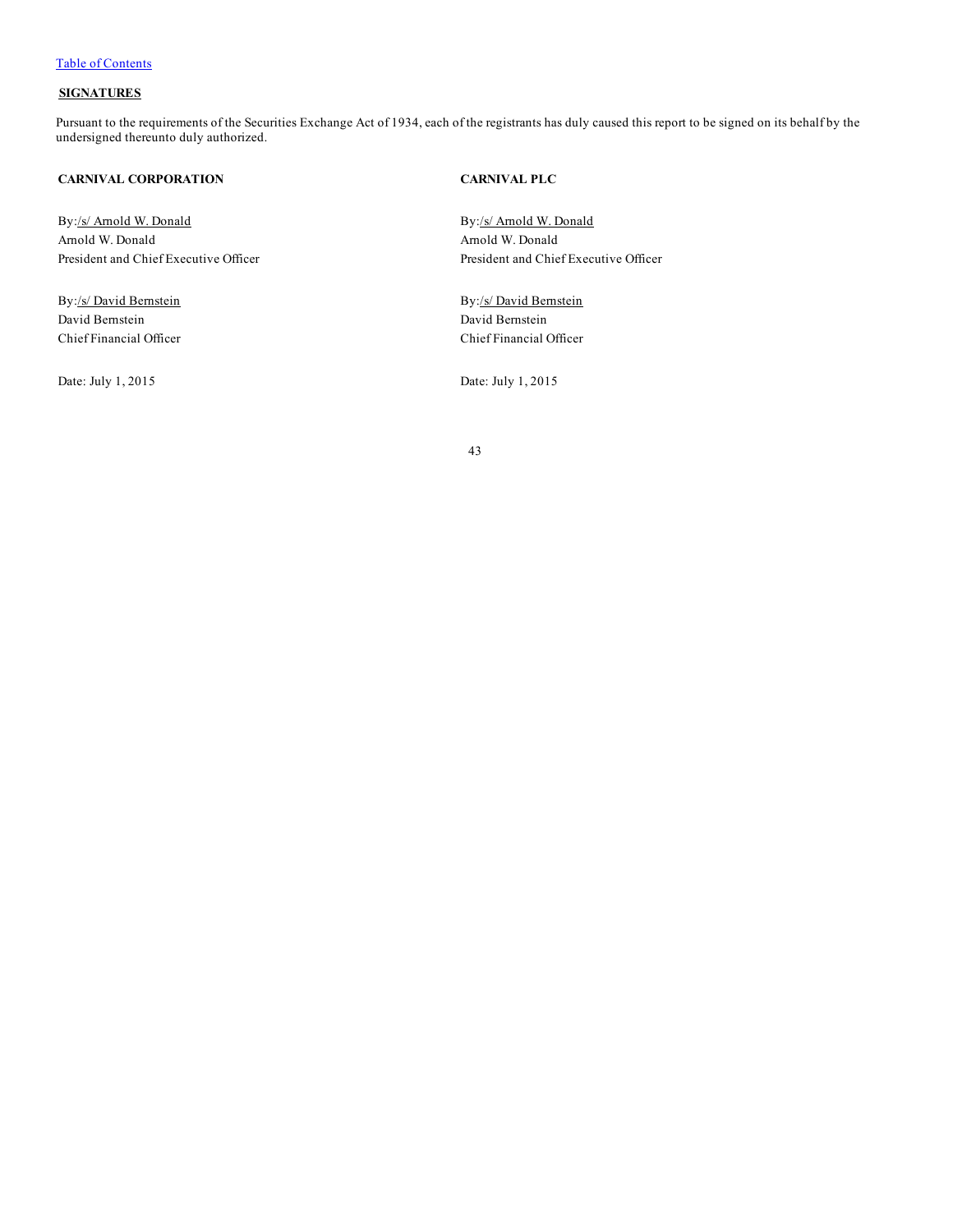#### **SIGNATURES**

Pursuant to the requirements of the Securities Exchange Act of 1934, each of the registrants has duly caused this report to be signed on its behalf by the undersigned thereunto duly authorized.

## **CARNIVAL CORPORATION CARNIVAL PLC**

By:/s/ Arnold W. Donald By:/s/ Arnold W. Donald Arnold W. Donald Arnold W. Donald

By:/s/ David Bernstein By:/s/ David Bernstein David Bernstein David Bernstein Chief Financial Officer Chief Financial Officer

Date: July 1, 2015 Date: July 1, 2015

President and Chief Executive Officer President and Chief Executive Officer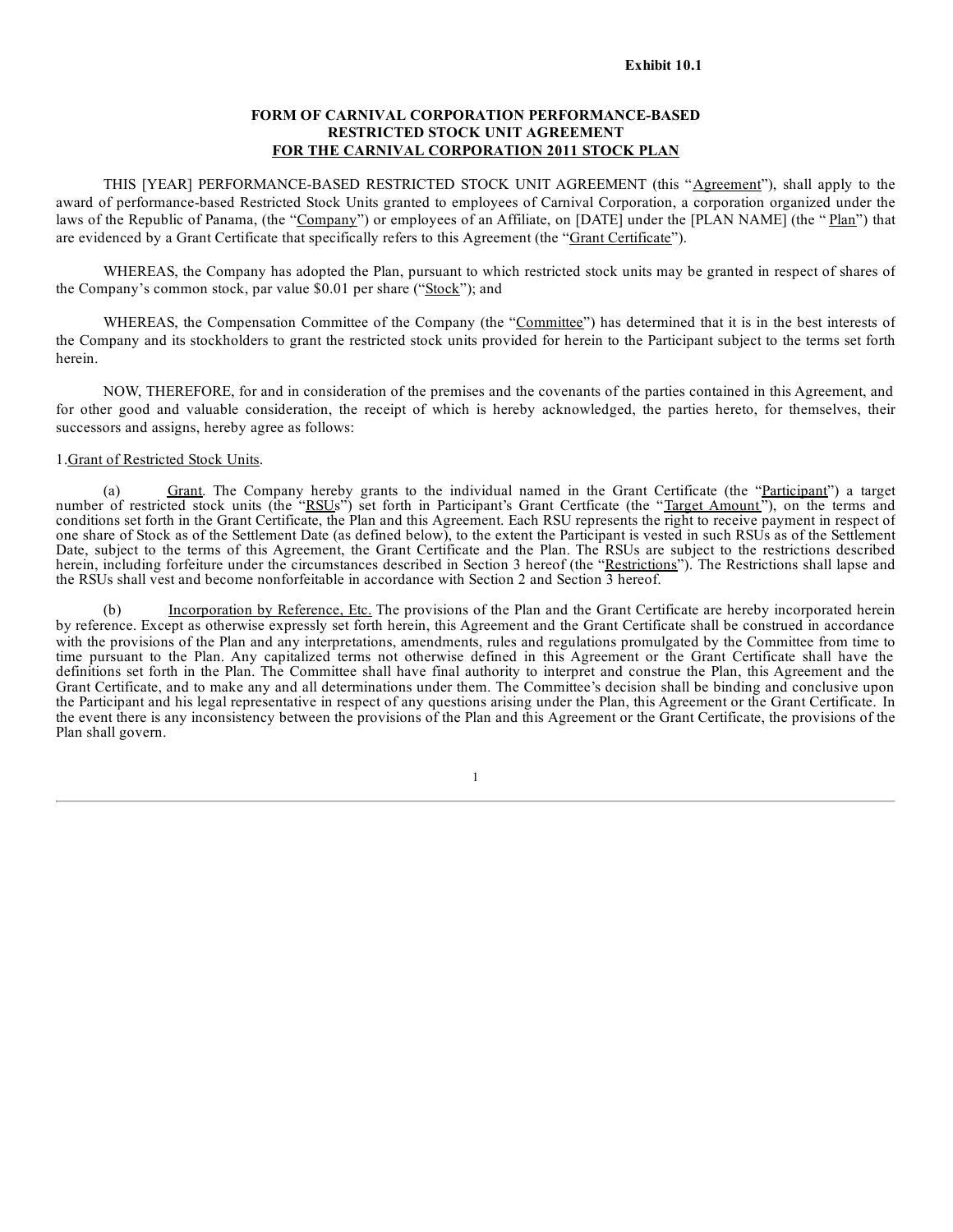# **FORM OF CARNIVAL CORPORATION PERFORMANCE-BASED RESTRICTED STOCK UNIT AGREEMENT FOR THE CARNIVAL CORPORATION 2011 STOCK PLAN**

THIS [YEAR] PERFORMANCE-BASED RESTRICTED STOCK UNIT AGREEMENT (this "Agreement"), shall apply to the award of performance-based Restricted Stock Units granted to employees of Carnival Corporation, a corporation organized under the laws of the Republic of Panama, (the "Company") or employees of an Affiliate, on [DATE] under the [PLAN NAME] (the "Plan") that are evidenced by a Grant Certificate that specifically refers to this Agreement (the "Grant Certificate").

WHEREAS, the Company has adopted the Plan, pursuant to which restricted stock units may be granted in respect of shares of the Company's common stock, par value \$0.01 per share ("Stock"); and

WHEREAS, the Compensation Committee of the Company (the "Committee") has determined that it is in the best interests of the Company and its stockholders to grant the restricted stock units provided for herein to the Participant subject to the terms set forth herein.

NOW, THEREFORE, for and in consideration of the premises and the covenants of the parties contained in this Agreement, and for other good and valuable consideration, the receipt of which is hereby acknowledged, the parties hereto, for themselves, their successors and assigns, hereby agree as follows:

## 1.Grant of Restricted Stock Units.

(a) Grant. The Company hereby grants to the individual named in the Grant Certificate (the "Participant") a target number of restricted stock units (the "RSUs") set forth in Participant's Grant Certficate (the "Target Amount"), on the terms and conditions set forth in the Grant Certificate, the Plan and this Agreement. Each RSU represents the right to receive payment in respect of one share of Stock as of the Settlement Date (as defined below), to the extent the Participant is vested in such RSUs as of the Settlement Date, subject to the terms of this Agreement, the Grant Certificate and the Plan. The RSUs are subject to the restrictions described herein, including forfeiture under the circumstances described in Section 3 hereof (the "Restrictions"). The Restrictions shall lapse and the RSUs shall vest and become nonforfeitable in accordance with Section 2 and Section 3 hereof.

(b) Incorporation by Reference, Etc. The provisions of the Plan and the Grant Certificate are hereby incorporated herein by reference. Except as otherwise expressly set forth herein, this Agreement and the Grant Certificate shall be construed in accordance with the provisions of the Plan and any interpretations, amendments, rules and regulations promulgated by the Committee from time to time pursuant to the Plan. Any capitalized terms not otherwise defined in this Agreement or the Grant Certificate shall have the definitions set forth in the Plan. The Committee shall have final authority to interpret and construe the Plan, this Agreement and the Grant Certificate, and to make any and all determinations under them. The Committee's decision shall be binding and conclusive upon the Participant and his legal representative in respect of any questions arising under the Plan, this Agreement or the Grant Certificate. In the event there is any inconsistency between the provisions of the Plan and this Agreement or the Grant Certificate, the provisions of the Plan shall govern.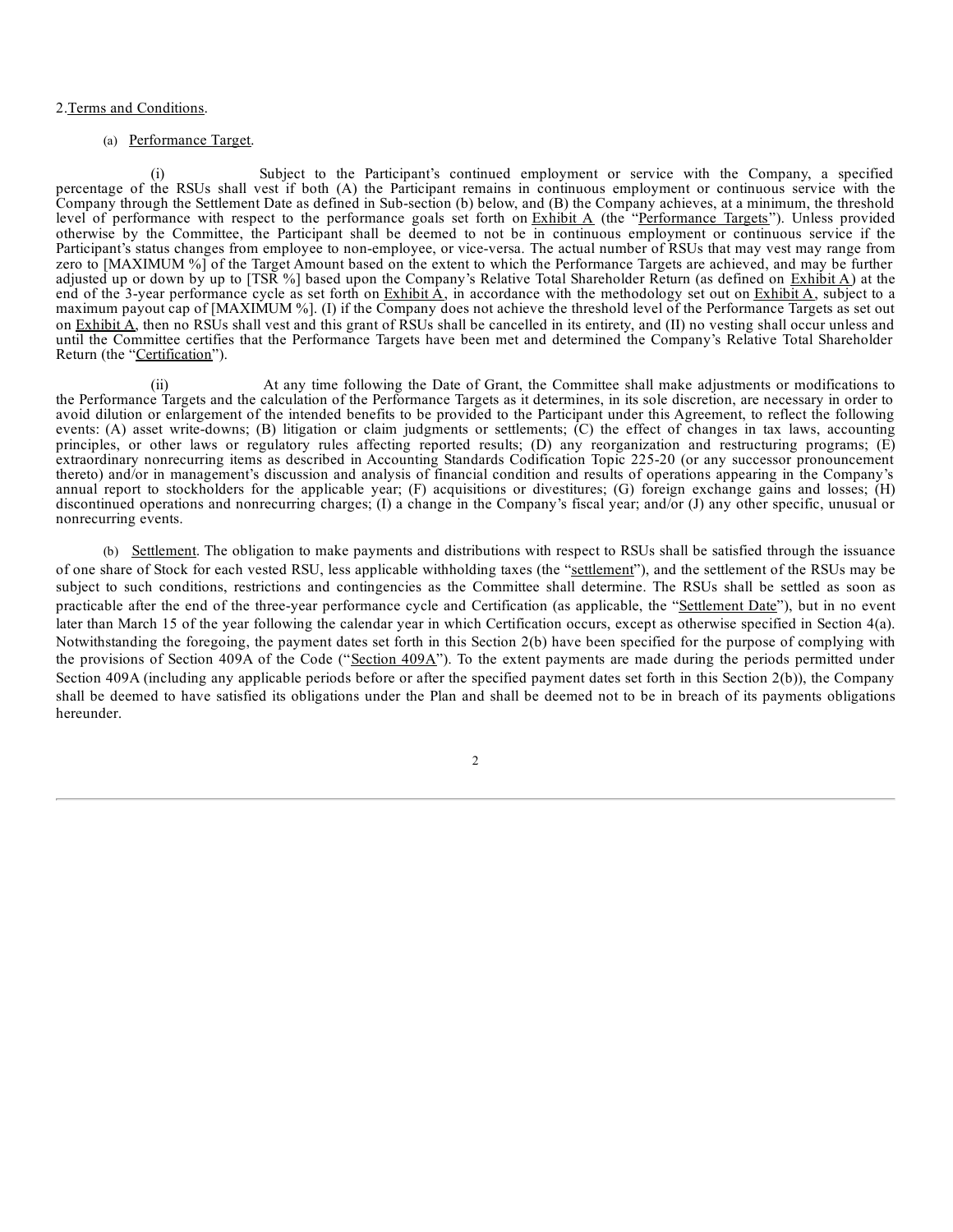## 2.Terms and Conditions.

## (a) Performance Target.

(i) [Sub](#page-1-0)ject to the Participant's continued employment or service with the Company, a specified percentage of the [RSUs](#page-1-0) shall vest if both (A) the Participant remains in continuous employment or continuous service with [th](#page-1-0)e Company through the Settlement Date as defined in Sub-section (b) below, and (B) the Company achieves, at a minimum, the threshold level of [performance](#page-19-0) with respect to the performance goals set forth on Exhibit A (the "Performance Targets"). Unless prov[ide](#page-19-0)d otherwise by the Committee, the Participant shall be deemed to not be in continuous employment or continuous service if the Participant's status changes from employee to [non-employee,](#page-38-0) or vice-versa. The actual number of RSUs that may vest may range [from](#page-38-0) zero to [MAXIMUM %] of the Target Amount based on the extent to which the Performance Targets are achieved, and may be further adjusted up or [down](#page-38-0) by up to [TSR %] based upon [th](#page-38-0)e Company's Relative Total Shareholder Return (as defined on Exhibit A) at the end of the 3-year performance cycle as set forth on Exhibit  $\hat{A}$ , in accordance with the methodology set out on Exhibit A, subject to a [maximum](#page-39-0) payout cap of [MAXIMUM %]. (I) if the Company does not achieve the threshold level of the Performance Targets as set out on Exhibit A, then no [RSUs](#page-39-0) shall vest and this grant of RSUs shall be cancelled in its entirety, and (II) no vesting shall occur unless [an](#page-39-0)d until the Committee certifies that the Performance Targets have been met and determined the Company's Relative Total Shareholder Return (the ["Certificatio](#page-39-0)n").

(ii) At any time [following](#page-39-0) the Date of Grant, the Committee shall make adjustments or modificatio[ns](#page-39-0) to the Performance Targets and the calculation of the Performance Targets as it determines, in its sole discretion, are necessary in order to avoid dilution or [en](#page-40-0)largement of the intended benefits to be provided to the Participant under this Agreement, to reflect the follo[win](#page-40-0)g events: (A) asset write-downs; (B) litigation or claim judgments or settlements; (C) the effect of changes in tax laws, accounting [principles,](#page-42-0) or other laws or regulatory rules affecting reported results; (D) any reorganization and restructuring programs; [\(E](#page-42-0)) extraordinary nonrecurring items as described in Accounting Standards Codification Topic 225-20 (or any successor pronouncement thereto) and/or in management's discussion and analysis of financial condition and results of operations appearing in the Company's annual report to stockholders for the applicable year; (F) acquisitions or divestitures; (G) foreign exchange gains and losses; (H) discontinued operations and nonrecurring charges; (I) a change in the Company's fiscal year; and/or (J) any other specific, unusual or nonrecurring events.

(b) Settlement. The obligation to make payments and distributions with respect to RSUs shall be satisfied through the issuance of one share of Stock for each vested RSU, less applicable withholding taxes (the "settlement"), and the settlement of the RSUs may be subject to such conditions, restrictions and contingencies as the Committee shall determine. The RSUs shall be settled as soon as practicable after the end of the three-year performance cycle and Certification (as applicable, the "Settlement Date"), but in no event later than March 15 of the year following the calendar year in which Certification occurs, except as otherwise specified in Section 4(a). Notwithstanding the foregoing, the payment dates set forth in this Section 2(b) have been specified for the purpose of complying with the provisions of Section 409A of the Code ("Section 409A"). To the extent payments are made during the periods permitted under Section 409A (including any applicable periods before or after the specified payment dates set forth in this Section 2(b)), the Company shall be deemed to have satisfied its obligations under the Plan and shall be deemed not to be in breach of its payments obligations hereunder.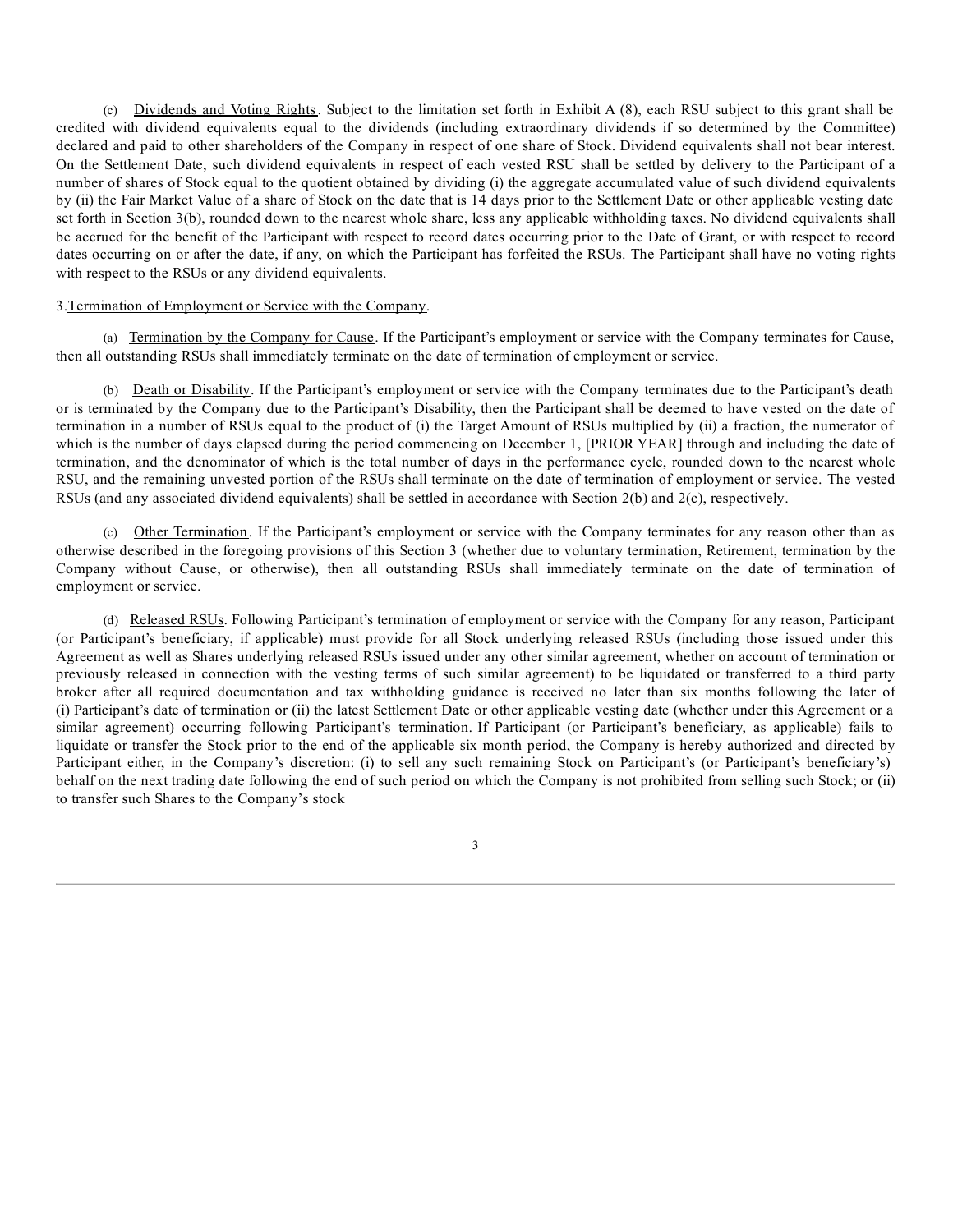(c) Dividends and Voting Rights. Subject to the limitation set forth in Exhibit A (8), each RSU subject to this grant shall be credited with dividend equivalents equal to the dividends (including extraordinary dividends if so determined by the Committee) declared and paid to other shareholders of the Company in respect of one share of Stock. Dividend equivalents shall not bear interest. On the Settlement Date, such dividend equivalents in respect of each vested RSU shall be settled by delivery to the Participant of a number of shares of Stock equal to the quotient obtained by dividing (i) the aggregate accumulated value of such dividend equivalents by (ii) the Fair Market Value of a share of Stock on the date that is 14 days prior to the Settlement Date or other applicable vesting date set forth in Section 3(b), rounded down to the nearest whole share, less any applicable withholding taxes. No dividend equivalents shall be accrued for the benefit of the Participant with respect to record dates occurring prior to the Date of Grant, or with respect to record dates occurring on or after the date, if any, on which the Participant has forfeited the RSUs. The Participant shall have no voting rights with respect to the RSUs or any dividend equivalents.

## 3.Termination of Employment or Service with the Company.

(a) Termination by the Company for Cause. If the Participant's employment or service with the Company terminates for Cause, then all outstanding RSUs shall immediately terminate on the date of termination of employment or service.

(b) Death or Disability. If the Participant's employment or service with the Company terminates due to the Participant's death or is terminated by the Company due to the Participant's Disability, then the Participant shall be deemed to have vested on the date of termination in a number of RSUs equal to the product of (i) the Target Amount of RSUs multiplied by (ii) a fraction, the numerator of which is the number of days elapsed during the period commencing on December 1, [PRIOR YEAR] through and including the date of termination, and the denominator of which is the total number of days in the performance cycle, rounded down to the nearest whole RSU, and the remaining unvested portion of the RSUs shall terminate on the date of termination of employment or service. The vested RSUs (and any associated dividend equivalents) shall be settled in accordance with Section 2(b) and 2(c), respectively.

(c) Other Termination. If the Participant's employment or service with the Company terminates for any reason other than as otherwise described in the foregoing provisions of this Section 3 (whether due to voluntary termination, Retirement, termination by the Company without Cause, or otherwise), then all outstanding RSUs shall immediately terminate on the date of termination of employment or service.

(d) Released RSUs. Following Participant's termination of employment or service with the Company for any reason, Participant (or Participant's beneficiary, if applicable) must provide for all Stock underlying released RSUs (including those issued under this Agreement as well as Shares underlying released RSUs issued under any other similar agreement, whether on account of termination or previously released in connection with the vesting terms of such similar agreement) to be liquidated or transferred to a third party broker after all required documentation and tax withholding guidance is received no later than six months following the later of (i) Participant's date of termination or (ii) the latest Settlement Date or other applicable vesting date (whether under this Agreement or a similar agreement) occurring following Participant's termination. If Participant (or Participant's beneficiary, as applicable) fails to liquidate or transfer the Stock prior to the end of the applicable six month period, the Company is hereby authorized and directed by Participant either, in the Company's discretion: (i) to sell any such remaining Stock on Participant's (or Participant's beneficiary's) behalf on the next trading date following the end of such period on which the Company is not prohibited from selling such Stock; or (ii) to transfer such Shares to the Company's stock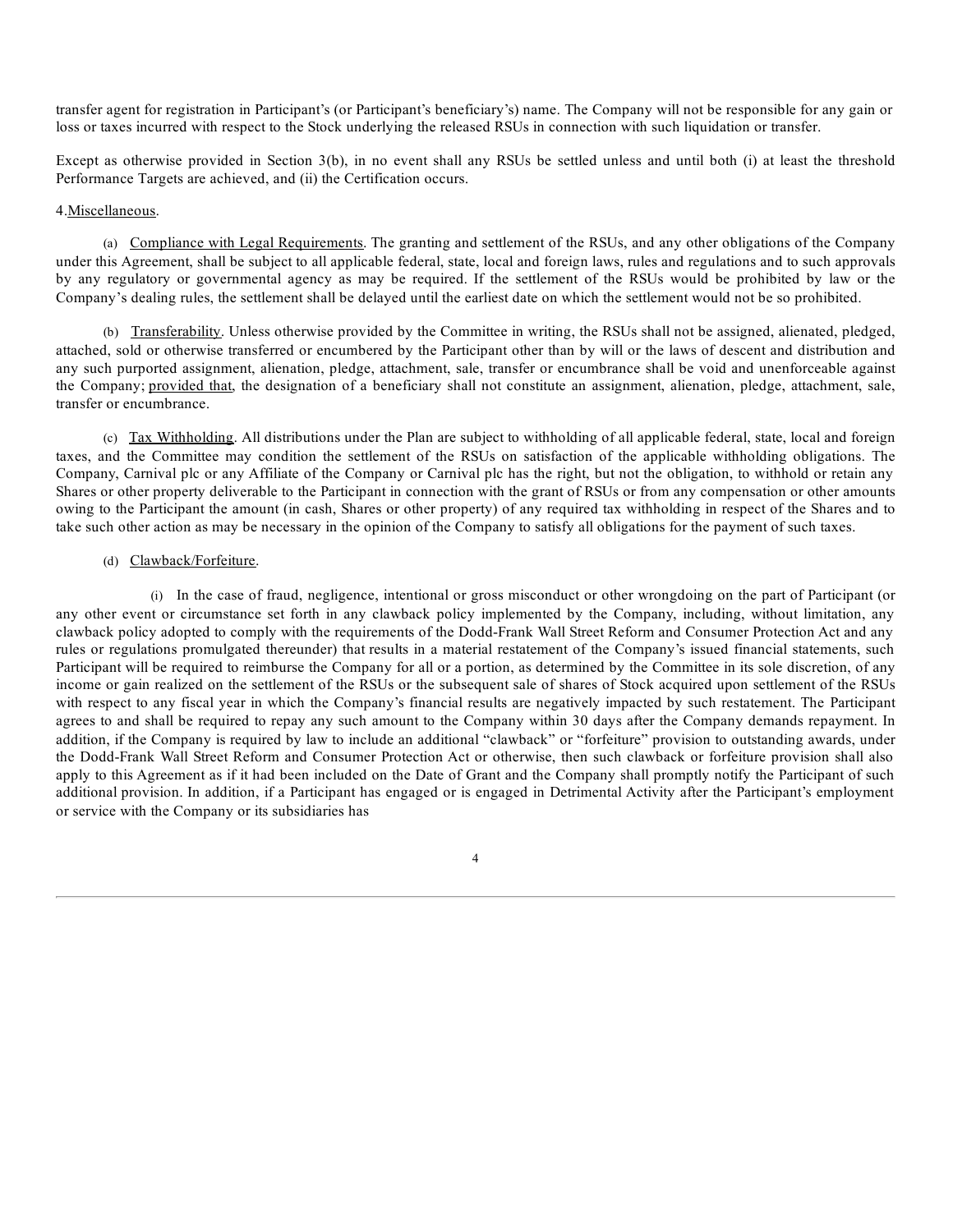transfer agent for registration in Participant's (or Participant's beneficiary's) name. The Company will not be responsible for any gain or loss or taxes incurred with respect to the Stock underlying the released RSUs in connection with such liquidation or transfer.

Except as otherwise provided in Section 3(b), in no event shall any RSUs be settled unless and until both (i) at least the threshold Performance Targets are achieved, and (ii) the Certification occurs.

## 4.Miscellaneous.

(a) Compliance with Legal Requirements. The granting and settlement of the RSUs, and any other obligations of the Company under this Agreement, shall be subject to all applicable federal, state, local and foreign laws, rules and regulations and to such approvals by any regulatory or governmental agency as may be required. If the settlement of the RSUs would be prohibited by law or the Company's dealing rules, the settlement shall be delayed until the earliest date on which the settlement would not be so prohibited.

(b) Transferability. Unless otherwise provided by the Committee in writing, the RSUs shall not be assigned, alienated, pledged, attached, sold or otherwise transferred or encumbered by the Participant other than by will or the laws of descent and distribution and any such purported assignment, alienation, pledge, attachment, sale, transfer or encumbrance shall be void and unenforceable against the Company; provided that, the designation of a beneficiary shall not constitute an assignment, alienation, pledge, attachment, sale, transfer or encumbrance.

(c) Tax Withholding. All distributions under the Plan are subject to withholding of all applicable federal, state, local and foreign taxes, and the Committee may condition the settlement of the RSUs on satisfaction of the applicable withholding obligations. The Company, Carnival plc or any Affiliate of the Company or Carnival plc has the right, but not the obligation, to withhold or retain any Shares or other property deliverable to the Participant in connection with the grant of RSUs or from any compensation or other amounts owing to the Participant the amount (in cash, Shares or other property) of any required tax withholding in respect of the Shares and to take such other action as may be necessary in the opinion of the Company to satisfy all obligations for the payment of such taxes.

## (d) Clawback/Forfeiture.

(i) In the case of fraud, negligence, intentional or gross misconduct or other wrongdoing on the part of Participant (or any other event or circumstance set forth in any clawback policy implemented by the Company, including, without limitation, any clawback policy adopted to comply with the requirements of the Dodd-Frank Wall Street Reform and Consumer Protection Act and any rules or regulations promulgated thereunder) that results in a material restatement of the Company's issued financial statements, such Participant will be required to reimburse the Company for all or a portion, as determined by the Committee in its sole discretion, of any income or gain realized on the settlement of the RSUs or the subsequent sale of shares of Stock acquired upon settlement of the RSUs with respect to any fiscal year in which the Company's financial results are negatively impacted by such restatement. The Participant agrees to and shall be required to repay any such amount to the Company within 30 days after the Company demands repayment. In addition, if the Company is required by law to include an additional "clawback" or "forfeiture" provision to outstanding awards, under the Dodd-Frank Wall Street Reform and Consumer Protection Act or otherwise, then such clawback or forfeiture provision shall also apply to this Agreement as if it had been included on the Date of Grant and the Company shall promptly notify the Participant of such additional provision. In addition, if a Participant has engaged or is engaged in Detrimental Activity after the Participant's employment or service with the Company or its subsidiaries has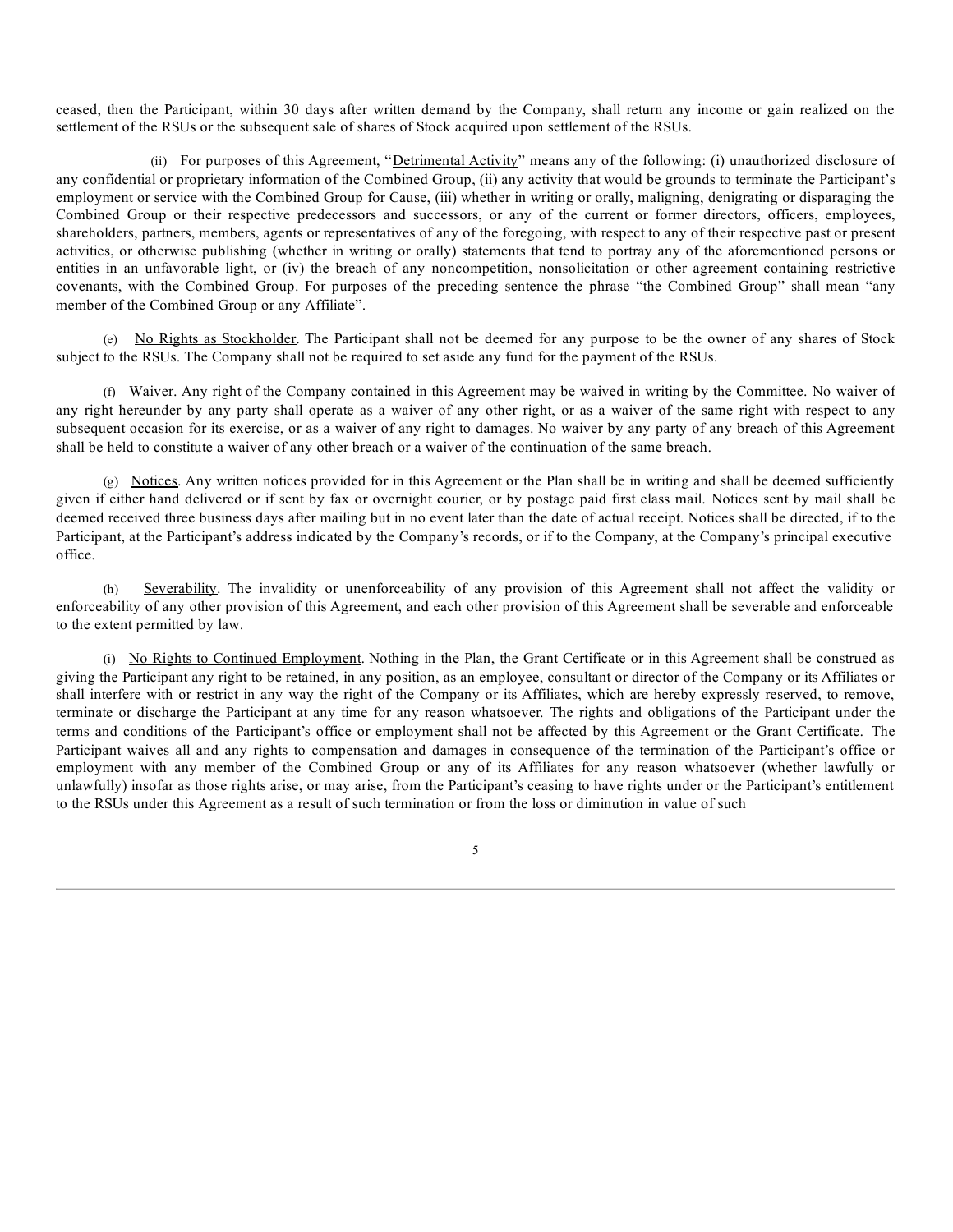ceased, then the Participant, within 30 days after written demand by the Company, shall return any income or gain realized on the settlement of the RSUs or the subsequent sale of shares of Stock acquired upon settlement of the RSUs.

(ii) For purposes of this Agreement, "Detrimental Activity" means any of the following: (i) unauthorized disclosure of any confidential or proprietary information of the Combined Group, (ii) any activity that would be grounds to terminate the Participant's employment or service with the Combined Group for Cause, (iii) whether in writing or orally, maligning, denigrating or disparaging the Combined Group or their respective predecessors and successors, or any of the current or former directors, officers, employees, shareholders, partners, members, agents or representatives of any of the foregoing, with respect to any of their respective past or present activities, or otherwise publishing (whether in writing or orally) statements that tend to portray any of the aforementioned persons or entities in an unfavorable light, or (iv) the breach of any noncompetition, nonsolicitation or other agreement containing restrictive covenants, with the Combined Group. For purposes of the preceding sentence the phrase "the Combined Group" shall mean "any member of the Combined Group or any Affiliate".

(e) No Rights as Stockholder. The Participant shall not be deemed for any purpose to be the owner of any shares of Stock subject to the RSUs. The Company shall not be required to set aside any fund for the payment of the RSUs.

(f) Waiver. Any right of the Company contained in this Agreement may be waived in writing by the Committee. No waiver of any right hereunder by any party shall operate as a waiver of any other right, or as a waiver of the same right with respect to any subsequent occasion for its exercise, or as a waiver of any right to damages. No waiver by any party of any breach of this Agreement shall be held to constitute a waiver of any other breach or a waiver of the continuation of the same breach.

(g) Notices. Any written notices provided for in this Agreement or the Plan shall be in writing and shall be deemed sufficiently given if either hand delivered or if sent by fax or overnight courier, or by postage paid first class mail. Notices sent by mail shall be deemed received three business days after mailing but in no event later than the date of actual receipt. Notices shall be directed, if to the Participant, at the Participant's address indicated by the Company's records, or if to the Company, at the Company's principal executive office.

Severability. The invalidity or unenforceability of any provision of this Agreement shall not affect the validity or enforceability of any other provision of this Agreement, and each other provision of this Agreement shall be severable and enforceable to the extent permitted by law.

(i) No Rights to Continued Employment. Nothing in the Plan, the Grant Certificate or in this Agreement shall be construed as giving the Participant any right to be retained, in any position, as an employee, consultant or director of the Company or its Affiliates or shall interfere with or restrict in any way the right of the Company or its Affiliates, which are hereby expressly reserved, to remove, terminate or discharge the Participant at any time for any reason whatsoever. The rights and obligations of the Participant under the terms and conditions of the Participant's office or employment shall not be affected by this Agreement or the Grant Certificate. The Participant waives all and any rights to compensation and damages in consequence of the termination of the Participant's office or employment with any member of the Combined Group or any of its Affiliates for any reason whatsoever (whether lawfully or unlawfully) insofar as those rights arise, or may arise, from the Participant's ceasing to have rights under or the Participant's entitlement to the RSUs under this Agreement as a result of such termination or from the loss or diminution in value of such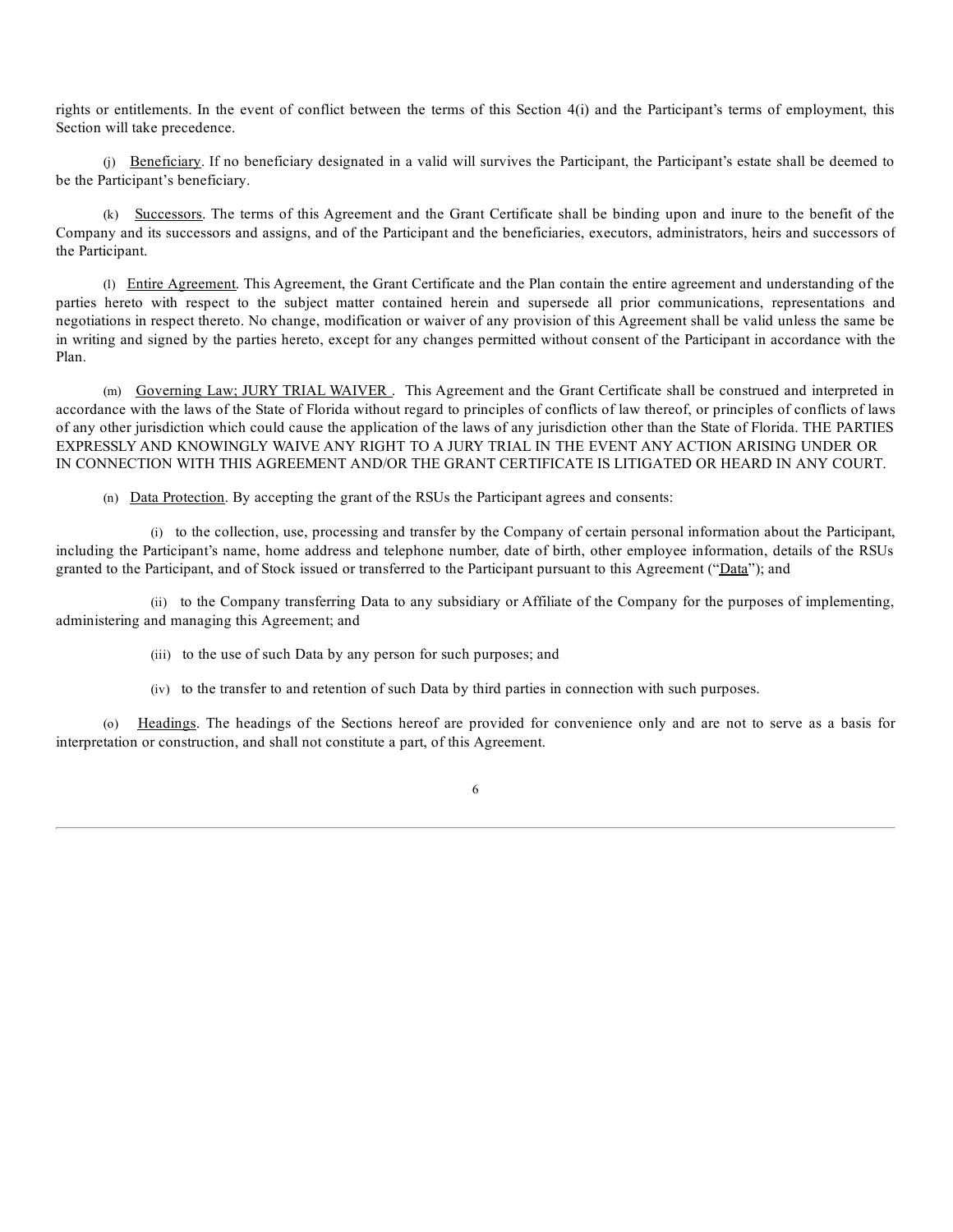rights or entitlements. In the event of conflict between the terms of this Section 4(i) and the Participant's terms of employment, this Section will take precedence.

(j) Beneficiary. If no beneficiary designated in a valid will survives the Participant, the Participant's estate shall be deemed to be the Participant's beneficiary.

(k) Successors. The terms of this Agreement and the Grant Certificate shall be binding upon and inure to the benefit of the Company and its successors and assigns, and of the Participant and the beneficiaries, executors, administrators, heirs and successors of the Participant.

(l) Entire Agreement. This Agreement, the Grant Certificate and the Plan contain the entire agreement and understanding of the parties hereto with respect to the subject matter contained herein and supersede all prior communications, representations and negotiations in respect thereto. No change, modification or waiver of any provision of this Agreement shall be valid unless the same be in writing and signed by the parties hereto, except for any changes permitted without consent of the Participant in accordance with the Plan.

(m) Governing Law; JURY TRIAL WAIVER . This Agreement and the Grant Certificate shall be construed and interpreted in accordance with the laws of the State of Florida without regard to principles of conflicts of law thereof, or principles of conflicts of laws of any other jurisdiction which could cause the application of the laws of any jurisdiction other than the State of Florida. THE PARTIES EXPRESSLY AND KNOWINGLY WAIVE ANY RIGHT TO A JURY TRIAL IN THE EVENT ANY ACTION ARISING UNDER OR IN CONNECTION WITH THIS AGREEMENT AND/OR THE GRANT CERTIFICATE IS LITIGATED OR HEARD IN ANY COURT.

(n) Data Protection. By accepting the grant of the RSUs the Participant agrees and consents:

(i) to the collection, use, processing and transfer by the Company of certain personal information about the Participant, including the Participant's name, home address and telephone number, date of birth, other employee information, details of the RSUs granted to the Participant, and of Stock issued or transferred to the Participant pursuant to this Agreement ("Data"); and

(ii) to the Company transferring Data to any subsidiary or Affiliate of the Company for the purposes of implementing, administering and managing this Agreement; and

(iii) to the use of such Data by any person for such purposes; and

(iv) to the transfer to and retention of such Data by third parties in connection with such purposes.

(o) Headings. The headings of the Sections hereof are provided for convenience only and are not to serve as a basis for interpretation or construction, and shall not constitute a part, of this Agreement.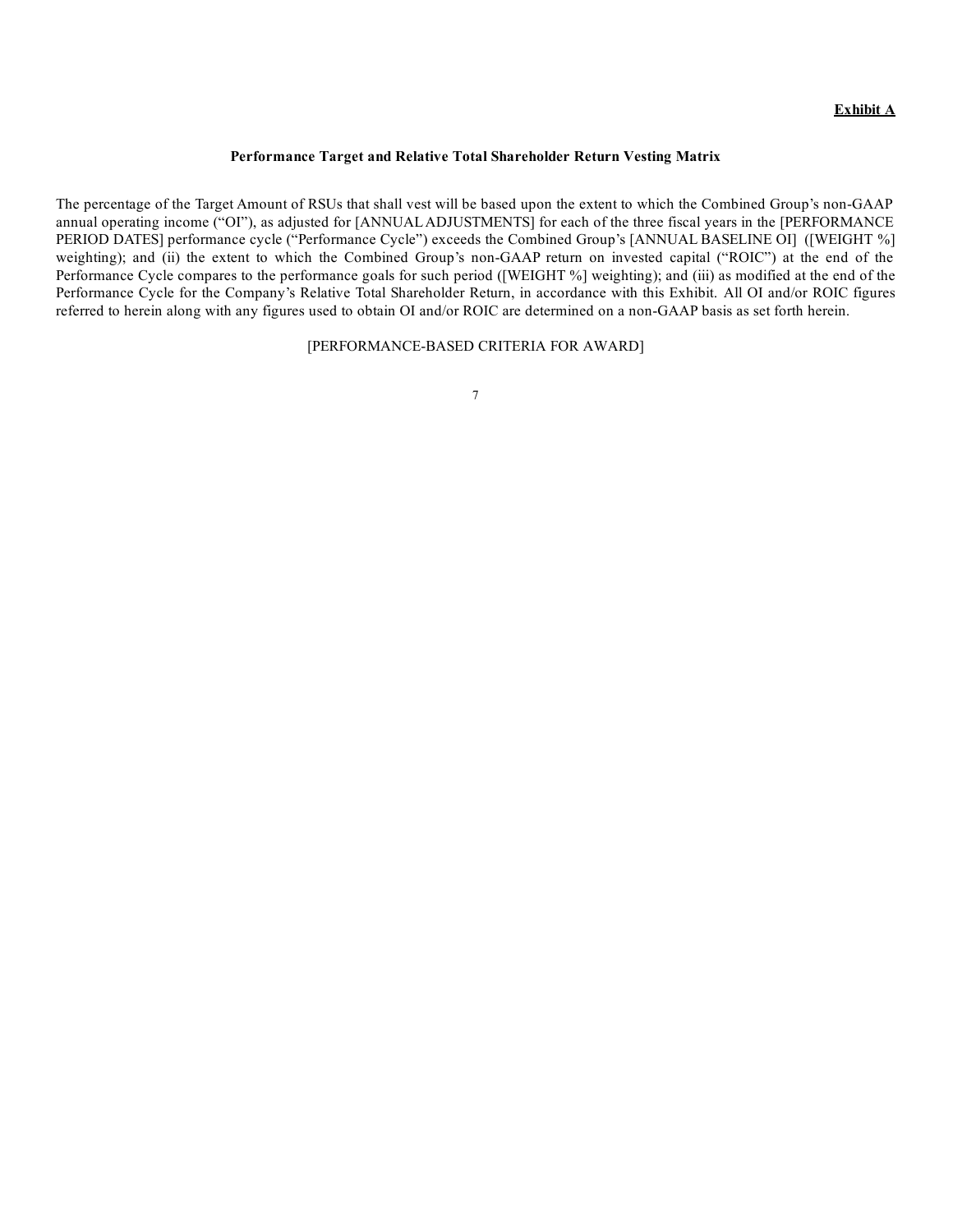## **Performance Target and Relative Total Shareholder Return Vesting Matrix**

The percentage of the Target Amount of RSUs that shall vest will be based upon the extent to which the Combined Group's non-GAAP annual operating income ("OI"), as adjusted for [ANNUALADJUSTMENTS] for each of the three fiscal years in the [PERFORMANCE PERIOD DATES] performance cycle ("Performance Cycle") exceeds the Combined Group's [ANNUAL BASELINE OI] ([WEIGHT %] weighting); and (ii) the extent to which the Combined Group's non-GAAP return on invested capital ("ROIC") at the end of the Performance Cycle compares to the performance goals for such period ([WEIGHT %] weighting); and (iii) as modified at the end of the Performance Cycle for the Company's Relative Total Shareholder Return, in accordance with this Exhibit. All OI and/or ROIC figures referred to herein along with any figures used to obtain OI and/or ROIC are determined on a non-GAAP basis as set forth herein.

# [PERFORMANCE-BASED CRITERIA FOR AWARD]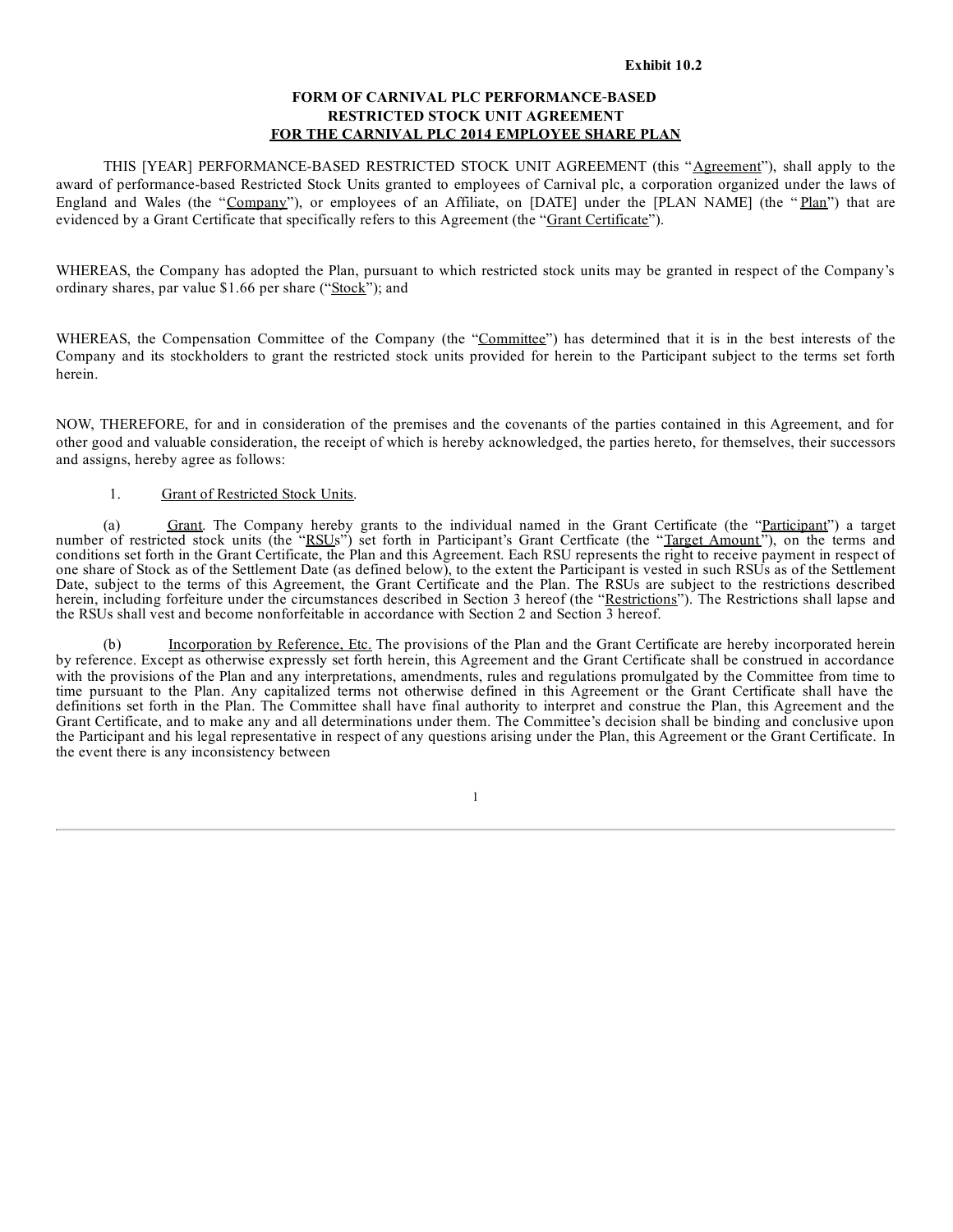# **FORM OF CARNIVAL PLC PERFORMANCE‑BASED RESTRICTED STOCK UNIT AGREEMENT FOR THE CARNIVAL PLC 2014 EMPLOYEE SHARE PLAN**

THIS [YEAR] PERFORMANCE-BASED RESTRICTED STOCK UNIT AGREEMENT (this "Agreement"), shall apply to the award of performance-based Restricted Stock Units granted to employees of Carnival plc, a corporation organized under the laws of England and Wales (the "Company"), or employees of an Affiliate, on [DATE] under the [PLAN NAME] (the " Plan") that are evidenced by a Grant Certificate that specifically refers to this Agreement (the "Grant Certificate").

WHEREAS, the Company has adopted the Plan, pursuant to which restricted stock units may be granted in respect of the Company's ordinary shares, par value \$1.66 per share ("Stock"); and

WHEREAS, the Compensation Committee of the Company (the "Committee") has determined that it is in the best interests of the Company and its stockholders to grant the restricted stock units provided for herein to the Participant subject to the terms set forth herein.

NOW, THEREFORE, for and in consideration of the premises and the covenants of the parties contained in this Agreement, and for other good and valuable consideration, the receipt of which is hereby acknowledged, the parties hereto, for themselves, their successors and assigns, hereby agree as follows:

## 1. Grant of Restricted Stock Units.

(a) Grant. The Company hereby grants to the individual named in the Grant Certificate (the "Participant") a target number of restricted stock units (the "RSUs") set forth in Participant's Grant Certficate (the "Target Amount"), on the terms and conditions set forth in the Grant Certificate, the Plan and this Agreement. Each RSU represents the right to receive payment in respect of one share of Stock as of the Settlement Date (as defined below), to the extent the Participant is vested in such RSUs as of the Settlement Date, subject to the terms of this Agreement, the Grant Certificate and the Plan. The RSUs are subject to the restrictions described herein, including forfeiture under the circumstances described in Section 3 hereof (the "Restrictions"). The Restrictions shall lapse and the RSUs shall vest and become nonforfeitable in accordance with Section 2 and Section 3 hereof.

(b) Incorporation by Reference, Etc. The provisions of the Plan and the Grant Certificate are hereby incorporated herein by reference. Except as otherwise expressly set forth herein, this Agreement and the Grant Certificate shall be construed in accordance with the provisions of the Plan and any interpretations, amendments, rules and regulations promulgated by the Committee from time to time pursuant to the Plan. Any capitalized terms not otherwise defined in this Agreement or the Grant Certificate shall have the definitions set forth in the Plan. The Committee shall have final authority to interpret and construe the Plan, this Agreement and the Grant Certificate, and to make any and all determinations under them. The Committee's decision shall be binding and conclusive upon the Participant and his legal representative in respect of any questions arising under the Plan, this Agreement or the Grant Certificate. In the event there is any inconsistency between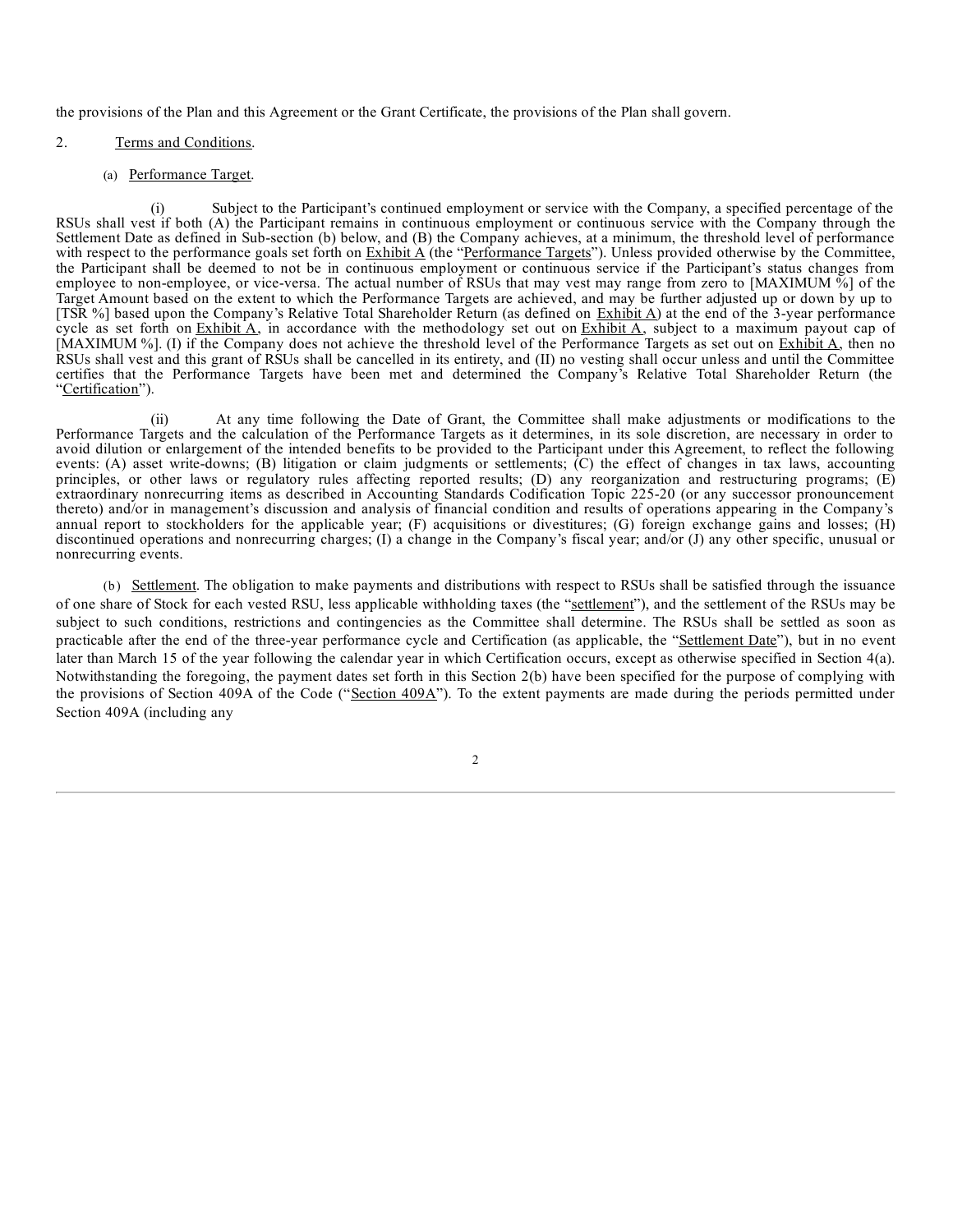the provisions of the Plan and this Agreement or the Grant Certificate, the provisions of the Plan shall govern.

## 2. Terms and Conditions.

## (a) [Performance](#page-1-0) Target.

(i) Subject to the Participant's continued employment or service with the Company, a specified percentage of the RSUs shall vest if both (A) the Participant remains in continuous [employment](#page-19-0) or continuous service with the Company through [th](#page-19-0)e Settlement Date as defined in Sub-section (b) below, and (B) the Company achieves, at a minimum, the threshold level of performance with respect to the [performance](#page-38-0) goals set forth on  $Exhibit A$  (the "Performance Targets"). Unless provided otherwise by the Comm[itte](#page-38-0)e, the Participant shall be deemed to not be in continuous employment or continuous service if the Participant's status changes f[rom](#page-38-0) employee to [non-employee,](#page-38-0) or vice-versa. The actual number of RSUs that may vest may range from zero to [MAXIMUM %] of the Target [Amount](#page-39-0) based on the extent to which the Performance Targets are achieved, and may be further adjusted up or down by up to [TSR %] based upon the Company's Relative Total Shareholder Return (as defined on  $\overline{Exhibit A}$ ) at the end of the 3-year performance cycle as set forth on [Exhibi](#page-39-0)t A, in accordance with the methodology set out on Exhibit A, subject to a maximum [p](#page-39-0)ayout cap of [MAXIMUM %]. (I) if the Company does not achieve the threshold level of the Performance Targets as set out on Exhibit A, then no RSUs shall vest [and](#page-39-0) this grant of RSUs shall be cancelled in its entirety, and (II) no vesting shall occur unless and until the Comm[itte](#page-39-0)e certifies that the Performance Targets have been met and determined the Company's Relative Total Shareholder Return [\(th](#page-39-0)e "Certificatio[n"\).](#page-39-0)

[\(ii\)](#page-40-0) At any time following the Date of Grant, the Committee shall make adjustments or modifications to [th](#page-40-0)e [Performance](#page-42-0) Targets and the calculation of the Performance Targets as it determines, in its sole discretion, are necessary in order to avoid dilution or enlargement of the intended benefits to be provided to the Participant under this Agreement, to reflect the follo[win](#page-42-0)g events: (A) asset write-downs; (B) litigation or claim judgments or settlements; (C) the effect of changes in tax laws, accounting principles, or other laws or regulatory rules affecting reported results; (D) any reorganization and restructuring programs; (E) extraordinary nonrecurring items as described in Accounting Standards Codification Topic 225-20 (or any successor pronouncement thereto) and/or in management's discussion and analysis of financial condition and results of operations appearing in the Company's annual report to stockholders for the applicable year;  $(F)$  acquisitions or divestitures;  $(G)$  foreign exchange gains and losses;  $(H)$ discontinued operations and nonrecurring charges; (I) a change in the Company's fiscal year; and/or (J) any other specific, unusual or nonrecurring events.

(b) Settlement. The obligation to make payments and distributions with respect to RSUs shall be satisfied through the issuance of one share of Stock for each vested RSU, less applicable withholding taxes (the "settlement"), and the settlement of the RSUs may be subject to such conditions, restrictions and contingencies as the Committee shall determine. The RSUs shall be settled as soon as practicable after the end of the three-year performance cycle and Certification (as applicable, the "Settlement Date"), but in no event later than March 15 of the year following the calendar year in which Certification occurs, except as otherwise specified in Section 4(a). Notwithstanding the foregoing, the payment dates set forth in this Section 2(b) have been specified for the purpose of complying with the provisions of Section 409A of the Code ("Section 409A"). To the extent payments are made during the periods permitted under Section 409A (including any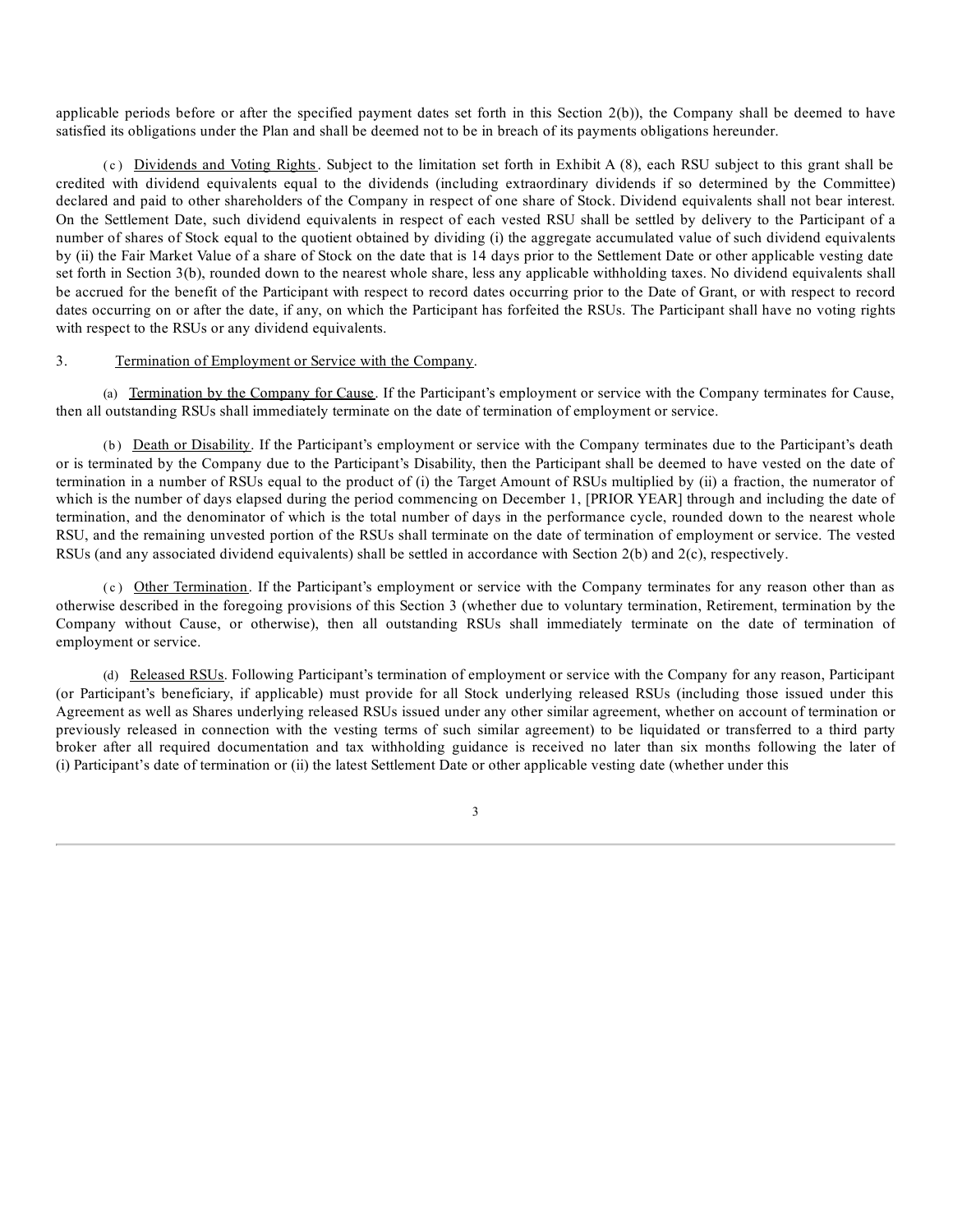applicable periods before or after the specified payment dates set forth in this Section 2(b)), the Company shall be deemed to have satisfied its obligations under the Plan and shall be deemed not to be in breach of its payments obligations hereunder.

( c ) Dividends and Voting Rights. Subject to the limitation set forth in Exhibit A (8), each RSU subject to this grant shall be credited with dividend equivalents equal to the dividends (including extraordinary dividends if so determined by the Committee) declared and paid to other shareholders of the Company in respect of one share of Stock. Dividend equivalents shall not bear interest. On the Settlement Date, such dividend equivalents in respect of each vested RSU shall be settled by delivery to the Participant of a number of shares of Stock equal to the quotient obtained by dividing (i) the aggregate accumulated value of such dividend equivalents by (ii) the Fair Market Value of a share of Stock on the date that is 14 days prior to the Settlement Date or other applicable vesting date set forth in Section 3(b), rounded down to the nearest whole share, less any applicable withholding taxes. No dividend equivalents shall be accrued for the benefit of the Participant with respect to record dates occurring prior to the Date of Grant, or with respect to record dates occurring on or after the date, if any, on which the Participant has forfeited the RSUs. The Participant shall have no voting rights with respect to the RSUs or any dividend equivalents.

## 3. Termination of Employment or Service with the Company.

(a) Termination by the Company for Cause. If the Participant's employment or service with the Company terminates for Cause, then all outstanding RSUs shall immediately terminate on the date of termination of employment or service.

(b) Death or Disability. If the Participant's employment or service with the Company terminates due to the Participant's death or is terminated by the Company due to the Participant's Disability, then the Participant shall be deemed to have vested on the date of termination in a number of RSUs equal to the product of (i) the Target Amount of RSUs multiplied by (ii) a fraction, the numerator of which is the number of days elapsed during the period commencing on December 1, [PRIOR YEAR] through and including the date of termination, and the denominator of which is the total number of days in the performance cycle, rounded down to the nearest whole RSU, and the remaining unvested portion of the RSUs shall terminate on the date of termination of employment or service. The vested RSUs (and any associated dividend equivalents) shall be settled in accordance with Section 2(b) and 2(c), respectively.

( c ) Other Termination. If the Participant's employment or service with the Company terminates for any reason other than as otherwise described in the foregoing provisions of this Section 3 (whether due to voluntary termination, Retirement, termination by the Company without Cause, or otherwise), then all outstanding RSUs shall immediately terminate on the date of termination of employment or service.

(d) Released RSUs. Following Participant's termination of employment or service with the Company for any reason, Participant (or Participant's beneficiary, if applicable) must provide for all Stock underlying released RSUs (including those issued under this Agreement as well as Shares underlying released RSUs issued under any other similar agreement, whether on account of termination or previously released in connection with the vesting terms of such similar agreement) to be liquidated or transferred to a third party broker after all required documentation and tax withholding guidance is received no later than six months following the later of (i) Participant's date of termination or (ii) the latest Settlement Date or other applicable vesting date (whether under this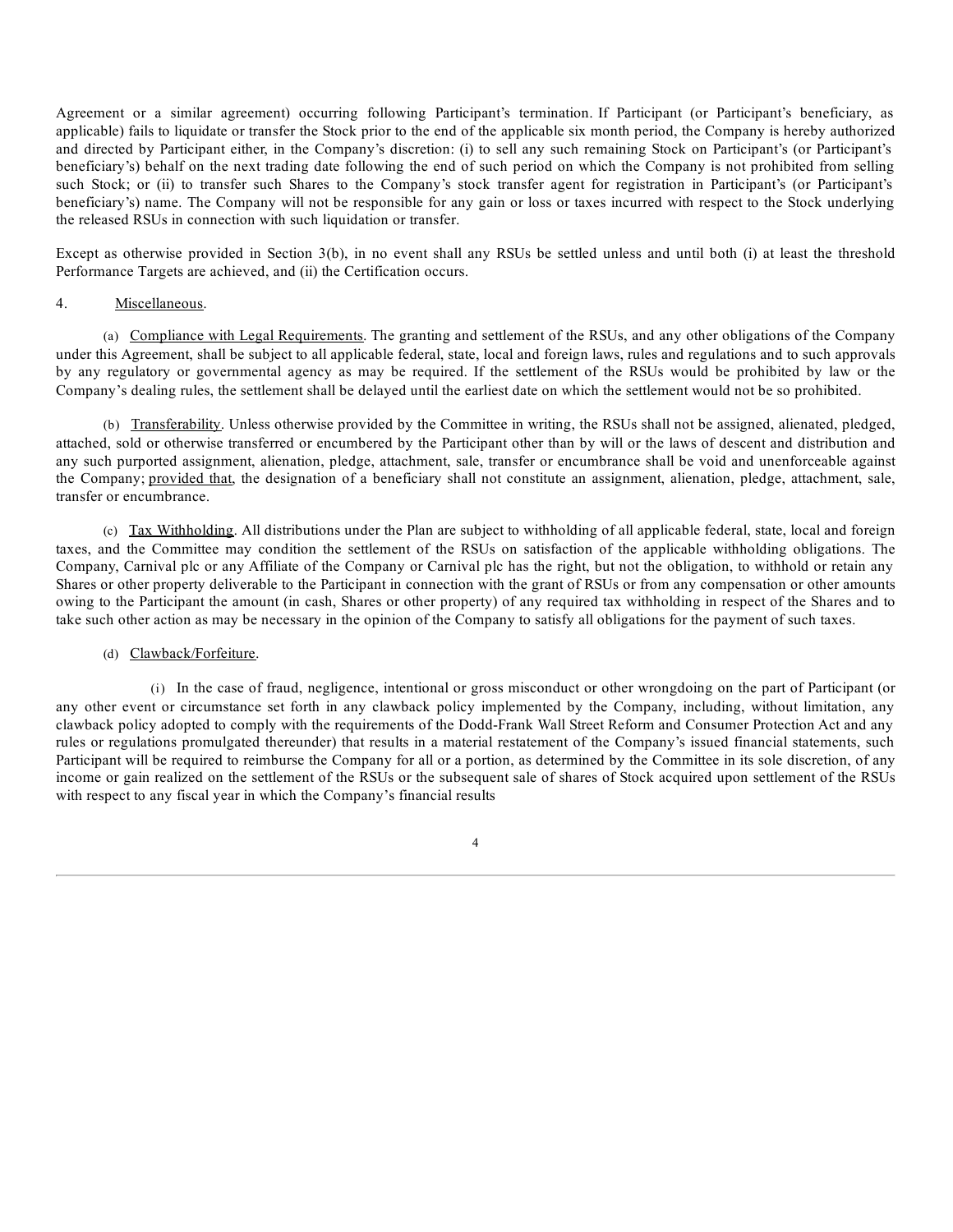Agreement or a similar agreement) occurring following Participant's termination. If Participant (or Participant's beneficiary, as applicable) fails to liquidate or transfer the Stock prior to the end of the applicable six month period, the Company is hereby authorized and directed by Participant either, in the Company's discretion: (i) to sell any such remaining Stock on Participant's (or Participant's beneficiary's) behalf on the next trading date following the end of such period on which the Company is not prohibited from selling such Stock; or (ii) to transfer such Shares to the Company's stock transfer agent for registration in Participant's (or Participant's beneficiary's) name. The Company will not be responsible for any gain or loss or taxes incurred with respect to the Stock underlying the released RSUs in connection with such liquidation or transfer.

Except as otherwise provided in Section 3(b), in no event shall any RSUs be settled unless and until both (i) at least the threshold Performance Targets are achieved, and (ii) the Certification occurs.

## 4. Miscellaneous.

(a) Compliance with Legal Requirements. The granting and settlement of the RSUs, and any other obligations of the Company under this Agreement, shall be subject to all applicable federal, state, local and foreign laws, rules and regulations and to such approvals by any regulatory or governmental agency as may be required. If the settlement of the RSUs would be prohibited by law or the Company's dealing rules, the settlement shall be delayed until the earliest date on which the settlement would not be so prohibited.

(b) Transferability. Unless otherwise provided by the Committee in writing, the RSUs shall not be assigned, alienated, pledged, attached, sold or otherwise transferred or encumbered by the Participant other than by will or the laws of descent and distribution and any such purported assignment, alienation, pledge, attachment, sale, transfer or encumbrance shall be void and unenforceable against the Company; provided that, the designation of a beneficiary shall not constitute an assignment, alienation, pledge, attachment, sale, transfer or encumbrance.

(c) Tax Withholding. All distributions under the Plan are subject to withholding of all applicable federal, state, local and foreign taxes, and the Committee may condition the settlement of the RSUs on satisfaction of the applicable withholding obligations. The Company, Carnival plc or any Affiliate of the Company or Carnival plc has the right, but not the obligation, to withhold or retain any Shares or other property deliverable to the Participant in connection with the grant of RSUs or from any compensation or other amounts owing to the Participant the amount (in cash, Shares or other property) of any required tax withholding in respect of the Shares and to take such other action as may be necessary in the opinion of the Company to satisfy all obligations for the payment of such taxes.

## (d) Clawback/Forfeiture.

(i) In the case of fraud, negligence, intentional or gross misconduct or other wrongdoing on the part of Participant (or any other event or circumstance set forth in any clawback policy implemented by the Company, including, without limitation, any clawback policy adopted to comply with the requirements of the Dodd-Frank Wall Street Reform and Consumer Protection Act and any rules or regulations promulgated thereunder) that results in a material restatement of the Company's issued financial statements, such Participant will be required to reimburse the Company for all or a portion, as determined by the Committee in its sole discretion, of any income or gain realized on the settlement of the RSUs or the subsequent sale of shares of Stock acquired upon settlement of the RSUs with respect to any fiscal year in which the Company's financial results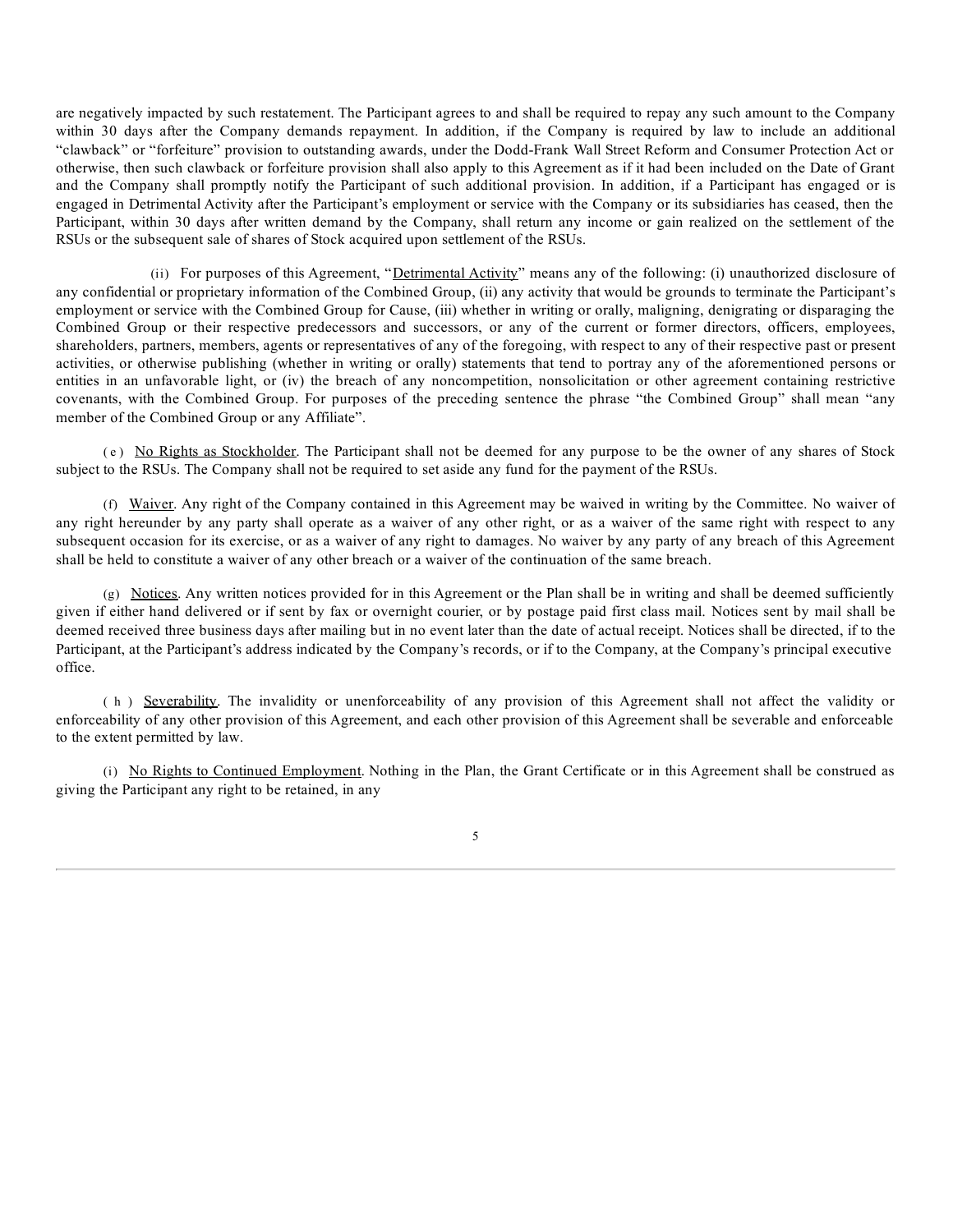are negatively impacted by such restatement. The Participant agrees to and shall be required to repay any such amount to the Company within 30 days after the Company demands repayment. In addition, if the Company is required by law to include an additional "clawback" or "forfeiture" provision to outstanding awards, under the Dodd-Frank Wall Street Reform and Consumer Protection Act or otherwise, then such clawback or forfeiture provision shall also apply to this Agreement as if it had been included on the Date of Grant and the Company shall promptly notify the Participant of such additional provision. In addition, if a Participant has engaged or is engaged in Detrimental Activity after the Participant's employment or service with the Company or its subsidiaries has ceased, then the Participant, within 30 days after written demand by the Company, shall return any income or gain realized on the settlement of the RSUs or the subsequent sale of shares of Stock acquired upon settlement of the RSUs.

(ii) For purposes of this Agreement, "Detrimental Activity" means any of the following: (i) unauthorized disclosure of any confidential or proprietary information of the Combined Group, (ii) any activity that would be grounds to terminate the Participant's employment or service with the Combined Group for Cause, (iii) whether in writing or orally, maligning, denigrating or disparaging the Combined Group or their respective predecessors and successors, or any of the current or former directors, officers, employees, shareholders, partners, members, agents or representatives of any of the foregoing, with respect to any of their respective past or present activities, or otherwise publishing (whether in writing or orally) statements that tend to portray any of the aforementioned persons or entities in an unfavorable light, or (iv) the breach of any noncompetition, nonsolicitation or other agreement containing restrictive covenants, with the Combined Group. For purposes of the preceding sentence the phrase "the Combined Group" shall mean "any member of the Combined Group or any Affiliate".

( e ) No Rights as Stockholder. The Participant shall not be deemed for any purpose to be the owner of any shares of Stock subject to the RSUs. The Company shall not be required to set aside any fund for the payment of the RSUs.

(f) Waiver. Any right of the Company contained in this Agreement may be waived in writing by the Committee. No waiver of any right hereunder by any party shall operate as a waiver of any other right, or as a waiver of the same right with respect to any subsequent occasion for its exercise, or as a waiver of any right to damages. No waiver by any party of any breach of this Agreement shall be held to constitute a waiver of any other breach or a waiver of the continuation of the same breach.

(g) Notices. Any written notices provided for in this Agreement or the Plan shall be in writing and shall be deemed sufficiently given if either hand delivered or if sent by fax or overnight courier, or by postage paid first class mail. Notices sent by mail shall be deemed received three business days after mailing but in no event later than the date of actual receipt. Notices shall be directed, if to the Participant, at the Participant's address indicated by the Company's records, or if to the Company, at the Company's principal executive office.

( h ) Severability. The invalidity or unenforceability of any provision of this Agreement shall not affect the validity or enforceability of any other provision of this Agreement, and each other provision of this Agreement shall be severable and enforceable to the extent permitted by law.

(i) No Rights to Continued Employment. Nothing in the Plan, the Grant Certificate or in this Agreement shall be construed as giving the Participant any right to be retained, in any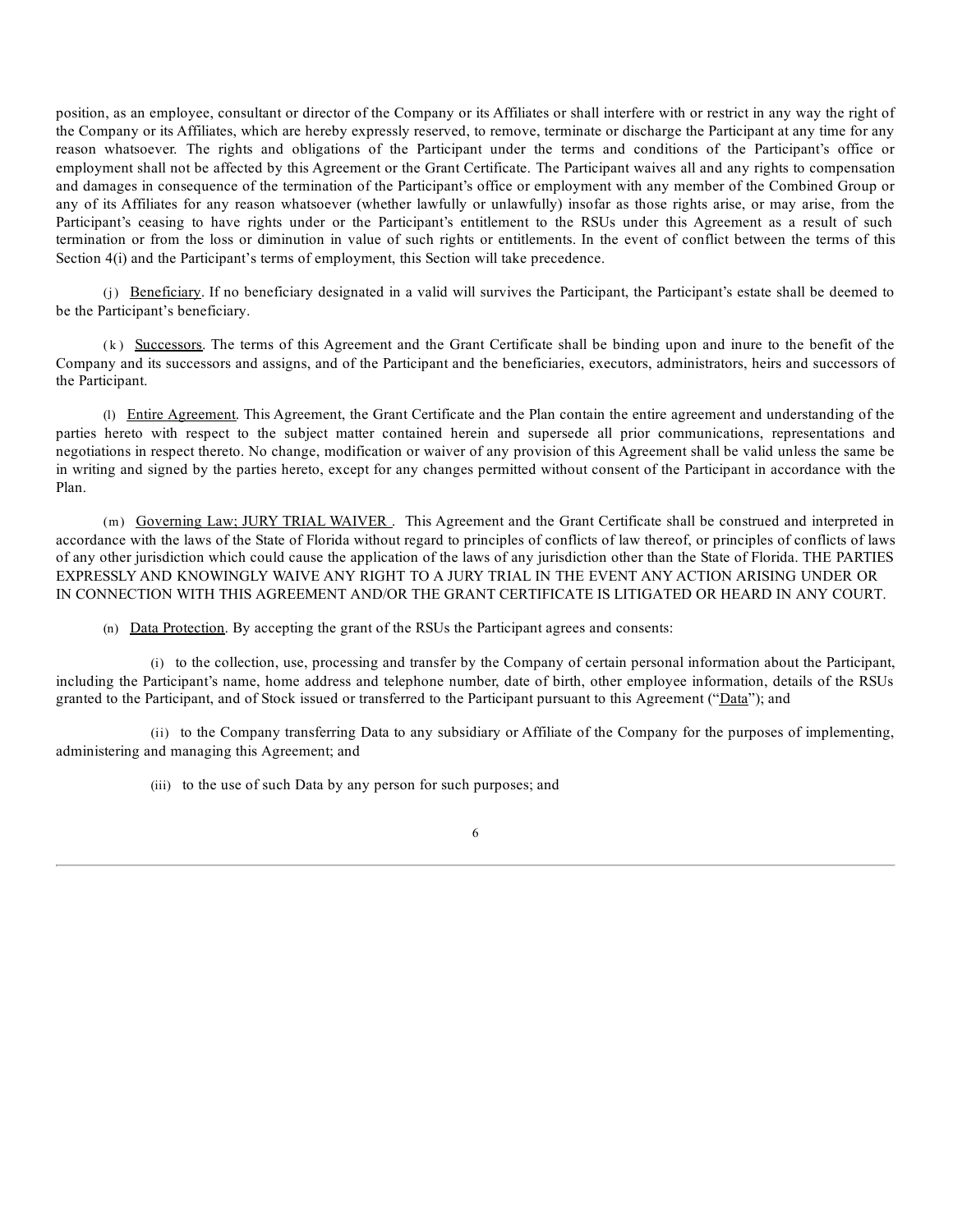position, as an employee, consultant or director of the Company or its Affiliates or shall interfere with or restrict in any way the right of the Company or its Affiliates, which are hereby expressly reserved, to remove, terminate or discharge the Participant at any time for any reason whatsoever. The rights and obligations of the Participant under the terms and conditions of the Participant's office or employment shall not be affected by this Agreement or the Grant Certificate. The Participant waives all and any rights to compensation and damages in consequence of the termination of the Participant's office or employment with any member of the Combined Group or any of its Affiliates for any reason whatsoever (whether lawfully or unlawfully) insofar as those rights arise, or may arise, from the Participant's ceasing to have rights under or the Participant's entitlement to the RSUs under this Agreement as a result of such termination or from the loss or diminution in value of such rights or entitlements. In the event of conflict between the terms of this Section 4(i) and the Participant's terms of employment, this Section will take precedence.

(j) Beneficiary. If no beneficiary designated in a valid will survives the Participant, the Participant's estate shall be deemed to be the Participant's beneficiary.

( k ) Successors. The terms of this Agreement and the Grant Certificate shall be binding upon and inure to the benefit of the Company and its successors and assigns, and of the Participant and the beneficiaries, executors, administrators, heirs and successors of the Participant.

(l) Entire Agreement. This Agreement, the Grant Certificate and the Plan contain the entire agreement and understanding of the parties hereto with respect to the subject matter contained herein and supersede all prior communications, representations and negotiations in respect thereto. No change, modification or waiver of any provision of this Agreement shall be valid unless the same be in writing and signed by the parties hereto, except for any changes permitted without consent of the Participant in accordance with the Plan.

(m) Governing Law; JURY TRIAL WAIVER . This Agreement and the Grant Certificate shall be construed and interpreted in accordance with the laws of the State of Florida without regard to principles of conflicts of law thereof, or principles of conflicts of laws of any other jurisdiction which could cause the application of the laws of any jurisdiction other than the State of Florida. THE PARTIES EXPRESSLY AND KNOWINGLY WAIVE ANY RIGHT TO A JURY TRIAL IN THE EVENT ANY ACTION ARISING UNDER OR IN CONNECTION WITH THIS AGREEMENT AND/OR THE GRANT CERTIFICATE IS LITIGATED OR HEARD IN ANY COURT.

(n) Data Protection. By accepting the grant of the RSUs the Participant agrees and consents:

(i) to the collection, use, processing and transfer by the Company of certain personal information about the Participant, including the Participant's name, home address and telephone number, date of birth, other employee information, details of the RSUs granted to the Participant, and of Stock issued or transferred to the Participant pursuant to this Agreement ("Data"); and

(ii) to the Company transferring Data to any subsidiary or Affiliate of the Company for the purposes of implementing, administering and managing this Agreement; and

(iii) to the use of such Data by any person for such purposes; and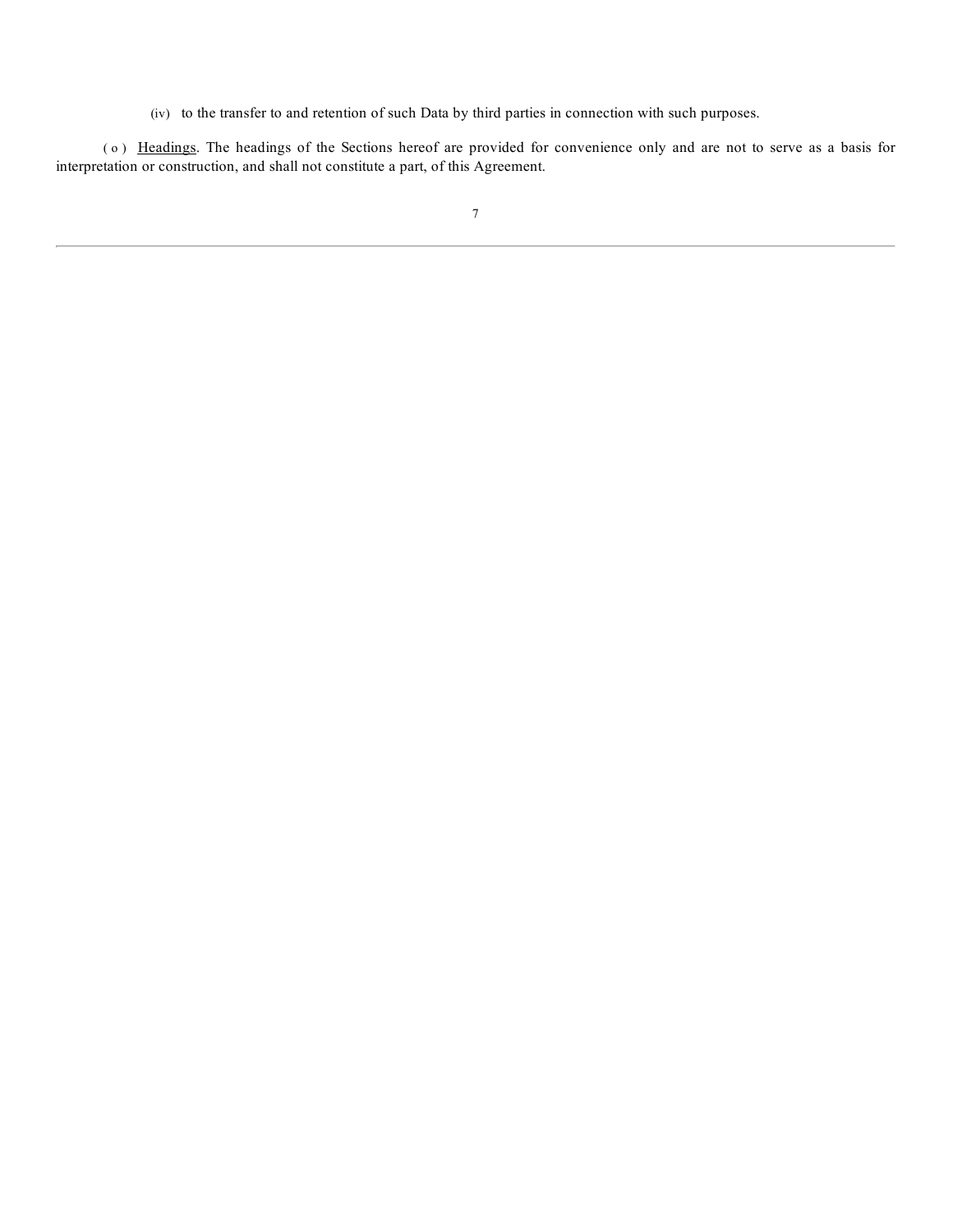(iv) to the transfer to and retention of such Data by third parties in connection with such purposes.

( o ) Headings. The headings of the Sections hereof are provided for convenience only and are not to serve as a basis for interpretation or construction, and shall not constitute a part, of this Agreement.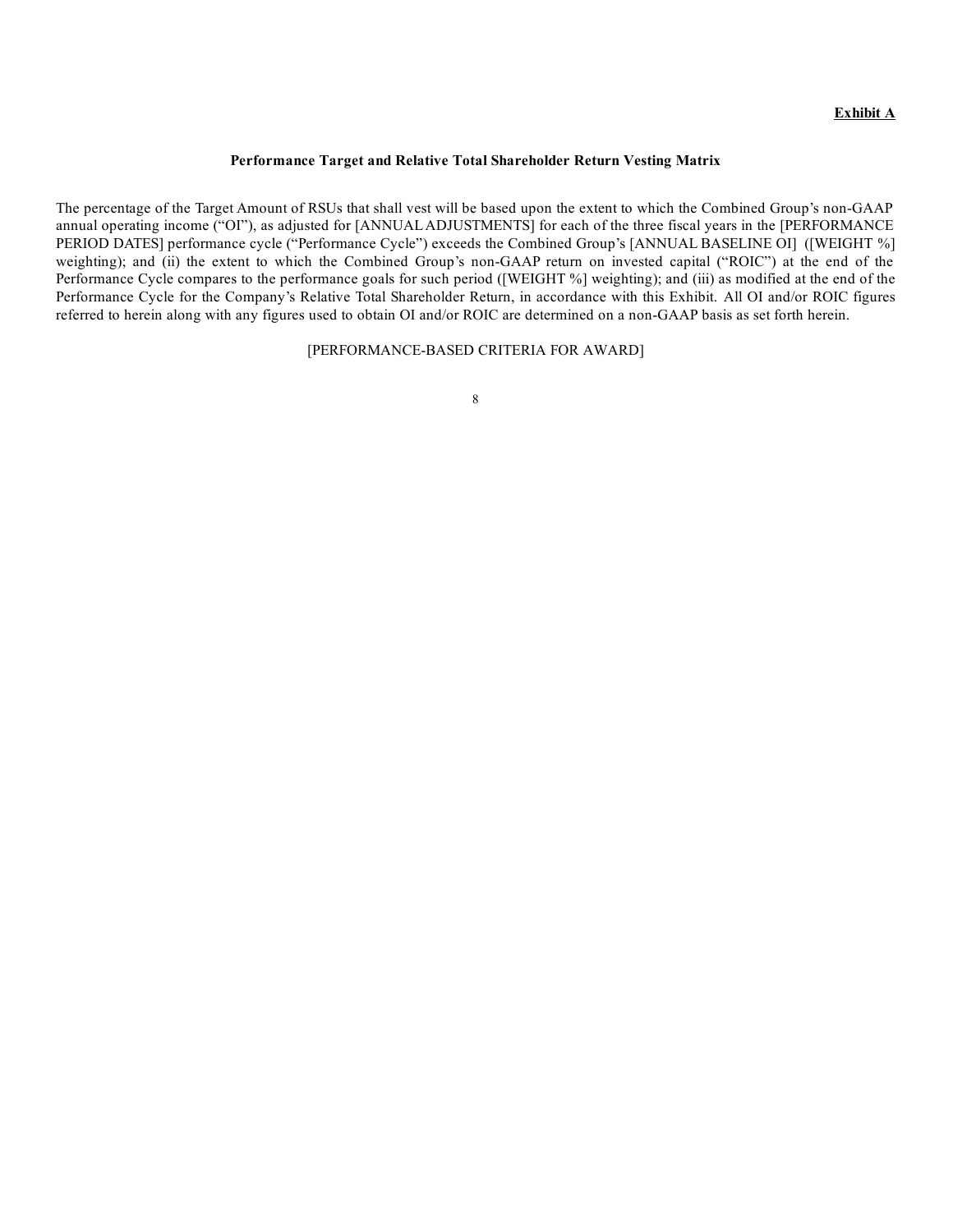## **Exhibit A**

#### **Performance Target and Relative Total Shareholder Return Vesting Matrix**

The percentage of the Target Amount of RSUs that shall vest will be based upon the extent to which the Combined Group's non-GAAP annual operating income ("OI"), as adjusted for [ANNUALADJUSTMENTS] for each of the three fiscal years in the [PERFORMANCE PERIOD DATES] performance cycle ("Performance Cycle") exceeds the Combined Group's [ANNUAL BASELINE OI] ([WEIGHT %] weighting); and (ii) the extent to which the Combined Group's non-GAAP return on invested capital ("ROIC") at the end of the Performance Cycle compares to the performance goals for such period ([WEIGHT %] weighting); and (iii) as modified at the end of the Performance Cycle for the Company's Relative Total Shareholder Return, in accordance with this Exhibit. All OI and/or ROIC figures referred to herein along with any figures used to obtain OI and/or ROIC are determined on a non-GAAP basis as set forth herein.

# [PERFORMANCE-BASED CRITERIA FOR AWARD]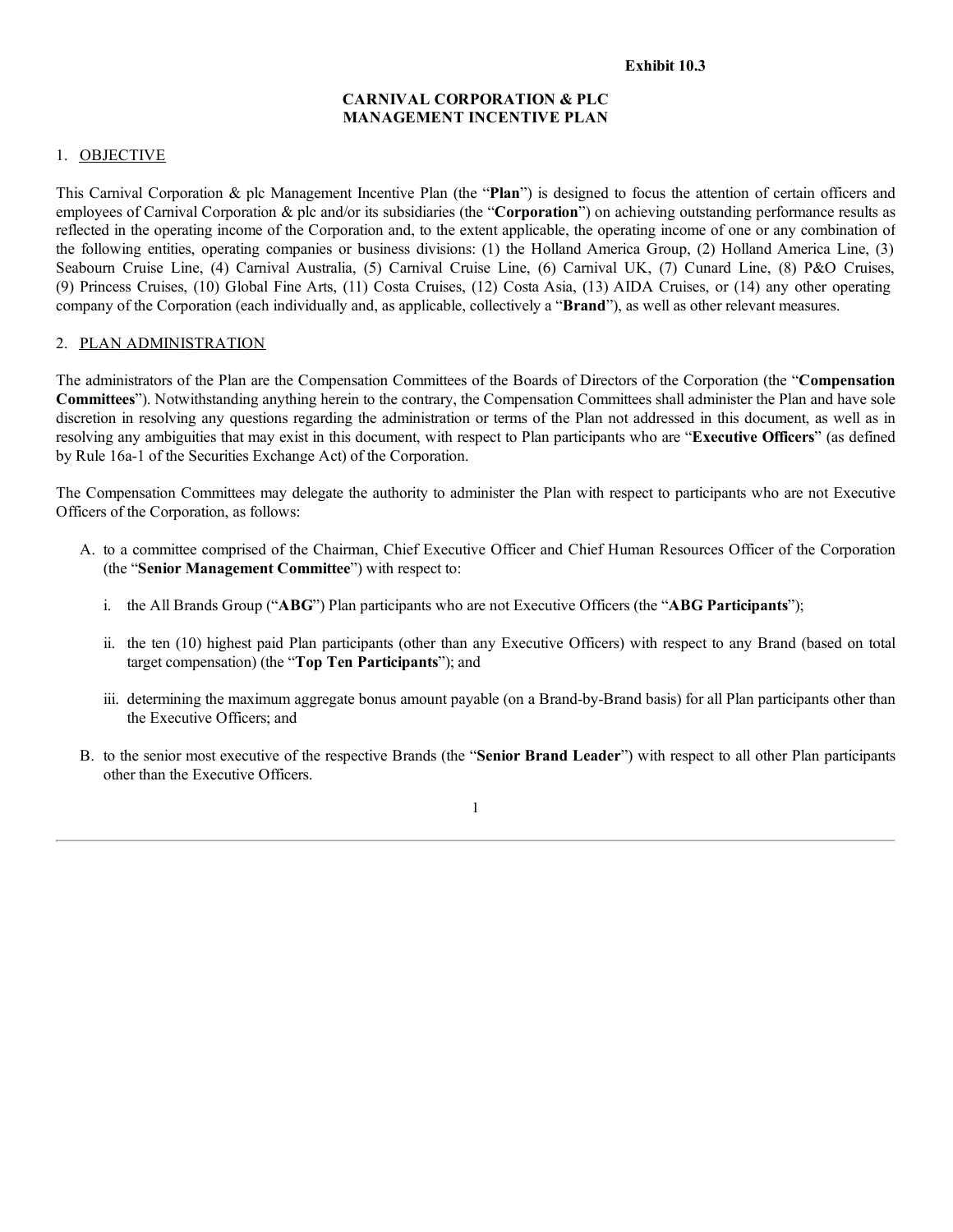# **CARNIVAL CORPORATION & PLC MANAGEMENT INCENTIVE PLAN**

# 1. OBJECTIVE

This Carnival Corporation & plc Management Incentive Plan (the "**Plan**") is designed to focus the attention of certain officers and employees of Carnival Corporation & plc and/or its subsidiaries (the "**Corporation**") on achieving outstanding performance results as reflected in the operating income of the Corporation and, to the extent applicable, the operating income of one or any combination of the following entities, operating companies or business divisions: (1) the Holland America Group, (2) Holland America Line, (3) Seabourn Cruise Line, (4) Carnival Australia, (5) Carnival Cruise Line, (6) Carnival UK, (7) Cunard Line, (8) P&O Cruises, (9) Princess Cruises, (10) Global Fine Arts, (11) Costa Cruises, (12) Costa Asia, (13) AIDA Cruises, or (14) any other operating company of the Corporation (each individually and, as applicable, collectively a "**Brand**"), as well as other relevant measures.

# 2. PLAN ADMINISTRATION

The administrators of the Plan are the Compensation Committees of the Boards of Directors of the Corporation (the "**Compensation Committees**"). Notwithstanding anything herein to the contrary, the Compensation Committees shall administer the Plan and have sole discretion in resolving any questions regarding the administration or terms of the Plan not addressed in this document, as well as in resolving any ambiguities that may exist in this document, with respect to Plan participants who are "**Executive Officers**" (as defined by Rule 16a-1 of the Securities Exchange Act) of the Corporation.

The Compensation Committees may delegate the authority to administer the Plan with respect to participants who are not Executive Officers of the Corporation, as follows:

- A. to a committee comprised of the Chairman, Chief Executive Officer and Chief Human Resources Officer of the Corporation (the "**Senior Management Committee**") with respect to:
	- i. the All Brands Group ("**ABG**") Plan participants who are not Executive Officers (the "**ABG Participants**");
	- ii. the ten (10) highest paid Plan participants (other than any Executive Officers) with respect to any Brand (based on total target compensation) (the "**Top Ten Participants**"); and
	- iii. determining the maximum aggregate bonus amount payable (on a Brand-by-Brand basis) for all Plan participants other than the Executive Officers; and
- B. to the senior most executive of the respective Brands (the "**Senior Brand Leader**") with respect to all other Plan participants other than the Executive Officers.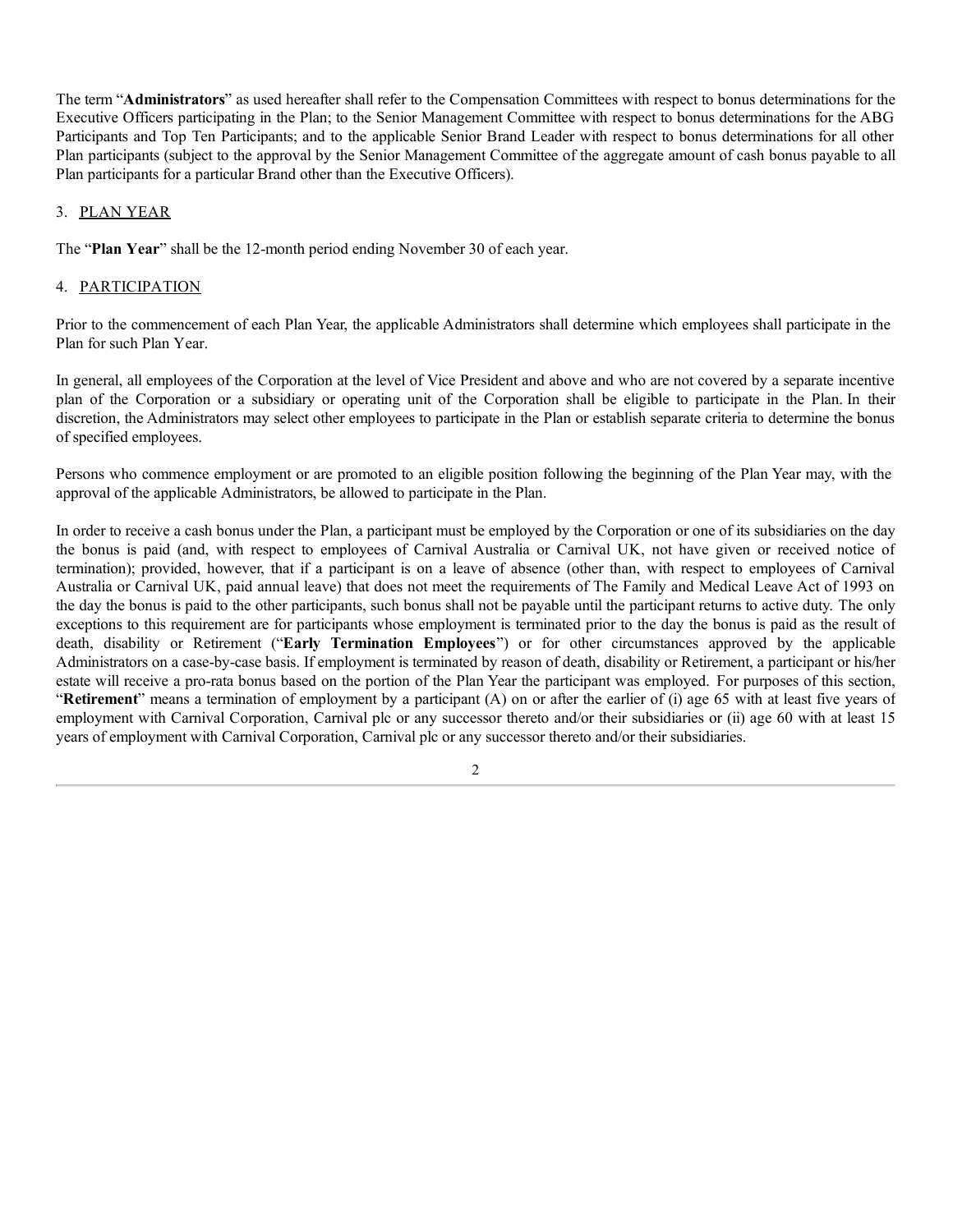The term "**Administrators**" as used hereafter shall refer to the Compensation Committees with respect to bonus determinations for the Executive Officers participating in the Plan; to the Senior Management Committee with respect to bonus determinations for the ABG Participants and Top Ten Participants; and to the applicable Senior Brand Leader with respect to bonus determinations for all other Plan participants (subject to the approval by the Senior Management Committee of the aggregate amount of cash bonus payable to all Plan [participants](#page-1-0) for a particular Brand other than the Executive Officers).

# 3. PLAN [YEAR](#page-19-0)

The "**Plan Year**" shall be the [12-month](#page-38-0) period ending November 30 of each year.

# 4. PARTI[CIPATION](#page-38-0)

Prior to the [commencement](#page-39-0) of each Plan Year, the applicable Administrators shall determine which employees shall participate in [the](#page-39-0) Plan for such Plan Year.

In general, all employees of the [Corporation](#page-39-0) at the level of Vice President and above and who are not covered by a separate ince[ntiv](#page-39-0)e plan of the Corporation or a subsidiary or operating unit of the Corporation shall be eligible to participate in the Plan. In their discretion, the [Admi](#page-40-0)nistrators may select other employees to participate in the Plan or establish separate criteria to determine the b[onu](#page-40-0)s of [specified](#page-42-0) employees.

Persons who commence employment or are promoted to an eligible position following the beginning of the Plan Year may, with the approval of the applicable Administrators, be allowed to participate in the Plan.

In order to receive a cash bonus under the Plan, a participant must be employed by the Corporation or one of its subsidiaries on the day the bonus is paid (and, with respect to employees of Carnival Australia or Carnival UK, not have given or received notice of termination); provided, however, that if a participant is on a leave of absence (other than, with respect to employees of Carnival Australia or Carnival UK, paid annual leave) that does not meet the requirements of The Family and Medical Leave Act of 1993 on the day the bonus is paid to the other participants, such bonus shall not be payable until the participant returns to active duty. The only exceptions to this requirement are for participants whose employment is terminated prior to the day the bonus is paid as the result of death, disability or Retirement ("**Early Termination Employees**") or for other circumstances approved by the applicable Administrators on a case-by-case basis. If employment is terminated by reason of death, disability or Retirement, a participant or his/her estate will receive a pro-rata bonus based on the portion of the Plan Year the participant was employed. For purposes of this section, "**Retirement**" means a termination of employment by a participant (A) on or after the earlier of (i) age 65 with at least five years of employment with Carnival Corporation, Carnival plc or any successor thereto and/or their subsidiaries or (ii) age 60 with at least 15 years of employment with Carnival Corporation, Carnival plc or any successor thereto and/or their subsidiaries.

 $\overline{2}$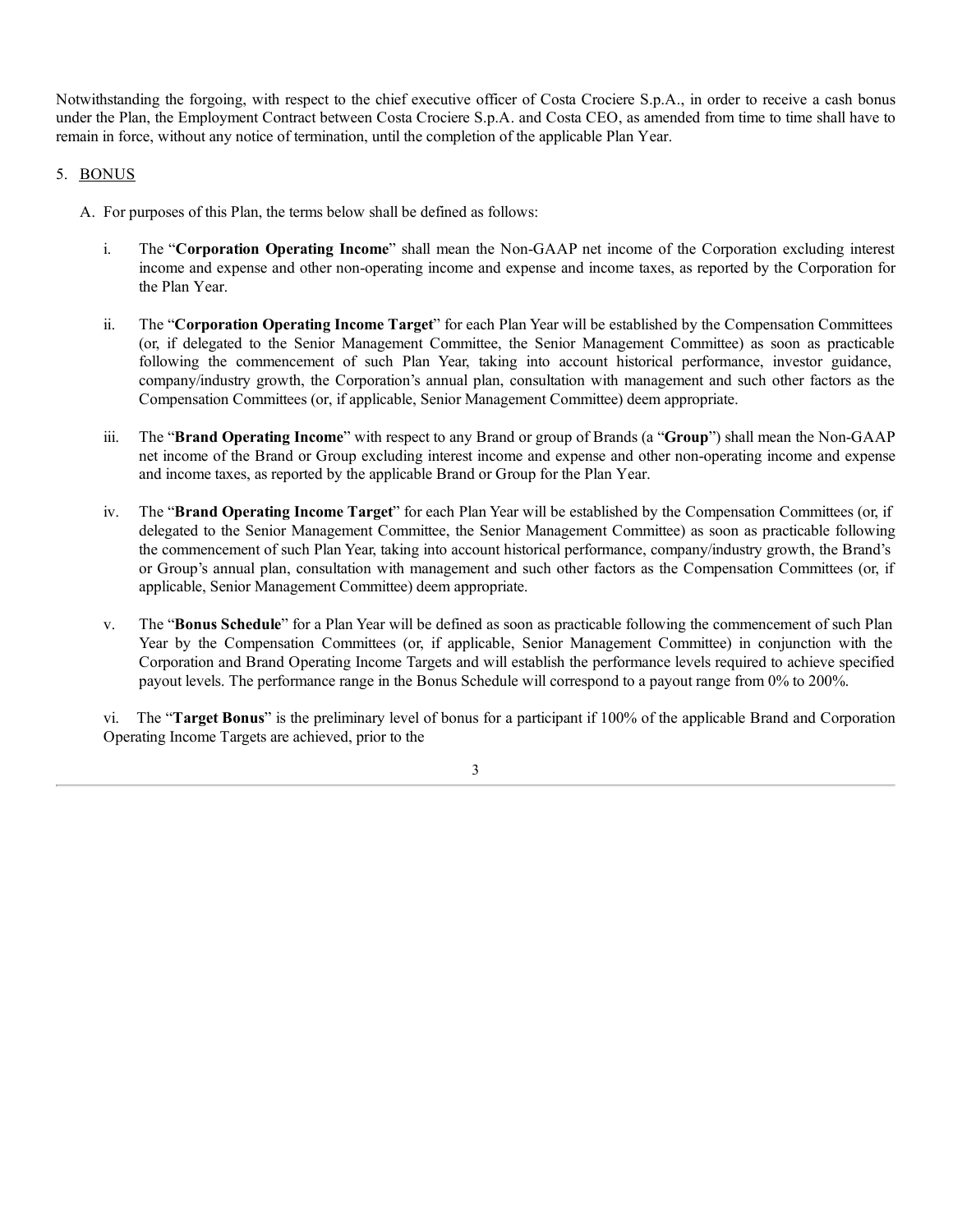Notwithstanding the forgoing, with respect to the chief executive officer of Costa Crociere S.p.A., in order to receive a cash bonus under the Plan, the Employment Contract between Costa Crociere S.p.A. and Costa CEO, as amended from time to time shall have to remain in force, without any notice of termination, until the completion of the applicable Plan Year.

# 5. BONUS

A. For purposes of this Plan, the terms below shall be defined as follows:

- i. The "**Corporation Operating Income**" shall mean the Non-GAAP net income of the Corporation excluding interest income and expense and other non-operating income and expense and income taxes, as reported by the Corporation for the Plan Year.
- ii. The "**Corporation Operating Income Target**" for each Plan Year will be established by the Compensation Committees (or, if delegated to the Senior Management Committee, the Senior Management Committee) as soon as practicable following the commencement of such Plan Year, taking into account historical performance, investor guidance, company/industry growth, the Corporation's annual plan, consultation with management and such other factors as the Compensation Committees (or, if applicable, Senior Management Committee) deem appropriate.
- iii. The "**Brand Operating Income**" with respect to any Brand or group of Brands (a "**Group**") shall mean the Non-GAAP net income of the Brand or Group excluding interest income and expense and other non-operating income and expense and income taxes, as reported by the applicable Brand or Group for the Plan Year.
- iv. The "**Brand Operating Income Target**" for each Plan Year will be established by the Compensation Committees (or, if delegated to the Senior Management Committee, the Senior Management Committee) as soon as practicable following the commencement of such Plan Year, taking into account historical performance, company/industry growth, the Brand's or Group's annual plan, consultation with management and such other factors as the Compensation Committees (or, if applicable, Senior Management Committee) deem appropriate.
- v. The "**Bonus Schedule**" for a Plan Year will be defined as soon as practicable following the commencement of such Plan Year by the Compensation Committees (or, if applicable, Senior Management Committee) in conjunction with the Corporation and Brand Operating Income Targets and will establish the performance levels required to achieve specified payout levels. The performance range in the Bonus Schedule will correspond to a payout range from 0% to 200%.

vi. The "**Target Bonus**" is the preliminary level of bonus for a participant if 100% of the applicable Brand and Corporation Operating Income Targets are achieved, prior to the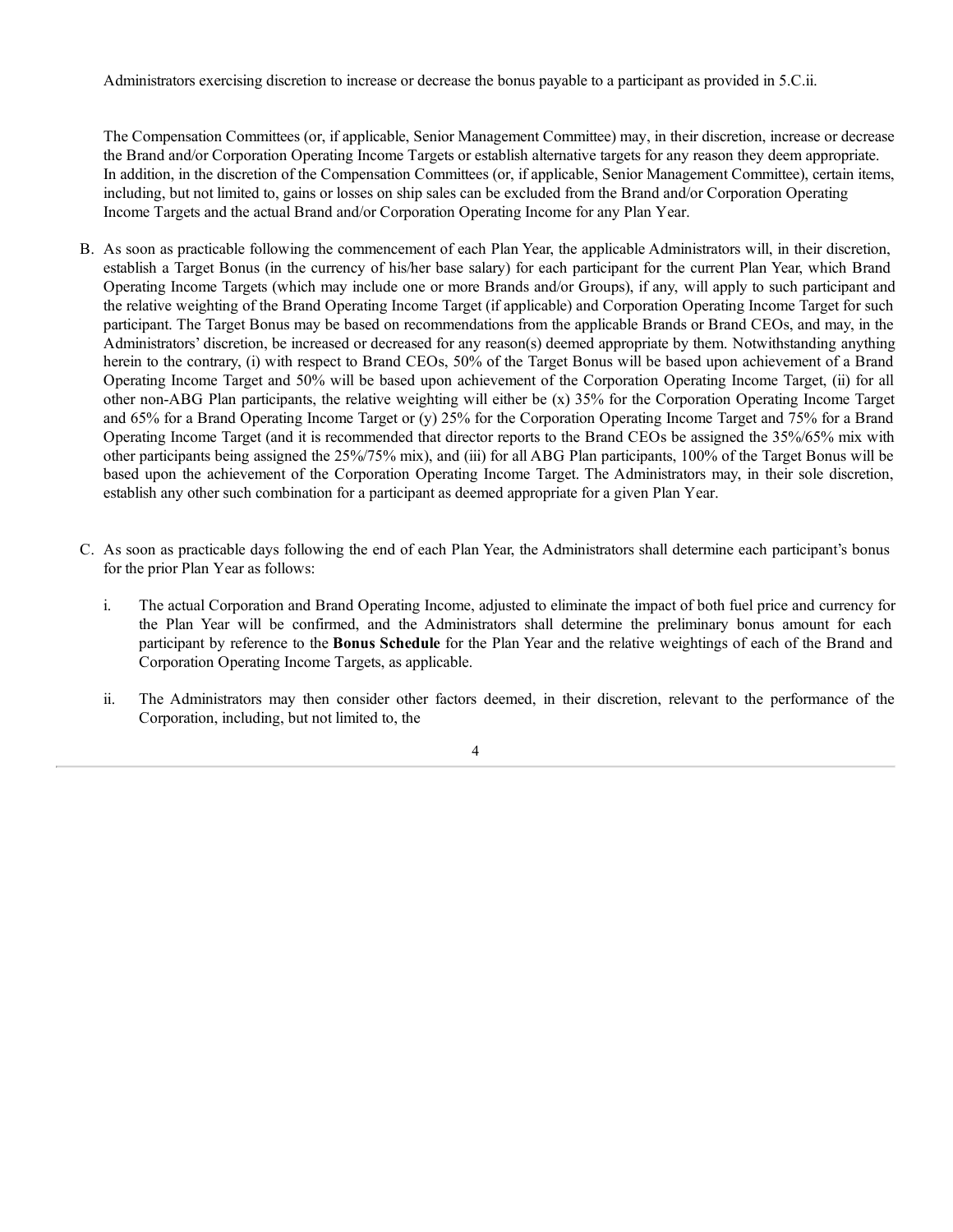Administrators exercising discretion to increase or decrease the bonus payable to a participant as provided in 5.C.ii.

The Compensation Committees (or, if applicable, Senior Management Committee) may, in their discretion, increase or decrease the Brand and/or Corporation Operating Income Targets or establish alternative targets for any reason they deem appropriate. In addition, in the discretion of the Compensation Committees (or, if applicable, Senior Management Committee), certain items, including, but not limited to, gains or losses on ship sales can be excluded from the Brand and/or Corporation Operating Income Targets and the actual Brand and/or Corporation Operating Income for any Plan Year.

- B. As soon as practicable following the commencement of each Plan Year, the applicable Administrators will, in their discretion, establish a Target Bonus (in the currency of his/her base salary) for each participant for the current Plan Year, which Brand Operating Income Targets (which may include one or more Brands and/or Groups), if any, will apply to such participant and the relative weighting of the Brand Operating Income Target (if applicable) and Corporation Operating Income Target for such participant. The Target Bonus may be based on recommendations from the applicable Brands or Brand CEOs, and may, in the Administrators' discretion, be increased or decreased for any reason(s) deemed appropriate by them. Notwithstanding anything herein to the contrary, (i) with respect to Brand CEOs, 50% of the Target Bonus will be based upon achievement of a Brand Operating Income Target and 50% will be based upon achievement of the Corporation Operating Income Target, (ii) for all other non-ABG Plan participants, the relative weighting will either be (x) 35% for the Corporation Operating Income Target and 65% for a Brand Operating Income Target or (y) 25% for the Corporation Operating Income Target and 75% for a Brand Operating Income Target (and it is recommended that director reports to the Brand CEOs be assigned the 35%/65% mix with other participants being assigned the 25%/75% mix), and (iii) for all ABG Plan participants, 100% of the Target Bonus will be based upon the achievement of the Corporation Operating Income Target. The Administrators may, in their sole discretion, establish any other such combination for a participant as deemed appropriate for a given Plan Year.
- C. As soon as practicable days following the end of each Plan Year, the Administrators shall determine each participant's bonus for the prior Plan Year as follows:
	- i. The actual Corporation and Brand Operating Income, adjusted to eliminate the impact of both fuel price and currency for the Plan Year will be confirmed, and the Administrators shall determine the preliminary bonus amount for each participant by reference to the **Bonus Schedule** for the Plan Year and the relative weightings of each of the Brand and Corporation Operating Income Targets, as applicable.
	- ii. The Administrators may then consider other factors deemed, in their discretion, relevant to the performance of the Corporation, including, but not limited to, the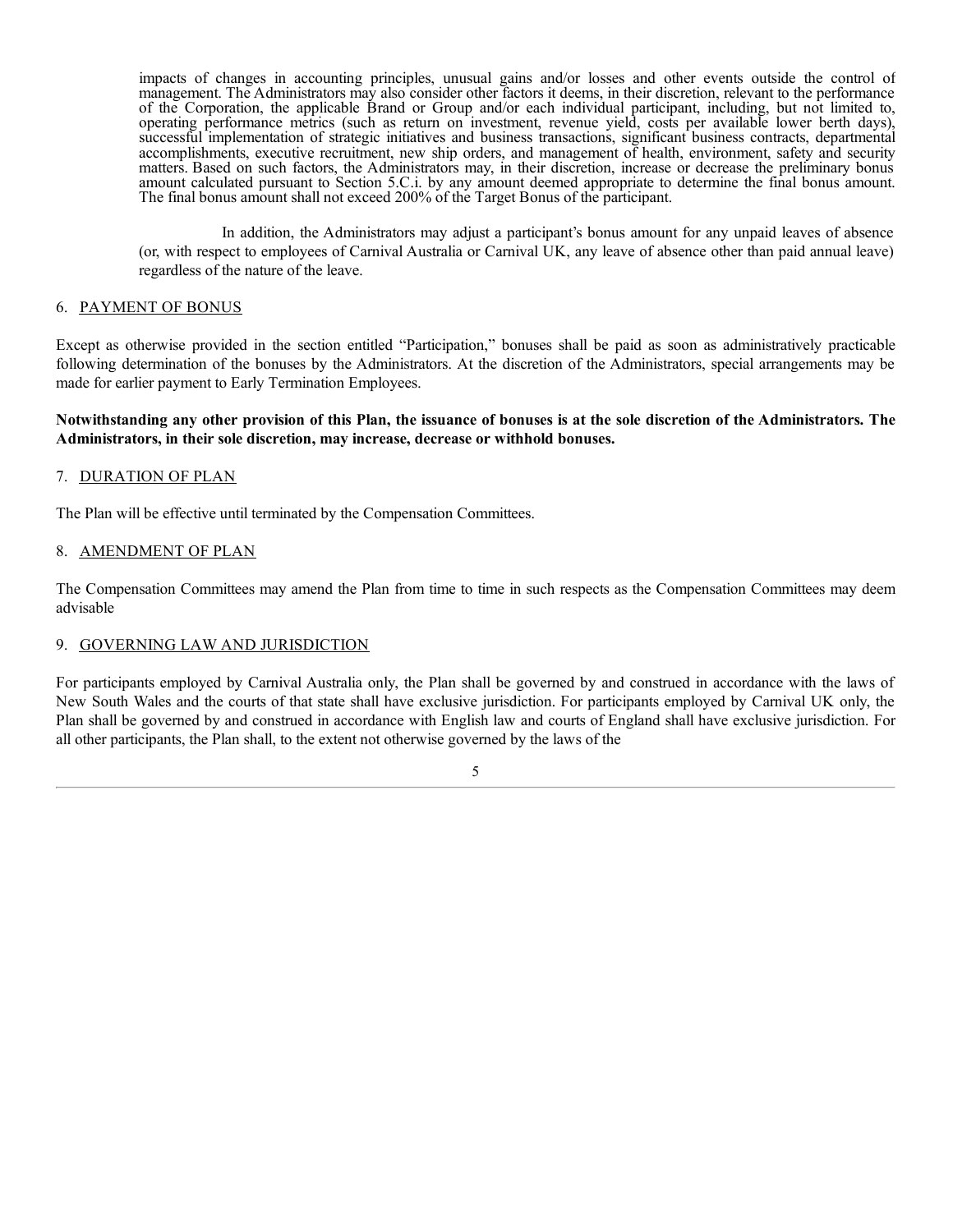impacts of changes in accounting principles, unusual gains and/or losses and other events outside the control of management. The Administrators may also consider other factors it deems, in their discretion, relevant to the performance of the Corporation, the applicable Brand or Group and/or each individual participant, including, but not limited to, operating performance metrics (such as return on investment, revenue yield, costs per available lower berth days), successful implementation of strategic initiatives and business transactions, significant business contracts, departmental accomplishments, executive recruitment, new ship orders, and management of health, environment, safety and security matters. Based on such factors, the Administrators may, in their discretion, increase or decrease the preliminary bonus amount calculated pursuant to Section 5.C.i. by any amount deemed appropriate to determine the final bonus amount. The final bonus amount shall not exceed 200% of the Target Bonus of the participant.

In addition, the Administrators may adjust a participant's bonus amount for any unpaid leaves of absence (or, with respect to employees of Carnival Australia or Carnival UK, any leave of absence other than paid annual leave) regardless of the nature of the leave.

# 6. PAYMENT OF BONUS

Except as otherwise provided in the section entitled "Participation," bonuses shall be paid as soon as administratively practicable following determination of the bonuses by the Administrators. At the discretion of the Administrators, special arrangements may be made for earlier payment to Early Termination Employees.

# Notwithstanding any other provision of this Plan, the issuance of bonuses is at the sole discretion of the Administrators. The **Administrators, in their sole discretion, may increase, decrease or withhold bonuses.**

## 7. DURATION OF PLAN

The Plan will be effective until terminated by the Compensation Committees.

# 8. AMENDMENT OF PLAN

The Compensation Committees may amend the Plan from time to time in such respects as the Compensation Committees may deem advisable

## 9. GOVERNING LAW AND JURISDICTION

For participants employed by Carnival Australia only, the Plan shall be governed by and construed in accordance with the laws of New South Wales and the courts of that state shall have exclusive jurisdiction. For participants employed by Carnival UK only, the Plan shall be governed by and construed in accordance with English law and courts of England shall have exclusive jurisdiction. For all other participants, the Plan shall, to the extent not otherwise governed by the laws of the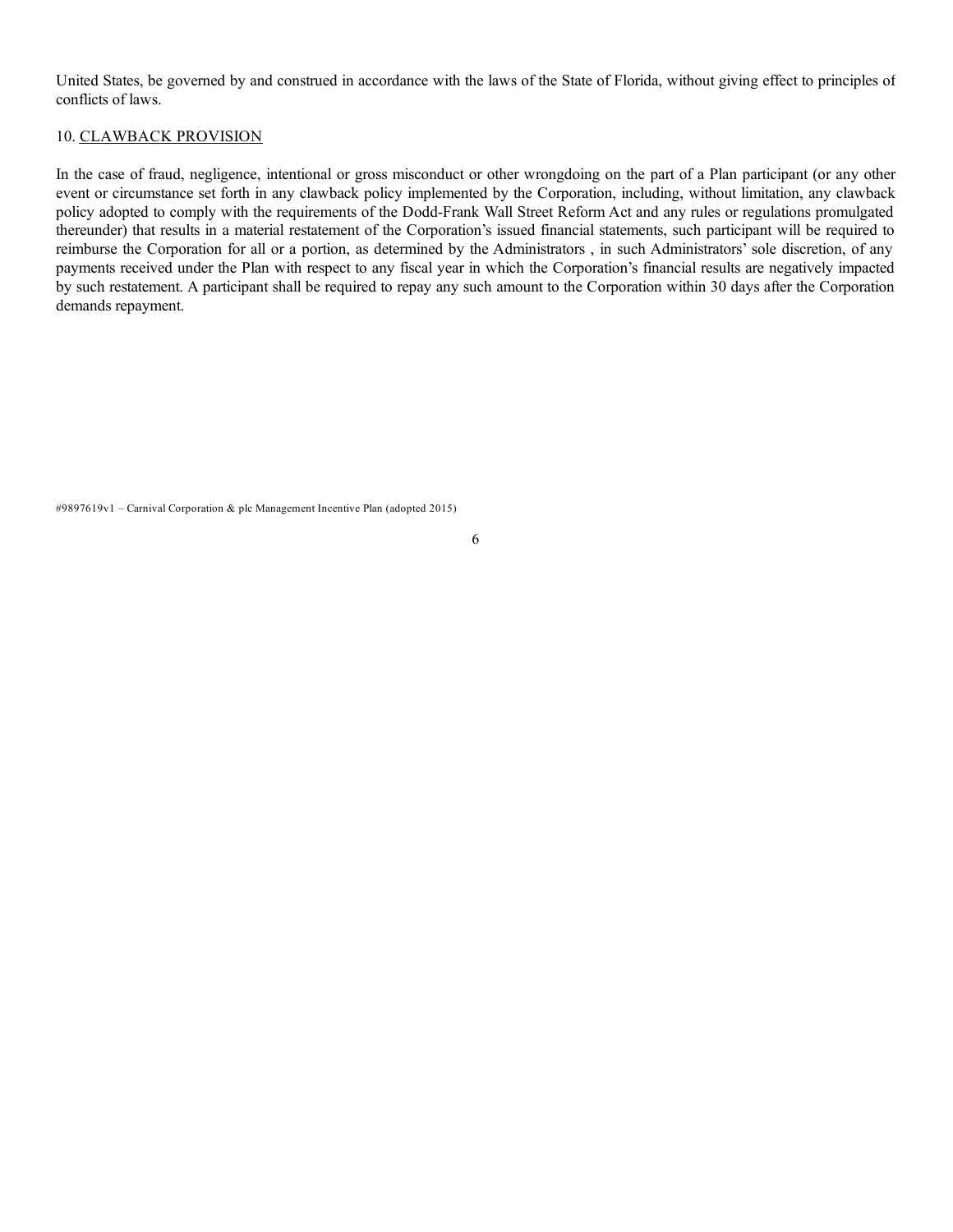United States, be governed by and construed in accordance with the laws of the State of Florida, without giving effect to principles of conflicts of laws.

# 10. CLAWBACK PROVISION

In the case of fraud, negligence, intentional or gross misconduct or other wrongdoing on the part of a Plan participant (or any other event or circumstance set forth in any clawback policy implemented by the Corporation, including, without limitation, any clawback policy adopted to comply with the requirements of the Dodd-Frank Wall Street Reform Act and any rules or regulations promulgated thereunder) that results in a material restatement of the Corporation's issued financial statements, such participant will be required to reimburse the Corporation for all or a portion, as determined by the Administrators , in such Administrators' sole discretion, of any payments received under the Plan with respect to any fiscal year in which the Corporation's financial results are negatively impacted by such restatement. A participant shall be required to repay any such amount to the Corporation within 30 days after the Corporation demands repayment.

#9897619v1 – Carnival Corporation & plc Management Incentive Plan (adopted 2015)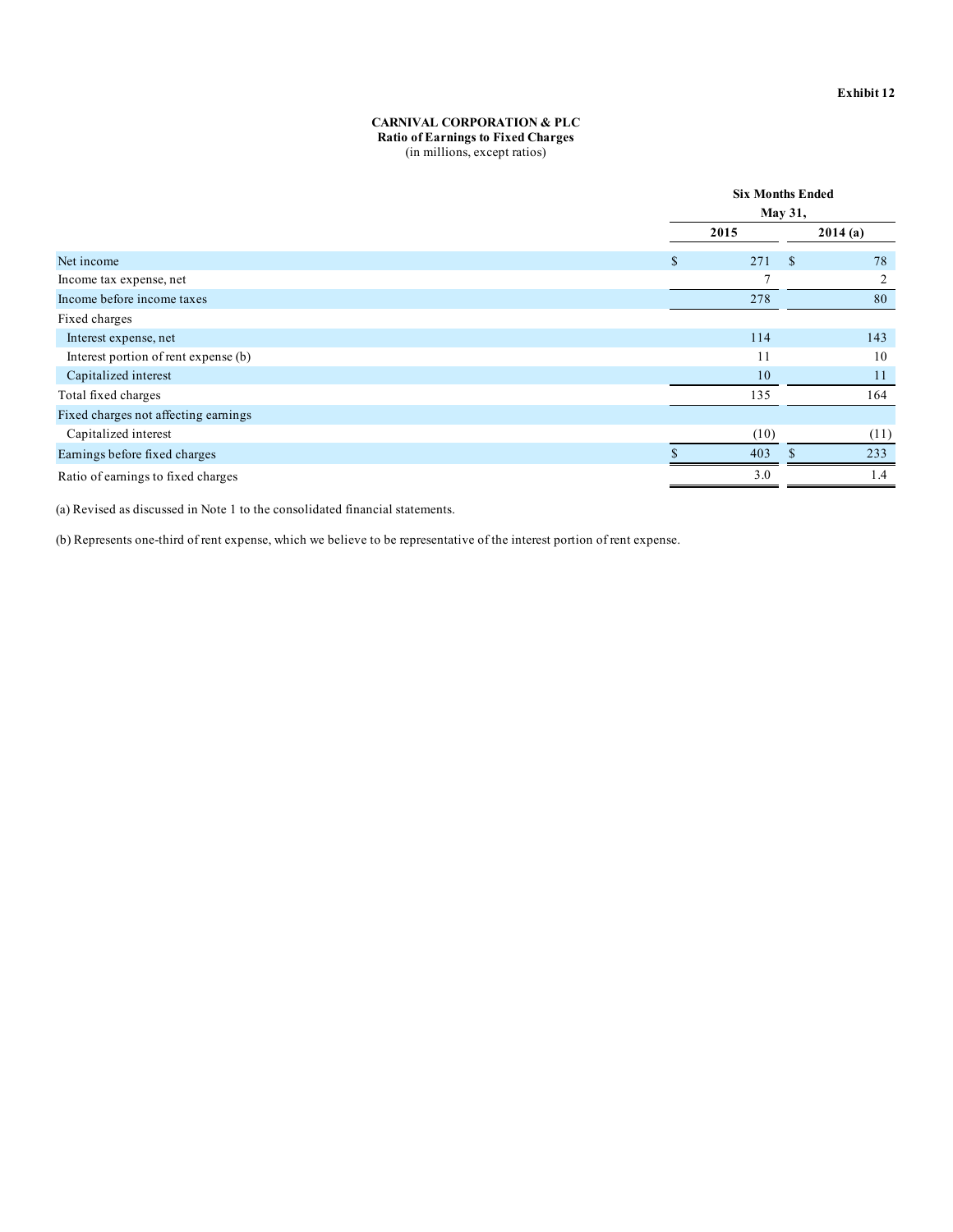## **Exhibit 12**

# **CARNIVAL CORPORATION & PLC Ratio of Earnings to Fixed Charges**

(in millions, except ratios)

|                                      |      | <b>Six Months Ended</b><br>May 31, |                     |  |  |
|--------------------------------------|------|------------------------------------|---------------------|--|--|
|                                      |      |                                    |                     |  |  |
|                                      | 2015 |                                    | 2014(a)             |  |  |
| Net income                           | \$   | 271                                | 78<br><sup>\$</sup> |  |  |
| Income tax expense, net              |      |                                    | 2                   |  |  |
| Income before income taxes           |      | 278                                | 80                  |  |  |
| Fixed charges                        |      |                                    |                     |  |  |
| Interest expense, net                |      | 114                                | 143                 |  |  |
| Interest portion of rent expense (b) |      | 11                                 | 10                  |  |  |
| Capitalized interest                 |      | 10                                 | 11                  |  |  |
| Total fixed charges                  |      | 135                                | 164                 |  |  |
| Fixed charges not affecting earnings |      |                                    |                     |  |  |
| Capitalized interest                 |      | (10)                               | (11)                |  |  |
| Earnings before fixed charges        |      | 403                                | 233                 |  |  |
| Ratio of earnings to fixed charges   |      | 3.0                                | 1.4                 |  |  |

(a) Revised as discussed in Note 1 to the consolidated financial statements.

(b) Represents one-third of rent expense, which we believe to be representative of the interest portion of rent expense.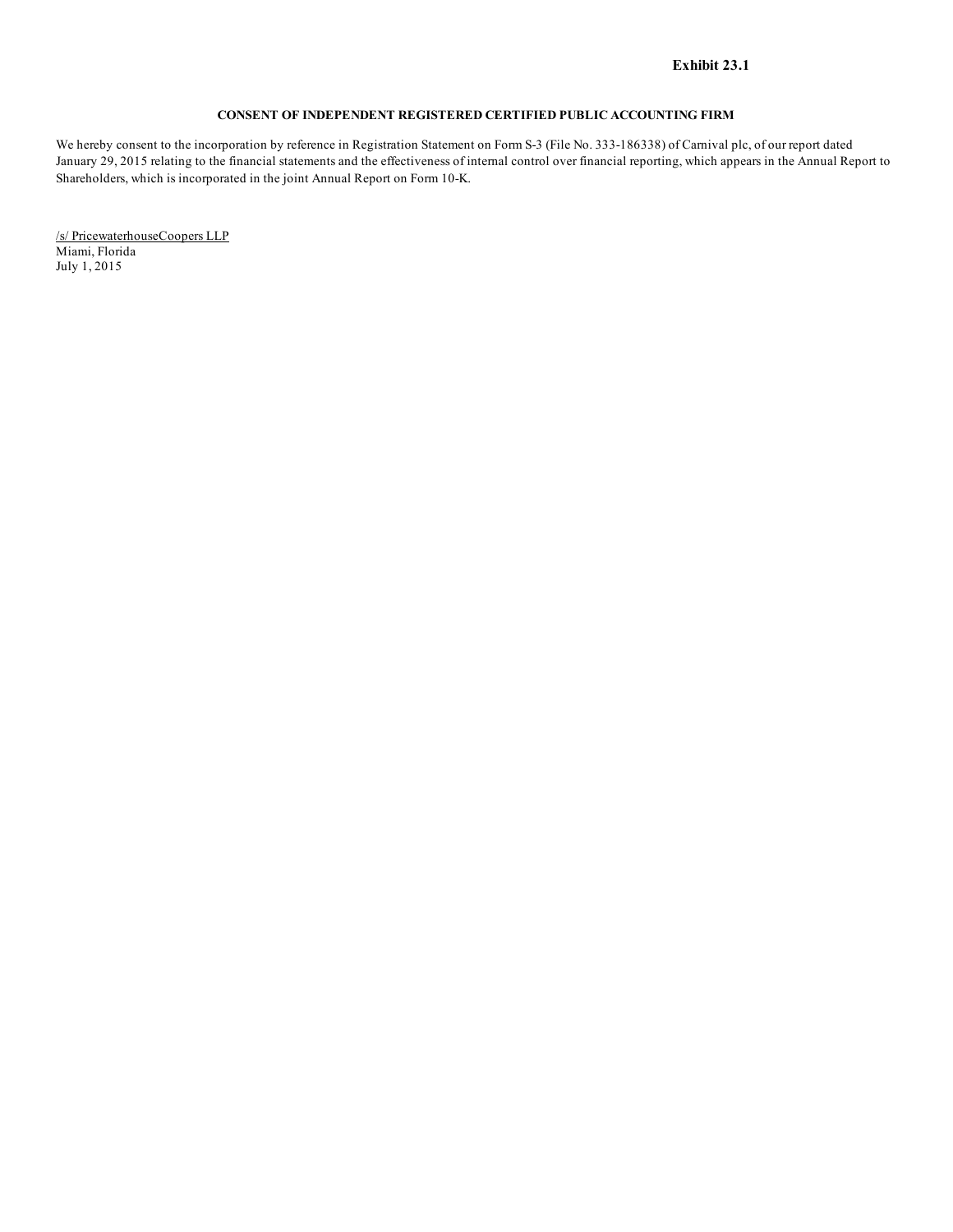## **CONSENT OF INDEPENDENT REGISTERED CERTIFIED PUBLIC ACCOUNTING FIRM**

We hereby consent to the incorporation by reference in Registration Statement on Form S-3 (File No. 333-186338) of Carnival plc, of our report dated January 29, 2015 relating to the financial statements and the effectiveness of internal control over financial reporting, which appears in the Annual Report to Shareholders, which is incorporated in the joint Annual Report on Form 10-K.

/s/ PricewaterhouseCoopers LLP Miami, Florida July 1, 2015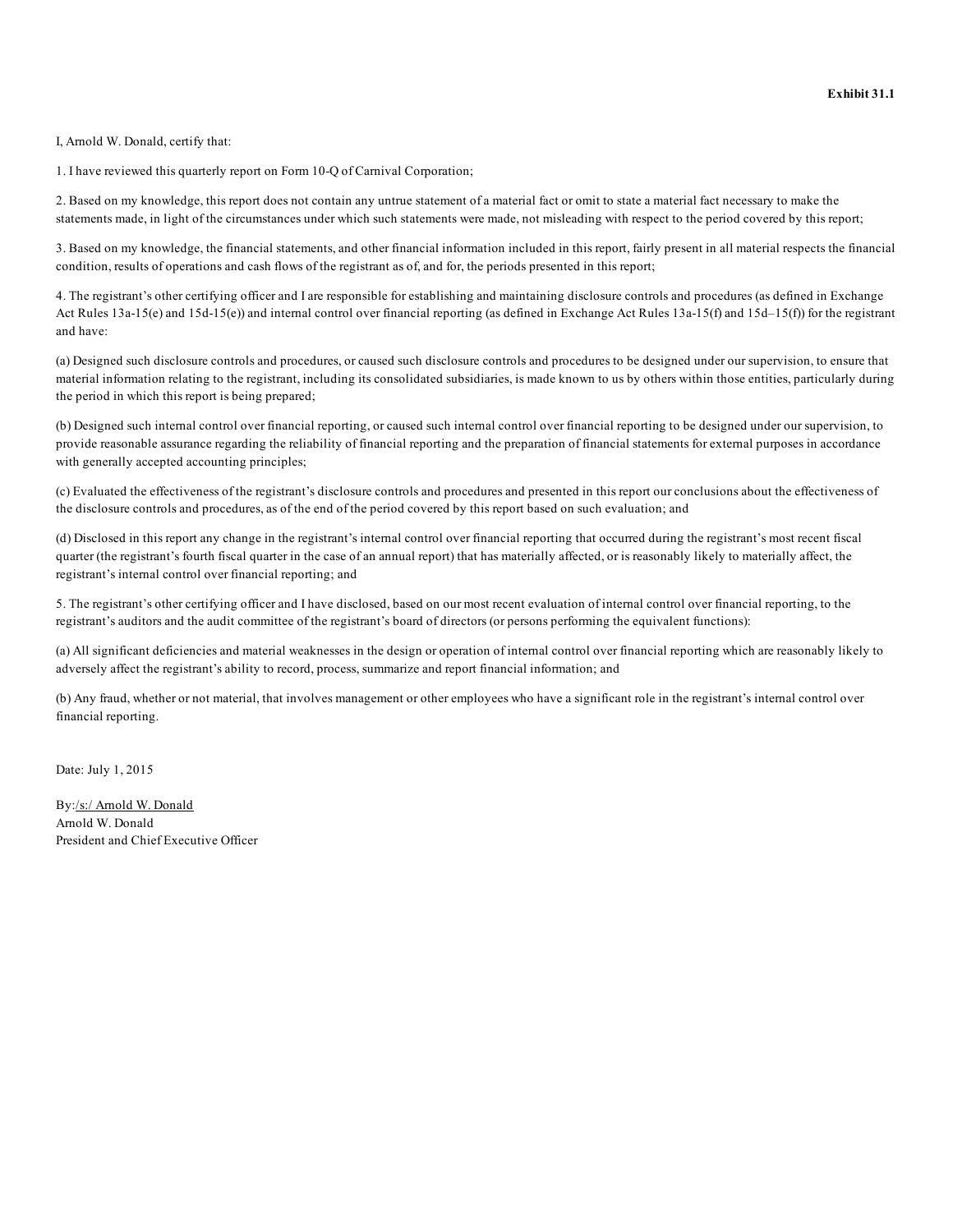I, Arnold W. Donald, certify that:

1. I have reviewed this quarterly report on Form 10-Q of Carnival Corporation;

2. Based on my knowledge, this report does not contain any untrue statement of a material fact or omit to state a material fact necessary to make the statements made, in light of the circumstances under which such statements were made, not misleading with respect to the period covered by this report;

3. Based on my knowledge, the financial statements, and other financial information included in this report, fairly present in all material respects the financial condition, results of operations and cash flows of the registrant as of, and for, the periods presented in this report;

4. The registrant's other certifying officer and I are responsible for establishing and maintaining disclosure controls and procedures (as defined in Exchange Act Rules 13a-15(e) and 15d-15(e)) and internal control over financial reporting (as defined in Exchange Act Rules 13a-15(f) and 15d–15(f)) for the registrant and have:

(a) Designed such disclosure controls and procedures, or caused such disclosure controls and procedures to be designed under our supervision, to ensure that material information relating to the registrant, including its consolidated subsidiaries, is made known to us by others within those entities, particularly during the period in which this report is being prepared;

(b) Designed such internal control over financial reporting, or caused such internal control over financial reporting to be designed under our supervision, to provide reasonable assurance regarding the reliability of financial reporting and the preparation of financial statements for external purposes in accordance with generally accepted accounting principles;

(c) Evaluated the effectiveness of the registrant's disclosure controls and procedures and presented in this report our conclusions about the effectiveness of the disclosure controls and procedures, as of the end of the period covered by this report based on such evaluation; and

(d) Disclosed in this report any change in the registrant's internal control over financial reporting that occurred during the registrant's most recent fiscal quarter (the registrant's fourth fiscal quarter in the case of an annual report) that has materially affected, or is reasonably likely to materially affect, the registrant's internal control over financial reporting; and

5. The registrant's other certifying officer and I have disclosed, based on our most recent evaluation of internal control over financial reporting, to the registrant's auditors and the audit committee of the registrant's board of directors (or persons performing the equivalent functions):

(a) All significant deficiencies and material weaknesses in the design or operation of internal control over financial reporting which are reasonably likely to adversely affect the registrant's ability to record, process, summarize and report financial information; and

(b) Any fraud, whether or not material, that involves management or other employees who have a significant role in the registrant's internal control over financial reporting.

Date: July 1, 2015

By:/s:/ Arnold W. Donald Arnold W. Donald President and Chief Executive Officer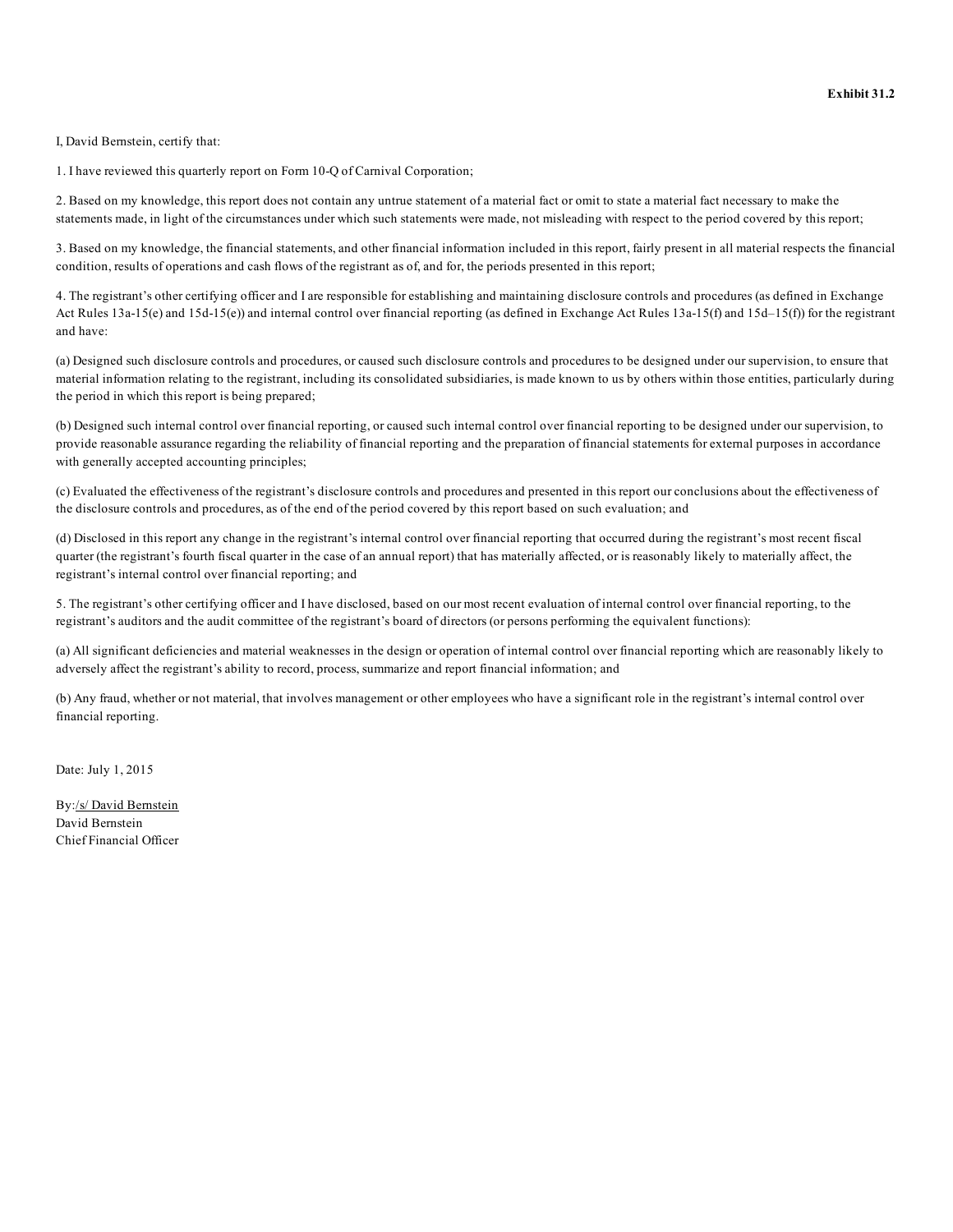I, David Bernstein, certify that:

1. I have reviewed this quarterly report on Form 10-Q of Carnival Corporation;

2. Based on my knowledge, this report does not contain any untrue statement of a material fact or omit to state a material fact necessary to make the statements made, in light of the circumstances under which such statements were made, not misleading with respect to the period covered by this report;

3. Based on my knowledge, the financial statements, and other financial information included in this report, fairly present in all material respects the financial condition, results of operations and cash flows of the registrant as of, and for, the periods presented in this report;

4. The registrant's other certifying officer and I are responsible for establishing and maintaining disclosure controls and procedures (as defined in Exchange Act Rules 13a-15(e) and 15d-15(e)) and internal control over financial reporting (as defined in Exchange Act Rules 13a-15(f) and 15d–15(f)) for the registrant and have:

(a) Designed such disclosure controls and procedures, or caused such disclosure controls and procedures to be designed under our supervision, to ensure that material information relating to the registrant, including its consolidated subsidiaries, is made known to us by others within those entities, particularly during the period in which this report is being prepared;

(b) Designed such internal control over financial reporting, or caused such internal control over financial reporting to be designed under our supervision, to provide reasonable assurance regarding the reliability of financial reporting and the preparation of financial statements for external purposes in accordance with generally accepted accounting principles;

(c) Evaluated the effectiveness of the registrant's disclosure controls and procedures and presented in this report our conclusions about the effectiveness of the disclosure controls and procedures, as of the end of the period covered by this report based on such evaluation; and

(d) Disclosed in this report any change in the registrant's internal control over financial reporting that occurred during the registrant's most recent fiscal quarter (the registrant's fourth fiscal quarter in the case of an annual report) that has materially affected, or is reasonably likely to materially affect, the registrant's internal control over financial reporting; and

5. The registrant's other certifying officer and I have disclosed, based on our most recent evaluation of internal control over financial reporting, to the registrant's auditors and the audit committee of the registrant's board of directors (or persons performing the equivalent functions):

(a) All significant deficiencies and material weaknesses in the design or operation of internal control over financial reporting which are reasonably likely to adversely affect the registrant's ability to record, process, summarize and report financial information; and

(b) Any fraud, whether or not material, that involves management or other employees who have a significant role in the registrant's internal control over financial reporting.

Date: July 1, 2015

By:/s/ David Bernstein David Bernstein Chief Financial Officer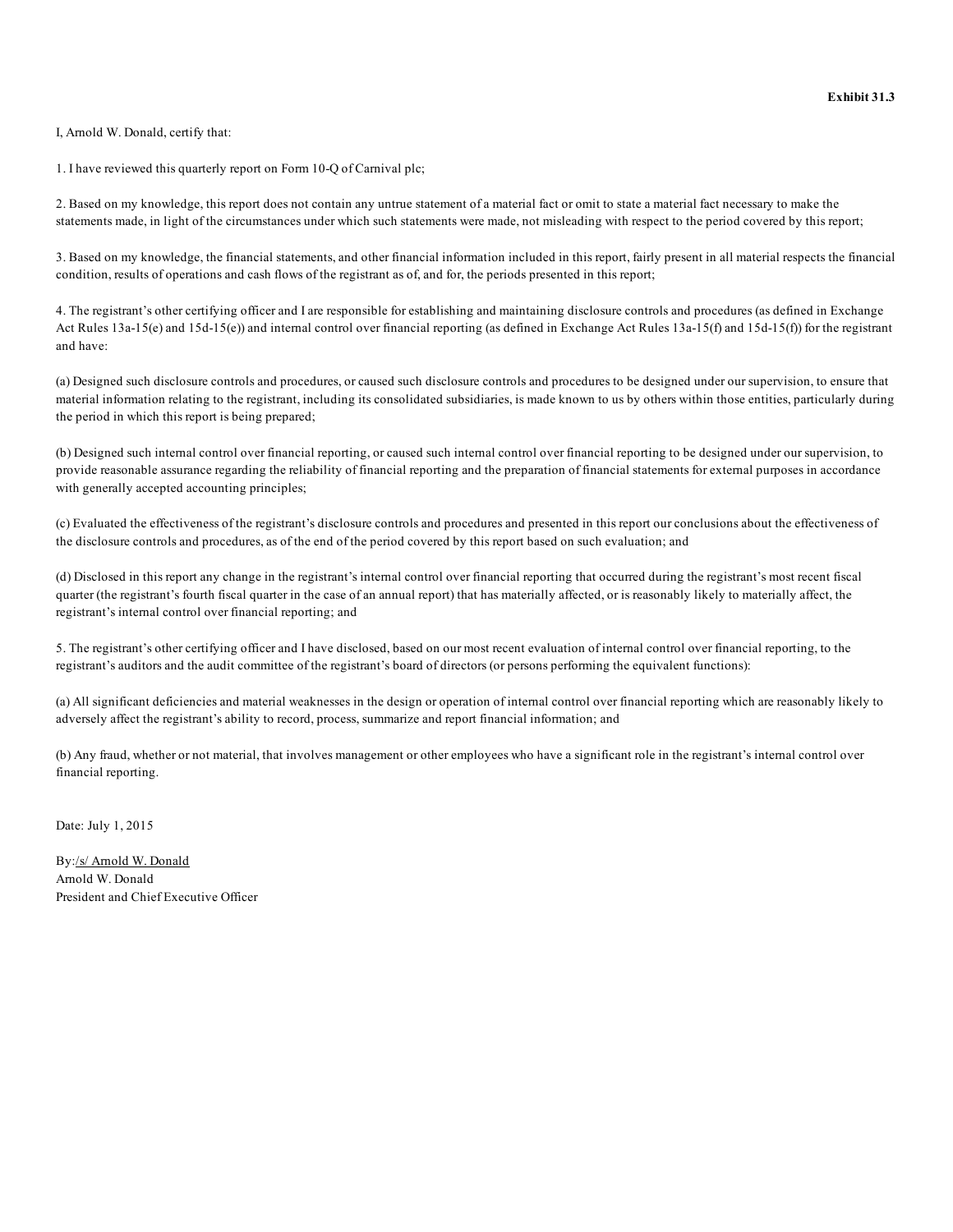I, Arnold W. Donald, certify that:

1. I have reviewed this quarterly report on Form 10-Q of Carnival plc;

2. Based on my knowledge, this report does not contain any untrue statement of a material fact or omit to state a material fact necessary to make the statements made, in light of the circumstances under which such statements were made, not misleading with respect to the period covered by this report;

3. Based on my knowledge, the financial statements, and other financial information included in this report, fairly present in all material respects the financial condition, results of operations and cash flows of the registrant as of, and for, the periods presented in this report;

4. The registrant's other certifying officer and I are responsible for establishing and maintaining disclosure controls and procedures (as defined in Exchange Act Rules 13a-15(e) and 15d-15(e)) and internal control over financial reporting (as defined in Exchange Act Rules 13a-15(f) and 15d-15(f)) for the registrant and have:

(a) Designed such disclosure controls and procedures, or caused such disclosure controls and procedures to be designed under our supervision, to ensure that material information relating to the registrant, including its consolidated subsidiaries, is made known to us by others within those entities, particularly during the period in which this report is being prepared;

(b) Designed such internal control over financial reporting, or caused such internal control over financial reporting to be designed under our supervision, to provide reasonable assurance regarding the reliability of financial reporting and the preparation of financial statements for external purposes in accordance with generally accepted accounting principles;

(c) Evaluated the effectiveness of the registrant's disclosure controls and procedures and presented in this report our conclusions about the effectiveness of the disclosure controls and procedures, as of the end of the period covered by this report based on such evaluation; and

(d) Disclosed in this report any change in the registrant's internal control over financial reporting that occurred during the registrant's most recent fiscal quarter (the registrant's fourth fiscal quarter in the case of an annual report) that has materially affected, or is reasonably likely to materially affect, the registrant's internal control over financial reporting; and

5. The registrant's other certifying officer and I have disclosed, based on our most recent evaluation of internal control over financial reporting, to the registrant's auditors and the audit committee of the registrant's board of directors (or persons performing the equivalent functions):

(a) All significant deficiencies and material weaknesses in the design or operation of internal control over financial reporting which are reasonably likely to adversely affect the registrant's ability to record, process, summarize and report financial information; and

(b) Any fraud, whether or not material, that involves management or other employees who have a significant role in the registrant's internal control over financial reporting.

Date: July 1, 2015

By:/s/ Arnold W. Donald Arnold W. Donald President and Chief Executive Officer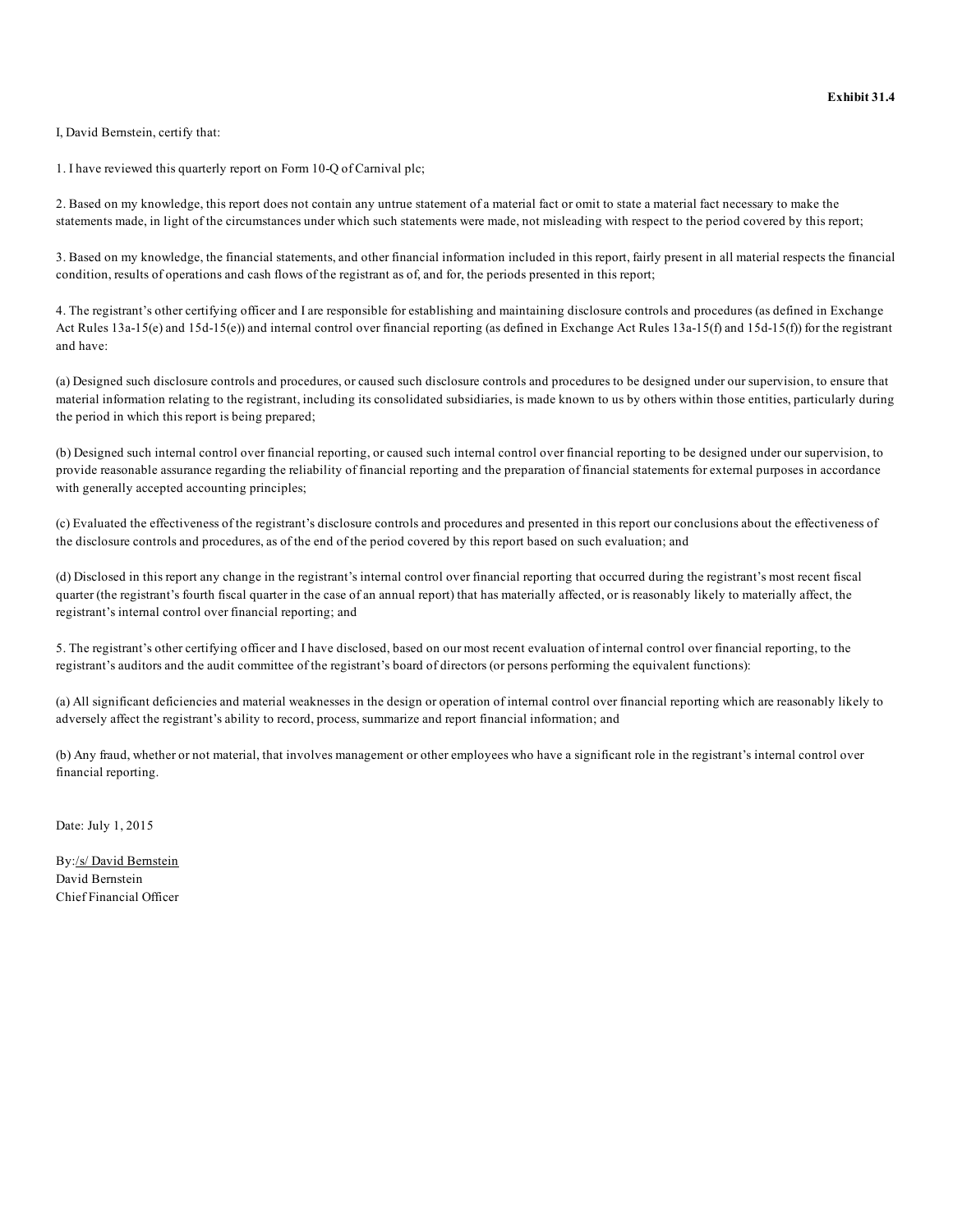I, David Bernstein, certify that:

1. I have reviewed this quarterly report on Form 10-Q of Carnival plc;

2. Based on my knowledge, this report does not contain any untrue statement of a material fact or omit to state a material fact necessary to make the statements made, in light of the circumstances under which such statements were made, not misleading with respect to the period covered by this report;

3. Based on my knowledge, the financial statements, and other financial information included in this report, fairly present in all material respects the financial condition, results of operations and cash flows of the registrant as of, and for, the periods presented in this report;

4. The registrant's other certifying officer and I are responsible for establishing and maintaining disclosure controls and procedures (as defined in Exchange Act Rules 13a-15(e) and 15d-15(e)) and internal control over financial reporting (as defined in Exchange Act Rules 13a-15(f) and 15d-15(f)) for the registrant and have:

(a) Designed such disclosure controls and procedures, or caused such disclosure controls and procedures to be designed under our supervision, to ensure that material information relating to the registrant, including its consolidated subsidiaries, is made known to us by others within those entities, particularly during the period in which this report is being prepared;

(b) Designed such internal control over financial reporting, or caused such internal control over financial reporting to be designed under our supervision, to provide reasonable assurance regarding the reliability of financial reporting and the preparation of financial statements for external purposes in accordance with generally accepted accounting principles;

(c) Evaluated the effectiveness of the registrant's disclosure controls and procedures and presented in this report our conclusions about the effectiveness of the disclosure controls and procedures, as of the end of the period covered by this report based on such evaluation; and

(d) Disclosed in this report any change in the registrant's internal control over financial reporting that occurred during the registrant's most recent fiscal quarter (the registrant's fourth fiscal quarter in the case of an annual report) that has materially affected, or is reasonably likely to materially affect, the registrant's internal control over financial reporting; and

5. The registrant's other certifying officer and I have disclosed, based on our most recent evaluation of internal control over financial reporting, to the registrant's auditors and the audit committee of the registrant's board of directors (or persons performing the equivalent functions):

(a) All significant deficiencies and material weaknesses in the design or operation of internal control over financial reporting which are reasonably likely to adversely affect the registrant's ability to record, process, summarize and report financial information; and

(b) Any fraud, whether or not material, that involves management or other employees who have a significant role in the registrant's internal control over financial reporting.

Date: July 1, 2015

By:/s/ David Bernstein David Bernstein Chief Financial Officer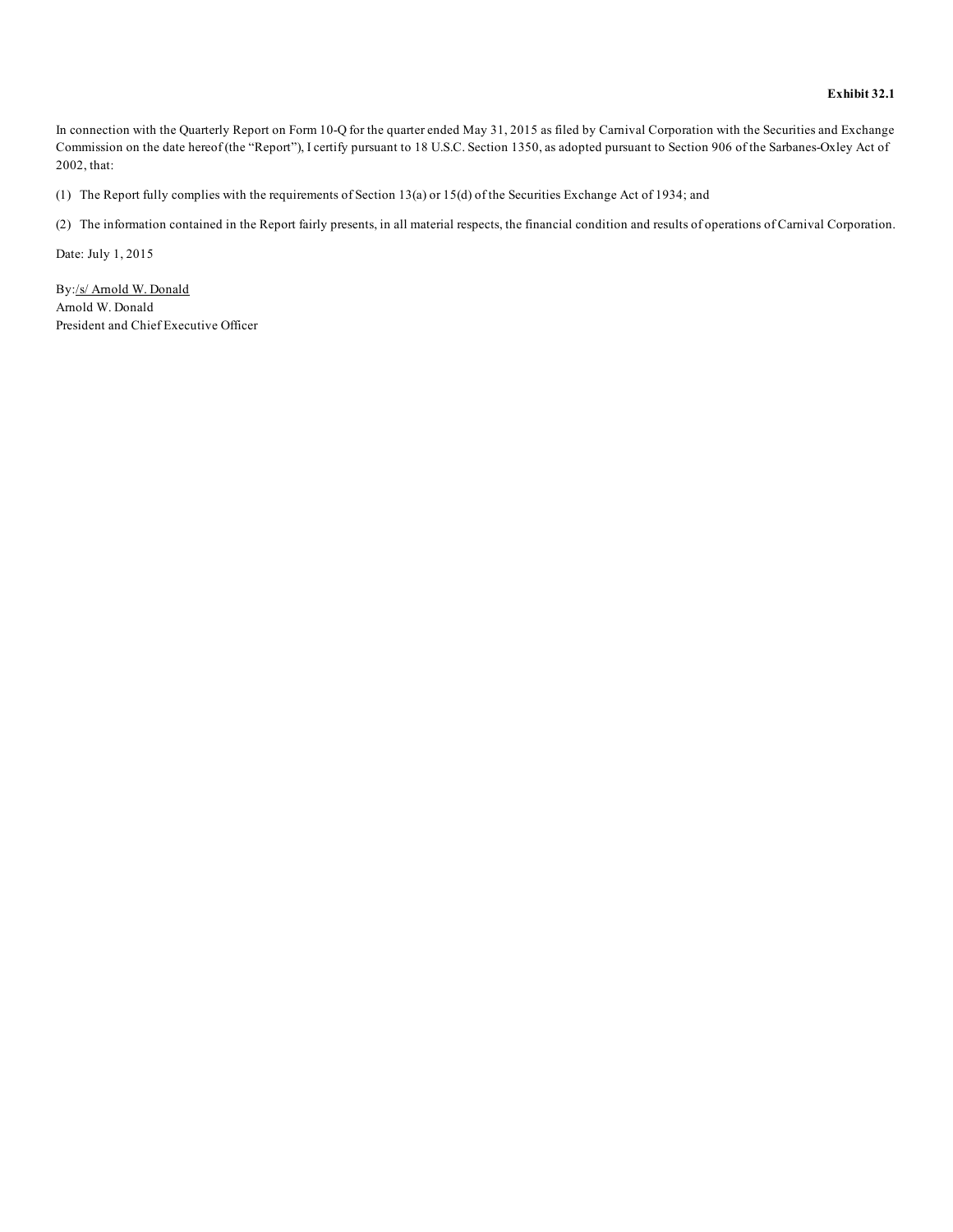In connection with the Quarterly Report on Form 10-Q for the quarter ended May 31, 2015 as filed by Carnival Corporation with the Securities and Exchange Commission on the date hereof (the "Report"), I certify pursuant to 18 U.S.C. Section 1350, as adopted pursuant to Section 906 of the Sarbanes-Oxley Act of 2002, that:

(1) The Report fully complies with the requirements of Section 13(a) or 15(d) of the Securities Exchange Act of 1934; and

(2) The information contained in the Report fairly presents, in all material respects, the financial condition and results of operations of Carnival Corporation.

Date: July 1, 2015

By:/s/ Arnold W. Donald Arnold W. Donald President and Chief Executive Officer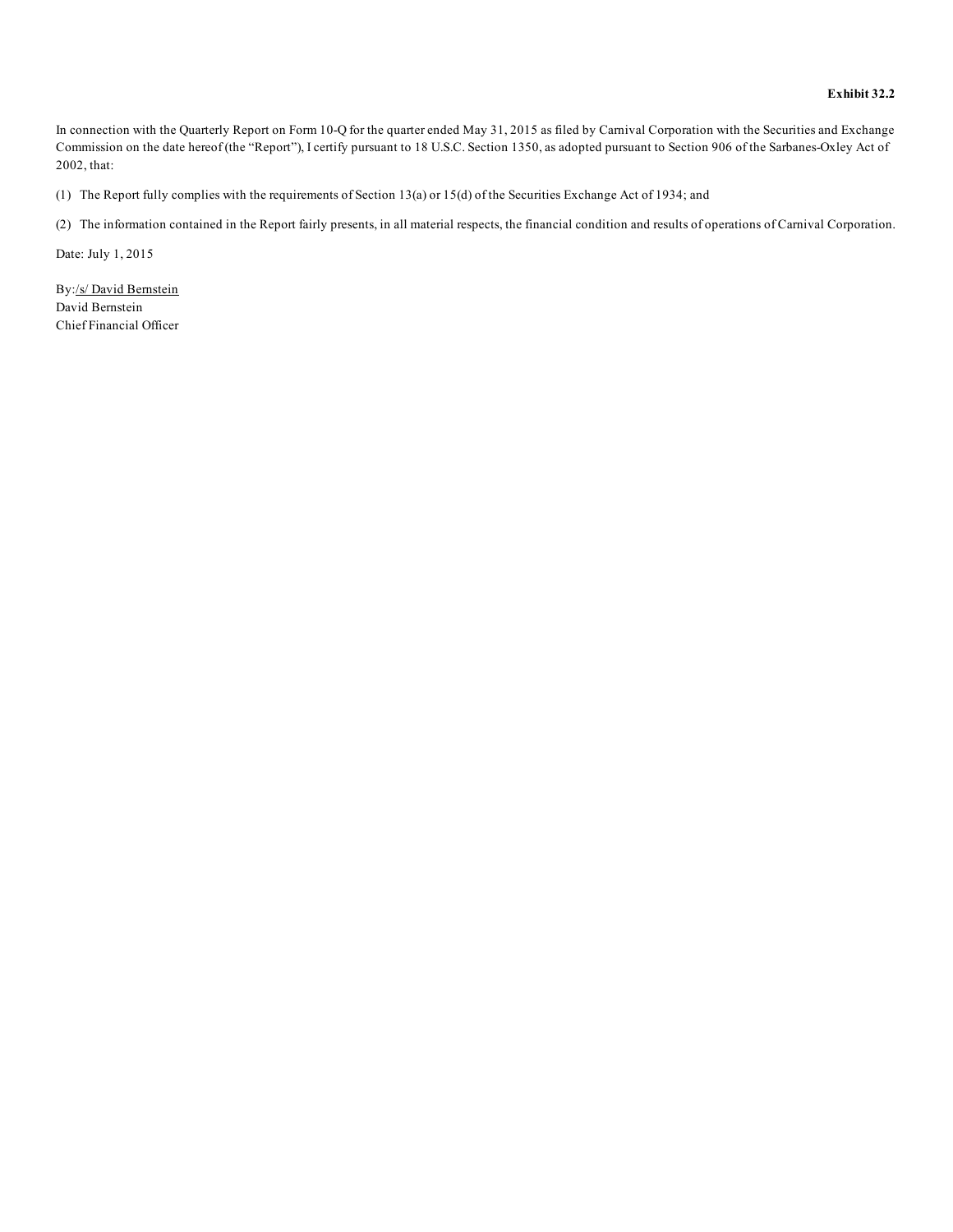In connection with the Quarterly Report on Form 10-Q for the quarter ended May 31, 2015 as filed by Carnival Corporation with the Securities and Exchange Commission on the date hereof (the "Report"), I certify pursuant to 18 U.S.C. Section 1350, as adopted pursuant to Section 906 of the Sarbanes-Oxley Act of 2002, that:

(1) The Report fully complies with the requirements of Section 13(a) or 15(d) of the Securities Exchange Act of 1934; and

(2) The information contained in the Report fairly presents, in all material respects, the financial condition and results of operations of Carnival Corporation.

Date: July 1, 2015

By:/s/ David Bernstein David Bernstein Chief Financial Officer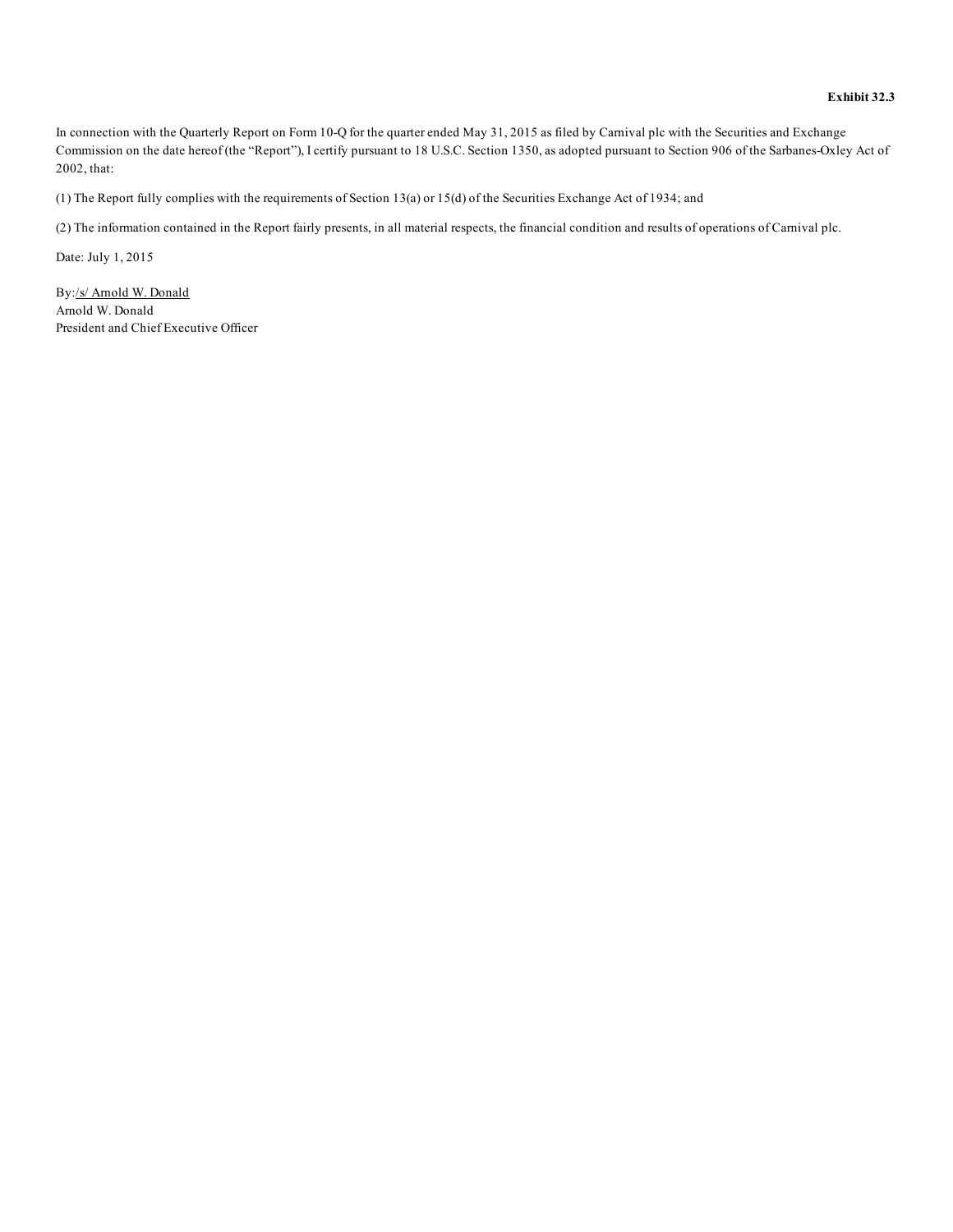In connection with the Quarterly Report on Form 10-Q for the quarter ended May 31, 2015 as filed by Carnival plc with the Securities and Exchange Commission on the date hereof (the "Report"), I certify pursuant to 18 U.S.C. Section 1350, as adopted pursuant to Section 906 of the Sarbanes-Oxley Act of 2002, that:

(1) The Report fully complies with the requirements of Section 13(a) or 15(d) of the Securities Exchange Act of 1934; and

(2) The information contained in the Report fairly presents, in all material respects, the financial condition and results of operations of Carnival plc.

Date: July 1, 2015

By:/s/ Arnold W. Donald Arnold W. Donald President and Chief Executive Officer